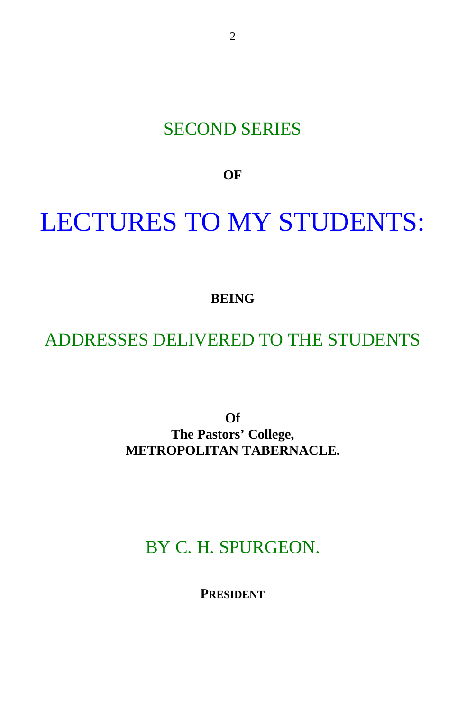## SECOND SERIES

**OF**

# LECTURES TO MY STUDENTS:

**BEING**

## ADDRESSES DELIVERED TO THE STUDENTS

**Of The Pastors' College, METROPOLITAN TABERNACLE.**

BY C. H. SPURGEON.

**PRESIDENT**

2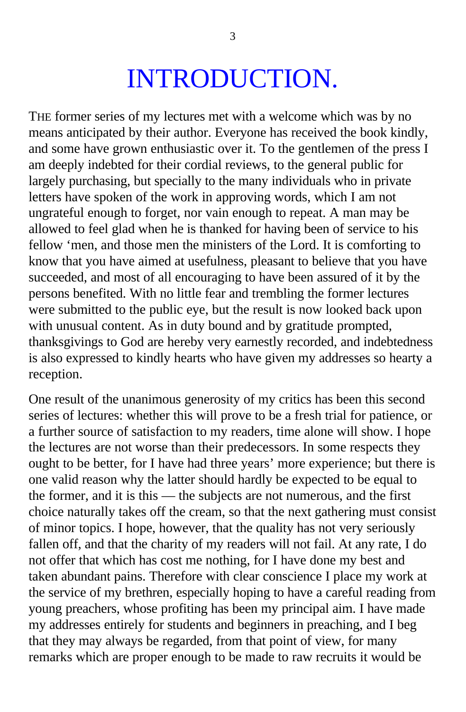# INTRODUCTION.

THE former series of my lectures met with a welcome which was by no means anticipated by their author. Everyone has received the book kindly, and some have grown enthusiastic over it. To the gentlemen of the press I am deeply indebted for their cordial reviews, to the general public for largely purchasing, but specially to the many individuals who in private letters have spoken of the work in approving words, which I am not ungrateful enough to forget, nor vain enough to repeat. A man may be allowed to feel glad when he is thanked for having been of service to his fellow 'men, and those men the ministers of the Lord. It is comforting to know that you have aimed at usefulness, pleasant to believe that you have succeeded, and most of all encouraging to have been assured of it by the persons benefited. With no little fear and trembling the former lectures were submitted to the public eye, but the result is now looked back upon with unusual content. As in duty bound and by gratitude prompted, thanksgivings to God are hereby very earnestly recorded, and indebtedness is also expressed to kindly hearts who have given my addresses so hearty a reception.

One result of the unanimous generosity of my critics has been this second series of lectures: whether this will prove to be a fresh trial for patience, or a further source of satisfaction to my readers, time alone will show. I hope the lectures are not worse than their predecessors. In some respects they ought to be better, for I have had three years' more experience; but there is one valid reason why the latter should hardly be expected to be equal to the former, and it is this — the subjects are not numerous, and the first choice naturally takes off the cream, so that the next gathering must consist of minor topics. I hope, however, that the quality has not very seriously fallen off, and that the charity of my readers will not fail. At any rate, I do not offer that which has cost me nothing, for I have done my best and taken abundant pains. Therefore with clear conscience I place my work at the service of my brethren, especially hoping to have a careful reading from young preachers, whose profiting has been my principal aim. I have made my addresses entirely for students and beginners in preaching, and I beg that they may always be regarded, from that point of view, for many remarks which are proper enough to be made to raw recruits it would be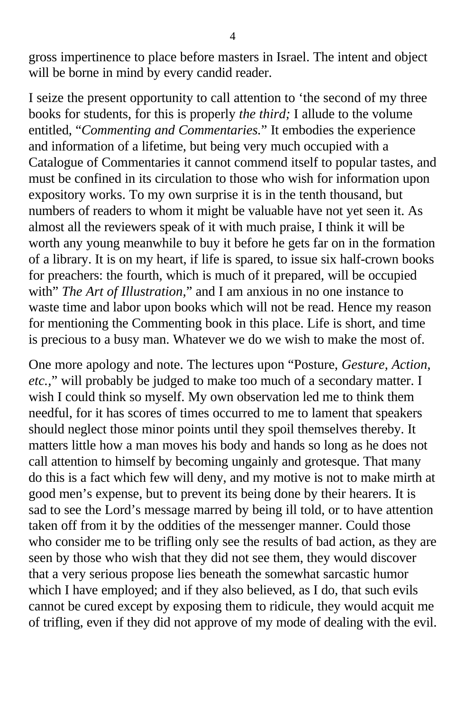gross impertinence to place before masters in Israel. The intent and object will be borne in mind by every candid reader.

I seize the present opportunity to call attention to 'the second of my three books for students, for this is properly *the third;* I allude to the volume entitled, "*Commenting and Commentaries.*" It embodies the experience and information of a lifetime, but being very much occupied with a Catalogue of Commentaries it cannot commend itself to popular tastes, and must be confined in its circulation to those who wish for information upon expository works. To my own surprise it is in the tenth thousand, but numbers of readers to whom it might be valuable have not yet seen it. As almost all the reviewers speak of it with much praise, I think it will be worth any young meanwhile to buy it before he gets far on in the formation of a library. It is on my heart, if life is spared, to issue six half-crown books for preachers: the fourth, which is much of it prepared, will be occupied with" *The Art of Illustration*," and I am anxious in no one instance to waste time and labor upon books which will not be read. Hence my reason for mentioning the Commenting book in this place. Life is short, and time is precious to a busy man. Whatever we do we wish to make the most of.

One more apology and note. The lectures upon "Posture, *Gesture, Action, etc.,*" will probably be judged to make too much of a secondary matter. I wish I could think so myself. My own observation led me to think them needful, for it has scores of times occurred to me to lament that speakers should neglect those minor points until they spoil themselves thereby. It matters little how a man moves his body and hands so long as he does not call attention to himself by becoming ungainly and grotesque. That many do this is a fact which few will deny, and my motive is not to make mirth at good men's expense, but to prevent its being done by their hearers. It is sad to see the Lord's message marred by being ill told, or to have attention taken off from it by the oddities of the messenger manner. Could those who consider me to be trifling only see the results of bad action, as they are seen by those who wish that they did not see them, they would discover that a very serious propose lies beneath the somewhat sarcastic humor which I have employed; and if they also believed, as I do, that such evils cannot be cured except by exposing them to ridicule, they would acquit me of trifling, even if they did not approve of my mode of dealing with the evil.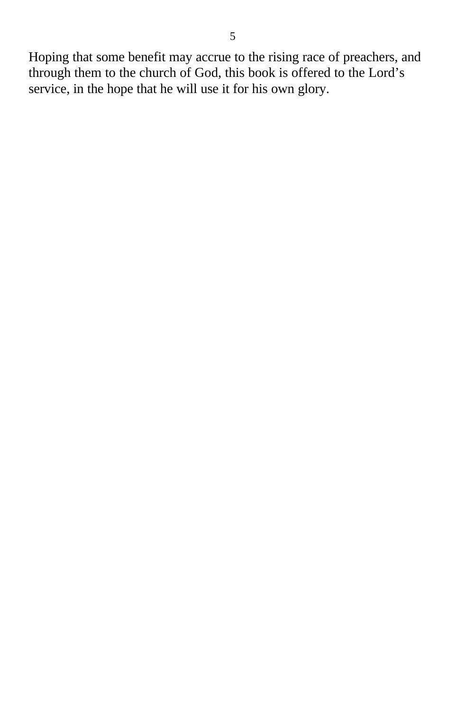Hoping that some benefit may accrue to the rising race of preachers, and through them to the church of God, this book is offered to the Lord's service, in the hope that he will use it for his own glory.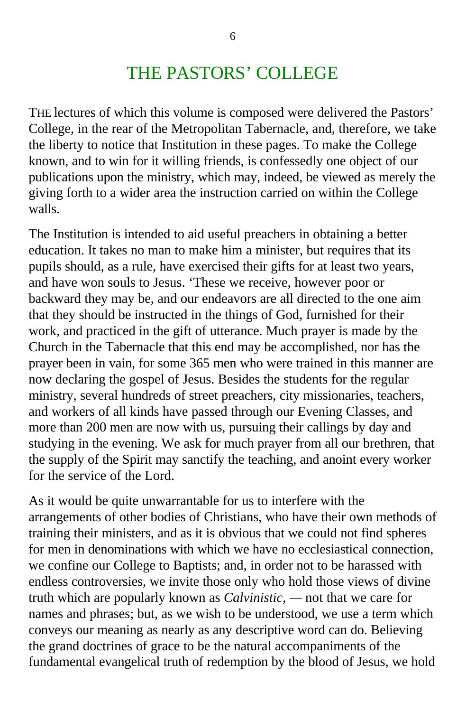## THE PASTORS' COLLEGE

THE lectures of which this volume is composed were delivered the Pastors' College, in the rear of the Metropolitan Tabernacle, and, therefore, we take the liberty to notice that Institution in these pages. To make the College known, and to win for it willing friends, is confessedly one object of our publications upon the ministry, which may, indeed, be viewed as merely the giving forth to a wider area the instruction carried on within the College walls.

The Institution is intended to aid useful preachers in obtaining a better education. It takes no man to make him a minister, but requires that its pupils should, as a rule, have exercised their gifts for at least two years, and have won souls to Jesus. 'These we receive, however poor or backward they may be, and our endeavors are all directed to the one aim that they should be instructed in the things of God, furnished for their work, and practiced in the gift of utterance. Much prayer is made by the Church in the Tabernacle that this end may be accomplished, nor has the prayer been in vain, for some 365 men who were trained in this manner are now declaring the gospel of Jesus. Besides the students for the regular ministry, several hundreds of street preachers, city missionaries, teachers, and workers of all kinds have passed through our Evening Classes, and more than 200 men are now with us, pursuing their callings by day and studying in the evening. We ask for much prayer from all our brethren, that the supply of the Spirit may sanctify the teaching, and anoint every worker for the service of the Lord.

As it would be quite unwarrantable for us to interfere with the arrangements of other bodies of Christians, who have their own methods of training their ministers, and as it is obvious that we could not find spheres for men in denominations with which we have no ecclesiastical connection, we confine our College to Baptists; and, in order not to be harassed with endless controversies, we invite those only who hold those views of divine truth which are popularly known as *Calvinistic, —* not that we care for names and phrases; but, as we wish to be understood, we use a term which conveys our meaning as nearly as any descriptive word can do. Believing the grand doctrines of grace to be the natural accompaniments of the fundamental evangelical truth of redemption by the blood of Jesus, we hold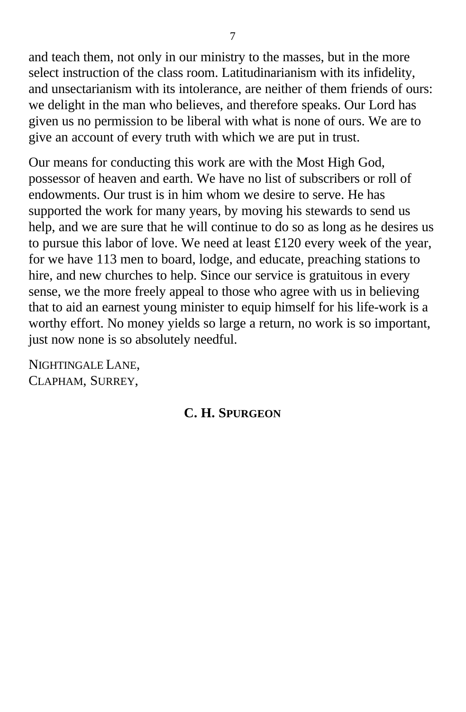and teach them, not only in our ministry to the masses, but in the more select instruction of the class room. Latitudinarianism with its infidelity, and unsectarianism with its intolerance, are neither of them friends of ours: we delight in the man who believes, and therefore speaks. Our Lord has given us no permission to be liberal with what is none of ours. We are to give an account of every truth with which we are put in trust.

Our means for conducting this work are with the Most High God, possessor of heaven and earth. We have no list of subscribers or roll of endowments. Our trust is in him whom we desire to serve. He has supported the work for many years, by moving his stewards to send us help, and we are sure that he will continue to do so as long as he desires us to pursue this labor of love. We need at least £120 every week of the year, for we have 113 men to board, lodge, and educate, preaching stations to hire, and new churches to help. Since our service is gratuitous in every sense, we the more freely appeal to those who agree with us in believing that to aid an earnest young minister to equip himself for his life-work is a worthy effort. No money yields so large a return, no work is so important, just now none is so absolutely needful.

NIGHTINGALE LANE, CLAPHAM, SURREY,

#### **C. H. SPURGEON**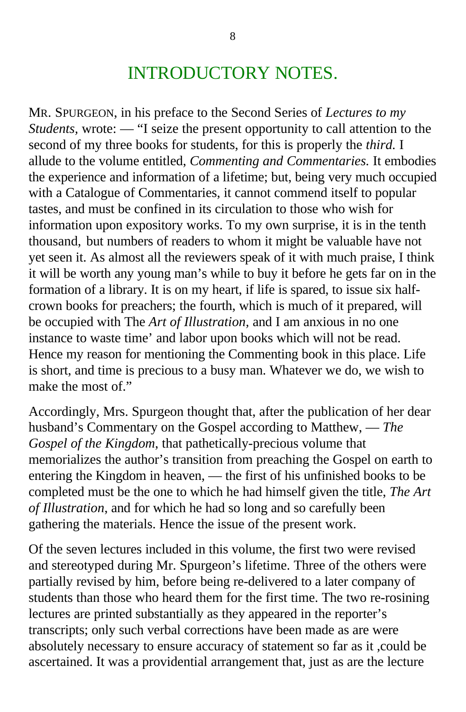## INTRODUCTORY NOTES.

MR. SPURGEON, in his preface to the Second Series of *Lectures to my Students, wrote:* — "I seize the present opportunity to call attention to the second of my three books for students, for this is properly the *third.* I allude to the volume entitled, *Commenting and Commentaries.* It embodies the experience and information of a lifetime; but, being very much occupied with a Catalogue of Commentaries, it cannot commend itself to popular tastes, and must be confined in its circulation to those who wish for information upon expository works. To my own surprise, it is in the tenth thousand, but numbers of readers to whom it might be valuable have not yet seen it. As almost all the reviewers speak of it with much praise, I think it will be worth any young man's while to buy it before he gets far on in the formation of a library. It is on my heart, if life is spared, to issue six halfcrown books for preachers; the fourth, which is much of it prepared, will be occupied with The *Art of Illustration,* and I am anxious in no one instance to waste time' and labor upon books which will not be read. Hence my reason for mentioning the Commenting book in this place. Life is short, and time is precious to a busy man. Whatever we do, we wish to make the most of."

Accordingly, Mrs. Spurgeon thought that, after the publication of her dear husband's Commentary on the Gospel according to Matthew, — *The Gospel of the Kingdom*, that pathetically-precious volume that memorializes the author's transition from preaching the Gospel on earth to entering the Kingdom in heaven, — the first of his unfinished books to be completed must be the one to which he had himself given the title, *The Art of Illustration*, and for which he had so long and so carefully been gathering the materials. Hence the issue of the present work.

Of the seven lectures included in this volume, the first two were revised and stereotyped during Mr. Spurgeon's lifetime. Three of the others were partially revised by him, before being re-delivered to a later company of students than those who heard them for the first time. The two re-rosining lectures are printed substantially as they appeared in the reporter's transcripts; only such verbal corrections have been made as are were absolutely necessary to ensure accuracy of statement so far as it ,could be ascertained. It was a providential arrangement that, just as are the lecture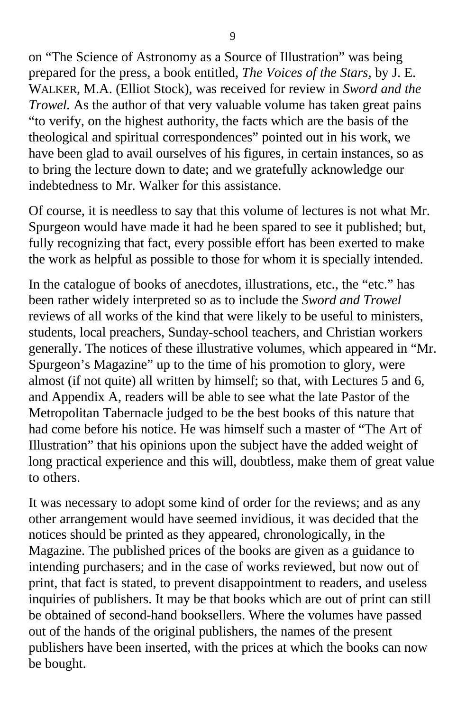on "The Science of Astronomy as a Source of Illustration" was being prepared for the press, a book entitled, *The Voices of the Stars,* by J. E. WALKER, M.A. (Elliot Stock), was received for review in *Sword and the Trowel.* As the author of that very valuable volume has taken great pains "to verify, on the highest authority, the facts which are the basis of the theological and spiritual correspondences" pointed out in his work, we have been glad to avail ourselves of his figures, in certain instances, so as to bring the lecture down to date; and we gratefully acknowledge our indebtedness to Mr. Walker for this assistance.

Of course, it is needless to say that this volume of lectures is not what Mr. Spurgeon would have made it had he been spared to see it published; but, fully recognizing that fact, every possible effort has been exerted to make the work as helpful as possible to those for whom it is specially intended.

In the catalogue of books of anecdotes, illustrations, etc., the "etc." has been rather widely interpreted so as to include the *Sword and Trowel* reviews of all works of the kind that were likely to be useful to ministers, students, local preachers, Sunday-school teachers, and Christian workers generally. The notices of these illustrative volumes, which appeared in "Mr. Spurgeon's Magazine" up to the time of his promotion to glory, were almost (if not quite) all written by himself; so that, with Lectures 5 and 6*,* and Appendix A, readers will be able to see what the late Pastor of the Metropolitan Tabernacle judged to be the best books of this nature that had come before his notice. He was himself such a master of "The Art of Illustration" that his opinions upon the subject have the added weight of long practical experience and this will, doubtless, make them of great value to others.

It was necessary to adopt some kind of order for the reviews; and as any other arrangement would have seemed invidious, it was decided that the notices should be printed as they appeared, chronologically, in the Magazine. The published prices of the books are given as a guidance to intending purchasers; and in the case of works reviewed, but now out of print, that fact is stated, to prevent disappointment to readers, and useless inquiries of publishers. It may be that books which are out of print can still be obtained of second-hand booksellers. Where the volumes have passed out of the hands of the original publishers, the names of the present publishers have been inserted, with the prices at which the books can now be bought.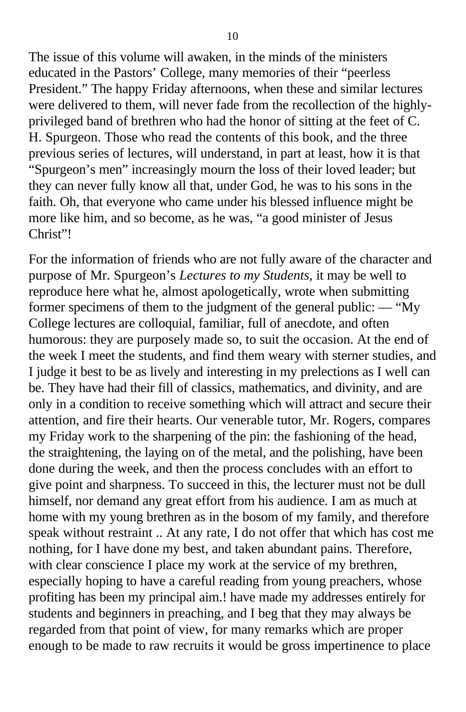The issue of this volume will awaken, in the minds of the ministers educated in the Pastors' College, many memories of their "peerless President." The happy Friday afternoons, when these and similar lectures were delivered to them, will never fade from the recollection of the highlyprivileged band of brethren who had the honor of sitting at the feet of C. H. Spurgeon. Those who read the contents of this book, and the three previous series of lectures, will understand, in part at least, how it is that "Spurgeon's men" increasingly mourn the loss of their loved leader; but they can never fully know all that, under God, he was to his sons in the faith. Oh, that everyone who came under his blessed influence might be more like him, and so become, as he was, "a good minister of Jesus Christ"!

For the information of friends who are not fully aware of the character and purpose of Mr. Spurgeon's *Lectures to my Students,* it may be well to reproduce here what he, almost apologetically, wrote when submitting former specimens of them to the judgment of the general public: — "My College lectures are colloquial, familiar, full of anecdote, and often humorous: they are purposely made so, to suit the occasion. At the end of the week I meet the students, and find them weary with sterner studies, and I judge it best to be as lively and interesting in my prelections as I well can be. They have had their fill of classics, mathematics, and divinity, and are only in a condition to receive something which will attract and secure their attention, and fire their hearts. Our venerable tutor, Mr. Rogers, compares my Friday work to the sharpening of the pin: the fashioning of the head, the straightening, the laying on of the metal, and the polishing, have been done during the week, and then the process concludes with an effort to give point and sharpness. To succeed in this, the lecturer must not be dull himself, nor demand any great effort from his audience. I am as much at home with my young brethren as in the bosom of my family, and therefore speak without restraint .. At any rate, I do not offer that which has cost me nothing, for I have done my best, and taken abundant pains. Therefore, with clear conscience I place my work at the service of my brethren, especially hoping to have a careful reading from young preachers, whose profiting has been my principal aim.! have made my addresses entirely for students and beginners in preaching, and I beg that they may always be regarded from that point of view, for many remarks which are proper enough to be made to raw recruits it would be gross impertinence to place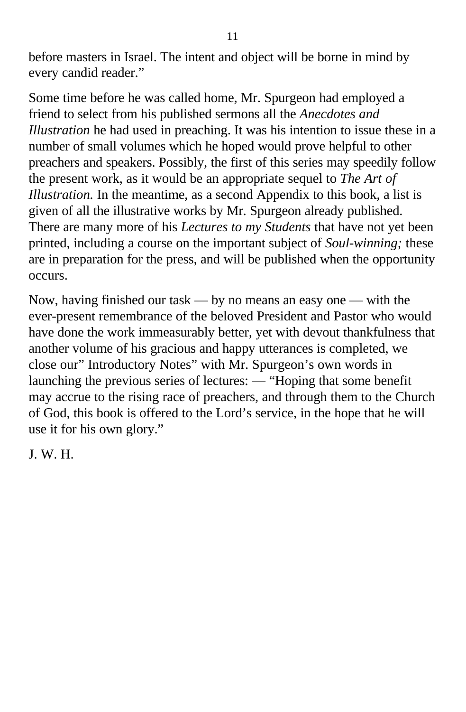before masters in Israel. The intent and object will be borne in mind by every candid reader."

Some time before he was called home, Mr. Spurgeon had employed a friend to select from his published sermons all the *Anecdotes and Illustration* he had used in preaching. It was his intention to issue these in a number of small volumes which he hoped would prove helpful to other preachers and speakers. Possibly, the first of this series may speedily follow the present work, as it would be an appropriate sequel to *The Art of Illustration.* In the meantime, as a second Appendix to this book, a list is given of all the illustrative works by Mr. Spurgeon already published. There are many more of his *Lectures to my Students* that have not yet been printed, including a course on the important subject of *Soul-winning;* these are in preparation for the press, and will be published when the opportunity occurs.

Now, having finished our task — by no means an easy one — with the ever-present remembrance of the beloved President and Pastor who would have done the work immeasurably better, yet with devout thankfulness that another volume of his gracious and happy utterances is completed, we close our" Introductory Notes" with Mr. Spurgeon's own words in launching the previous series of lectures: — "Hoping that some benefit may accrue to the rising race of preachers, and through them to the Church of God, this book is offered to the Lord's service, in the hope that he will use it for his own glory."

J. W. H.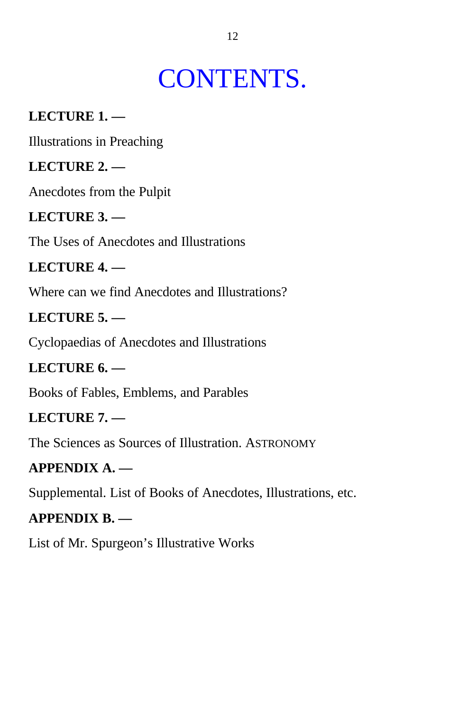# CONTENTS.

Illustrations in Preaching

**LECTURE 2. —**

**LECTURE 1. —**

Anecdotes from the Pulpit

**LECTURE 3. —**

The Uses of Anecdotes and Illustrations

**LECTURE 4. —**

Where can we find Anecdotes and Illustrations?

### **LECTURE 5. —**

Cyclopaedias of Anecdotes and Illustrations

### **LECTURE 6. —**

Books of Fables, Emblems, and Parables

## **LECTURE 7. —**

The Sciences as Sources of Illustration. ASTRONOMY

### **APPENDIX A. —**

Supplemental. List of Books of Anecdotes, Illustrations, etc.

### **APPENDIX B. —**

List of Mr. Spurgeon's Illustrative Works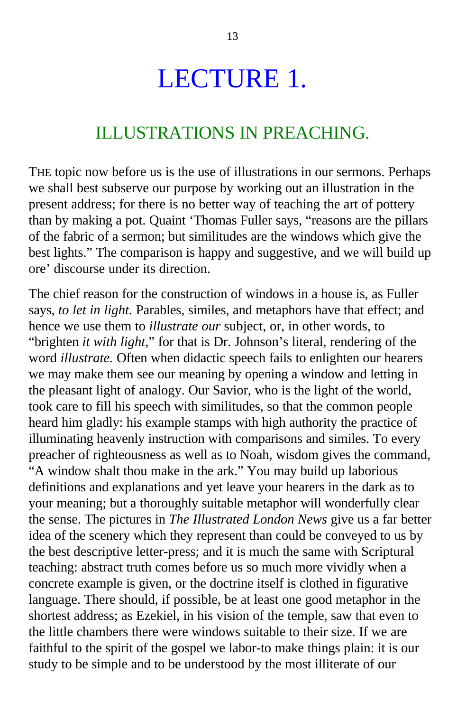# LECTURE 1.

## ILLUSTRATIONS IN PREACHING.

THE topic now before us is the use of illustrations in our sermons. Perhaps we shall best subserve our purpose by working out an illustration in the present address; for there is no better way of teaching the art of pottery than by making a pot. Quaint 'Thomas Fuller says, "reasons are the pillars of the fabric of a sermon; but similitudes are the windows which give the best lights." The comparison is happy and suggestive, and we will build up ore' discourse under its direction.

The chief reason for the construction of windows in a house is, as Fuller says, *to let in light.* Parables, similes, and metaphors have that effect; and hence we use them to *illustrate our* subject, or, in other words, to "brighten *it with light,*" for that is Dr. Johnson's literal, rendering of the word *illustrate.* Often when didactic speech fails to enlighten our hearers we may make them see our meaning by opening a window and letting in the pleasant light of analogy. Our Savior, who is the light of the world, took care to fill his speech with similitudes, so that the common people heard him gladly: his example stamps with high authority the practice of illuminating heavenly instruction with comparisons and similes. To every preacher of righteousness as well as to Noah, wisdom gives the command, "A window shalt thou make in the ark." You may build up laborious definitions and explanations and yet leave your hearers in the dark as to your meaning; but a thoroughly suitable metaphor will wonderfully clear the sense. The pictures in *The Illustrated London News* give us a far better idea of the scenery which they represent than could be conveyed to us by the best descriptive letter-press; and it is much the same with Scriptural teaching: abstract truth comes before us so much more vividly when a concrete example is given, or the doctrine itself is clothed in figurative language. There should, if possible, be at least one good metaphor in the shortest address; as Ezekiel, in his vision of the temple, saw that even to the little chambers there were windows suitable to their size. If we are faithful to the spirit of the gospel we labor-to make things plain: it is our study to be simple and to be understood by the most illiterate of our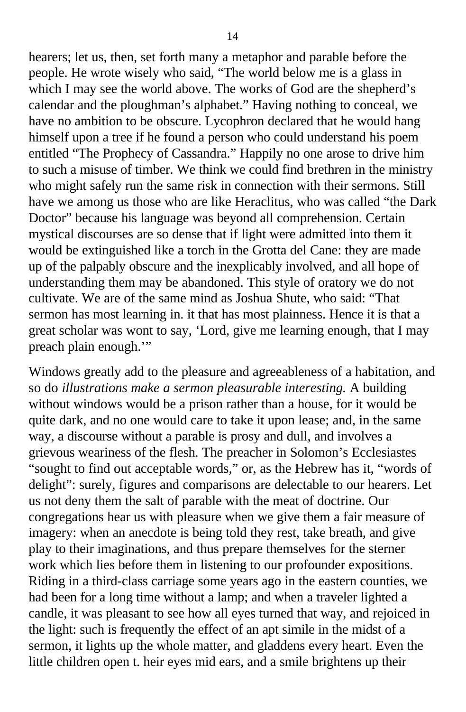hearers; let us, then, set forth many a metaphor and parable before the people. He wrote wisely who said, "The world below me is a glass in which I may see the world above. The works of God are the shepherd's calendar and the ploughman's alphabet." Having nothing to conceal, we have no ambition to be obscure. Lycophron declared that he would hang himself upon a tree if he found a person who could understand his poem entitled "The Prophecy of Cassandra." Happily no one arose to drive him to such a misuse of timber. We think we could find brethren in the ministry who might safely run the same risk in connection with their sermons. Still have we among us those who are like Heraclitus, who was called "the Dark Doctor" because his language was beyond all comprehension. Certain mystical discourses are so dense that if light were admitted into them it would be extinguished like a torch in the Grotta del Cane: they are made up of the palpably obscure and the inexplicably involved, and all hope of understanding them may be abandoned. This style of oratory we do not cultivate. We are of the same mind as Joshua Shute, who said: "That sermon has most learning in. it that has most plainness. Hence it is that a great scholar was wont to say, 'Lord, give me learning enough, that I may preach plain enough.'"

Windows greatly add to the pleasure and agreeableness of a habitation, and so do *illustrations make a sermon pleasurable interesting.* A building without windows would be a prison rather than a house, for it would be quite dark, and no one would care to take it upon lease; and, in the same way, a discourse without a parable is prosy and dull, and involves a grievous weariness of the flesh. The preacher in Solomon's Ecclesiastes "sought to find out acceptable words," or, as the Hebrew has it, "words of delight": surely, figures and comparisons are delectable to our hearers. Let us not deny them the salt of parable with the meat of doctrine. Our congregations hear us with pleasure when we give them a fair measure of imagery: when an anecdote is being told they rest, take breath, and give play to their imaginations, and thus prepare themselves for the sterner work which lies before them in listening to our profounder expositions. Riding in a third-class carriage some years ago in the eastern counties, we had been for a long time without a lamp; and when a traveler lighted a candle, it was pleasant to see how all eyes turned that way, and rejoiced in the light: such is frequently the effect of an apt simile in the midst of a sermon, it lights up the whole matter, and gladdens every heart. Even the little children open t. heir eyes mid ears, and a smile brightens up their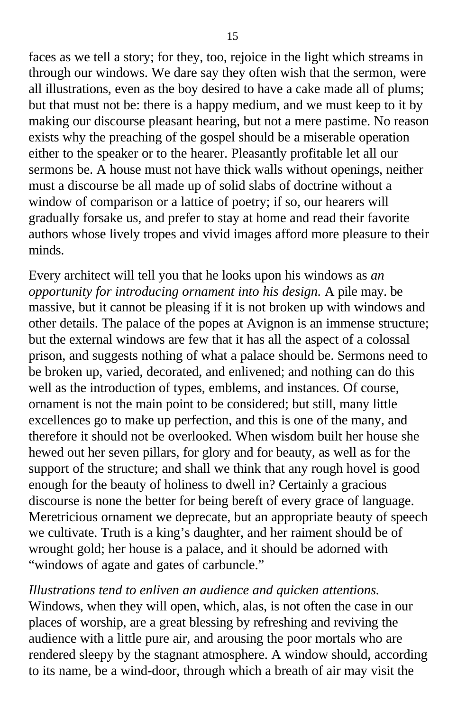faces as we tell a story; for they, too, rejoice in the light which streams in through our windows. We dare say they often wish that the sermon, were all illustrations, even as the boy desired to have a cake made all of plums; but that must not be: there is a happy medium, and we must keep to it by making our discourse pleasant hearing, but not a mere pastime. No reason exists why the preaching of the gospel should be a miserable operation either to the speaker or to the hearer. Pleasantly profitable let all our sermons be. A house must not have thick walls without openings, neither must a discourse be all made up of solid slabs of doctrine without a window of comparison or a lattice of poetry; if so, our hearers will gradually forsake us, and prefer to stay at home and read their favorite authors whose lively tropes and vivid images afford more pleasure to their minds.

Every architect will tell you that he looks upon his windows as *an opportunity for introducing ornament into his design.* A pile may. be massive, but it cannot be pleasing if it is not broken up with windows and other details. The palace of the popes at Avignon is an immense structure; but the external windows are few that it has all the aspect of a colossal prison, and suggests nothing of what a palace should be. Sermons need to be broken up, varied, decorated, and enlivened; and nothing can do this well as the introduction of types, emblems, and instances. Of course, ornament is not the main point to be considered; but still, many little excellences go to make up perfection, and this is one of the many, and therefore it should not be overlooked. When wisdom built her house she hewed out her seven pillars, for glory and for beauty, as well as for the support of the structure; and shall we think that any rough hovel is good enough for the beauty of holiness to dwell in? Certainly a gracious discourse is none the better for being bereft of every grace of language. Meretricious ornament we deprecate, but an appropriate beauty of speech we cultivate. Truth is a king's daughter, and her raiment should be of wrought gold; her house is a palace, and it should be adorned with "windows of agate and gates of carbuncle."

*Illustrations tend to enliven an audience and quicken attentions.* Windows, when they will open, which, alas, is not often the case in our places of worship, are a great blessing by refreshing and reviving the audience with a little pure air, and arousing the poor mortals who are rendered sleepy by the stagnant atmosphere. A window should, according to its name, be a wind-door, through which a breath of air may visit the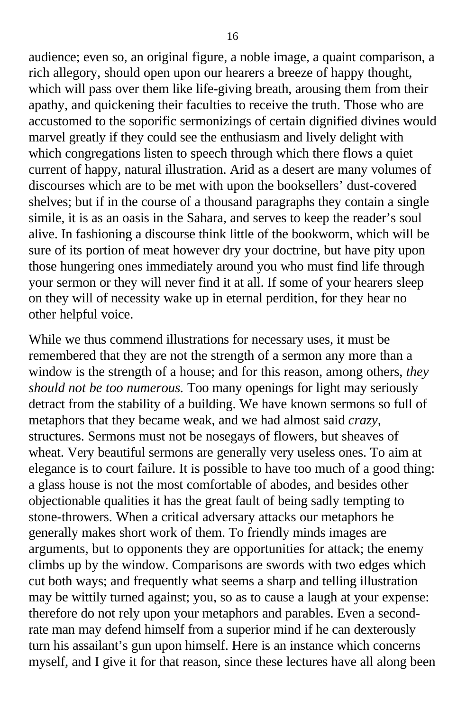audience; even so, an original figure, a noble image, a quaint comparison, a rich allegory, should open upon our hearers a breeze of happy thought, which will pass over them like life-giving breath, arousing them from their apathy, and quickening their faculties to receive the truth. Those who are accustomed to the soporific sermonizings of certain dignified divines would marvel greatly if they could see the enthusiasm and lively delight with which congregations listen to speech through which there flows a quiet current of happy, natural illustration. Arid as a desert are many volumes of discourses which are to be met with upon the booksellers' dust-covered shelves; but if in the course of a thousand paragraphs they contain a single simile, it is as an oasis in the Sahara, and serves to keep the reader's soul alive. In fashioning a discourse think little of the bookworm, which will be sure of its portion of meat however dry your doctrine, but have pity upon those hungering ones immediately around you who must find life through your sermon or they will never find it at all. If some of your hearers sleep on they will of necessity wake up in eternal perdition, for they hear no other helpful voice.

While we thus commend illustrations for necessary uses, it must be remembered that they are not the strength of a sermon any more than a window is the strength of a house; and for this reason, among others, *they should not be too numerous.* Too many openings for light may seriously detract from the stability of a building. We have known sermons so full of metaphors that they became weak, and we had almost said *crazy,* structures. Sermons must not be nosegays of flowers, but sheaves of wheat. Very beautiful sermons are generally very useless ones. To aim at elegance is to court failure. It is possible to have too much of a good thing: a glass house is not the most comfortable of abodes, and besides other objectionable qualities it has the great fault of being sadly tempting to stone-throwers. When a critical adversary attacks our metaphors he generally makes short work of them. To friendly minds images are arguments, but to opponents they are opportunities for attack; the enemy climbs up by the window. Comparisons are swords with two edges which cut both ways; and frequently what seems a sharp and telling illustration may be wittily turned against; you, so as to cause a laugh at your expense: therefore do not rely upon your metaphors and parables. Even a secondrate man may defend himself from a superior mind if he can dexterously turn his assailant's gun upon himself. Here is an instance which concerns myself, and I give it for that reason, since these lectures have all along been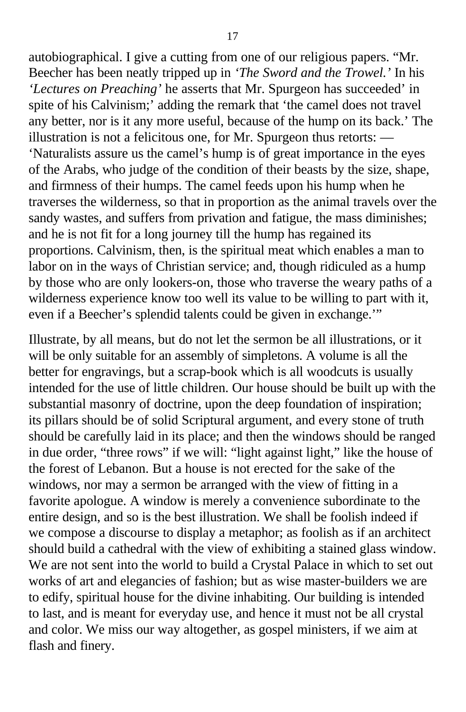autobiographical. I give a cutting from one of our religious papers. "Mr. Beecher has been neatly tripped up in *'The Sword and the Trowel.'* In his *'Lectures on Preaching'* he asserts that Mr. Spurgeon has succeeded' in spite of his Calvinism;' adding the remark that 'the camel does not travel any better, nor is it any more useful, because of the hump on its back.' The illustration is not a felicitous one, for Mr. Spurgeon thus retorts: — 'Naturalists assure us the camel's hump is of great importance in the eyes of the Arabs, who judge of the condition of their beasts by the size, shape, and firmness of their humps. The camel feeds upon his hump when he traverses the wilderness, so that in proportion as the animal travels over the sandy wastes, and suffers from privation and fatigue, the mass diminishes; and he is not fit for a long journey till the hump has regained its proportions. Calvinism, then, is the spiritual meat which enables a man to labor on in the ways of Christian service; and, though ridiculed as a hump by those who are only lookers-on, those who traverse the weary paths of a wilderness experience know too well its value to be willing to part with it, even if a Beecher's splendid talents could be given in exchange.'"

Illustrate, by all means, but do not let the sermon be all illustrations, or it will be only suitable for an assembly of simpletons. A volume is all the better for engravings, but a scrap-book which is all woodcuts is usually intended for the use of little children. Our house should be built up with the substantial masonry of doctrine, upon the deep foundation of inspiration; its pillars should be of solid Scriptural argument, and every stone of truth should be carefully laid in its place; and then the windows should be ranged in due order, "three rows" if we will: "light against light," like the house of the forest of Lebanon. But a house is not erected for the sake of the windows, nor may a sermon be arranged with the view of fitting in a favorite apologue. A window is merely a convenience subordinate to the entire design, and so is the best illustration. We shall be foolish indeed if we compose a discourse to display a metaphor; as foolish as if an architect should build a cathedral with the view of exhibiting a stained glass window. We are not sent into the world to build a Crystal Palace in which to set out works of art and elegancies of fashion; but as wise master-builders we are to edify, spiritual house for the divine inhabiting. Our building is intended to last, and is meant for everyday use, and hence it must not be all crystal and color. We miss our way altogether, as gospel ministers, if we aim at flash and finery.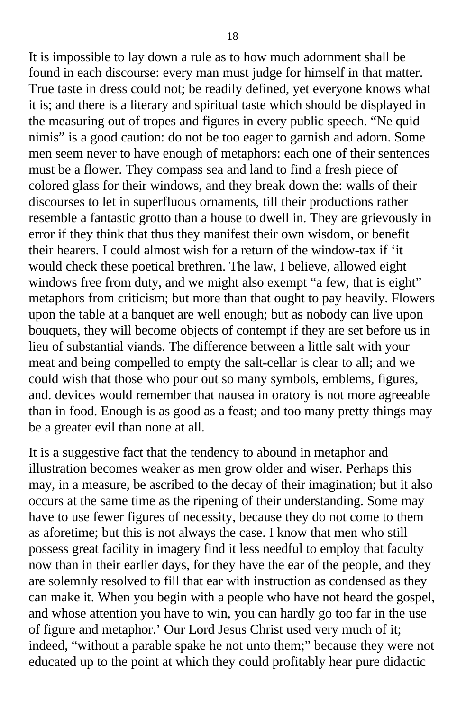It is impossible to lay down a rule as to how much adornment shall be found in each discourse: every man must judge for himself in that matter. True taste in dress could not; be readily defined, yet everyone knows what it is; and there is a literary and spiritual taste which should be displayed in the measuring out of tropes and figures in every public speech. "Ne quid nimis" is a good caution: do not be too eager to garnish and adorn. Some men seem never to have enough of metaphors: each one of their sentences must be a flower. They compass sea and land to find a fresh piece of colored glass for their windows, and they break down the: walls of their discourses to let in superfluous ornaments, till their productions rather resemble a fantastic grotto than a house to dwell in. They are grievously in error if they think that thus they manifest their own wisdom, or benefit their hearers. I could almost wish for a return of the window-tax if 'it would check these poetical brethren. The law, I believe, allowed eight windows free from duty, and we might also exempt "a few, that is eight" metaphors from criticism; but more than that ought to pay heavily. Flowers upon the table at a banquet are well enough; but as nobody can live upon bouquets, they will become objects of contempt if they are set before us in lieu of substantial viands. The difference between a little salt with your meat and being compelled to empty the salt-cellar is clear to all; and we could wish that those who pour out so many symbols, emblems, figures, and. devices would remember that nausea in oratory is not more agreeable than in food. Enough is as good as a feast; and too many pretty things may be a greater evil than none at all.

It is a suggestive fact that the tendency to abound in metaphor and illustration becomes weaker as men grow older and wiser. Perhaps this may, in a measure, be ascribed to the decay of their imagination; but it also occurs at the same time as the ripening of their understanding. Some may have to use fewer figures of necessity, because they do not come to them as aforetime; but this is not always the case. I know that men who still possess great facility in imagery find it less needful to employ that faculty now than in their earlier days, for they have the ear of the people, and they are solemnly resolved to fill that ear with instruction as condensed as they can make it. When you begin with a people who have not heard the gospel, and whose attention you have to win, you can hardly go too far in the use of figure and metaphor.' Our Lord Jesus Christ used very much of it; indeed, "without a parable spake he not unto them;" because they were not educated up to the point at which they could profitably hear pure didactic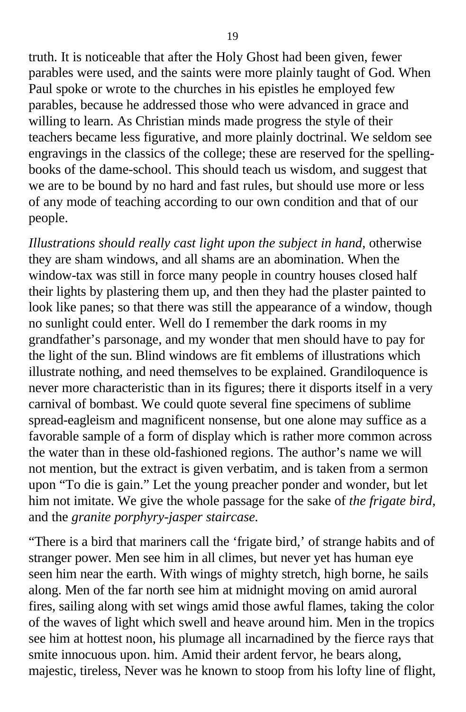truth. It is noticeable that after the Holy Ghost had been given, fewer parables were used, and the saints were more plainly taught of God. When Paul spoke or wrote to the churches in his epistles he employed few parables, because he addressed those who were advanced in grace and willing to learn. As Christian minds made progress the style of their teachers became less figurative, and more plainly doctrinal. We seldom see engravings in the classics of the college; these are reserved for the spellingbooks of the dame-school. This should teach us wisdom, and suggest that we are to be bound by no hard and fast rules, but should use more or less of any mode of teaching according to our own condition and that of our people.

*Illustrations should really cast light upon the subject in hand,* otherwise they are sham windows, and all shams are an abomination. When the window-tax was still in force many people in country houses closed half their lights by plastering them up, and then they had the plaster painted to look like panes; so that there was still the appearance of a window, though no sunlight could enter. Well do I remember the dark rooms in my grandfather's parsonage, and my wonder that men should have to pay for the light of the sun. Blind windows are fit emblems of illustrations which illustrate nothing, and need themselves to be explained. Grandiloquence is never more characteristic than in its figures; there it disports itself in a very carnival of bombast. We could quote several fine specimens of sublime spread-eagleism and magnificent nonsense, but one alone may suffice as a favorable sample of a form of display which is rather more common across the water than in these old-fashioned regions. The author's name we will not mention, but the extract is given verbatim, and is taken from a sermon upon "To die is gain." Let the young preacher ponder and wonder, but let him not imitate. We give the whole passage for the sake of *the frigate bird,* and the *granite porphyry-jasper staircase.*

"There is a bird that mariners call the 'frigate bird,' of strange habits and of stranger power. Men see him in all climes, but never yet has human eye seen him near the earth. With wings of mighty stretch, high borne, he sails along. Men of the far north see him at midnight moving on amid auroral fires, sailing along with set wings amid those awful flames, taking the color of the waves of light which swell and heave around him. Men in the tropics see him at hottest noon, his plumage all incarnadined by the fierce rays that smite innocuous upon. him. Amid their ardent fervor, he bears along, majestic, tireless, Never was he known to stoop from his lofty line of flight,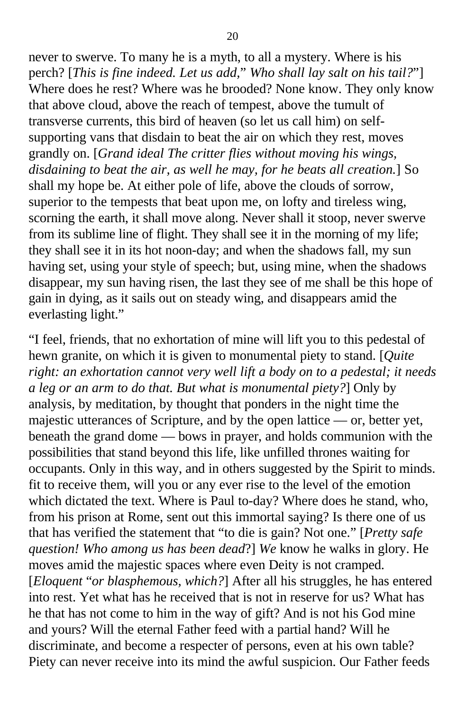never to swerve. To many he is a myth, to all a mystery. Where is his perch? [*This is fine indeed. Let us add,*" *Who shall lay salt on his tail?*"] Where does he rest? Where was he brooded? None know. They only know that above cloud, above the reach of tempest, above the tumult of transverse currents, this bird of heaven (so let us call him) on selfsupporting vans that disdain to beat the air on which they rest, moves grandly on. [*Grand ideal The critter flies without moving his wings, disdaining to beat the air, as well he may, for he beats all creation.*] So shall my hope be. At either pole of life, above the clouds of sorrow, superior to the tempests that beat upon me, on lofty and tireless wing, scorning the earth, it shall move along. Never shall it stoop, never swerve from its sublime line of flight. They shall see it in the morning of my life; they shall see it in its hot noon-day; and when the shadows fall, my sun having set, using your style of speech; but, using mine, when the shadows disappear, my sun having risen, the last they see of me shall be this hope of gain in dying, as it sails out on steady wing, and disappears amid the everlasting light."

"I feel, friends, that no exhortation of mine will lift you to this pedestal of hewn granite, on which it is given to monumental piety to stand. [*Quite right: an exhortation cannot very well lift a body on to a pedestal; it needs a leg or an arm to do that. But what is monumental piety?*] Only by analysis, by meditation, by thought that ponders in the night time the majestic utterances of Scripture, and by the open lattice — or, better yet, beneath the grand dome — bows in prayer, and holds communion with the possibilities that stand beyond this life, like unfilled thrones waiting for occupants. Only in this way, and in others suggested by the Spirit to minds. fit to receive them, will you or any ever rise to the level of the emotion which dictated the text. Where is Paul to-day? Where does he stand, who, from his prison at Rome, sent out this immortal saying? Is there one of us that has verified the statement that "to die is gain? Not one." [*Pretty safe question! Who among us has been dead*?] *We* know he walks in glory. He moves amid the majestic spaces where even Deity is not cramped. [*Eloquent* "*or blasphemous, which?*] After all his struggles, he has entered into rest. Yet what has he received that is not in reserve for us? What has he that has not come to him in the way of gift? And is not his God mine and yours? Will the eternal Father feed with a partial hand? Will he discriminate, and become a respecter of persons, even at his own table? Piety can never receive into its mind the awful suspicion. Our Father feeds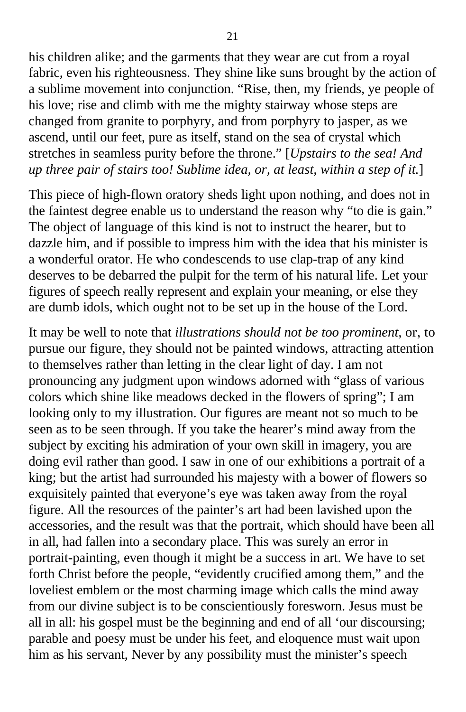his children alike; and the garments that they wear are cut from a royal fabric, even his righteousness. They shine like suns brought by the action of a sublime movement into conjunction. "Rise, then, my friends, ye people of his love; rise and climb with me the mighty stairway whose steps are changed from granite to porphyry, and from porphyry to jasper, as we ascend, until our feet, pure as itself, stand on the sea of crystal which stretches in seamless purity before the throne." [*Upstairs to the sea! And up three pair of stairs too! Sublime idea, or, at least, within a step of it.*]

This piece of high-flown oratory sheds light upon nothing, and does not in the faintest degree enable us to understand the reason why "to die is gain." The object of language of this kind is not to instruct the hearer, but to dazzle him, and if possible to impress him with the idea that his minister is a wonderful orator. He who condescends to use clap-trap of any kind deserves to be debarred the pulpit for the term of his natural life. Let your figures of speech really represent and explain your meaning, or else they are dumb idols, which ought not to be set up in the house of the Lord.

It may be well to note that *illustrations should not be too prominent,* or, to pursue our figure, they should not be painted windows, attracting attention to themselves rather than letting in the clear light of day. I am not pronouncing any judgment upon windows adorned with "glass of various colors which shine like meadows decked in the flowers of spring"; I am looking only to my illustration. Our figures are meant not so much to be seen as to be seen through. If you take the hearer's mind away from the subject by exciting his admiration of your own skill in imagery, you are doing evil rather than good. I saw in one of our exhibitions a portrait of a king; but the artist had surrounded his majesty with a bower of flowers so exquisitely painted that everyone's eye was taken away from the royal figure. All the resources of the painter's art had been lavished upon the accessories, and the result was that the portrait, which should have been all in all, had fallen into a secondary place. This was surely an error in portrait-painting, even though it might be a success in art. We have to set forth Christ before the people, "evidently crucified among them," and the loveliest emblem or the most charming image which calls the mind away from our divine subject is to be conscientiously foresworn. Jesus must be all in all: his gospel must be the beginning and end of all 'our discoursing; parable and poesy must be under his feet, and eloquence must wait upon him as his servant, Never by any possibility must the minister's speech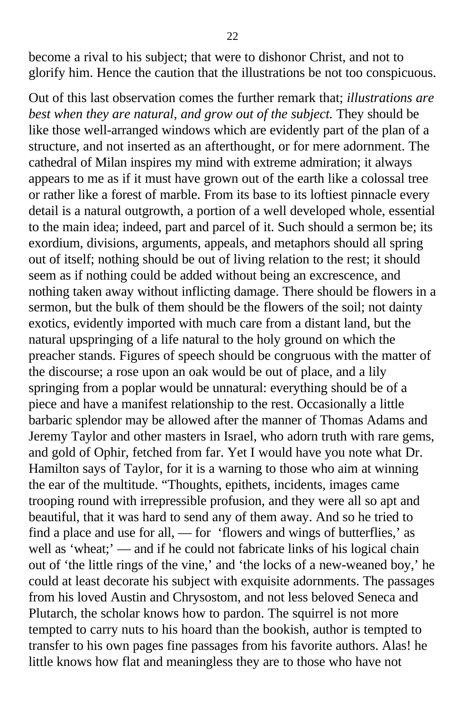become a rival to his subject; that were to dishonor Christ, and not to glorify him. Hence the caution that the illustrations be not too conspicuous.

Out of this last observation comes the further remark that; *illustrations are best when they are natural, and grow out of the subject.* They should be like those well-arranged windows which are evidently part of the plan of a structure, and not inserted as an afterthought, or for mere adornment. The cathedral of Milan inspires my mind with extreme admiration; it always appears to me as if it must have grown out of the earth like a colossal tree or rather like a forest of marble. From its base to its loftiest pinnacle every detail is a natural outgrowth, a portion of a well developed whole, essential to the main idea; indeed, part and parcel of it. Such should a sermon be; its exordium, divisions, arguments, appeals, and metaphors should all spring out of itself; nothing should be out of living relation to the rest; it should seem as if nothing could be added without being an excrescence, and nothing taken away without inflicting damage. There should be flowers in a sermon, but the bulk of them should be the flowers of the soil; not dainty exotics, evidently imported with much care from a distant land, but the natural upspringing of a life natural to the holy ground on which the preacher stands. Figures of speech should be congruous with the matter of the discourse; a rose upon an oak would be out of place, and a lily springing from a poplar would be unnatural: everything should be of a piece and have a manifest relationship to the rest. Occasionally a little barbaric splendor may be allowed after the manner of Thomas Adams and Jeremy Taylor and other masters in Israel, who adorn truth with rare gems, and gold of Ophir, fetched from far. Yet I would have you note what Dr. Hamilton says of Taylor, for it is a warning to those who aim at winning the ear of the multitude. "Thoughts, epithets, incidents, images came trooping round with irrepressible profusion, and they were all so apt and beautiful, that it was hard to send any of them away. And so he tried to find a place and use for all, — for 'flowers and wings of butterflies,' as well as 'wheat;' — and if he could not fabricate links of his logical chain out of 'the little rings of the vine,' and 'the locks of a new-weaned boy,' he could at least decorate his subject with exquisite adornments. The passages from his loved Austin and Chrysostom, and not less beloved Seneca and Plutarch, the scholar knows how to pardon. The squirrel is not more tempted to carry nuts to his hoard than the bookish, author is tempted to transfer to his own pages fine passages from his favorite authors. Alas! he little knows how flat and meaningless they are to those who have not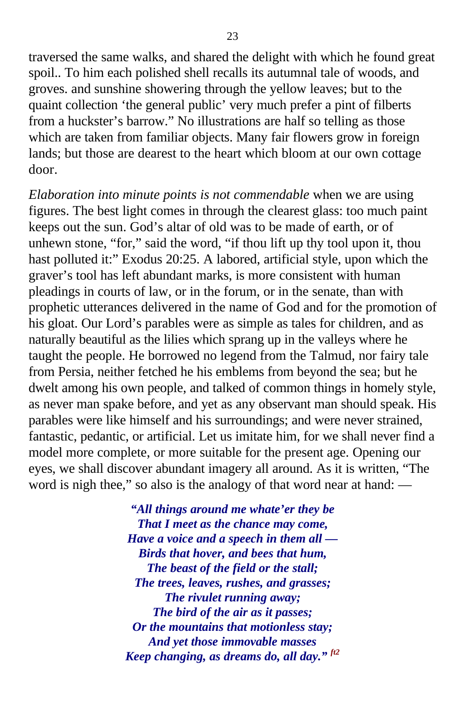traversed the same walks, and shared the delight with which he found great spoil.. To him each polished shell recalls its autumnal tale of woods, and groves. and sunshine showering through the yellow leaves; but to the quaint collection 'the general public' very much prefer a pint of filberts from a huckster's barrow." No illustrations are half so telling as those which are taken from familiar objects. Many fair flowers grow in foreign lands; but those are dearest to the heart which bloom at our own cottage door.

*Elaboration into minute points is not commendable* when we are using figures. The best light comes in through the clearest glass: too much paint keeps out the sun. God's altar of old was to be made of earth, or of unhewn stone, "for," said the word, "if thou lift up thy tool upon it, thou hast polluted it:" Exodus 20:25. A labored, artificial style, upon which the graver's tool has left abundant marks, is more consistent with human pleadings in courts of law, or in the forum, or in the senate, than with prophetic utterances delivered in the name of God and for the promotion of his gloat. Our Lord's parables were as simple as tales for children, and as naturally beautiful as the lilies which sprang up in the valleys where he taught the people. He borrowed no legend from the Talmud, nor fairy tale from Persia, neither fetched he his emblems from beyond the sea; but he dwelt among his own people, and talked of common things in homely style, as never man spake before, and yet as any observant man should speak. His parables were like himself and his surroundings; and were never strained, fantastic, pedantic, or artificial. Let us imitate him, for we shall never find a model more complete, or more suitable for the present age. Opening our eyes, we shall discover abundant imagery all around. As it is written, "The word is nigh thee," so also is the analogy of that word near at hand: —

> *"All things around me whate'er they be That I meet as the chance may come, Have a voice and a speech in them all — Birds that hover, and bees that hum, The beast of the field or the stall; The trees, leaves, rushes, and grasses; The rivulet running away; The bird of the air as it passes; Or the mountains that motionless stay; And yet those immovable masses Keep changing, as dreams do, all day." ft2*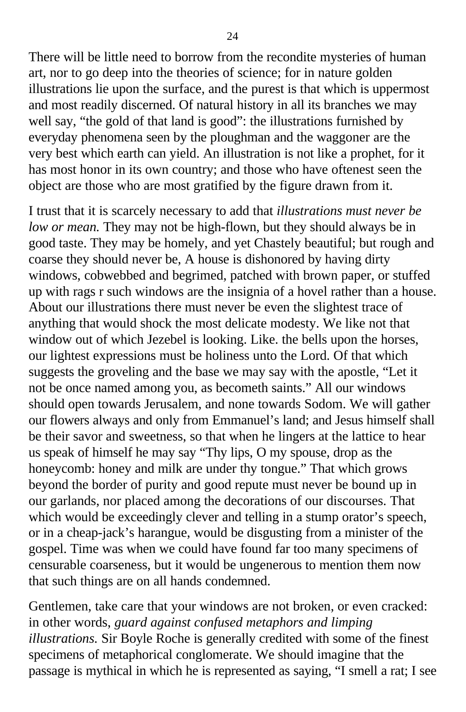There will be little need to borrow from the recondite mysteries of human art, nor to go deep into the theories of science; for in nature golden illustrations lie upon the surface, and the purest is that which is uppermost and most readily discerned. Of natural history in all its branches we may well say, "the gold of that land is good": the illustrations furnished by everyday phenomena seen by the ploughman and the waggoner are the very best which earth can yield. An illustration is not like a prophet, for it has most honor in its own country; and those who have oftenest seen the object are those who are most gratified by the figure drawn from it.

I trust that it is scarcely necessary to add that *illustrations must never be low or mean.* They may not be high-flown, but they should always be in good taste. They may be homely, and yet Chastely beautiful; but rough and coarse they should never be, A house is dishonored by having dirty windows, cobwebbed and begrimed, patched with brown paper, or stuffed up with rags r such windows are the insignia of a hovel rather than a house. About our illustrations there must never be even the slightest trace of anything that would shock the most delicate modesty. We like not that window out of which Jezebel is looking. Like. the bells upon the horses, our lightest expressions must be holiness unto the Lord. Of that which suggests the groveling and the base we may say with the apostle, "Let it not be once named among you, as becometh saints." All our windows should open towards Jerusalem, and none towards Sodom. We will gather our flowers always and only from Emmanuel's land; and Jesus himself shall be their savor and sweetness, so that when he lingers at the lattice to hear us speak of himself he may say "Thy lips, O my spouse, drop as the honeycomb: honey and milk are under thy tongue." That which grows beyond the border of purity and good repute must never be bound up in our garlands, nor placed among the decorations of our discourses. That which would be exceedingly clever and telling in a stump orator's speech, or in a cheap-jack's harangue, would be disgusting from a minister of the gospel. Time was when we could have found far too many specimens of censurable coarseness, but it would be ungenerous to mention them now that such things are on all hands condemned.

Gentlemen, take care that your windows are not broken, or even cracked: in other words, *guard against confused metaphors and limping illustrations.* Sir Boyle Roche is generally credited with some of the finest specimens of metaphorical conglomerate. We should imagine that the passage is mythical in which he is represented as saying, "I smell a rat; I see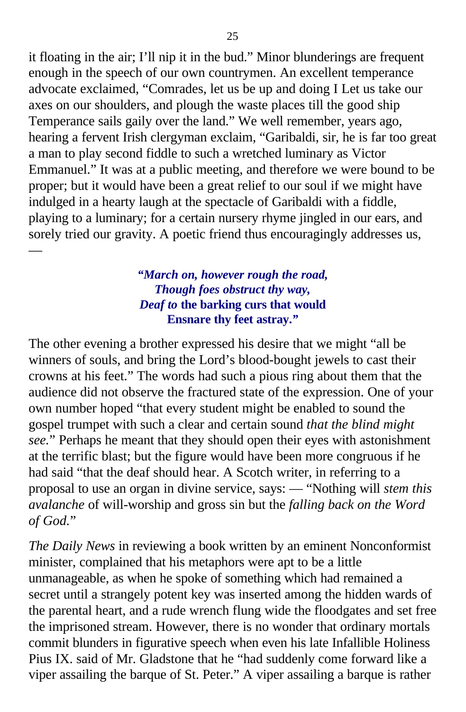it floating in the air; I'll nip it in the bud." Minor blunderings are frequent enough in the speech of our own countrymen. An excellent temperance advocate exclaimed, "Comrades, let us be up and doing I Let us take our axes on our shoulders, and plough the waste places till the good ship Temperance sails gaily over the land." We well remember, years ago, hearing a fervent Irish clergyman exclaim, "Garibaldi, sir, he is far too great a man to play second fiddle to such a wretched luminary as Victor Emmanuel." It was at a public meeting, and therefore we were bound to be proper; but it would have been a great relief to our soul if we might have indulged in a hearty laugh at the spectacle of Garibaldi with a fiddle, playing to a luminary; for a certain nursery rhyme jingled in our ears, and sorely tried our gravity. A poetic friend thus encouragingly addresses us,

#### *"March on, however rough the road, Though foes obstruct thy way, Deaf to* **the barking curs that would Ensnare thy feet astray.***"*

—

The other evening a brother expressed his desire that we might "all be winners of souls, and bring the Lord's blood-bought jewels to cast their crowns at his feet." The words had such a pious ring about them that the audience did not observe the fractured state of the expression. One of your own number hoped "that every student might be enabled to sound the gospel trumpet with such a clear and certain sound *that the blind might see.*" Perhaps he meant that they should open their eyes with astonishment at the terrific blast; but the figure would have been more congruous if he had said "that the deaf should hear. A Scotch writer, in referring to a proposal to use an organ in divine service, says: — "Nothing will *stem this avalanche* of will-worship and gross sin but the *falling back on the Word of God.*"

*The Daily News* in reviewing a book written by an eminent Nonconformist minister, complained that his metaphors were apt to be a little unmanageable, as when he spoke of something which had remained a secret until a strangely potent key was inserted among the hidden wards of the parental heart, and a rude wrench flung wide the floodgates and set free the imprisoned stream. However, there is no wonder that ordinary mortals commit blunders in figurative speech when even his late Infallible Holiness Pius IX. said of Mr. Gladstone that he "had suddenly come forward like a viper assailing the barque of St. Peter." A viper assailing a barque is rather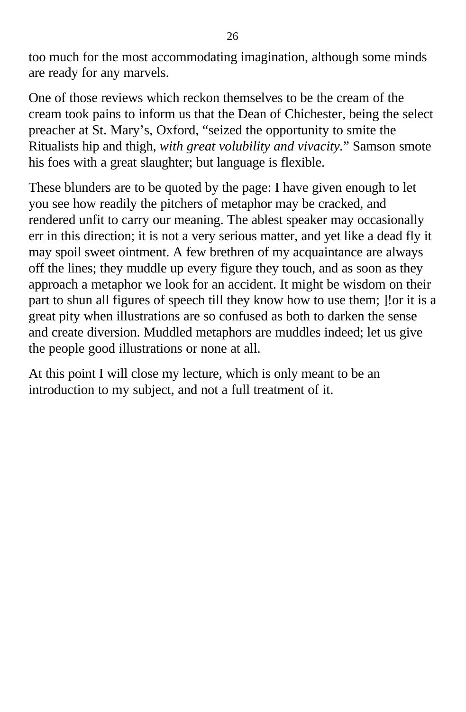too much for the most accommodating imagination, although some minds are ready for any marvels.

One of those reviews which reckon themselves to be the cream of the cream took pains to inform us that the Dean of Chichester, being the select preacher at St. Mary's, Oxford, "seized the opportunity to smite the Ritualists hip and thigh, *with great volubility and vivacity.*" Samson smote his foes with a great slaughter; but language is flexible.

These blunders are to be quoted by the page: I have given enough to let you see how readily the pitchers of metaphor may be cracked, and rendered unfit to carry our meaning. The ablest speaker may occasionally err in this direction; it is not a very serious matter, and yet like a dead fly it may spoil sweet ointment. A few brethren of my acquaintance are always off the lines; they muddle up every figure they touch, and as soon as they approach a metaphor we look for an accident. It might be wisdom on their part to shun all figures of speech till they know how to use them; ]!or it is a great pity when illustrations are so confused as both to darken the sense and create diversion. Muddled metaphors are muddles indeed; let us give the people good illustrations or none at all.

At this point I will close my lecture, which is only meant to be an introduction to my subject, and not a full treatment of it.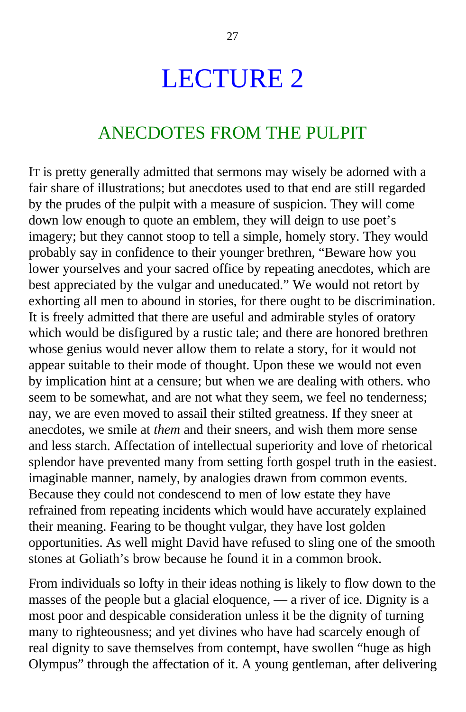## LECTURE 2

## ANECDOTES FROM THE PULPIT

IT is pretty generally admitted that sermons may wisely be adorned with a fair share of illustrations; but anecdotes used to that end are still regarded by the prudes of the pulpit with a measure of suspicion. They will come down low enough to quote an emblem, they will deign to use poet's imagery; but they cannot stoop to tell a simple, homely story. They would probably say in confidence to their younger brethren, "Beware how you lower yourselves and your sacred office by repeating anecdotes, which are best appreciated by the vulgar and uneducated." We would not retort by exhorting all men to abound in stories, for there ought to be discrimination. It is freely admitted that there are useful and admirable styles of oratory which would be disfigured by a rustic tale; and there are honored brethren whose genius would never allow them to relate a story, for it would not appear suitable to their mode of thought. Upon these we would not even by implication hint at a censure; but when we are dealing with others. who seem to be somewhat, and are not what they seem, we feel no tenderness; nay, we are even moved to assail their stilted greatness. If they sneer at anecdotes, we smile at *them* and their sneers, and wish them more sense and less starch. Affectation of intellectual superiority and love of rhetorical splendor have prevented many from setting forth gospel truth in the easiest. imaginable manner, namely, by analogies drawn from common events. Because they could not condescend to men of low estate they have refrained from repeating incidents which would have accurately explained their meaning. Fearing to be thought vulgar, they have lost golden opportunities. As well might David have refused to sling one of the smooth stones at Goliath's brow because he found it in a common brook.

From individuals so lofty in their ideas nothing is likely to flow down to the masses of the people but a glacial eloquence, — a river of ice. Dignity is a most poor and despicable consideration unless it be the dignity of turning many to righteousness; and yet divines who have had scarcely enough of real dignity to save themselves from contempt, have swollen "huge as high Olympus" through the affectation of it. A young gentleman, after delivering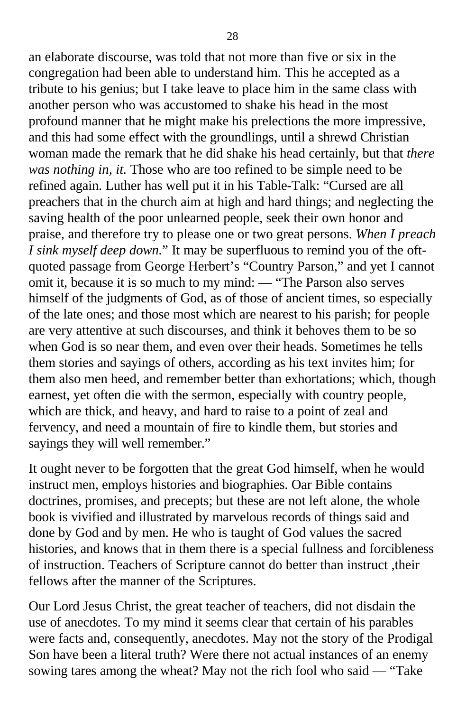an elaborate discourse, was told that not more than five or six in the congregation had been able to understand him. This he accepted as a tribute to his genius; but I take leave to place him in the same class with another person who was accustomed to shake his head in the most profound manner that he might make his prelections the more impressive, and this had some effect with the groundlings, until a shrewd Christian woman made the remark that he did shake his head certainly, but that *there was nothing in, it.* Those who are too refined to be simple need to be refined again. Luther has well put it in his Table-Talk: "Cursed are all preachers that in the church aim at high and hard things; and neglecting the saving health of the poor unlearned people, seek their own honor and praise, and therefore try to please one or two great persons. *When I preach I sink myself deep down.*" It may be superfluous to remind you of the oftquoted passage from George Herbert's "Country Parson," and yet I cannot omit it, because it is so much to my mind: — "The Parson also serves himself of the judgments of God, as of those of ancient times, so especially of the late ones; and those most which are nearest to his parish; for people are very attentive at such discourses, and think it behoves them to be so when God is so near them, and even over their heads. Sometimes he tells them stories and sayings of others, according as his text invites him; for them also men heed, and remember better than exhortations; which, though earnest, yet often die with the sermon, especially with country people, which are thick, and heavy, and hard to raise to a point of zeal and fervency, and need a mountain of fire to kindle them, but stories and sayings they will well remember."

It ought never to be forgotten that the great God himself, when he would instruct men, employs histories and biographies. Oar Bible contains doctrines, promises, and precepts; but these are not left alone, the whole book is vivified and illustrated by marvelous records of things said and done by God and by men. He who is taught of God values the sacred histories, and knows that in them there is a special fullness and forcibleness of instruction. Teachers of Scripture cannot do better than instruct ,their fellows after the manner of the Scriptures.

Our Lord Jesus Christ, the great teacher of teachers, did not disdain the use of anecdotes. To my mind it seems clear that certain of his parables were facts and, consequently, anecdotes. May not the story of the Prodigal Son have been a literal truth? Were there not actual instances of an enemy sowing tares among the wheat? May not the rich fool who said — "Take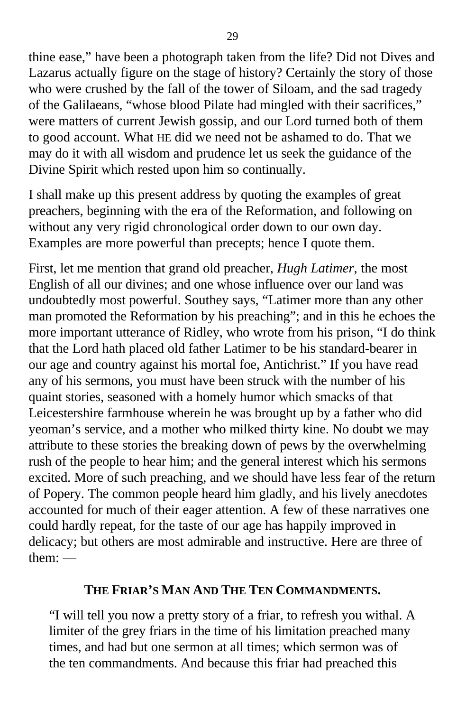thine ease," have been a photograph taken from the life? Did not Dives and Lazarus actually figure on the stage of history? Certainly the story of those who were crushed by the fall of the tower of Siloam, and the sad tragedy of the Galilaeans, "whose blood Pilate had mingled with their sacrifices," were matters of current Jewish gossip, and our Lord turned both of them to good account. What HE did we need not be ashamed to do. That we may do it with all wisdom and prudence let us seek the guidance of the Divine Spirit which rested upon him so continually.

I shall make up this present address by quoting the examples of great preachers, beginning with the era of the Reformation, and following on without any very rigid chronological order down to our own day. Examples are more powerful than precepts; hence I quote them.

First, let me mention that grand old preacher, *Hugh Latimer,* the most English of all our divines; and one whose influence over our land was undoubtedly most powerful. Southey says, "Latimer more than any other man promoted the Reformation by his preaching"; and in this he echoes the more important utterance of Ridley, who wrote from his prison, "I do think that the Lord hath placed old father Latimer to be his standard-bearer in our age and country against his mortal foe, Antichrist." If you have read any of his sermons, you must have been struck with the number of his quaint stories, seasoned with a homely humor which smacks of that Leicestershire farmhouse wherein he was brought up by a father who did yeoman's service, and a mother who milked thirty kine. No doubt we may attribute to these stories the breaking down of pews by the overwhelming rush of the people to hear him; and the general interest which his sermons excited. More of such preaching, and we should have less fear of the return of Popery. The common people heard him gladly, and his lively anecdotes accounted for much of their eager attention. A few of these narratives one could hardly repeat, for the taste of our age has happily improved in delicacy; but others are most admirable and instructive. Here are three of them: —

#### **THE FRIAR'S MAN AND THE TEN COMMANDMENTS.**

"I will tell you now a pretty story of a friar, to refresh you withal. A limiter of the grey friars in the time of his limitation preached many times, and had but one sermon at all times; which sermon was of the ten commandments. And because this friar had preached this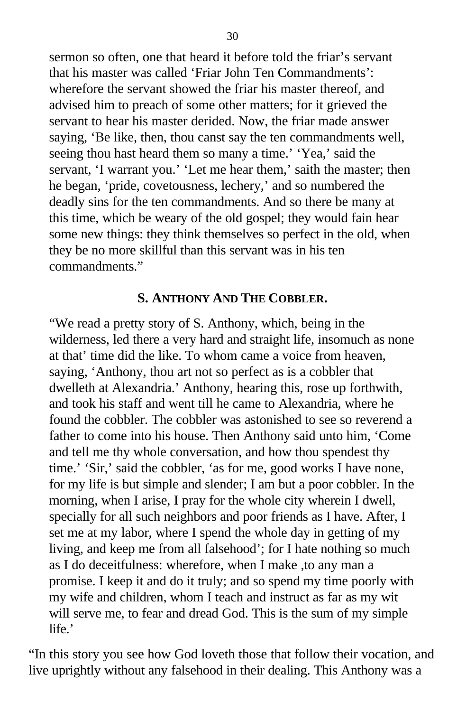sermon so often, one that heard it before told the friar's servant that his master was called 'Friar John Ten Commandments': wherefore the servant showed the friar his master thereof, and advised him to preach of some other matters; for it grieved the servant to hear his master derided. Now, the friar made answer saying, 'Be like, then, thou canst say the ten commandments well, seeing thou hast heard them so many a time.' 'Yea,' said the servant, 'I warrant you.' 'Let me hear them,' saith the master; then he began, 'pride, covetousness, lechery,' and so numbered the deadly sins for the ten commandments. And so there be many at this time, which be weary of the old gospel; they would fain hear some new things: they think themselves so perfect in the old, when they be no more skillful than this servant was in his ten commandments."

#### **S. ANTHONY AND THE COBBLER.**

"We read a pretty story of S. Anthony, which, being in the wilderness, led there a very hard and straight life, insomuch as none at that' time did the like. To whom came a voice from heaven, saying, 'Anthony, thou art not so perfect as is a cobbler that dwelleth at Alexandria.' Anthony, hearing this, rose up forthwith, and took his staff and went till he came to Alexandria, where he found the cobbler. The cobbler was astonished to see so reverend a father to come into his house. Then Anthony said unto him, 'Come and tell me thy whole conversation, and how thou spendest thy time.' 'Sir,' said the cobbler, 'as for me, good works I have none, for my life is but simple and slender; I am but a poor cobbler. In the morning, when I arise, I pray for the whole city wherein I dwell, specially for all such neighbors and poor friends as I have. After, I set me at my labor, where I spend the whole day in getting of my living, and keep me from all falsehood'; for I hate nothing so much as I do deceitfulness: wherefore, when I make ,to any man a promise. I keep it and do it truly; and so spend my time poorly with my wife and children, whom I teach and instruct as far as my wit will serve me, to fear and dread God. This is the sum of my simple life.'

"In this story you see how God loveth those that follow their vocation, and live uprightly without any falsehood in their dealing. This Anthony was a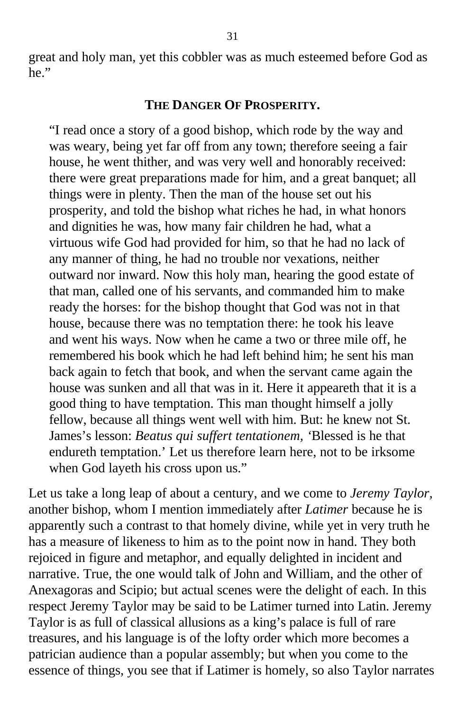great and holy man, yet this cobbler was as much esteemed before God as he."

#### **THE DANGER OF PROSPERITY.**

"I read once a story of a good bishop, which rode by the way and was weary, being yet far off from any town; therefore seeing a fair house, he went thither, and was very well and honorably received: there were great preparations made for him, and a great banquet; all things were in plenty. Then the man of the house set out his prosperity, and told the bishop what riches he had, in what honors and dignities he was, how many fair children he had, what a virtuous wife God had provided for him, so that he had no lack of any manner of thing, he had no trouble nor vexations, neither outward nor inward. Now this holy man, hearing the good estate of that man, called one of his servants, and commanded him to make ready the horses: for the bishop thought that God was not in that house, because there was no temptation there: he took his leave and went his ways. Now when he came a two or three mile off, he remembered his book which he had left behind him; he sent his man back again to fetch that book, and when the servant came again the house was sunken and all that was in it. Here it appeareth that it is a good thing to have temptation. This man thought himself a jolly fellow, because all things went well with him. But: he knew not St. James's lesson: *Beatus qui suffert tentationem, '*Blessed is he that endureth temptation.' Let us therefore learn here, not to be irksome when God layeth his cross upon us."

Let us take a long leap of about a century, and we come to *Jeremy Taylor,* another bishop, whom I mention immediately after *Latimer* because he is apparently such a contrast to that homely divine, while yet in very truth he has a measure of likeness to him as to the point now in hand. They both rejoiced in figure and metaphor, and equally delighted in incident and narrative. True, the one would talk of John and William, and the other of Anexagoras and Scipio; but actual scenes were the delight of each. In this respect Jeremy Taylor may be said to be Latimer turned into Latin. Jeremy Taylor is as full of classical allusions as a king's palace is full of rare treasures, and his language is of the lofty order which more becomes a patrician audience than a popular assembly; but when you come to the essence of things, you see that if Latimer is homely, so also Taylor narrates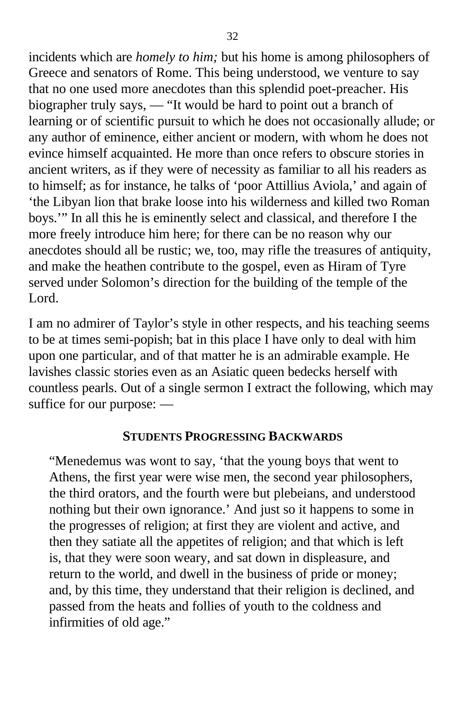incidents which are *homely to him;* but his home is among philosophers of Greece and senators of Rome. This being understood, we venture to say that no one used more anecdotes than this splendid poet-preacher. His biographer truly says, — "It would be hard to point out a branch of learning or of scientific pursuit to which he does not occasionally allude; or any author of eminence, either ancient or modern, with whom he does not evince himself acquainted. He more than once refers to obscure stories in ancient writers, as if they were of necessity as familiar to all his readers as to himself; as for instance, he talks of 'poor Attillius Aviola,' and again of 'the Libyan lion that brake loose into his wilderness and killed two Roman boys.'" In all this he is eminently select and classical, and therefore I the more freely introduce him here; for there can be no reason why our anecdotes should all be rustic; we, too, may rifle the treasures of antiquity, and make the heathen contribute to the gospel, even as Hiram of Tyre served under Solomon's direction for the building of the temple of the Lord.

I am no admirer of Taylor's style in other respects, and his teaching seems to be at times semi-popish; bat in this place I have only to deal with him upon one particular, and of that matter he is an admirable example. He lavishes classic stories even as an Asiatic queen bedecks herself with countless pearls. Out of a single sermon I extract the following, which may suffice for our purpose: —

#### **STUDENTS PROGRESSING BACKWARDS**

"Menedemus was wont to say, 'that the young boys that went to Athens, the first year were wise men, the second year philosophers, the third orators, and the fourth were but plebeians, and understood nothing but their own ignorance.' And just so it happens to some in the progresses of religion; at first they are violent and active, and then they satiate all the appetites of religion; and that which is left is, that they were soon weary, and sat down in displeasure, and return to the world, and dwell in the business of pride or money; and, by this time, they understand that their religion is declined, and passed from the heats and follies of youth to the coldness and infirmities of old age."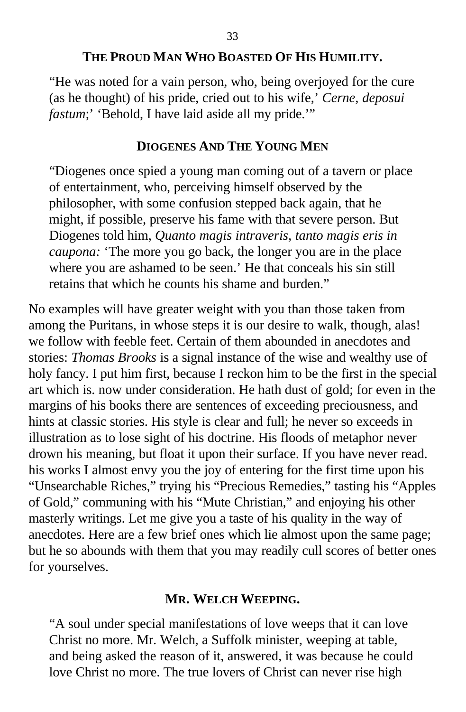#### **THE PROUD MAN WHO BOASTED OF HIS HUMILITY.**

"He was noted for a vain person, who, being overjoyed for the cure (as he thought) of his pride, cried out to his wife,' *Cerne*, *deposui fastum*;' 'Behold, I have laid aside all my pride.'"

#### **DIOGENES AND THE YOUNG MEN**

"Diogenes once spied a young man coming out of a tavern or place of entertainment, who, perceiving himself observed by the philosopher, with some confusion stepped back again, that he might, if possible, preserve his fame with that severe person. But Diogenes told him, *Quanto magis intraveris, tanto magis eris in caupona:* 'The more you go back, the longer you are in the place where you are ashamed to be seen.' He that conceals his sin still retains that which he counts his shame and burden."

No examples will have greater weight with you than those taken from among the Puritans, in whose steps it is our desire to walk, though, alas! we follow with feeble feet. Certain of them abounded in anecdotes and stories: *Thomas Brooks* is a signal instance of the wise and wealthy use of holy fancy. I put him first, because I reckon him to be the first in the special art which is. now under consideration. He hath dust of gold; for even in the margins of his books there are sentences of exceeding preciousness, and hints at classic stories. His style is clear and full; he never so exceeds in illustration as to lose sight of his doctrine. His floods of metaphor never drown his meaning, but float it upon their surface. If you have never read. his works I almost envy you the joy of entering for the first time upon his "Unsearchable Riches," trying his "Precious Remedies," tasting his "Apples of Gold," communing with his "Mute Christian," and enjoying his other masterly writings. Let me give you a taste of his quality in the way of anecdotes. Here are a few brief ones which lie almost upon the same page; but he so abounds with them that you may readily cull scores of better ones for yourselves.

#### **MR. WELCH WEEPING.**

"A soul under special manifestations of love weeps that it can love Christ no more. Mr. Welch, a Suffolk minister, weeping at table, and being asked the reason of it, answered, it was because he could love Christ no more. The true lovers of Christ can never rise high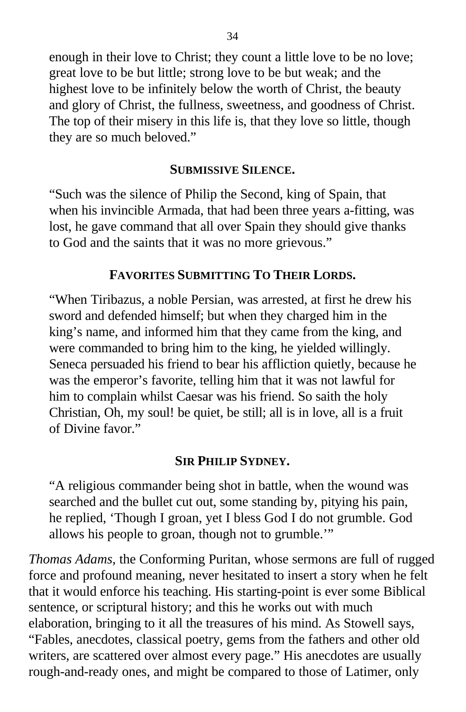enough in their love to Christ; they count a little love to be no love; great love to be but little; strong love to be but weak; and the highest love to be infinitely below the worth of Christ, the beauty and glory of Christ, the fullness, sweetness, and goodness of Christ. The top of their misery in this life is, that they love so little, though they are so much beloved."

#### **SUBMISSIVE SILENCE.**

"Such was the silence of Philip the Second, king of Spain, that when his invincible Armada, that had been three years a-fitting, was lost, he gave command that all over Spain they should give thanks to God and the saints that it was no more grievous."

#### **FAVORITES SUBMITTING TO THEIR LORDS.**

"When Tiribazus, a noble Persian, was arrested, at first he drew his sword and defended himself; but when they charged him in the king's name, and informed him that they came from the king, and were commanded to bring him to the king, he yielded willingly. Seneca persuaded his friend to bear his affliction quietly, because he was the emperor's favorite, telling him that it was not lawful for him to complain whilst Caesar was his friend. So saith the holy Christian, Oh, my soul! be quiet, be still; all is in love, all is a fruit of Divine favor."

#### **SIR PHILIP SYDNEY.**

"A religious commander being shot in battle, when the wound was searched and the bullet cut out, some standing by, pitying his pain, he replied, 'Though I groan, yet I bless God I do not grumble. God allows his people to groan, though not to grumble.'"

*Thomas Adams,* the Conforming Puritan, whose sermons are full of rugged force and profound meaning, never hesitated to insert a story when he felt that it would enforce his teaching. His starting-point is ever some Biblical sentence, or scriptural history; and this he works out with much elaboration, bringing to it all the treasures of his mind. As Stowell says, "Fables, anecdotes, classical poetry, gems from the fathers and other old writers, are scattered over almost every page." His anecdotes are usually rough-and-ready ones, and might be compared to those of Latimer, only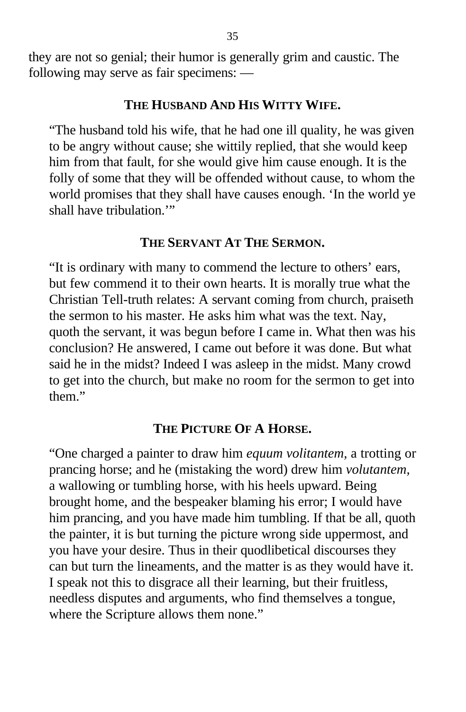they are not so genial; their humor is generally grim and caustic. The following may serve as fair specimens: —

#### **THE HUSBAND AND HIS WITTY WIFE.**

"The husband told his wife, that he had one ill quality, he was given to be angry without cause; she wittily replied, that she would keep him from that fault, for she would give him cause enough. It is the folly of some that they will be offended without cause, to whom the world promises that they shall have causes enough. 'In the world ye shall have tribulation.'"

#### **THE SERVANT AT THE SERMON.**

"It is ordinary with many to commend the lecture to others' ears, but few commend it to their own hearts. It is morally true what the Christian Tell-truth relates: A servant coming from church, praiseth the sermon to his master. He asks him what was the text. Nay, quoth the servant, it was begun before I came in. What then was his conclusion? He answered, I came out before it was done. But what said he in the midst? Indeed I was asleep in the midst. Many crowd to get into the church, but make no room for the sermon to get into them"

#### **THE PICTURE OF A HORSE.**

"One charged a painter to draw him *equum volitantem,* a trotting or prancing horse; and he (mistaking the word) drew him *volutantem,* a wallowing or tumbling horse, with his heels upward. Being brought home, and the bespeaker blaming his error; I would have him prancing, and you have made him tumbling. If that be all, quoth the painter, it is but turning the picture wrong side uppermost, and you have your desire. Thus in their quodlibetical discourses they can but turn the lineaments, and the matter is as they would have it. I speak not this to disgrace all their learning, but their fruitless, needless disputes and arguments, who find themselves a tongue, where the Scripture allows them none."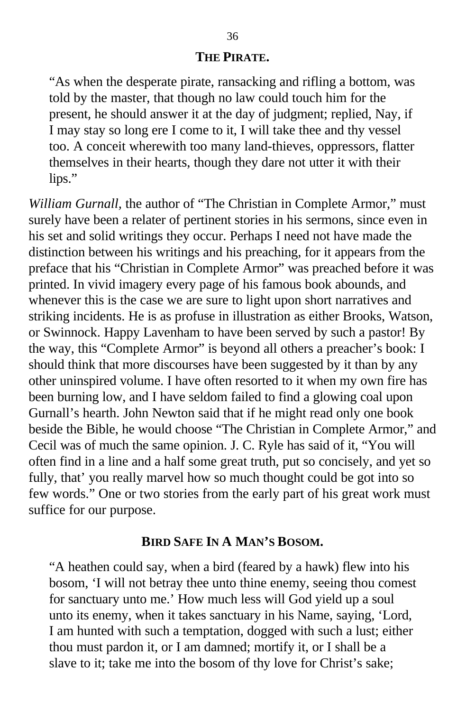#### **THE PIRATE.**

"As when the desperate pirate, ransacking and rifling a bottom, was told by the master, that though no law could touch him for the present, he should answer it at the day of judgment; replied, Nay, if I may stay so long ere I come to it, I will take thee and thy vessel too. A conceit wherewith too many land-thieves, oppressors, flatter themselves in their hearts, though they dare not utter it with their lips."

*William Gurnall,* the author of "The Christian in Complete Armor," must surely have been a relater of pertinent stories in his sermons, since even in his set and solid writings they occur. Perhaps I need not have made the distinction between his writings and his preaching, for it appears from the preface that his "Christian in Complete Armor" was preached before it was printed. In vivid imagery every page of his famous book abounds, and whenever this is the case we are sure to light upon short narratives and striking incidents. He is as profuse in illustration as either Brooks, Watson, or Swinnock. Happy Lavenham to have been served by such a pastor! By the way, this "Complete Armor" is beyond all others a preacher's book: I should think that more discourses have been suggested by it than by any other uninspired volume. I have often resorted to it when my own fire has been burning low, and I have seldom failed to find a glowing coal upon Gurnall's hearth. John Newton said that if he might read only one book beside the Bible, he would choose "The Christian in Complete Armor," and Cecil was of much the same opinion. J. C. Ryle has said of it, "You will often find in a line and a half some great truth, put so concisely, and yet so fully, that' you really marvel how so much thought could be got into so few words." One or two stories from the early part of his great work must suffice for our purpose.

#### **BIRD SAFE IN A MAN'S BOSOM.**

"A heathen could say, when a bird (feared by a hawk) flew into his bosom, 'I will not betray thee unto thine enemy, seeing thou comest for sanctuary unto me.' How much less will God yield up a soul unto its enemy, when it takes sanctuary in his Name, saying, 'Lord, I am hunted with such a temptation, dogged with such a lust; either thou must pardon it, or I am damned; mortify it, or I shall be a slave to it; take me into the bosom of thy love for Christ's sake;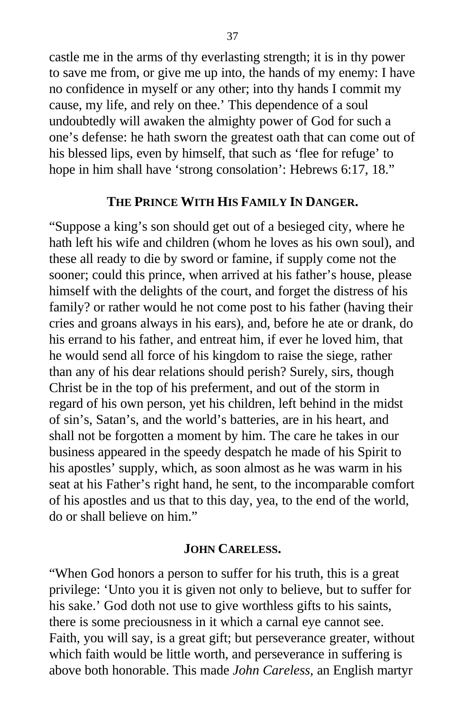castle me in the arms of thy everlasting strength; it is in thy power to save me from, or give me up into, the hands of my enemy: I have no confidence in myself or any other; into thy hands I commit my cause, my life, and rely on thee.' This dependence of a soul undoubtedly will awaken the almighty power of God for such a one's defense: he hath sworn the greatest oath that can come out of his blessed lips, even by himself, that such as 'flee for refuge' to hope in him shall have 'strong consolation': Hebrews 6:17, 18."

#### **THE PRINCE WITH HIS FAMILY IN DANGER.**

"Suppose a king's son should get out of a besieged city, where he hath left his wife and children (whom he loves as his own soul), and these all ready to die by sword or famine, if supply come not the sooner; could this prince, when arrived at his father's house, please himself with the delights of the court, and forget the distress of his family? or rather would he not come post to his father (having their cries and groans always in his ears), and, before he ate or drank, do his errand to his father, and entreat him, if ever he loved him, that he would send all force of his kingdom to raise the siege, rather than any of his dear relations should perish? Surely, sirs, though Christ be in the top of his preferment, and out of the storm in regard of his own person, yet his children, left behind in the midst of sin's, Satan's, and the world's batteries, are in his heart, and shall not be forgotten a moment by him. The care he takes in our business appeared in the speedy despatch he made of his Spirit to his apostles' supply, which, as soon almost as he was warm in his seat at his Father's right hand, he sent, to the incomparable comfort of his apostles and us that to this day, yea, to the end of the world, do or shall believe on him."

#### **JOHN CARELESS.**

"When God honors a person to suffer for his truth, this is a great privilege: 'Unto you it is given not only to believe, but to suffer for his sake.' God doth not use to give worthless gifts to his saints, there is some preciousness in it which a carnal eye cannot see. Faith, you will say, is a great gift; but perseverance greater, without which faith would be little worth, and perseverance in suffering is above both honorable. This made *John Careless,* an English martyr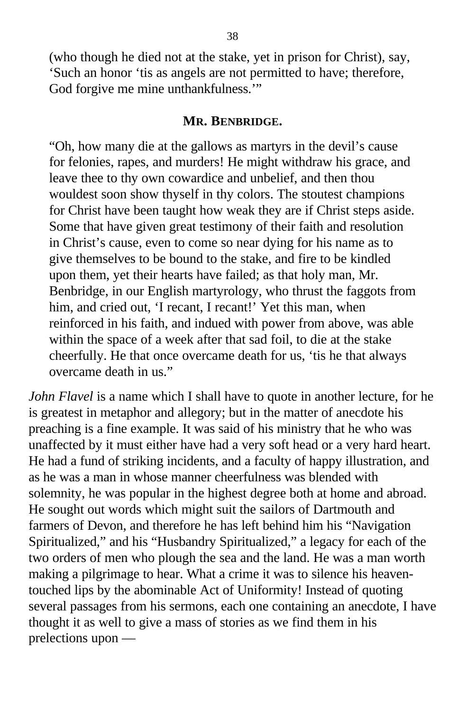(who though he died not at the stake, yet in prison for Christ), say, 'Such an honor 'tis as angels are not permitted to have; therefore, God forgive me mine unthankfulness."

#### **MR. BENBRIDGE.**

"Oh, how many die at the gallows as martyrs in the devil's cause for felonies, rapes, and murders! He might withdraw his grace, and leave thee to thy own cowardice and unbelief, and then thou wouldest soon show thyself in thy colors. The stoutest champions for Christ have been taught how weak they are if Christ steps aside. Some that have given great testimony of their faith and resolution in Christ's cause, even to come so near dying for his name as to give themselves to be bound to the stake, and fire to be kindled upon them, yet their hearts have failed; as that holy man, Mr. Benbridge, in our English martyrology, who thrust the faggots from him. and cried out. 'I recant, I recant!' Yet this man, when reinforced in his faith, and indued with power from above, was able within the space of a week after that sad foil, to die at the stake cheerfully. He that once overcame death for us, 'tis he that always overcame death in us."

*John Flavel* is a name which I shall have to quote in another lecture, for he is greatest in metaphor and allegory; but in the matter of anecdote his preaching is a fine example. It was said of his ministry that he who was unaffected by it must either have had a very soft head or a very hard heart. He had a fund of striking incidents, and a faculty of happy illustration, and as he was a man in whose manner cheerfulness was blended with solemnity, he was popular in the highest degree both at home and abroad. He sought out words which might suit the sailors of Dartmouth and farmers of Devon, and therefore he has left behind him his "Navigation Spiritualized," and his "Husbandry Spiritualized," a legacy for each of the two orders of men who plough the sea and the land. He was a man worth making a pilgrimage to hear. What a crime it was to silence his heaventouched lips by the abominable Act of Uniformity! Instead of quoting several passages from his sermons, each one containing an anecdote, I have thought it as well to give a mass of stories as we find them in his prelections upon —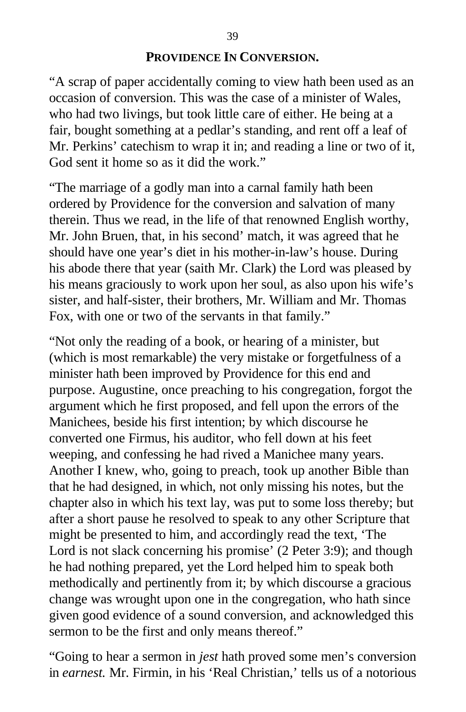#### **PROVIDENCE IN CONVERSION.**

"A scrap of paper accidentally coming to view hath been used as an occasion of conversion. This was the case of a minister of Wales, who had two livings, but took little care of either. He being at a fair, bought something at a pedlar's standing, and rent off a leaf of Mr. Perkins' catechism to wrap it in; and reading a line or two of it, God sent it home so as it did the work."

"The marriage of a godly man into a carnal family hath been ordered by Providence for the conversion and salvation of many therein. Thus we read, in the life of that renowned English worthy, Mr. John Bruen, that, in his second' match, it was agreed that he should have one year's diet in his mother-in-law's house. During his abode there that year (saith Mr. Clark) the Lord was pleased by his means graciously to work upon her soul, as also upon his wife's sister, and half-sister, their brothers, Mr. William and Mr. Thomas Fox, with one or two of the servants in that family."

"Not only the reading of a book, or hearing of a minister, but (which is most remarkable) the very mistake or forgetfulness of a minister hath been improved by Providence for this end and purpose. Augustine, once preaching to his congregation, forgot the argument which he first proposed, and fell upon the errors of the Manichees, beside his first intention; by which discourse he converted one Firmus, his auditor, who fell down at his feet weeping, and confessing he had rived a Manichee many years. Another I knew, who, going to preach, took up another Bible than that he had designed, in which, not only missing his notes, but the chapter also in which his text lay, was put to some loss thereby; but after a short pause he resolved to speak to any other Scripture that might be presented to him, and accordingly read the text, 'The Lord is not slack concerning his promise' (2 Peter 3:9); and though he had nothing prepared, yet the Lord helped him to speak both methodically and pertinently from it; by which discourse a gracious change was wrought upon one in the congregation, who hath since given good evidence of a sound conversion, and acknowledged this sermon to be the first and only means thereof."

"Going to hear a sermon in *jest* hath proved some men's conversion in *earnest.* Mr. Firmin, in his 'Real Christian,' tells us of a notorious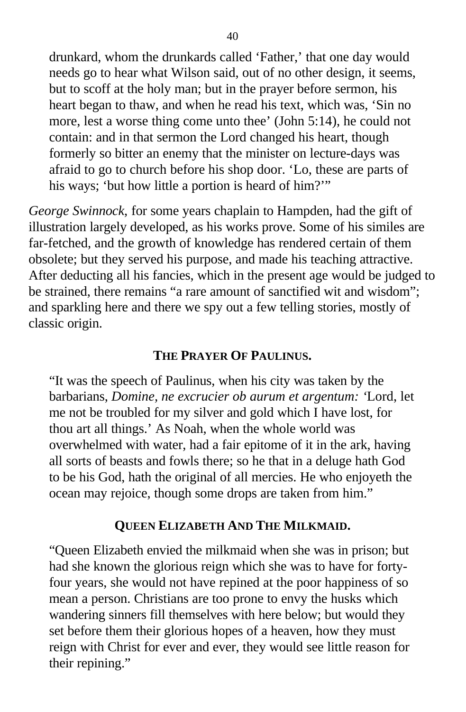drunkard, whom the drunkards called 'Father,' that one day would needs go to hear what Wilson said, out of no other design, it seems, but to scoff at the holy man; but in the prayer before sermon, his heart began to thaw, and when he read his text, which was, 'Sin no more, lest a worse thing come unto thee' (John 5:14), he could not contain: and in that sermon the Lord changed his heart, though formerly so bitter an enemy that the minister on lecture-days was afraid to go to church before his shop door. 'Lo, these are parts of his ways; 'but how little a portion is heard of him?'"

*George Swinnock*, for some years chaplain to Hampden, had the gift of illustration largely developed, as his works prove. Some of his similes are far-fetched, and the growth of knowledge has rendered certain of them obsolete; but they served his purpose, and made his teaching attractive. After deducting all his fancies, which in the present age would be judged to be strained, there remains "a rare amount of sanctified wit and wisdom"; and sparkling here and there we spy out a few telling stories, mostly of classic origin.

#### **THE PRAYER OF PAULINUS.**

"It was the speech of Paulinus, when his city was taken by the barbarians, *Domine, ne excrucier ob aurum et argentum: '*Lord, let me not be troubled for my silver and gold which I have lost, for thou art all things.' As Noah, when the whole world was overwhelmed with water, had a fair epitome of it in the ark, having all sorts of beasts and fowls there; so he that in a deluge hath God to be his God, hath the original of all mercies. He who enjoyeth the ocean may rejoice, though some drops are taken from him."

#### **QUEEN ELIZABETH AND THE MILKMAID.**

"Queen Elizabeth envied the milkmaid when she was in prison; but had she known the glorious reign which she was to have for fortyfour years, she would not have repined at the poor happiness of so mean a person. Christians are too prone to envy the husks which wandering sinners fill themselves with here below; but would they set before them their glorious hopes of a heaven, how they must reign with Christ for ever and ever, they would see little reason for their repining."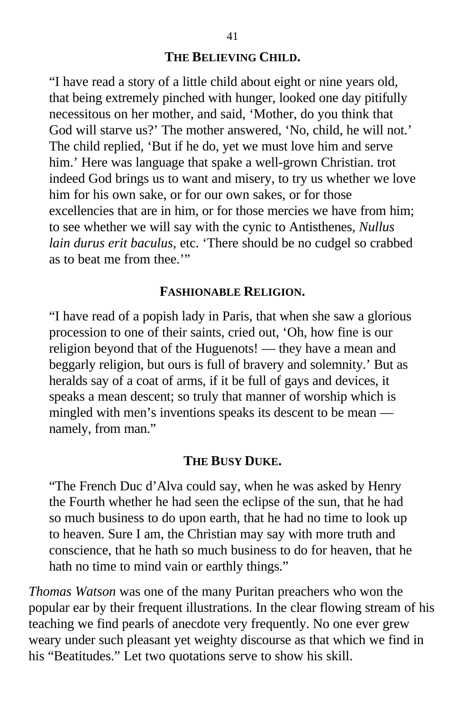#### **THE BELIEVING CHILD.**

"I have read a story of a little child about eight or nine years old, that being extremely pinched with hunger, looked one day pitifully necessitous on her mother, and said, 'Mother, do you think that God will starve us?' The mother answered, 'No, child, he will not.' The child replied, 'But if he do, yet we must love him and serve him.' Here was language that spake a well-grown Christian. trot indeed God brings us to want and misery, to try us whether we love him for his own sake, or for our own sakes, or for those excellencies that are in him, or for those mercies we have from him; to see whether we will say with the cynic to Antisthenes, *Nullus lain durus erit baculus,* etc. 'There should be no cudgel so crabbed as to beat me from thee.'"

#### **FASHIONABLE RELIGION.**

"I have read of a popish lady in Paris, that when she saw a glorious procession to one of their saints, cried out, 'Oh, how fine is our religion beyond that of the Huguenots! — they have a mean and beggarly religion, but ours is full of bravery and solemnity.' But as heralds say of a coat of arms, if it be full of gays and devices, it speaks a mean descent; so truly that manner of worship which is mingled with men's inventions speaks its descent to be mean namely, from man."

#### **THE BUSY DUKE.**

"The French Duc d'Alva could say, when he was asked by Henry the Fourth whether he had seen the eclipse of the sun, that he had so much business to do upon earth, that he had no time to look up to heaven. Sure I am, the Christian may say with more truth and conscience, that he hath so much business to do for heaven, that he hath no time to mind vain or earthly things."

*Thomas Watson* was one of the many Puritan preachers who won the popular ear by their frequent illustrations. In the clear flowing stream of his teaching we find pearls of anecdote very frequently. No one ever grew weary under such pleasant yet weighty discourse as that which we find in his "Beatitudes." Let two quotations serve to show his skill.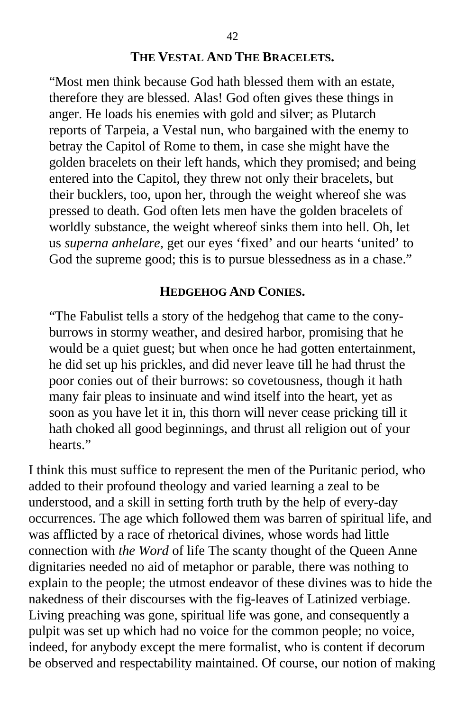"Most men think because God hath blessed them with an estate, therefore they are blessed. Alas! God often gives these things in anger. He loads his enemies with gold and silver; as Plutarch reports of Tarpeia, a Vestal nun, who bargained with the enemy to betray the Capitol of Rome to them, in case she might have the golden bracelets on their left hands, which they promised; and being entered into the Capitol, they threw not only their bracelets, but their bucklers, too, upon her, through the weight whereof she was pressed to death. God often lets men have the golden bracelets of worldly substance, the weight whereof sinks them into hell. Oh, let us *superna anhelare,* get our eyes 'fixed' and our hearts 'united' to God the supreme good; this is to pursue blessedness as in a chase."

#### **HEDGEHOG AND CONIES.**

"The Fabulist tells a story of the hedgehog that came to the conyburrows in stormy weather, and desired harbor, promising that he would be a quiet guest; but when once he had gotten entertainment, he did set up his prickles, and did never leave till he had thrust the poor conies out of their burrows: so covetousness, though it hath many fair pleas to insinuate and wind itself into the heart, yet as soon as you have let it in, this thorn will never cease pricking till it hath choked all good beginnings, and thrust all religion out of your hearts."

I think this must suffice to represent the men of the Puritanic period, who added to their profound theology and varied learning a zeal to be understood, and a skill in setting forth truth by the help of every-day occurrences. The age which followed them was barren of spiritual life, and was afflicted by a race of rhetorical divines, whose words had little connection with *the Word* of life The scanty thought of the Queen Anne dignitaries needed no aid of metaphor or parable, there was nothing to explain to the people; the utmost endeavor of these divines was to hide the nakedness of their discourses with the fig-leaves of Latinized verbiage. Living preaching was gone, spiritual life was gone, and consequently a pulpit was set up which had no voice for the common people; no voice, indeed, for anybody except the mere formalist, who is content if decorum be observed and respectability maintained. Of course, our notion of making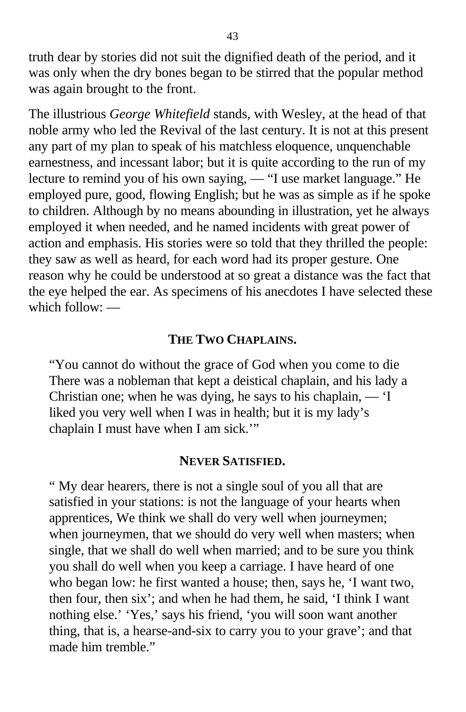truth dear by stories did not suit the dignified death of the period, and it was only when the dry bones began to be stirred that the popular method was again brought to the front.

The illustrious *George Whitefield* stands, with Wesley, at the head of that noble army who led the Revival of the last century. It is not at this present any part of my plan to speak of his matchless eloquence, unquenchable earnestness, and incessant labor; but it is quite according to the run of my lecture to remind you of his own saying, — "I use market language." He employed pure, good, flowing English; but he was as simple as if he spoke to children. Although by no means abounding in illustration, yet he always employed it when needed, and he named incidents with great power of action and emphasis. His stories were so told that they thrilled the people: they saw as well as heard, for each word had its proper gesture. One reason why he could be understood at so great a distance was the fact that the eye helped the ear. As specimens of his anecdotes I have selected these which follow: —

#### **THE TWO CHAPLAINS.**

"You cannot do without the grace of God when you come to die There was a nobleman that kept a deistical chaplain, and his lady a Christian one; when he was dying, he says to his chaplain, — 'I liked you very well when I was in health; but it is my lady's chaplain I must have when I am sick.'"

#### **NEVER SATISFIED.**

" My dear hearers, there is not a single soul of you all that are satisfied in your stations: is not the language of your hearts when apprentices, We think we shall do very well when journeymen; when journeymen, that we should do very well when masters; when single, that we shall do well when married; and to be sure you think you shall do well when you keep a carriage. I have heard of one who began low: he first wanted a house; then, says he, 'I want two, then four, then six'; and when he had them, he said, 'I think I want nothing else.' 'Yes,' says his friend, 'you will soon want another thing, that is, a hearse-and-six to carry you to your grave'; and that made him tremble."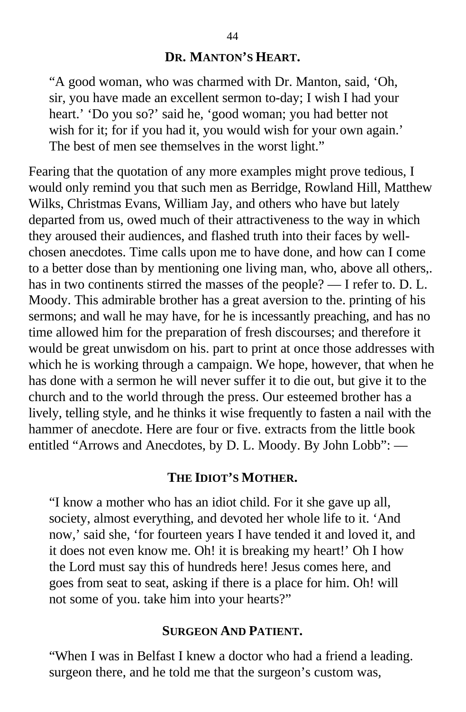#### **DR. MANTON'S HEART.**

"A good woman, who was charmed with Dr. Manton, said, 'Oh, sir, you have made an excellent sermon to-day; I wish I had your heart.' 'Do you so?' said he, 'good woman; you had better not wish for it; for if you had it, you would wish for your own again.' The best of men see themselves in the worst light."

Fearing that the quotation of any more examples might prove tedious, I would only remind you that such men as Berridge, Rowland Hill, Matthew Wilks, Christmas Evans, William Jay, and others who have but lately departed from us, owed much of their attractiveness to the way in which they aroused their audiences, and flashed truth into their faces by wellchosen anecdotes. Time calls upon me to have done, and how can I come to a better dose than by mentioning one living man, who, above all others,. has in two continents stirred the masses of the people? — I refer to. D. L. Moody. This admirable brother has a great aversion to the. printing of his sermons; and wall he may have, for he is incessantly preaching, and has no time allowed him for the preparation of fresh discourses; and therefore it would be great unwisdom on his. part to print at once those addresses with which he is working through a campaign. We hope, however, that when he has done with a sermon he will never suffer it to die out, but give it to the church and to the world through the press. Our esteemed brother has a lively, telling style, and he thinks it wise frequently to fasten a nail with the hammer of anecdote. Here are four or five. extracts from the little book entitled "Arrows and Anecdotes, by D. L. Moody. By John Lobb": —

#### **THE IDIOT'S MOTHER.**

"I know a mother who has an idiot child. For it she gave up all, society, almost everything, and devoted her whole life to it. 'And now,' said she, 'for fourteen years I have tended it and loved it, and it does not even know me. Oh! it is breaking my heart!' Oh I how the Lord must say this of hundreds here! Jesus comes here, and goes from seat to seat, asking if there is a place for him. Oh! will not some of you. take him into your hearts?"

#### **SURGEON AND PATIENT.**

"When I was in Belfast I knew a doctor who had a friend a leading. surgeon there, and he told me that the surgeon's custom was,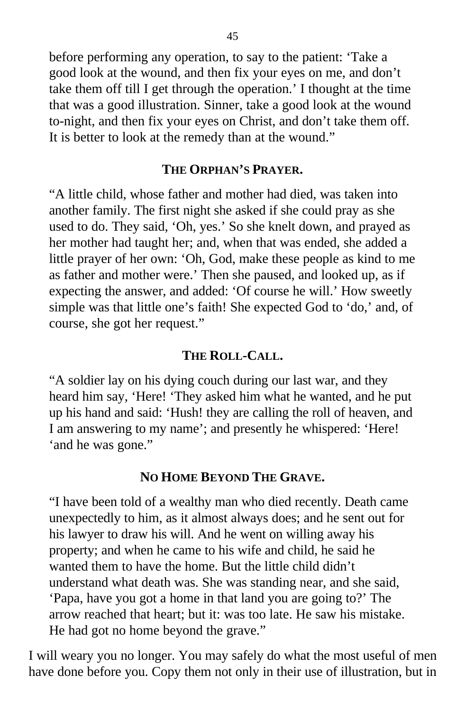before performing any operation, to say to the patient: 'Take a good look at the wound, and then fix your eyes on me, and don't take them off till I get through the operation.' I thought at the time that was a good illustration. Sinner, take a good look at the wound to-night, and then fix your eyes on Christ, and don't take them off. It is better to look at the remedy than at the wound."

#### **THE ORPHAN'S PRAYER.**

"A little child, whose father and mother had died, was taken into another family. The first night she asked if she could pray as she used to do. They said, 'Oh, yes.' So she knelt down, and prayed as her mother had taught her; and, when that was ended, she added a little prayer of her own: 'Oh, God, make these people as kind to me as father and mother were.' Then she paused, and looked up, as if expecting the answer, and added: 'Of course he will.' How sweetly simple was that little one's faith! She expected God to 'do,' and, of course, she got her request."

#### **THE ROLL-CALL.**

"A soldier lay on his dying couch during our last war, and they heard him say, 'Here! 'They asked him what he wanted, and he put up his hand and said: 'Hush! they are calling the roll of heaven, and I am answering to my name'; and presently he whispered: 'Here! 'and he was gone."

#### **NO HOME BEYOND THE GRAVE.**

"I have been told of a wealthy man who died recently. Death came unexpectedly to him, as it almost always does; and he sent out for his lawyer to draw his will. And he went on willing away his property; and when he came to his wife and child, he said he wanted them to have the home. But the little child didn't understand what death was. She was standing near, and she said, 'Papa, have you got a home in that land you are going to?' The arrow reached that heart; but it: was too late. He saw his mistake. He had got no home beyond the grave."

I will weary you no longer. You may safely do what the most useful of men have done before you. Copy them not only in their use of illustration, but in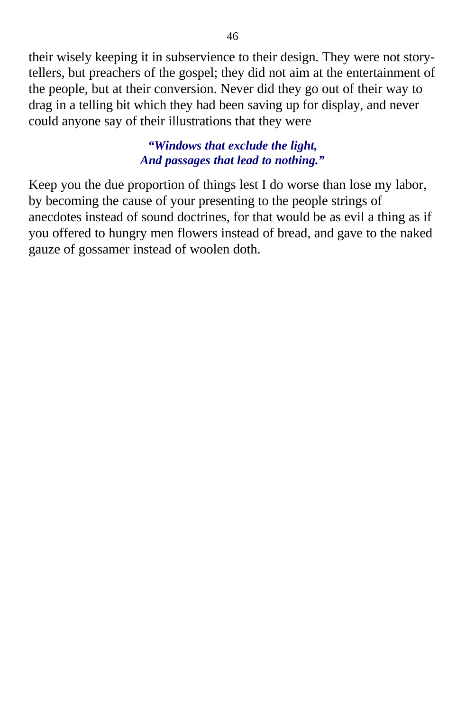their wisely keeping it in subservience to their design. They were not storytellers, but preachers of the gospel; they did not aim at the entertainment of the people, but at their conversion. Never did they go out of their way to drag in a telling bit which they had been saving up for display, and never could anyone say of their illustrations that they were

#### *"Windows that exclude the light, And passages that lead to nothing."*

Keep you the due proportion of things lest I do worse than lose my labor, by becoming the cause of your presenting to the people strings of anecdotes instead of sound doctrines, for that would be as evil a thing as if you offered to hungry men flowers instead of bread, and gave to the naked gauze of gossamer instead of woolen doth.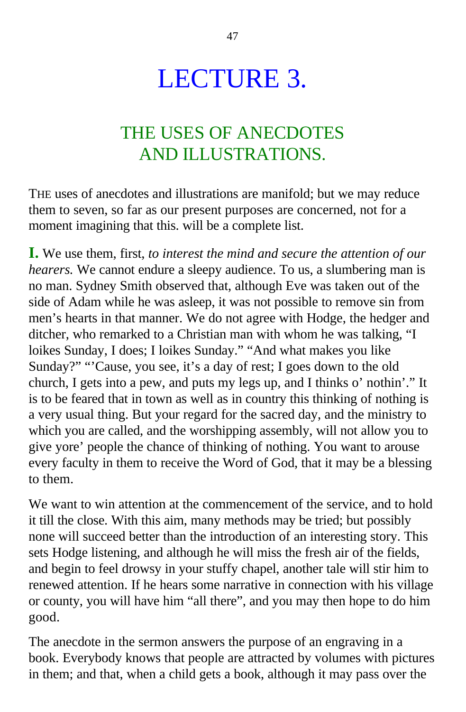# LECTURE 3.

## THE USES OF ANECDOTES AND ILLUSTRATIONS.

THE uses of anecdotes and illustrations are manifold; but we may reduce them to seven, so far as our present purposes are concerned, not for a moment imagining that this. will be a complete list.

**I.** We use them, first, *to interest the mind and secure the attention of our hearers.* We cannot endure a sleepy audience. To us, a slumbering man is no man. Sydney Smith observed that, although Eve was taken out of the side of Adam while he was asleep, it was not possible to remove sin from men's hearts in that manner. We do not agree with Hodge, the hedger and ditcher, who remarked to a Christian man with whom he was talking, "I loikes Sunday, I does; I loikes Sunday." "And what makes you like Sunday?" "'Cause, you see, it's a day of rest; I goes down to the old church, I gets into a pew, and puts my legs up, and I thinks o' nothin'." It is to be feared that in town as well as in country this thinking of nothing is a very usual thing. But your regard for the sacred day, and the ministry to which you are called, and the worshipping assembly, will not allow you to give yore' people the chance of thinking of nothing. You want to arouse every faculty in them to receive the Word of God, that it may be a blessing to them.

We want to win attention at the commencement of the service, and to hold it till the close. With this aim, many methods may be tried; but possibly none will succeed better than the introduction of an interesting story. This sets Hodge listening, and although he will miss the fresh air of the fields, and begin to feel drowsy in your stuffy chapel, another tale will stir him to renewed attention. If he hears some narrative in connection with his village or county, you will have him "all there", and you may then hope to do him good.

The anecdote in the sermon answers the purpose of an engraving in a book. Everybody knows that people are attracted by volumes with pictures in them; and that, when a child gets a book, although it may pass over the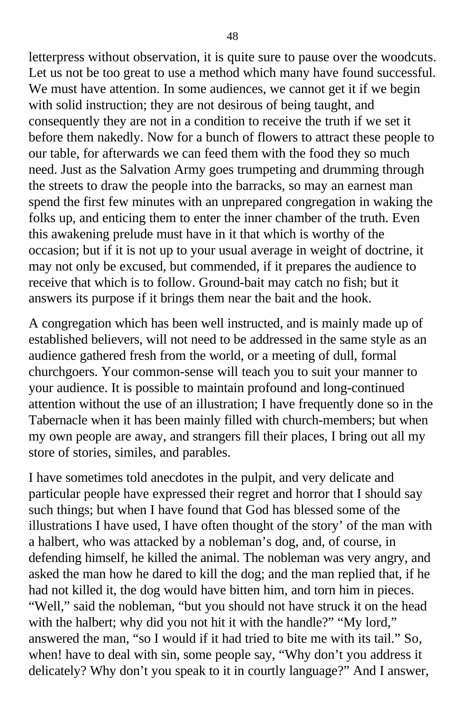letterpress without observation, it is quite sure to pause over the woodcuts. Let us not be too great to use a method which many have found successful. We must have attention. In some audiences, we cannot get it if we begin with solid instruction; they are not desirous of being taught, and consequently they are not in a condition to receive the truth if we set it before them nakedly. Now for a bunch of flowers to attract these people to our table, for afterwards we can feed them with the food they so much need. Just as the Salvation Army goes trumpeting and drumming through the streets to draw the people into the barracks, so may an earnest man spend the first few minutes with an unprepared congregation in waking the folks up, and enticing them to enter the inner chamber of the truth. Even this awakening prelude must have in it that which is worthy of the occasion; but if it is not up to your usual average in weight of doctrine, it may not only be excused, but commended, if it prepares the audience to receive that which is to follow. Ground-bait may catch no fish; but it answers its purpose if it brings them near the bait and the hook.

A congregation which has been well instructed, and is mainly made up of established believers, will not need to be addressed in the same style as an audience gathered fresh from the world, or a meeting of dull, formal churchgoers. Your common-sense will teach you to suit your manner to your audience. It is possible to maintain profound and long-continued attention without the use of an illustration; I have frequently done so in the Tabernacle when it has been mainly filled with church-members; but when my own people are away, and strangers fill their places, I bring out all my store of stories, similes, and parables.

I have sometimes told anecdotes in the pulpit, and very delicate and particular people have expressed their regret and horror that I should say such things; but when I have found that God has blessed some of the illustrations I have used, I have often thought of the story' of the man with a halbert, who was attacked by a nobleman's dog, and, of course, in defending himself, he killed the animal. The nobleman was very angry, and asked the man how he dared to kill the dog; and the man replied that, if he had not killed it, the dog would have bitten him, and torn him in pieces. "Well," said the nobleman, "but you should not have struck it on the head with the halbert; why did you not hit it with the handle?" "My lord," answered the man, "so I would if it had tried to bite me with its tail." So, when! have to deal with sin, some people say, "Why don't you address it delicately? Why don't you speak to it in courtly language?" And I answer,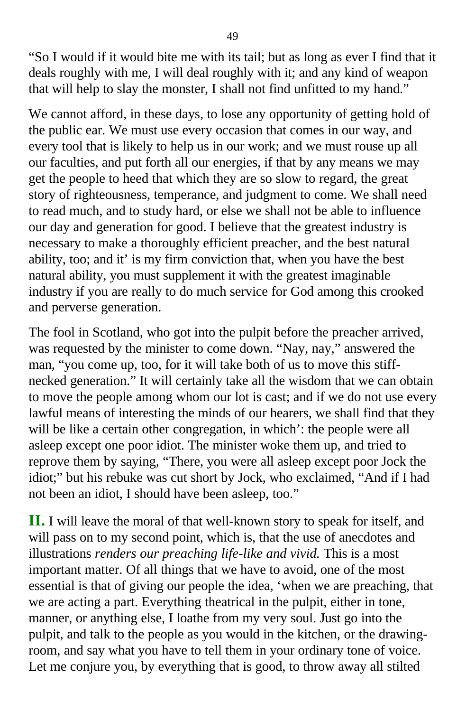"So I would if it would bite me with its tail; but as long as ever I find that it deals roughly with me, I will deal roughly with it; and any kind of weapon that will help to slay the monster, I shall not find unfitted to my hand."

We cannot afford, in these days, to lose any opportunity of getting hold of the public ear. We must use every occasion that comes in our way, and every tool that is likely to help us in our work; and we must rouse up all our faculties, and put forth all our energies, if that by any means we may get the people to heed that which they are so slow to regard, the great story of righteousness, temperance, and judgment to come. We shall need to read much, and to study hard, or else we shall not be able to influence our day and generation for good. I believe that the greatest industry is necessary to make a thoroughly efficient preacher, and the best natural ability, too; and it' is my firm conviction that, when you have the best natural ability, you must supplement it with the greatest imaginable industry if you are really to do much service for God among this crooked and perverse generation.

The fool in Scotland, who got into the pulpit before the preacher arrived, was requested by the minister to come down. "Nay, nay," answered the man, "you come up, too, for it will take both of us to move this stiffnecked generation." It will certainly take all the wisdom that we can obtain to move the people among whom our lot is cast; and if we do not use every lawful means of interesting the minds of our hearers, we shall find that they will be like a certain other congregation, in which': the people were all asleep except one poor idiot. The minister woke them up, and tried to reprove them by saying, "There, you were all asleep except poor Jock the idiot;" but his rebuke was cut short by Jock, who exclaimed, "And if I had not been an idiot, I should have been asleep, too."

**II.** I will leave the moral of that well-known story to speak for itself, and will pass on to my second point, which is, that the use of anecdotes and illustrations *renders our preaching life-like and vivid.* This is a most important matter. Of all things that we have to avoid, one of the most essential is that of giving our people the idea, 'when we are preaching, that we are acting a part. Everything theatrical in the pulpit, either in tone, manner, or anything else, I loathe from my very soul. Just go into the pulpit, and talk to the people as you would in the kitchen, or the drawingroom, and say what you have to tell them in your ordinary tone of voice. Let me conjure you, by everything that is good, to throw away all stilted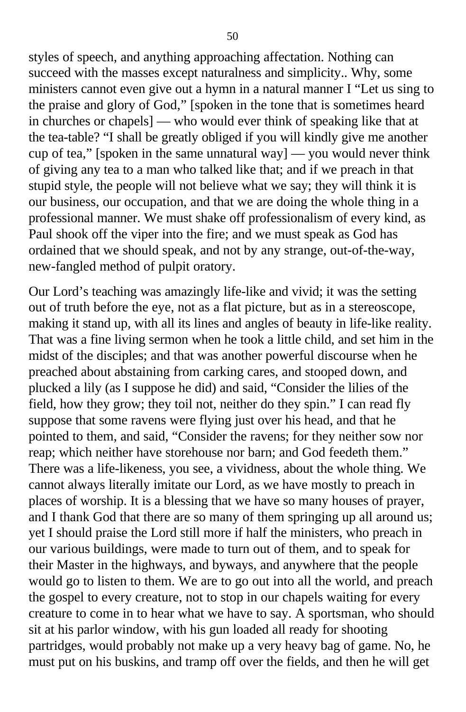styles of speech, and anything approaching affectation. Nothing can succeed with the masses except naturalness and simplicity.. Why, some ministers cannot even give out a hymn in a natural manner I "Let us sing to the praise and glory of God," [spoken in the tone that is sometimes heard in churches or chapels] — who would ever think of speaking like that at the tea-table? "I shall be greatly obliged if you will kindly give me another cup of tea," [spoken in the same unnatural way] — you would never think of giving any tea to a man who talked like that; and if we preach in that stupid style, the people will not believe what we say; they will think it is our business, our occupation, and that we are doing the whole thing in a professional manner. We must shake off professionalism of every kind, as Paul shook off the viper into the fire; and we must speak as God has ordained that we should speak, and not by any strange, out-of-the-way, new-fangled method of pulpit oratory.

Our Lord's teaching was amazingly life-like and vivid; it was the setting out of truth before the eye, not as a flat picture, but as in a stereoscope, making it stand up, with all its lines and angles of beauty in life-like reality. That was a fine living sermon when he took a little child, and set him in the midst of the disciples; and that was another powerful discourse when he preached about abstaining from carking cares, and stooped down, and plucked a lily (as I suppose he did) and said, "Consider the lilies of the field, how they grow; they toil not, neither do they spin." I can read fly suppose that some ravens were flying just over his head, and that he pointed to them, and said, "Consider the ravens; for they neither sow nor reap; which neither have storehouse nor barn; and God feedeth them." There was a life-likeness, you see, a vividness, about the whole thing. We cannot always literally imitate our Lord, as we have mostly to preach in places of worship. It is a blessing that we have so many houses of prayer, and I thank God that there are so many of them springing up all around us; yet I should praise the Lord still more if half the ministers, who preach in our various buildings, were made to turn out of them, and to speak for their Master in the highways, and byways, and anywhere that the people would go to listen to them. We are to go out into all the world, and preach the gospel to every creature, not to stop in our chapels waiting for every creature to come in to hear what we have to say. A sportsman, who should sit at his parlor window, with his gun loaded all ready for shooting partridges, would probably not make up a very heavy bag of game. No, he must put on his buskins, and tramp off over the fields, and then he will get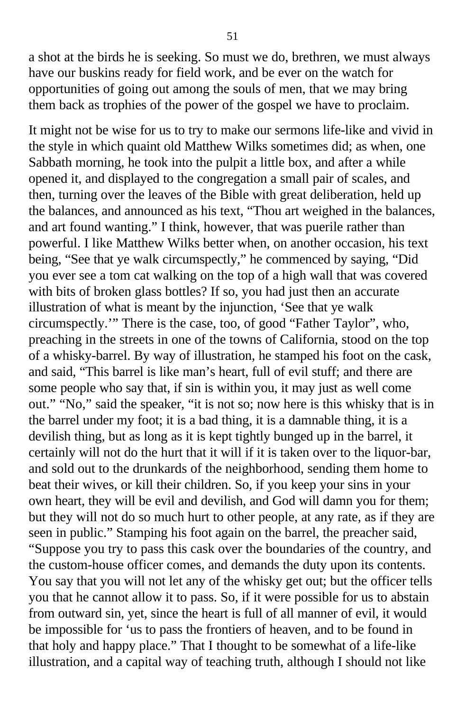a shot at the birds he is seeking. So must we do, brethren, we must always have our buskins ready for field work, and be ever on the watch for opportunities of going out among the souls of men, that we may bring them back as trophies of the power of the gospel we have to proclaim.

It might not be wise for us to try to make our sermons life-like and vivid in the style in which quaint old Matthew Wilks sometimes did; as when, one Sabbath morning, he took into the pulpit a little box, and after a while opened it, and displayed to the congregation a small pair of scales, and then, turning over the leaves of the Bible with great deliberation, held up the balances, and announced as his text, "Thou art weighed in the balances, and art found wanting." I think, however, that was puerile rather than powerful. I like Matthew Wilks better when, on another occasion, his text being, "See that ye walk circumspectly," he commenced by saying, "Did you ever see a tom cat walking on the top of a high wall that was covered with bits of broken glass bottles? If so, you had just then an accurate illustration of what is meant by the injunction, 'See that ye walk circumspectly.'" There is the case, too, of good "Father Taylor", who, preaching in the streets in one of the towns of California, stood on the top of a whisky-barrel. By way of illustration, he stamped his foot on the cask, and said, "This barrel is like man's heart, full of evil stuff; and there are some people who say that, if sin is within you, it may just as well come out." "No," said the speaker, "it is not so; now here is this whisky that is in the barrel under my foot; it is a bad thing, it is a damnable thing, it is a devilish thing, but as long as it is kept tightly bunged up in the barrel, it certainly will not do the hurt that it will if it is taken over to the liquor-bar, and sold out to the drunkards of the neighborhood, sending them home to beat their wives, or kill their children. So, if you keep your sins in your own heart, they will be evil and devilish, and God will damn you for them; but they will not do so much hurt to other people, at any rate, as if they are seen in public." Stamping his foot again on the barrel, the preacher said, "Suppose you try to pass this cask over the boundaries of the country, and the custom-house officer comes, and demands the duty upon its contents. You say that you will not let any of the whisky get out; but the officer tells you that he cannot allow it to pass. So, if it were possible for us to abstain from outward sin, yet, since the heart is full of all manner of evil, it would be impossible for 'us to pass the frontiers of heaven, and to be found in that holy and happy place." That I thought to be somewhat of a life-like illustration, and a capital way of teaching truth, although I should not like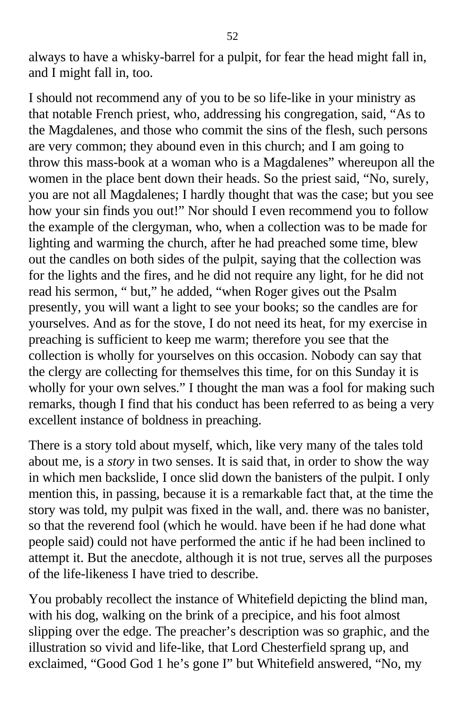always to have a whisky-barrel for a pulpit, for fear the head might fall in, and I might fall in, too.

I should not recommend any of you to be so life-like in your ministry as that notable French priest, who, addressing his congregation, said, "As to the Magdalenes, and those who commit the sins of the flesh, such persons are very common; they abound even in this church; and I am going to throw this mass-book at a woman who is a Magdalenes" whereupon all the women in the place bent down their heads. So the priest said, "No, surely, you are not all Magdalenes; I hardly thought that was the case; but you see how your sin finds you out!" Nor should I even recommend you to follow the example of the clergyman, who, when a collection was to be made for lighting and warming the church, after he had preached some time, blew out the candles on both sides of the pulpit, saying that the collection was for the lights and the fires, and he did not require any light, for he did not read his sermon, " but," he added, "when Roger gives out the Psalm presently, you will want a light to see your books; so the candles are for yourselves. And as for the stove, I do not need its heat, for my exercise in preaching is sufficient to keep me warm; therefore you see that the collection is wholly for yourselves on this occasion. Nobody can say that the clergy are collecting for themselves this time, for on this Sunday it is wholly for your own selves." I thought the man was a fool for making such remarks, though I find that his conduct has been referred to as being a very excellent instance of boldness in preaching.

There is a story told about myself, which, like very many of the tales told about me, is a *story* in two senses. It is said that, in order to show the way in which men backslide, I once slid down the banisters of the pulpit. I only mention this, in passing, because it is a remarkable fact that, at the time the story was told, my pulpit was fixed in the wall, and. there was no banister, so that the reverend fool (which he would. have been if he had done what people said) could not have performed the antic if he had been inclined to attempt it. But the anecdote, although it is not true, serves all the purposes of the life-likeness I have tried to describe.

You probably recollect the instance of Whitefield depicting the blind man, with his dog, walking on the brink of a precipice, and his foot almost slipping over the edge. The preacher's description was so graphic, and the illustration so vivid and life-like, that Lord Chesterfield sprang up, and exclaimed, "Good God 1 he's gone I" but Whitefield answered, "No, my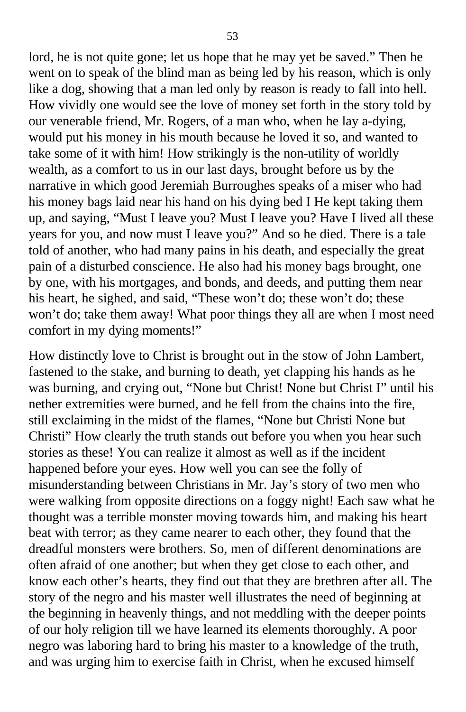lord, he is not quite gone; let us hope that he may yet be saved." Then he went on to speak of the blind man as being led by his reason, which is only like a dog, showing that a man led only by reason is ready to fall into hell. How vividly one would see the love of money set forth in the story told by our venerable friend, Mr. Rogers, of a man who, when he lay a-dying, would put his money in his mouth because he loved it so, and wanted to take some of it with him! How strikingly is the non-utility of worldly wealth, as a comfort to us in our last days, brought before us by the narrative in which good Jeremiah Burroughes speaks of a miser who had his money bags laid near his hand on his dying bed I He kept taking them up, and saying, "Must I leave you? Must I leave you? Have I lived all these years for you, and now must I leave you?" And so he died. There is a tale told of another, who had many pains in his death, and especially the great pain of a disturbed conscience. He also had his money bags brought, one by one, with his mortgages, and bonds, and deeds, and putting them near his heart, he sighed, and said, "These won't do; these won't do; these won't do; take them away! What poor things they all are when I most need comfort in my dying moments!"

How distinctly love to Christ is brought out in the stow of John Lambert, fastened to the stake, and burning to death, yet clapping his hands as he was burning, and crying out, "None but Christ! None but Christ I" until his nether extremities were burned, and he fell from the chains into the fire, still exclaiming in the midst of the flames, "None but Christi None but Christi" How clearly the truth stands out before you when you hear such stories as these! You can realize it almost as well as if the incident happened before your eyes. How well you can see the folly of misunderstanding between Christians in Mr. Jay's story of two men who were walking from opposite directions on a foggy night! Each saw what he thought was a terrible monster moving towards him, and making his heart beat with terror; as they came nearer to each other, they found that the dreadful monsters were brothers. So, men of different denominations are often afraid of one another; but when they get close to each other, and know each other's hearts, they find out that they are brethren after all. The story of the negro and his master well illustrates the need of beginning at the beginning in heavenly things, and not meddling with the deeper points of our holy religion till we have learned its elements thoroughly. A poor negro was laboring hard to bring his master to a knowledge of the truth, and was urging him to exercise faith in Christ, when he excused himself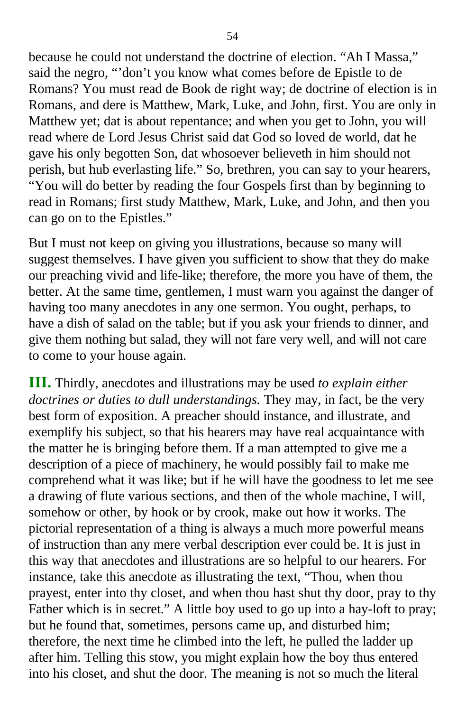because he could not understand the doctrine of election. "Ah I Massa," said the negro, "'don't you know what comes before de Epistle to de Romans? You must read de Book de right way; de doctrine of election is in Romans, and dere is Matthew, Mark, Luke, and John, first. You are only in Matthew yet; dat is about repentance; and when you get to John, you will read where de Lord Jesus Christ said dat God so loved de world, dat he gave his only begotten Son, dat whosoever believeth in him should not perish, but hub everlasting life." So, brethren, you can say to your hearers, "You will do better by reading the four Gospels first than by beginning to read in Romans; first study Matthew, Mark, Luke, and John, and then you can go on to the Epistles."

But I must not keep on giving you illustrations, because so many will suggest themselves. I have given you sufficient to show that they do make our preaching vivid and life-like; therefore, the more you have of them, the better. At the same time, gentlemen, I must warn you against the danger of having too many anecdotes in any one sermon. You ought, perhaps, to have a dish of salad on the table; but if you ask your friends to dinner, and give them nothing but salad, they will not fare very well, and will not care to come to your house again.

**III.** Thirdly, anecdotes and illustrations may be used *to explain either doctrines or duties to dull understandings.* They may, in fact, be the very best form of exposition. A preacher should instance, and illustrate, and exemplify his subject, so that his hearers may have real acquaintance with the matter he is bringing before them. If a man attempted to give me a description of a piece of machinery, he would possibly fail to make me comprehend what it was like; but if he will have the goodness to let me see a drawing of flute various sections, and then of the whole machine, I will, somehow or other, by hook or by crook, make out how it works. The pictorial representation of a thing is always a much more powerful means of instruction than any mere verbal description ever could be. It is just in this way that anecdotes and illustrations are so helpful to our hearers. For instance, take this anecdote as illustrating the text, "Thou, when thou prayest, enter into thy closet, and when thou hast shut thy door, pray to thy Father which is in secret." A little boy used to go up into a hay-loft to pray; but he found that, sometimes, persons came up, and disturbed him; therefore, the next time he climbed into the left, he pulled the ladder up after him. Telling this stow, you might explain how the boy thus entered into his closet, and shut the door. The meaning is not so much the literal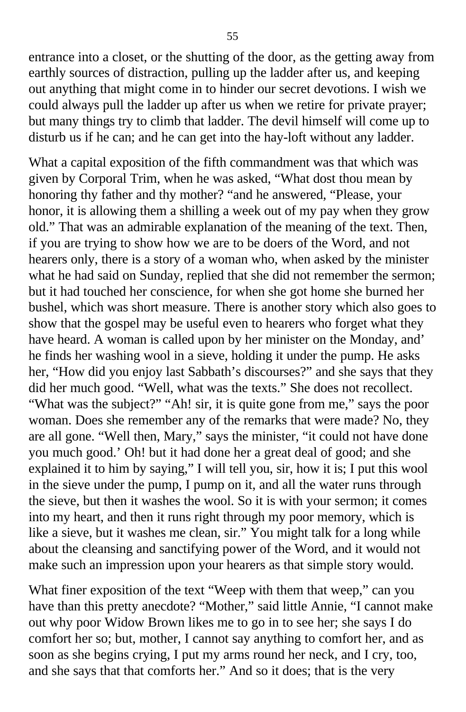entrance into a closet, or the shutting of the door, as the getting away from earthly sources of distraction, pulling up the ladder after us, and keeping out anything that might come in to hinder our secret devotions. I wish we could always pull the ladder up after us when we retire for private prayer; but many things try to climb that ladder. The devil himself will come up to disturb us if he can; and he can get into the hay-loft without any ladder.

What a capital exposition of the fifth commandment was that which was given by Corporal Trim, when he was asked, "What dost thou mean by honoring thy father and thy mother? "and he answered, "Please, your honor, it is allowing them a shilling a week out of my pay when they grow old." That was an admirable explanation of the meaning of the text. Then, if you are trying to show how we are to be doers of the Word, and not hearers only, there is a story of a woman who, when asked by the minister what he had said on Sunday, replied that she did not remember the sermon; but it had touched her conscience, for when she got home she burned her bushel, which was short measure. There is another story which also goes to show that the gospel may be useful even to hearers who forget what they have heard. A woman is called upon by her minister on the Monday, and' he finds her washing wool in a sieve, holding it under the pump. He asks her, "How did you enjoy last Sabbath's discourses?" and she says that they did her much good. "Well, what was the texts." She does not recollect. "What was the subject?" "Ah! sir, it is quite gone from me," says the poor woman. Does she remember any of the remarks that were made? No, they are all gone. "Well then, Mary," says the minister, "it could not have done you much good.' Oh! but it had done her a great deal of good; and she explained it to him by saying," I will tell you, sir, how it is; I put this wool in the sieve under the pump, I pump on it, and all the water runs through the sieve, but then it washes the wool. So it is with your sermon; it comes into my heart, and then it runs right through my poor memory, which is like a sieve, but it washes me clean, sir." You might talk for a long while about the cleansing and sanctifying power of the Word, and it would not make such an impression upon your hearers as that simple story would.

What finer exposition of the text "Weep with them that weep," can you have than this pretty anecdote? "Mother," said little Annie, "I cannot make out why poor Widow Brown likes me to go in to see her; she says I do comfort her so; but, mother, I cannot say anything to comfort her, and as soon as she begins crying, I put my arms round her neck, and I cry, too, and she says that that comforts her." And so it does; that is the very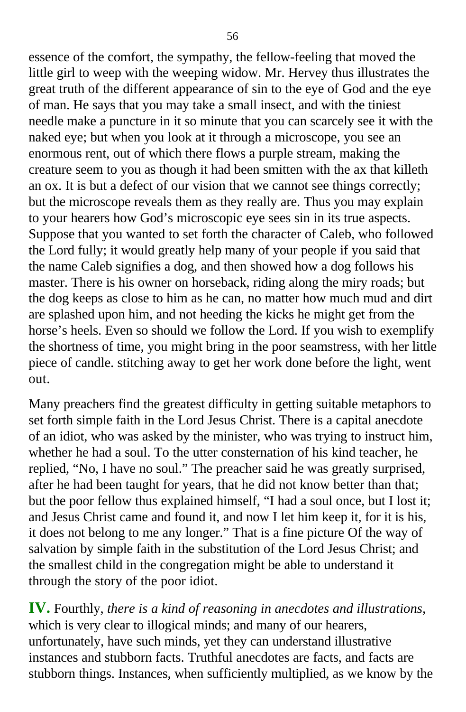essence of the comfort, the sympathy, the fellow-feeling that moved the little girl to weep with the weeping widow. Mr. Hervey thus illustrates the great truth of the different appearance of sin to the eye of God and the eye of man. He says that you may take a small insect, and with the tiniest needle make a puncture in it so minute that you can scarcely see it with the naked eye; but when you look at it through a microscope, you see an enormous rent, out of which there flows a purple stream, making the creature seem to you as though it had been smitten with the ax that killeth an ox. It is but a defect of our vision that we cannot see things correctly; but the microscope reveals them as they really are. Thus you may explain to your hearers how God's microscopic eye sees sin in its true aspects. Suppose that you wanted to set forth the character of Caleb, who followed the Lord fully; it would greatly help many of your people if you said that the name Caleb signifies a dog, and then showed how a dog follows his master. There is his owner on horseback, riding along the miry roads; but the dog keeps as close to him as he can, no matter how much mud and dirt are splashed upon him, and not heeding the kicks he might get from the horse's heels. Even so should we follow the Lord. If you wish to exemplify the shortness of time, you might bring in the poor seamstress, with her little piece of candle. stitching away to get her work done before the light, went out.

Many preachers find the greatest difficulty in getting suitable metaphors to set forth simple faith in the Lord Jesus Christ. There is a capital anecdote of an idiot, who was asked by the minister, who was trying to instruct him, whether he had a soul. To the utter consternation of his kind teacher, he replied, "No, I have no soul." The preacher said he was greatly surprised, after he had been taught for years, that he did not know better than that; but the poor fellow thus explained himself, "I had a soul once, but I lost it; and Jesus Christ came and found it, and now I let him keep it, for it is his, it does not belong to me any longer." That is a fine picture Of the way of salvation by simple faith in the substitution of the Lord Jesus Christ; and the smallest child in the congregation might be able to understand it through the story of the poor idiot.

**IV.** Fourthly, *there is a kind of reasoning in anecdotes and illustrations,* which is very clear to illogical minds; and many of our hearers, unfortunately, have such minds, yet they can understand illustrative instances and stubborn facts. Truthful anecdotes are facts, and facts are stubborn things. Instances, when sufficiently multiplied, as we know by the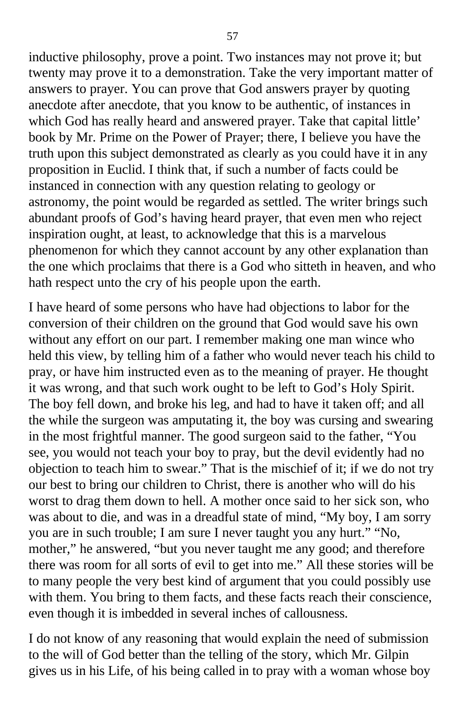inductive philosophy, prove a point. Two instances may not prove it; but twenty may prove it to a demonstration. Take the very important matter of answers to prayer. You can prove that God answers prayer by quoting anecdote after anecdote, that you know to be authentic, of instances in which God has really heard and answered prayer. Take that capital little' book by Mr. Prime on the Power of Prayer; there, I believe you have the truth upon this subject demonstrated as clearly as you could have it in any proposition in Euclid. I think that, if such a number of facts could be instanced in connection with any question relating to geology or astronomy, the point would be regarded as settled. The writer brings such abundant proofs of God's having heard prayer, that even men who reject inspiration ought, at least, to acknowledge that this is a marvelous phenomenon for which they cannot account by any other explanation than the one which proclaims that there is a God who sitteth in heaven, and who hath respect unto the cry of his people upon the earth.

I have heard of some persons who have had objections to labor for the conversion of their children on the ground that God would save his own without any effort on our part. I remember making one man wince who held this view, by telling him of a father who would never teach his child to pray, or have him instructed even as to the meaning of prayer. He thought it was wrong, and that such work ought to be left to God's Holy Spirit. The boy fell down, and broke his leg, and had to have it taken off; and all the while the surgeon was amputating it, the boy was cursing and swearing in the most frightful manner. The good surgeon said to the father, "You see, you would not teach your boy to pray, but the devil evidently had no objection to teach him to swear." That is the mischief of it; if we do not try our best to bring our children to Christ, there is another who will do his worst to drag them down to hell. A mother once said to her sick son, who was about to die, and was in a dreadful state of mind, "My boy, I am sorry you are in such trouble; I am sure I never taught you any hurt." "No, mother," he answered, "but you never taught me any good; and therefore there was room for all sorts of evil to get into me." All these stories will be to many people the very best kind of argument that you could possibly use with them. You bring to them facts, and these facts reach their conscience, even though it is imbedded in several inches of callousness.

I do not know of any reasoning that would explain the need of submission to the will of God better than the telling of the story, which Mr. Gilpin gives us in his Life, of his being called in to pray with a woman whose boy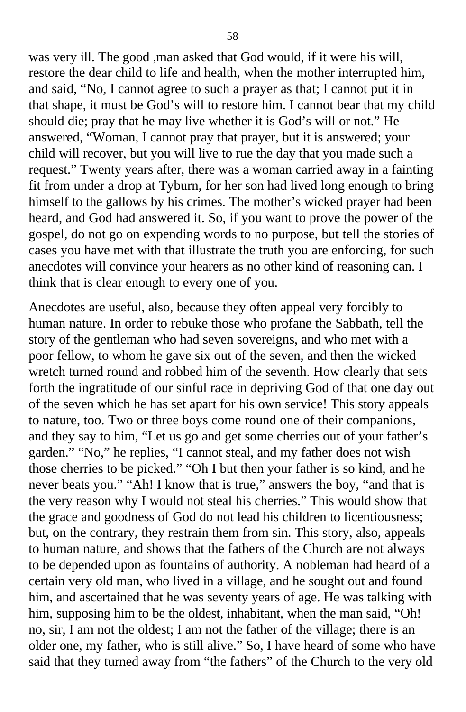was very ill. The good ,man asked that God would, if it were his will, restore the dear child to life and health, when the mother interrupted him, and said, "No, I cannot agree to such a prayer as that; I cannot put it in that shape, it must be God's will to restore him. I cannot bear that my child should die; pray that he may live whether it is God's will or not." He answered, "Woman, I cannot pray that prayer, but it is answered; your child will recover, but you will live to rue the day that you made such a request." Twenty years after, there was a woman carried away in a fainting fit from under a drop at Tyburn, for her son had lived long enough to bring himself to the gallows by his crimes. The mother's wicked prayer had been heard, and God had answered it. So, if you want to prove the power of the gospel, do not go on expending words to no purpose, but tell the stories of cases you have met with that illustrate the truth you are enforcing, for such anecdotes will convince your hearers as no other kind of reasoning can. I think that is clear enough to every one of you.

Anecdotes are useful, also, because they often appeal very forcibly to human nature. In order to rebuke those who profane the Sabbath, tell the story of the gentleman who had seven sovereigns, and who met with a poor fellow, to whom he gave six out of the seven, and then the wicked wretch turned round and robbed him of the seventh. How clearly that sets forth the ingratitude of our sinful race in depriving God of that one day out of the seven which he has set apart for his own service! This story appeals to nature, too. Two or three boys come round one of their companions, and they say to him, "Let us go and get some cherries out of your father's garden." "No," he replies, "I cannot steal, and my father does not wish those cherries to be picked." "Oh I but then your father is so kind, and he never beats you." "Ah! I know that is true," answers the boy, "and that is the very reason why I would not steal his cherries." This would show that the grace and goodness of God do not lead his children to licentiousness; but, on the contrary, they restrain them from sin. This story, also, appeals to human nature, and shows that the fathers of the Church are not always to be depended upon as fountains of authority. A nobleman had heard of a certain very old man, who lived in a village, and he sought out and found him, and ascertained that he was seventy years of age. He was talking with him, supposing him to be the oldest, inhabitant, when the man said, "Oh! no, sir, I am not the oldest; I am not the father of the village; there is an older one, my father, who is still alive." So, I have heard of some who have said that they turned away from "the fathers" of the Church to the very old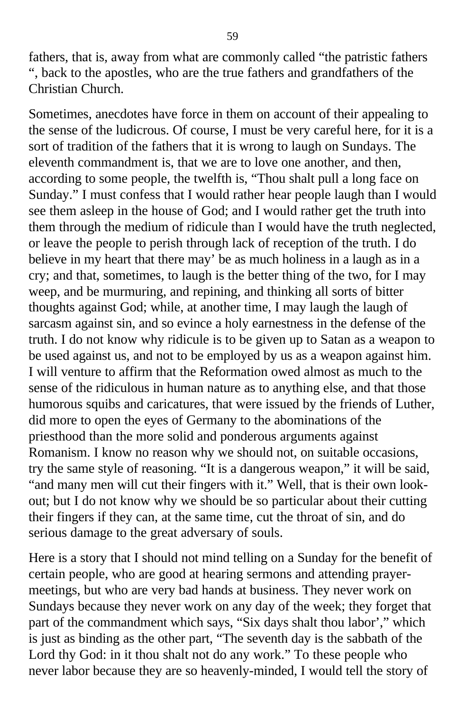fathers, that is, away from what are commonly called "the patristic fathers ", back to the apostles, who are the true fathers and grandfathers of the Christian Church.

Sometimes, anecdotes have force in them on account of their appealing to the sense of the ludicrous. Of course, I must be very careful here, for it is a sort of tradition of the fathers that it is wrong to laugh on Sundays. The eleventh commandment is, that we are to love one another, and then, according to some people, the twelfth is, "Thou shalt pull a long face on Sunday." I must confess that I would rather hear people laugh than I would see them asleep in the house of God; and I would rather get the truth into them through the medium of ridicule than I would have the truth neglected, or leave the people to perish through lack of reception of the truth. I do believe in my heart that there may' be as much holiness in a laugh as in a cry; and that, sometimes, to laugh is the better thing of the two, for I may weep, and be murmuring, and repining, and thinking all sorts of bitter thoughts against God; while, at another time, I may laugh the laugh of sarcasm against sin, and so evince a holy earnestness in the defense of the truth. I do not know why ridicule is to be given up to Satan as a weapon to be used against us, and not to be employed by us as a weapon against him. I will venture to affirm that the Reformation owed almost as much to the sense of the ridiculous in human nature as to anything else, and that those humorous squibs and caricatures, that were issued by the friends of Luther, did more to open the eyes of Germany to the abominations of the priesthood than the more solid and ponderous arguments against Romanism. I know no reason why we should not, on suitable occasions, try the same style of reasoning. "It is a dangerous weapon," it will be said, "and many men will cut their fingers with it." Well, that is their own lookout; but I do not know why we should be so particular about their cutting their fingers if they can, at the same time, cut the throat of sin, and do serious damage to the great adversary of souls.

Here is a story that I should not mind telling on a Sunday for the benefit of certain people, who are good at hearing sermons and attending prayermeetings, but who are very bad hands at business. They never work on Sundays because they never work on any day of the week; they forget that part of the commandment which says, "Six days shalt thou labor'," which is just as binding as the other part, "The seventh day is the sabbath of the Lord thy God: in it thou shalt not do any work." To these people who never labor because they are so heavenly-minded, I would tell the story of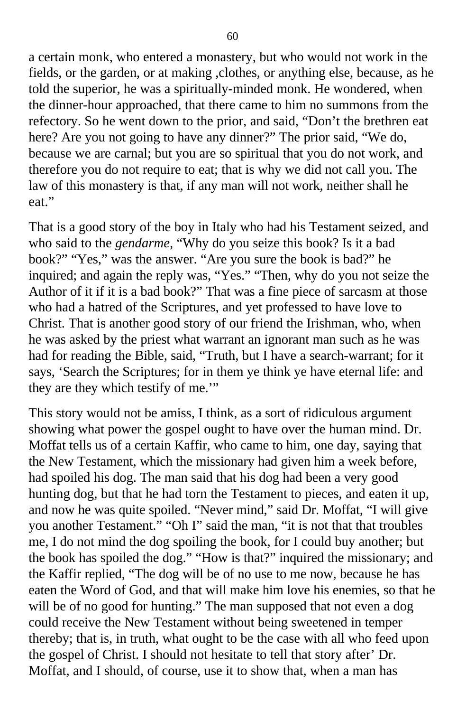a certain monk, who entered a monastery, but who would not work in the fields, or the garden, or at making ,clothes, or anything else, because, as he told the superior, he was a spiritually-minded monk. He wondered, when the dinner-hour approached, that there came to him no summons from the refectory. So he went down to the prior, and said, "Don't the brethren eat here? Are you not going to have any dinner?" The prior said, "We do, because we are carnal; but you are so spiritual that you do not work, and therefore you do not require to eat; that is why we did not call you. The law of this monastery is that, if any man will not work, neither shall he eat."

That is a good story of the boy in Italy who had his Testament seized, and who said to the *gendarme,* "Why do you seize this book? Is it a bad book?" "Yes," was the answer. "Are you sure the book is bad?" he inquired; and again the reply was, "Yes." "Then, why do you not seize the Author of it if it is a bad book?" That was a fine piece of sarcasm at those who had a hatred of the Scriptures, and yet professed to have love to Christ. That is another good story of our friend the Irishman, who, when he was asked by the priest what warrant an ignorant man such as he was had for reading the Bible, said, "Truth, but I have a search-warrant; for it says, 'Search the Scriptures; for in them ye think ye have eternal life: and they are they which testify of me.'"

This story would not be amiss, I think, as a sort of ridiculous argument showing what power the gospel ought to have over the human mind. Dr. Moffat tells us of a certain Kaffir, who came to him, one day, saying that the New Testament, which the missionary had given him a week before, had spoiled his dog. The man said that his dog had been a very good hunting dog, but that he had torn the Testament to pieces, and eaten it up, and now he was quite spoiled. "Never mind," said Dr. Moffat, "I will give you another Testament." "Oh I" said the man, "it is not that that troubles me, I do not mind the dog spoiling the book, for I could buy another; but the book has spoiled the dog." "How is that?" inquired the missionary; and the Kaffir replied, "The dog will be of no use to me now, because he has eaten the Word of God, and that will make him love his enemies, so that he will be of no good for hunting." The man supposed that not even a dog could receive the New Testament without being sweetened in temper thereby; that is, in truth, what ought to be the case with all who feed upon the gospel of Christ. I should not hesitate to tell that story after' Dr. Moffat, and I should, of course, use it to show that, when a man has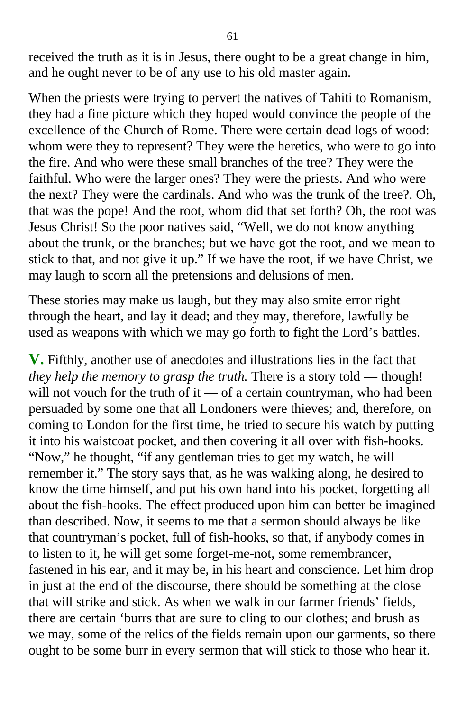received the truth as it is in Jesus, there ought to be a great change in him, and he ought never to be of any use to his old master again.

When the priests were trying to pervert the natives of Tahiti to Romanism, they had a fine picture which they hoped would convince the people of the excellence of the Church of Rome. There were certain dead logs of wood: whom were they to represent? They were the heretics, who were to go into the fire. And who were these small branches of the tree? They were the faithful. Who were the larger ones? They were the priests. And who were the next? They were the cardinals. And who was the trunk of the tree?. Oh, that was the pope! And the root, whom did that set forth? Oh, the root was Jesus Christ! So the poor natives said, "Well, we do not know anything about the trunk, or the branches; but we have got the root, and we mean to stick to that, and not give it up." If we have the root, if we have Christ, we may laugh to scorn all the pretensions and delusions of men.

These stories may make us laugh, but they may also smite error right through the heart, and lay it dead; and they may, therefore, lawfully be used as weapons with which we may go forth to fight the Lord's battles.

**V.** Fifthly, another use of anecdotes and illustrations lies in the fact that *they help the memory to grasp the truth.* There is a story told — though! will not vouch for the truth of it — of a certain countryman, who had been persuaded by some one that all Londoners were thieves; and, therefore, on coming to London for the first time, he tried to secure his watch by putting it into his waistcoat pocket, and then covering it all over with fish-hooks. "Now," he thought, "if any gentleman tries to get my watch, he will remember it." The story says that, as he was walking along, he desired to know the time himself, and put his own hand into his pocket, forgetting all about the fish-hooks. The effect produced upon him can better be imagined than described. Now, it seems to me that a sermon should always be like that countryman's pocket, full of fish-hooks, so that, if anybody comes in to listen to it, he will get some forget-me-not, some remembrancer, fastened in his ear, and it may be, in his heart and conscience. Let him drop in just at the end of the discourse, there should be something at the close that will strike and stick. As when we walk in our farmer friends' fields, there are certain 'burrs that are sure to cling to our clothes; and brush as we may, some of the relics of the fields remain upon our garments, so there ought to be some burr in every sermon that will stick to those who hear it.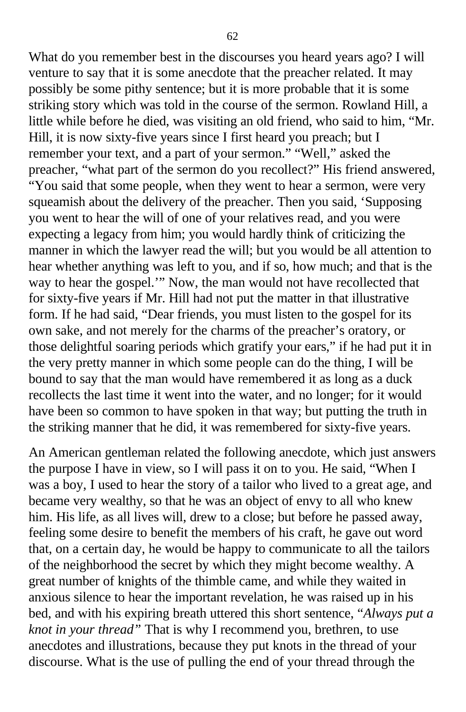What do you remember best in the discourses you heard years ago? I will venture to say that it is some anecdote that the preacher related. It may possibly be some pithy sentence; but it is more probable that it is some striking story which was told in the course of the sermon. Rowland Hill, a little while before he died, was visiting an old friend, who said to him, "Mr. Hill, it is now sixty-five years since I first heard you preach; but I remember your text, and a part of your sermon." "Well," asked the preacher, "what part of the sermon do you recollect?" His friend answered, "You said that some people, when they went to hear a sermon, were very squeamish about the delivery of the preacher. Then you said, 'Supposing you went to hear the will of one of your relatives read, and you were expecting a legacy from him; you would hardly think of criticizing the manner in which the lawyer read the will; but you would be all attention to hear whether anything was left to you, and if so, how much; and that is the way to hear the gospel.'" Now, the man would not have recollected that for sixty-five years if Mr. Hill had not put the matter in that illustrative form. If he had said, "Dear friends, you must listen to the gospel for its own sake, and not merely for the charms of the preacher's oratory, or those delightful soaring periods which gratify your ears," if he had put it in the very pretty manner in which some people can do the thing, I will be bound to say that the man would have remembered it as long as a duck recollects the last time it went into the water, and no longer; for it would have been so common to have spoken in that way; but putting the truth in the striking manner that he did, it was remembered for sixty-five years.

An American gentleman related the following anecdote, which just answers the purpose I have in view, so I will pass it on to you. He said, "When I was a boy, I used to hear the story of a tailor who lived to a great age, and became very wealthy, so that he was an object of envy to all who knew him. His life, as all lives will, drew to a close; but before he passed away, feeling some desire to benefit the members of his craft, he gave out word that, on a certain day, he would be happy to communicate to all the tailors of the neighborhood the secret by which they might become wealthy. A great number of knights of the thimble came, and while they waited in anxious silence to hear the important revelation, he was raised up in his bed, and with his expiring breath uttered this short sentence, "*Always put a knot in your thread"* That is why I recommend you, brethren, to use anecdotes and illustrations, because they put knots in the thread of your discourse. What is the use of pulling the end of your thread through the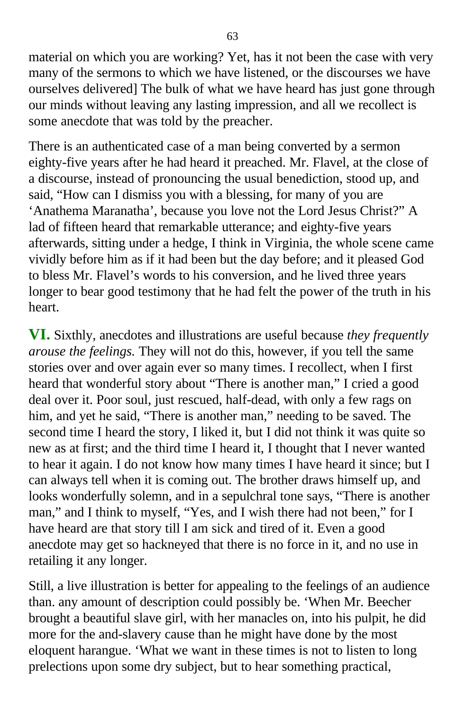material on which you are working? Yet, has it not been the case with very many of the sermons to which we have listened, or the discourses we have ourselves delivered] The bulk of what we have heard has just gone through our minds without leaving any lasting impression, and all we recollect is some anecdote that was told by the preacher.

There is an authenticated case of a man being converted by a sermon eighty-five years after he had heard it preached. Mr. Flavel, at the close of a discourse, instead of pronouncing the usual benediction, stood up, and said, "How can I dismiss you with a blessing, for many of you are 'Anathema Maranatha', because you love not the Lord Jesus Christ?" A lad of fifteen heard that remarkable utterance; and eighty-five years afterwards, sitting under a hedge, I think in Virginia, the whole scene came vividly before him as if it had been but the day before; and it pleased God to bless Mr. Flavel's words to his conversion, and he lived three years longer to bear good testimony that he had felt the power of the truth in his heart.

**VI.** Sixthly, anecdotes and illustrations are useful because *they frequently arouse the feelings.* They will not do this, however, if you tell the same stories over and over again ever so many times. I recollect, when I first heard that wonderful story about "There is another man," I cried a good deal over it. Poor soul, just rescued, half-dead, with only a few rags on him, and yet he said, "There is another man," needing to be saved. The second time I heard the story, I liked it, but I did not think it was quite so new as at first; and the third time I heard it, I thought that I never wanted to hear it again. I do not know how many times I have heard it since; but I can always tell when it is coming out. The brother draws himself up, and looks wonderfully solemn, and in a sepulchral tone says, "There is another man," and I think to myself, "Yes, and I wish there had not been," for I have heard are that story till I am sick and tired of it. Even a good anecdote may get so hackneyed that there is no force in it, and no use in retailing it any longer.

Still, a live illustration is better for appealing to the feelings of an audience than. any amount of description could possibly be. 'When Mr. Beecher brought a beautiful slave girl, with her manacles on, into his pulpit, he did more for the and-slavery cause than he might have done by the most eloquent harangue. 'What we want in these times is not to listen to long prelections upon some dry subject, but to hear something practical,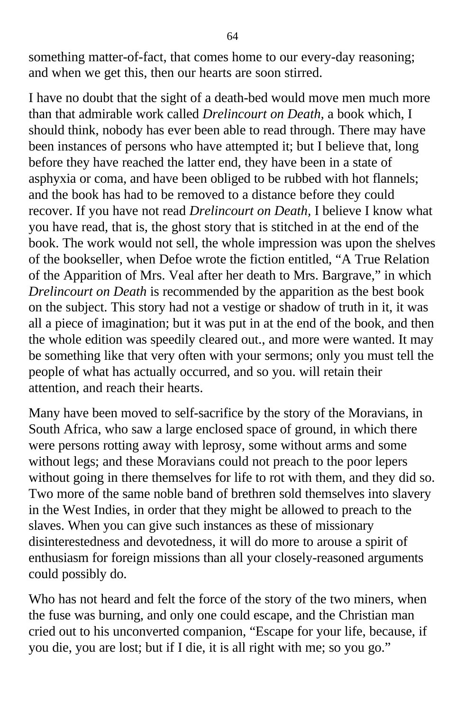something matter-of-fact, that comes home to our every-day reasoning; and when we get this, then our hearts are soon stirred.

I have no doubt that the sight of a death-bed would move men much more than that admirable work called *Drelincourt on Death,* a book which, I should think, nobody has ever been able to read through. There may have been instances of persons who have attempted it; but I believe that, long before they have reached the latter end, they have been in a state of asphyxia or coma, and have been obliged to be rubbed with hot flannels; and the book has had to be removed to a distance before they could recover. If you have not read *Drelincourt on Death,* I believe I know what you have read, that is, the ghost story that is stitched in at the end of the book. The work would not sell, the whole impression was upon the shelves of the bookseller, when Defoe wrote the fiction entitled, "A True Relation of the Apparition of Mrs. Veal after her death to Mrs. Bargrave," in which *Drelincourt on Death* is recommended by the apparition as the best book on the subject. This story had not a vestige or shadow of truth in it, it was all a piece of imagination; but it was put in at the end of the book, and then the whole edition was speedily cleared out., and more were wanted. It may be something like that very often with your sermons; only you must tell the people of what has actually occurred, and so you. will retain their attention, and reach their hearts.

Many have been moved to self-sacrifice by the story of the Moravians, in South Africa, who saw a large enclosed space of ground, in which there were persons rotting away with leprosy, some without arms and some without legs; and these Moravians could not preach to the poor lepers without going in there themselves for life to rot with them, and they did so. Two more of the same noble band of brethren sold themselves into slavery in the West Indies, in order that they might be allowed to preach to the slaves. When you can give such instances as these of missionary disinterestedness and devotedness, it will do more to arouse a spirit of enthusiasm for foreign missions than all your closely-reasoned arguments could possibly do.

Who has not heard and felt the force of the story of the two miners, when the fuse was burning, and only one could escape, and the Christian man cried out to his unconverted companion, "Escape for your life, because, if you die, you are lost; but if I die, it is all right with me; so you go."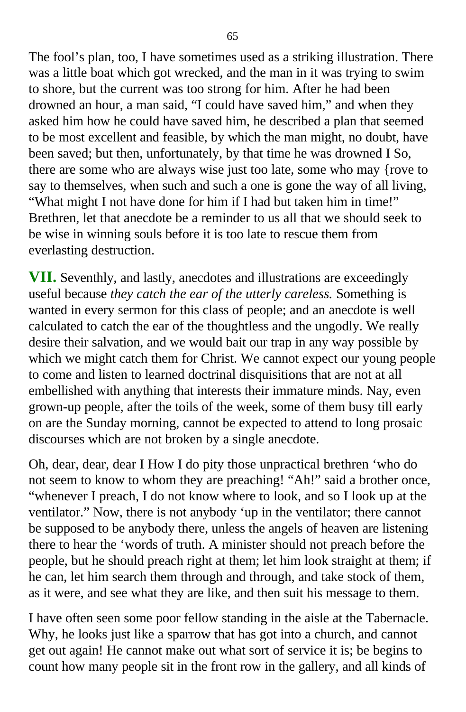The fool's plan, too, I have sometimes used as a striking illustration. There was a little boat which got wrecked, and the man in it was trying to swim to shore, but the current was too strong for him. After he had been drowned an hour, a man said, "I could have saved him," and when they asked him how he could have saved him, he described a plan that seemed to be most excellent and feasible, by which the man might, no doubt, have been saved; but then, unfortunately, by that time he was drowned I So, there are some who are always wise just too late, some who may {rove to say to themselves, when such and such a one is gone the way of all living, "What might I not have done for him if I had but taken him in time!" Brethren, let that anecdote be a reminder to us all that we should seek to be wise in winning souls before it is too late to rescue them from everlasting destruction.

**VII.** Seventhly, and lastly, anecdotes and illustrations are exceedingly useful because *they catch the ear of the utterly careless.* Something is wanted in every sermon for this class of people; and an anecdote is well calculated to catch the ear of the thoughtless and the ungodly. We really desire their salvation, and we would bait our trap in any way possible by which we might catch them for Christ. We cannot expect our young people to come and listen to learned doctrinal disquisitions that are not at all embellished with anything that interests their immature minds. Nay, even grown-up people, after the toils of the week, some of them busy till early on are the Sunday morning, cannot be expected to attend to long prosaic discourses which are not broken by a single anecdote.

Oh, dear, dear, dear I How I do pity those unpractical brethren 'who do not seem to know to whom they are preaching! "Ah!" said a brother once, "whenever I preach, I do not know where to look, and so I look up at the ventilator." Now, there is not anybody 'up in the ventilator; there cannot be supposed to be anybody there, unless the angels of heaven are listening there to hear the 'words of truth. A minister should not preach before the people, but he should preach right at them; let him look straight at them; if he can, let him search them through and through, and take stock of them, as it were, and see what they are like, and then suit his message to them.

I have often seen some poor fellow standing in the aisle at the Tabernacle. Why, he looks just like a sparrow that has got into a church, and cannot get out again! He cannot make out what sort of service it is; be begins to count how many people sit in the front row in the gallery, and all kinds of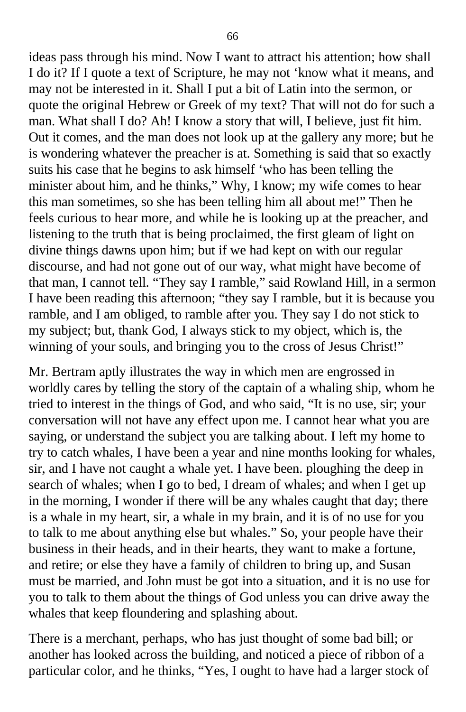ideas pass through his mind. Now I want to attract his attention; how shall I do it? If I quote a text of Scripture, he may not 'know what it means, and may not be interested in it. Shall I put a bit of Latin into the sermon, or quote the original Hebrew or Greek of my text? That will not do for such a man. What shall I do? Ah! I know a story that will, I believe, just fit him. Out it comes, and the man does not look up at the gallery any more; but he is wondering whatever the preacher is at. Something is said that so exactly suits his case that he begins to ask himself 'who has been telling the minister about him, and he thinks," Why, I know; my wife comes to hear this man sometimes, so she has been telling him all about me!" Then he feels curious to hear more, and while he is looking up at the preacher, and listening to the truth that is being proclaimed, the first gleam of light on divine things dawns upon him; but if we had kept on with our regular discourse, and had not gone out of our way, what might have become of that man, I cannot tell. "They say I ramble," said Rowland Hill, in a sermon I have been reading this afternoon; "they say I ramble, but it is because you ramble, and I am obliged, to ramble after you. They say I do not stick to my subject; but, thank God, I always stick to my object, which is, the winning of your souls, and bringing you to the cross of Jesus Christ!"

Mr. Bertram aptly illustrates the way in which men are engrossed in worldly cares by telling the story of the captain of a whaling ship, whom he tried to interest in the things of God, and who said, "It is no use, sir; your conversation will not have any effect upon me. I cannot hear what you are saying, or understand the subject you are talking about. I left my home to try to catch whales, I have been a year and nine months looking for whales, sir, and I have not caught a whale yet. I have been. ploughing the deep in search of whales; when I go to bed, I dream of whales; and when I get up in the morning, I wonder if there will be any whales caught that day; there is a whale in my heart, sir, a whale in my brain, and it is of no use for you to talk to me about anything else but whales." So, your people have their business in their heads, and in their hearts, they want to make a fortune, and retire; or else they have a family of children to bring up, and Susan must be married, and John must be got into a situation, and it is no use for you to talk to them about the things of God unless you can drive away the whales that keep floundering and splashing about.

There is a merchant, perhaps, who has just thought of some bad bill; or another has looked across the building, and noticed a piece of ribbon of a particular color, and he thinks, "Yes, I ought to have had a larger stock of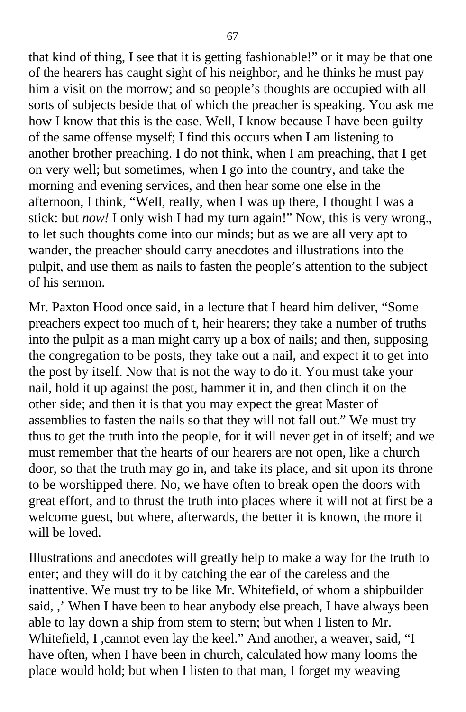that kind of thing, I see that it is getting fashionable!" or it may be that one of the hearers has caught sight of his neighbor, and he thinks he must pay him a visit on the morrow; and so people's thoughts are occupied with all sorts of subjects beside that of which the preacher is speaking. You ask me how I know that this is the ease. Well, I know because I have been guilty of the same offense myself; I find this occurs when I am listening to another brother preaching. I do not think, when I am preaching, that I get on very well; but sometimes, when I go into the country, and take the morning and evening services, and then hear some one else in the afternoon, I think, "Well, really, when I was up there, I thought I was a stick: but *now!* I only wish I had my turn again!" Now, this is very wrong., to let such thoughts come into our minds; but as we are all very apt to wander, the preacher should carry anecdotes and illustrations into the pulpit, and use them as nails to fasten the people's attention to the subject of his sermon.

Mr. Paxton Hood once said, in a lecture that I heard him deliver, "Some preachers expect too much of t, heir hearers; they take a number of truths into the pulpit as a man might carry up a box of nails; and then, supposing the congregation to be posts, they take out a nail, and expect it to get into the post by itself. Now that is not the way to do it. You must take your nail, hold it up against the post, hammer it in, and then clinch it on the other side; and then it is that you may expect the great Master of assemblies to fasten the nails so that they will not fall out." We must try thus to get the truth into the people, for it will never get in of itself; and we must remember that the hearts of our hearers are not open, like a church door, so that the truth may go in, and take its place, and sit upon its throne to be worshipped there. No, we have often to break open the doors with great effort, and to thrust the truth into places where it will not at first be a welcome guest, but where, afterwards, the better it is known, the more it will be loved.

Illustrations and anecdotes will greatly help to make a way for the truth to enter; and they will do it by catching the ear of the careless and the inattentive. We must try to be like Mr. Whitefield, of whom a shipbuilder said, ,' When I have been to hear anybody else preach, I have always been able to lay down a ship from stem to stern; but when I listen to Mr. Whitefield, I ,cannot even lay the keel." And another, a weaver, said, "I have often, when I have been in church, calculated how many looms the place would hold; but when I listen to that man, I forget my weaving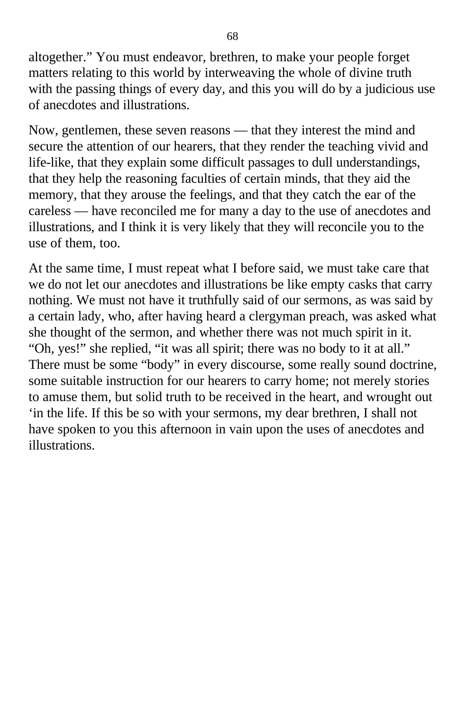altogether." You must endeavor, brethren, to make your people forget matters relating to this world by interweaving the whole of divine truth with the passing things of every day, and this you will do by a judicious use of anecdotes and illustrations.

Now, gentlemen, these seven reasons — that they interest the mind and secure the attention of our hearers, that they render the teaching vivid and life-like, that they explain some difficult passages to dull understandings, that they help the reasoning faculties of certain minds, that they aid the memory, that they arouse the feelings, and that they catch the ear of the careless — have reconciled me for many a day to the use of anecdotes and illustrations, and I think it is very likely that they will reconcile you to the use of them, too.

At the same time, I must repeat what I before said, we must take care that we do not let our anecdotes and illustrations be like empty casks that carry nothing. We must not have it truthfully said of our sermons, as was said by a certain lady, who, after having heard a clergyman preach, was asked what she thought of the sermon, and whether there was not much spirit in it. "Oh, yes!" she replied, "it was all spirit; there was no body to it at all." There must be some "body" in every discourse, some really sound doctrine, some suitable instruction for our hearers to carry home; not merely stories to amuse them, but solid truth to be received in the heart, and wrought out 'in the life. If this be so with your sermons, my dear brethren, I shall not have spoken to you this afternoon in vain upon the uses of anecdotes and illustrations.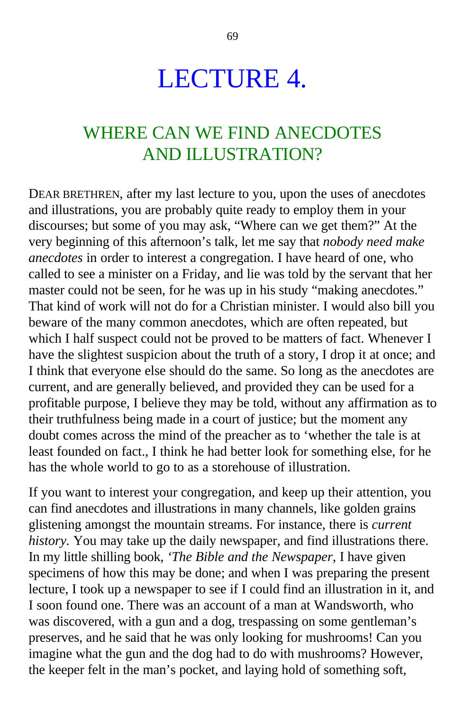## LECTURE 4.

### WHERE CAN WE FIND ANECDOTES AND ILLUSTRATION?

DEAR BRETHREN, after my last lecture to you, upon the uses of anecdotes and illustrations, you are probably quite ready to employ them in your discourses; but some of you may ask, "Where can we get them?" At the very beginning of this afternoon's talk, let me say that *nobody need make anecdotes* in order to interest a congregation. I have heard of one, who called to see a minister on a Friday, and lie was told by the servant that her master could not be seen, for he was up in his study "making anecdotes." That kind of work will not do for a Christian minister. I would also bill you beware of the many common anecdotes, which are often repeated, but which I half suspect could not be proved to be matters of fact. Whenever I have the slightest suspicion about the truth of a story, I drop it at once; and I think that everyone else should do the same. So long as the anecdotes are current, and are generally believed, and provided they can be used for a profitable purpose, I believe they may be told, without any affirmation as to their truthfulness being made in a court of justice; but the moment any doubt comes across the mind of the preacher as to 'whether the tale is at least founded on fact., I think he had better look for something else, for he has the whole world to go to as a storehouse of illustration.

If you want to interest your congregation, and keep up their attention, you can find anecdotes and illustrations in many channels, like golden grains glistening amongst the mountain streams. For instance, there is *current history.* You may take up the daily newspaper, and find illustrations there. In my little shilling book, *'The Bible and the Newspaper,* I have given specimens of how this may be done; and when I was preparing the present lecture, I took up a newspaper to see if I could find an illustration in it, and I soon found one. There was an account of a man at Wandsworth, who was discovered, with a gun and a dog, trespassing on some gentleman's preserves, and he said that he was only looking for mushrooms! Can you imagine what the gun and the dog had to do with mushrooms? However, the keeper felt in the man's pocket, and laying hold of something soft,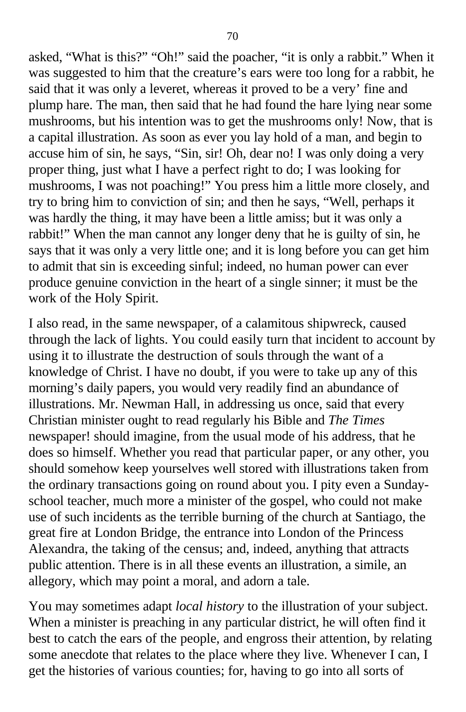asked, "What is this?" "Oh!" said the poacher, "it is only a rabbit." When it was suggested to him that the creature's ears were too long for a rabbit, he said that it was only a leveret, whereas it proved to be a very' fine and plump hare. The man, then said that he had found the hare lying near some mushrooms, but his intention was to get the mushrooms only! Now, that is a capital illustration. As soon as ever you lay hold of a man, and begin to accuse him of sin, he says, "Sin, sir! Oh, dear no! I was only doing a very proper thing, just what I have a perfect right to do; I was looking for mushrooms, I was not poaching!" You press him a little more closely, and try to bring him to conviction of sin; and then he says, "Well, perhaps it was hardly the thing, it may have been a little amiss; but it was only a rabbit!" When the man cannot any longer deny that he is guilty of sin, he says that it was only a very little one; and it is long before you can get him to admit that sin is exceeding sinful; indeed, no human power can ever produce genuine conviction in the heart of a single sinner; it must be the work of the Holy Spirit.

I also read, in the same newspaper, of a calamitous shipwreck, caused through the lack of lights. You could easily turn that incident to account by using it to illustrate the destruction of souls through the want of a knowledge of Christ. I have no doubt, if you were to take up any of this morning's daily papers, you would very readily find an abundance of illustrations. Mr. Newman Hall, in addressing us once, said that every Christian minister ought to read regularly his Bible and *The Times* newspaper! should imagine, from the usual mode of his address, that he does so himself. Whether you read that particular paper, or any other, you should somehow keep yourselves well stored with illustrations taken from the ordinary transactions going on round about you. I pity even a Sundayschool teacher, much more a minister of the gospel, who could not make use of such incidents as the terrible burning of the church at Santiago, the great fire at London Bridge, the entrance into London of the Princess Alexandra, the taking of the census; and, indeed, anything that attracts public attention. There is in all these events an illustration, a simile, an allegory, which may point a moral, and adorn a tale.

You may sometimes adapt *local history* to the illustration of your subject. When a minister is preaching in any particular district, he will often find it best to catch the ears of the people, and engross their attention, by relating some anecdote that relates to the place where they live. Whenever I can, I get the histories of various counties; for, having to go into all sorts of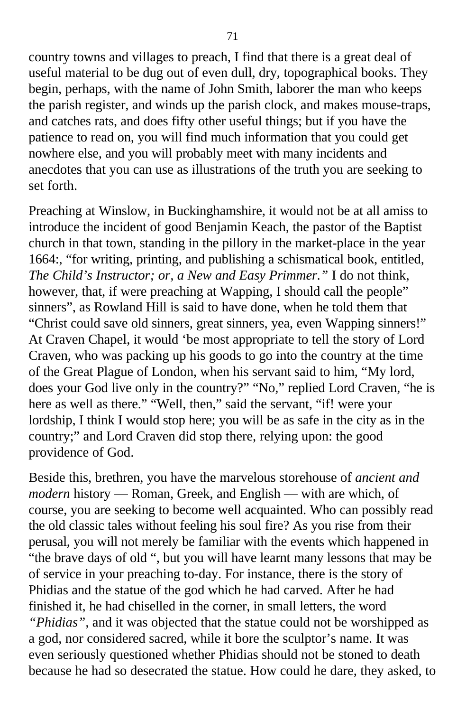country towns and villages to preach, I find that there is a great deal of useful material to be dug out of even dull, dry, topographical books. They begin, perhaps, with the name of John Smith, laborer the man who keeps the parish register, and winds up the parish clock, and makes mouse-traps, and catches rats, and does fifty other useful things; but if you have the patience to read on, you will find much information that you could get nowhere else, and you will probably meet with many incidents and anecdotes that you can use as illustrations of the truth you are seeking to set forth.

Preaching at Winslow, in Buckinghamshire, it would not be at all amiss to introduce the incident of good Benjamin Keach, the pastor of the Baptist church in that town, standing in the pillory in the market-place in the year 1664:, "for writing, printing, and publishing a schismatical book, entitled, *The Child's Instructor; or, a New and Easy Primmer."* I do not think, however, that, if were preaching at Wapping, I should call the people" sinners", as Rowland Hill is said to have done, when he told them that "Christ could save old sinners, great sinners, yea, even Wapping sinners!" At Craven Chapel, it would 'be most appropriate to tell the story of Lord Craven, who was packing up his goods to go into the country at the time of the Great Plague of London, when his servant said to him, "My lord, does your God live only in the country?" "No," replied Lord Craven, "he is here as well as there." "Well, then," said the servant, "if! were your lordship, I think I would stop here; you will be as safe in the city as in the country;" and Lord Craven did stop there, relying upon: the good providence of God.

Beside this, brethren, you have the marvelous storehouse of *ancient and modern* history — Roman, Greek, and English — with are which, of course, you are seeking to become well acquainted. Who can possibly read the old classic tales without feeling his soul fire? As you rise from their perusal, you will not merely be familiar with the events which happened in "the brave days of old ", but you will have learnt many lessons that may be of service in your preaching to-day. For instance, there is the story of Phidias and the statue of the god which he had carved. After he had finished it, he had chiselled in the corner, in small letters, the word *"Phidias",* and it was objected that the statue could not be worshipped as a god, nor considered sacred, while it bore the sculptor's name. It was even seriously questioned whether Phidias should not be stoned to death because he had so desecrated the statue. How could he dare, they asked, to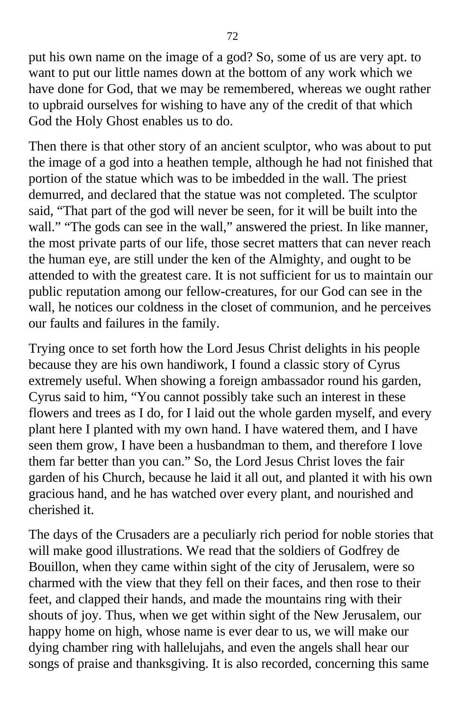put his own name on the image of a god? So, some of us are very apt. to want to put our little names down at the bottom of any work which we have done for God, that we may be remembered, whereas we ought rather to upbraid ourselves for wishing to have any of the credit of that which God the Holy Ghost enables us to do.

Then there is that other story of an ancient sculptor, who was about to put the image of a god into a heathen temple, although he had not finished that portion of the statue which was to be imbedded in the wall. The priest demurred, and declared that the statue was not completed. The sculptor said, "That part of the god will never be seen, for it will be built into the wall." "The gods can see in the wall," answered the priest. In like manner, the most private parts of our life, those secret matters that can never reach the human eye, are still under the ken of the Almighty, and ought to be attended to with the greatest care. It is not sufficient for us to maintain our public reputation among our fellow-creatures, for our God can see in the wall, he notices our coldness in the closet of communion, and he perceives our faults and failures in the family.

Trying once to set forth how the Lord Jesus Christ delights in his people because they are his own handiwork, I found a classic story of Cyrus extremely useful. When showing a foreign ambassador round his garden, Cyrus said to him, "You cannot possibly take such an interest in these flowers and trees as I do, for I laid out the whole garden myself, and every plant here I planted with my own hand. I have watered them, and I have seen them grow, I have been a husbandman to them, and therefore I love them far better than you can." So, the Lord Jesus Christ loves the fair garden of his Church, because he laid it all out, and planted it with his own gracious hand, and he has watched over every plant, and nourished and cherished it.

The days of the Crusaders are a peculiarly rich period for noble stories that will make good illustrations. We read that the soldiers of Godfrey de Bouillon, when they came within sight of the city of Jerusalem, were so charmed with the view that they fell on their faces, and then rose to their feet, and clapped their hands, and made the mountains ring with their shouts of joy. Thus, when we get within sight of the New Jerusalem, our happy home on high, whose name is ever dear to us, we will make our dying chamber ring with hallelujahs, and even the angels shall hear our songs of praise and thanksgiving. It is also recorded, concerning this same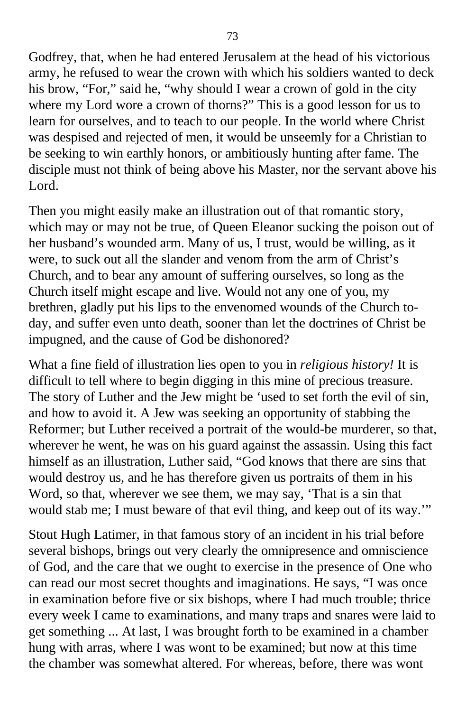Godfrey, that, when he had entered Jerusalem at the head of his victorious army, he refused to wear the crown with which his soldiers wanted to deck his brow, "For," said he, "why should I wear a crown of gold in the city where my Lord wore a crown of thorns?" This is a good lesson for us to learn for ourselves, and to teach to our people. In the world where Christ was despised and rejected of men, it would be unseemly for a Christian to be seeking to win earthly honors, or ambitiously hunting after fame. The disciple must not think of being above his Master, nor the servant above his Lord.

Then you might easily make an illustration out of that romantic story, which may or may not be true, of Queen Eleanor sucking the poison out of her husband's wounded arm. Many of us, I trust, would be willing, as it were, to suck out all the slander and venom from the arm of Christ's Church, and to bear any amount of suffering ourselves, so long as the Church itself might escape and live. Would not any one of you, my brethren, gladly put his lips to the envenomed wounds of the Church today, and suffer even unto death, sooner than let the doctrines of Christ be impugned, and the cause of God be dishonored?

What a fine field of illustration lies open to you in *religious history!* It is difficult to tell where to begin digging in this mine of precious treasure. The story of Luther and the Jew might be 'used to set forth the evil of sin, and how to avoid it. A Jew was seeking an opportunity of stabbing the Reformer; but Luther received a portrait of the would-be murderer, so that, wherever he went, he was on his guard against the assassin. Using this fact himself as an illustration, Luther said, "God knows that there are sins that would destroy us, and he has therefore given us portraits of them in his Word, so that, wherever we see them, we may say, 'That is a sin that would stab me; I must beware of that evil thing, and keep out of its way.'"

Stout Hugh Latimer, in that famous story of an incident in his trial before several bishops, brings out very clearly the omnipresence and omniscience of God, and the care that we ought to exercise in the presence of One who can read our most secret thoughts and imaginations. He says, "I was once in examination before five or six bishops, where I had much trouble; thrice every week I came to examinations, and many traps and snares were laid to get something ... At last, I was brought forth to be examined in a chamber hung with arras, where I was wont to be examined; but now at this time the chamber was somewhat altered. For whereas, before, there was wont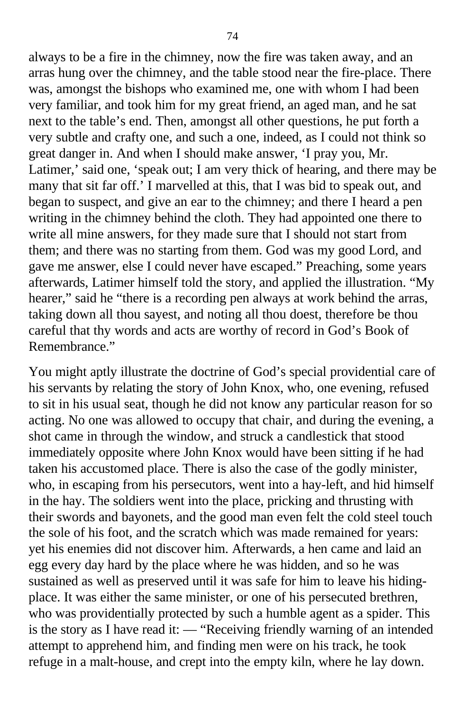always to be a fire in the chimney, now the fire was taken away, and an arras hung over the chimney, and the table stood near the fire-place. There was, amongst the bishops who examined me, one with whom I had been very familiar, and took him for my great friend, an aged man, and he sat next to the table's end. Then, amongst all other questions, he put forth a very subtle and crafty one, and such a one, indeed, as I could not think so great danger in. And when I should make answer, 'I pray you, Mr. Latimer,' said one, 'speak out; I am very thick of hearing, and there may be many that sit far off.' I marvelled at this, that I was bid to speak out, and began to suspect, and give an ear to the chimney; and there I heard a pen writing in the chimney behind the cloth. They had appointed one there to write all mine answers, for they made sure that I should not start from them; and there was no starting from them. God was my good Lord, and gave me answer, else I could never have escaped." Preaching, some years afterwards, Latimer himself told the story, and applied the illustration. "My hearer," said he "there is a recording pen always at work behind the arras, taking down all thou sayest, and noting all thou doest, therefore be thou careful that thy words and acts are worthy of record in God's Book of Remembrance."

You might aptly illustrate the doctrine of God's special providential care of his servants by relating the story of John Knox, who, one evening, refused to sit in his usual seat, though he did not know any particular reason for so acting. No one was allowed to occupy that chair, and during the evening, a shot came in through the window, and struck a candlestick that stood immediately opposite where John Knox would have been sitting if he had taken his accustomed place. There is also the case of the godly minister, who, in escaping from his persecutors, went into a hay-left, and hid himself in the hay. The soldiers went into the place, pricking and thrusting with their swords and bayonets, and the good man even felt the cold steel touch the sole of his foot, and the scratch which was made remained for years: yet his enemies did not discover him. Afterwards, a hen came and laid an egg every day hard by the place where he was hidden, and so he was sustained as well as preserved until it was safe for him to leave his hidingplace. It was either the same minister, or one of his persecuted brethren, who was providentially protected by such a humble agent as a spider. This is the story as I have read it: — "Receiving friendly warning of an intended attempt to apprehend him, and finding men were on his track, he took refuge in a malt-house, and crept into the empty kiln, where he lay down.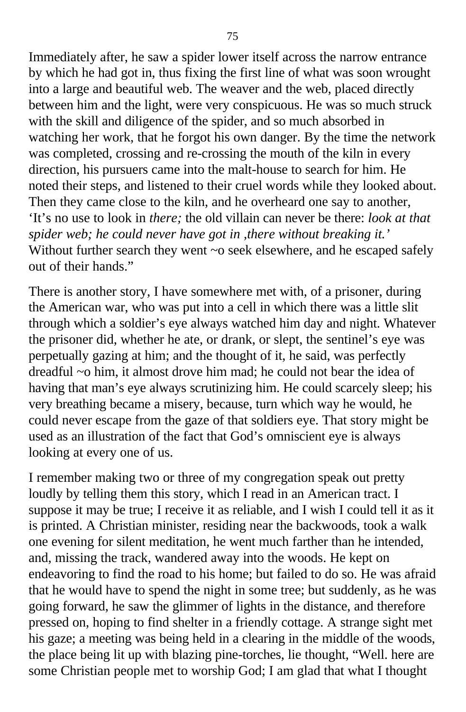Immediately after, he saw a spider lower itself across the narrow entrance by which he had got in, thus fixing the first line of what was soon wrought into a large and beautiful web. The weaver and the web, placed directly between him and the light, were very conspicuous. He was so much struck with the skill and diligence of the spider, and so much absorbed in watching her work, that he forgot his own danger. By the time the network was completed, crossing and re-crossing the mouth of the kiln in every direction, his pursuers came into the malt-house to search for him. He noted their steps, and listened to their cruel words while they looked about. Then they came close to the kiln, and he overheard one say to another, 'It's no use to look in *there;* the old villain can never be there: *look at that spider web; he could never have got in ,there without breaking it.'* Without further search they went ~o seek elsewhere, and he escaped safely out of their hands."

There is another story, I have somewhere met with, of a prisoner, during the American war, who was put into a cell in which there was a little slit through which a soldier's eye always watched him day and night. Whatever the prisoner did, whether he ate, or drank, or slept, the sentinel's eye was perpetually gazing at him; and the thought of it, he said, was perfectly dreadful ~o him, it almost drove him mad; he could not bear the idea of having that man's eye always scrutinizing him. He could scarcely sleep; his very breathing became a misery, because, turn which way he would, he could never escape from the gaze of that soldiers eye. That story might be used as an illustration of the fact that God's omniscient eye is always looking at every one of us.

I remember making two or three of my congregation speak out pretty loudly by telling them this story, which I read in an American tract. I suppose it may be true; I receive it as reliable, and I wish I could tell it as it is printed. A Christian minister, residing near the backwoods, took a walk one evening for silent meditation, he went much farther than he intended, and, missing the track, wandered away into the woods. He kept on endeavoring to find the road to his home; but failed to do so. He was afraid that he would have to spend the night in some tree; but suddenly, as he was going forward, he saw the glimmer of lights in the distance, and therefore pressed on, hoping to find shelter in a friendly cottage. A strange sight met his gaze; a meeting was being held in a clearing in the middle of the woods, the place being lit up with blazing pine-torches, lie thought, "Well. here are some Christian people met to worship God; I am glad that what I thought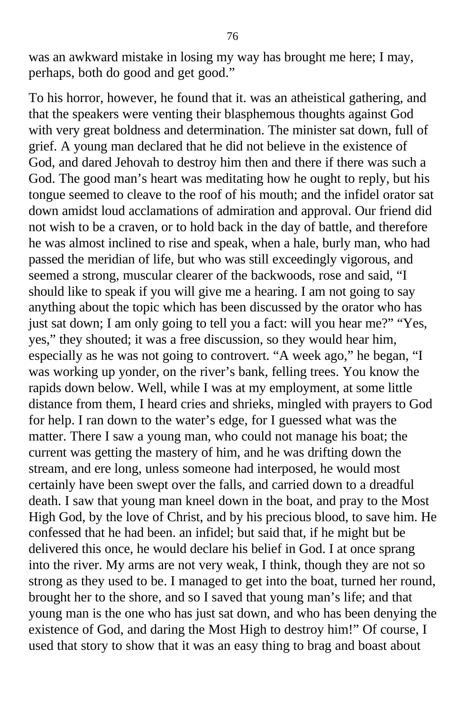was an awkward mistake in losing my way has brought me here; I may, perhaps, both do good and get good."

To his horror, however, he found that it. was an atheistical gathering, and that the speakers were venting their blasphemous thoughts against God with very great boldness and determination. The minister sat down, full of grief. A young man declared that he did not believe in the existence of God, and dared Jehovah to destroy him then and there if there was such a God. The good man's heart was meditating how he ought to reply, but his tongue seemed to cleave to the roof of his mouth; and the infidel orator sat down amidst loud acclamations of admiration and approval. Our friend did not wish to be a craven, or to hold back in the day of battle, and therefore he was almost inclined to rise and speak, when a hale, burly man, who had passed the meridian of life, but who was still exceedingly vigorous, and seemed a strong, muscular clearer of the backwoods, rose and said, "I should like to speak if you will give me a hearing. I am not going to say anything about the topic which has been discussed by the orator who has just sat down; I am only going to tell you a fact: will you hear me?" "Yes, yes," they shouted; it was a free discussion, so they would hear him, especially as he was not going to controvert. "A week ago," he began, "I was working up yonder, on the river's bank, felling trees. You know the rapids down below. Well, while I was at my employment, at some little distance from them, I heard cries and shrieks, mingled with prayers to God for help. I ran down to the water's edge, for I guessed what was the matter. There I saw a young man, who could not manage his boat; the current was getting the mastery of him, and he was drifting down the stream, and ere long, unless someone had interposed, he would most certainly have been swept over the falls, and carried down to a dreadful death. I saw that young man kneel down in the boat, and pray to the Most High God, by the love of Christ, and by his precious blood, to save him. He confessed that he had been. an infidel; but said that, if he might but be delivered this once, he would declare his belief in God. I at once sprang into the river. My arms are not very weak, I think, though they are not so strong as they used to be. I managed to get into the boat, turned her round, brought her to the shore, and so I saved that young man's life; and that young man is the one who has just sat down, and who has been denying the existence of God, and daring the Most High to destroy him!" Of course, I used that story to show that it was an easy thing to brag and boast about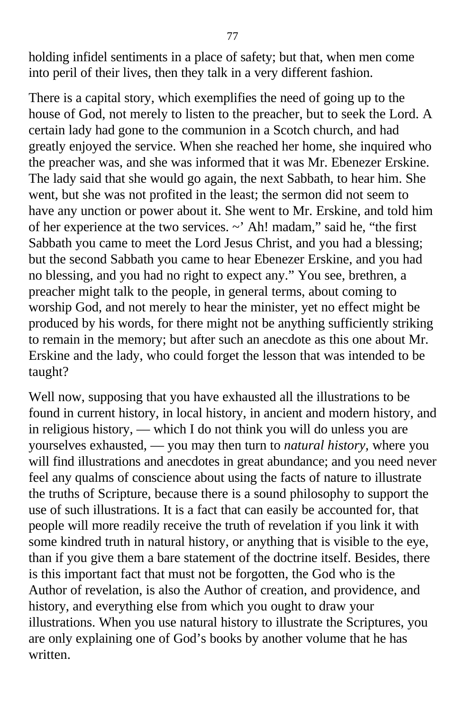holding infidel sentiments in a place of safety; but that, when men come into peril of their lives, then they talk in a very different fashion.

There is a capital story, which exemplifies the need of going up to the house of God, not merely to listen to the preacher, but to seek the Lord. A certain lady had gone to the communion in a Scotch church, and had greatly enjoyed the service. When she reached her home, she inquired who the preacher was, and she was informed that it was Mr. Ebenezer Erskine. The lady said that she would go again, the next Sabbath, to hear him. She went, but she was not profited in the least; the sermon did not seem to have any unction or power about it. She went to Mr. Erskine, and told him of her experience at the two services. ~' Ah! madam," said he, "the first Sabbath you came to meet the Lord Jesus Christ, and you had a blessing; but the second Sabbath you came to hear Ebenezer Erskine, and you had no blessing, and you had no right to expect any." You see, brethren, a preacher might talk to the people, in general terms, about coming to worship God, and not merely to hear the minister, yet no effect might be produced by his words, for there might not be anything sufficiently striking to remain in the memory; but after such an anecdote as this one about Mr. Erskine and the lady, who could forget the lesson that was intended to be taught?

Well now, supposing that you have exhausted all the illustrations to be found in current history, in local history, in ancient and modern history, and in religious history, — which I do not think you will do unless you are yourselves exhausted, — you may then turn to *natural history,* where you will find illustrations and anecdotes in great abundance; and you need never feel any qualms of conscience about using the facts of nature to illustrate the truths of Scripture, because there is a sound philosophy to support the use of such illustrations. It is a fact that can easily be accounted for, that people will more readily receive the truth of revelation if you link it with some kindred truth in natural history, or anything that is visible to the eye, than if you give them a bare statement of the doctrine itself. Besides, there is this important fact that must not be forgotten, the God who is the Author of revelation, is also the Author of creation, and providence, and history, and everything else from which you ought to draw your illustrations. When you use natural history to illustrate the Scriptures, you are only explaining one of God's books by another volume that he has written.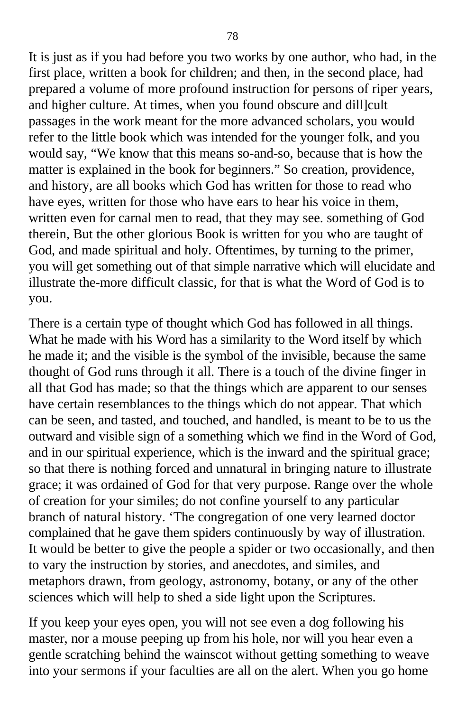It is just as if you had before you two works by one author, who had, in the first place, written a book for children; and then, in the second place, had prepared a volume of more profound instruction for persons of riper years, and higher culture. At times, when you found obscure and dill]cult passages in the work meant for the more advanced scholars, you would refer to the little book which was intended for the younger folk, and you would say, "We know that this means so-and-so, because that is how the matter is explained in the book for beginners." So creation, providence, and history, are all books which God has written for those to read who have eyes, written for those who have ears to hear his voice in them, written even for carnal men to read, that they may see. something of God therein, But the other glorious Book is written for you who are taught of God, and made spiritual and holy. Oftentimes, by turning to the primer, you will get something out of that simple narrative which will elucidate and illustrate the-more difficult classic, for that is what the Word of God is to you.

There is a certain type of thought which God has followed in all things. What he made with his Word has a similarity to the Word itself by which he made it; and the visible is the symbol of the invisible, because the same thought of God runs through it all. There is a touch of the divine finger in all that God has made; so that the things which are apparent to our senses have certain resemblances to the things which do not appear. That which can be seen, and tasted, and touched, and handled, is meant to be to us the outward and visible sign of a something which we find in the Word of God, and in our spiritual experience, which is the inward and the spiritual grace; so that there is nothing forced and unnatural in bringing nature to illustrate grace; it was ordained of God for that very purpose. Range over the whole of creation for your similes; do not confine yourself to any particular branch of natural history. 'The congregation of one very learned doctor complained that he gave them spiders continuously by way of illustration. It would be better to give the people a spider or two occasionally, and then to vary the instruction by stories, and anecdotes, and similes, and metaphors drawn, from geology, astronomy, botany, or any of the other sciences which will help to shed a side light upon the Scriptures.

If you keep your eyes open, you will not see even a dog following his master, nor a mouse peeping up from his hole, nor will you hear even a gentle scratching behind the wainscot without getting something to weave into your sermons if your faculties are all on the alert. When you go home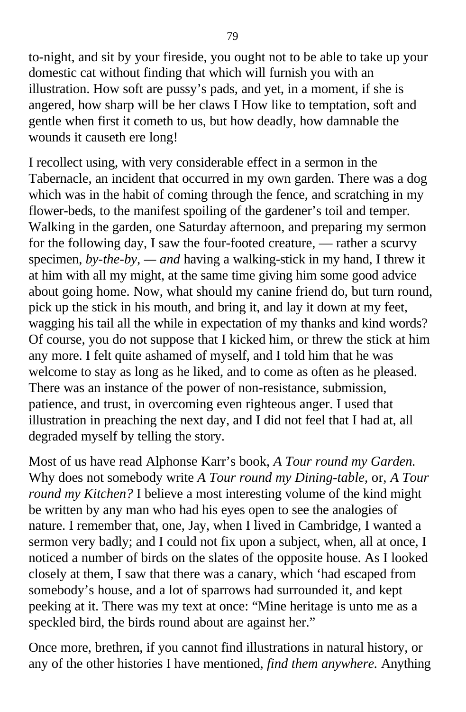to-night, and sit by your fireside, you ought not to be able to take up your domestic cat without finding that which will furnish you with an illustration. How soft are pussy's pads, and yet, in a moment, if she is angered, how sharp will be her claws I How like to temptation, soft and gentle when first it cometh to us, but how deadly, how damnable the wounds it causeth ere long!

I recollect using, with very considerable effect in a sermon in the Tabernacle, an incident that occurred in my own garden. There was a dog which was in the habit of coming through the fence, and scratching in my flower-beds, to the manifest spoiling of the gardener's toil and temper. Walking in the garden, one Saturday afternoon, and preparing my sermon for the following day, I saw the four-footed creature, — rather a scurvy specimen, *by-the-by, — and* having a walking-stick in my hand, I threw it at him with all my might, at the same time giving him some good advice about going home. Now, what should my canine friend do, but turn round, pick up the stick in his mouth, and bring it, and lay it down at my feet, wagging his tail all the while in expectation of my thanks and kind words? Of course, you do not suppose that I kicked him, or threw the stick at him any more. I felt quite ashamed of myself, and I told him that he was welcome to stay as long as he liked, and to come as often as he pleased. There was an instance of the power of non-resistance, submission, patience, and trust, in overcoming even righteous anger. I used that illustration in preaching the next day, and I did not feel that I had at, all degraded myself by telling the story.

Most of us have read Alphonse Karr's book, *A Tour round my Garden.* Why does not somebody write *A Tour round my Dining-table,* or, *A Tour round my Kitchen?* I believe a most interesting volume of the kind might be written by any man who had his eyes open to see the analogies of nature. I remember that, one, Jay, when I lived in Cambridge, I wanted a sermon very badly; and I could not fix upon a subject, when, all at once, I noticed a number of birds on the slates of the opposite house. As I looked closely at them, I saw that there was a canary, which 'had escaped from somebody's house, and a lot of sparrows had surrounded it, and kept peeking at it. There was my text at once: "Mine heritage is unto me as a speckled bird, the birds round about are against her."

Once more, brethren, if you cannot find illustrations in natural history, or any of the other histories I have mentioned, *find them anywhere.* Anything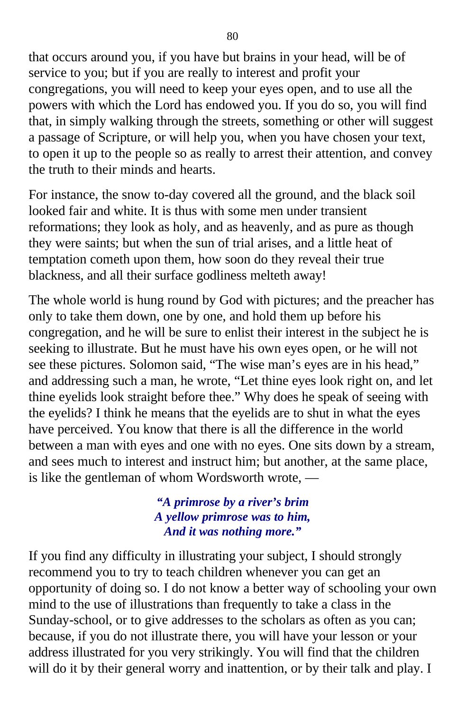that occurs around you, if you have but brains in your head, will be of service to you; but if you are really to interest and profit your congregations, you will need to keep your eyes open, and to use all the powers with which the Lord has endowed you. If you do so, you will find that, in simply walking through the streets, something or other will suggest a passage of Scripture, or will help you, when you have chosen your text, to open it up to the people so as really to arrest their attention, and convey the truth to their minds and hearts.

For instance, the snow to-day covered all the ground, and the black soil looked fair and white. It is thus with some men under transient reformations; they look as holy, and as heavenly, and as pure as though they were saints; but when the sun of trial arises, and a little heat of temptation cometh upon them, how soon do they reveal their true blackness, and all their surface godliness melteth away!

The whole world is hung round by God with pictures; and the preacher has only to take them down, one by one, and hold them up before his congregation, and he will be sure to enlist their interest in the subject he is seeking to illustrate. But he must have his own eyes open, or he will not see these pictures. Solomon said, "The wise man's eyes are in his head," and addressing such a man, he wrote, "Let thine eyes look right on, and let thine eyelids look straight before thee." Why does he speak of seeing with the eyelids? I think he means that the eyelids are to shut in what the eyes have perceived. You know that there is all the difference in the world between a man with eyes and one with no eyes. One sits down by a stream, and sees much to interest and instruct him; but another, at the same place, is like the gentleman of whom Wordsworth wrote, —

> *"A primrose by a river's brim A yellow primrose was to him, And it was nothing more."*

If you find any difficulty in illustrating your subject, I should strongly recommend you to try to teach children whenever you can get an opportunity of doing so. I do not know a better way of schooling your own mind to the use of illustrations than frequently to take a class in the Sunday-school, or to give addresses to the scholars as often as you can; because, if you do not illustrate there, you will have your lesson or your address illustrated for you very strikingly. You will find that the children will do it by their general worry and inattention, or by their talk and play. I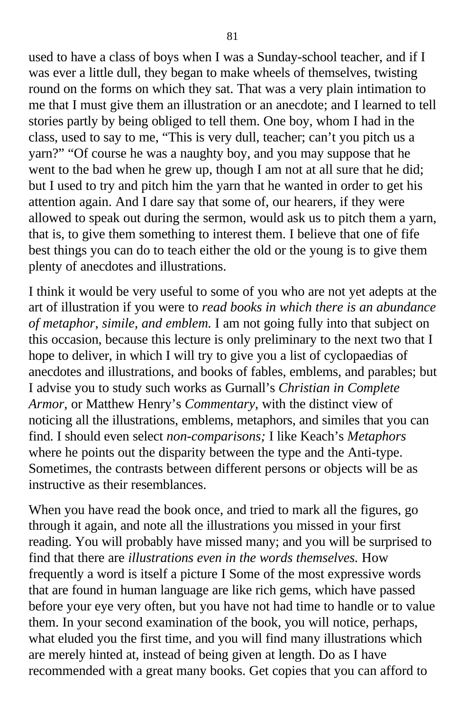used to have a class of boys when I was a Sunday-school teacher, and if I was ever a little dull, they began to make wheels of themselves, twisting round on the forms on which they sat. That was a very plain intimation to me that I must give them an illustration or an anecdote; and I learned to tell stories partly by being obliged to tell them. One boy, whom I had in the class, used to say to me, "This is very dull, teacher; can't you pitch us a yarn?" "Of course he was a naughty boy, and you may suppose that he went to the bad when he grew up, though I am not at all sure that he did; but I used to try and pitch him the yarn that he wanted in order to get his attention again. And I dare say that some of, our hearers, if they were allowed to speak out during the sermon, would ask us to pitch them a yarn, that is, to give them something to interest them. I believe that one of fife best things you can do to teach either the old or the young is to give them plenty of anecdotes and illustrations.

I think it would be very useful to some of you who are not yet adepts at the art of illustration if you were to *read books in which there is an abundance of metaphor, simile, and emblem.* I am not going fully into that subject on this occasion, because this lecture is only preliminary to the next two that I hope to deliver, in which I will try to give you a list of cyclopaedias of anecdotes and illustrations, and books of fables, emblems, and parables; but I advise you to study such works as Gurnall's *Christian in Complete Armor,* or Matthew Henry's *Commentary,* with the distinct view of noticing all the illustrations, emblems, metaphors, and similes that you can find. I should even select *non-comparisons;* I like Keach's *Metaphors* where he points out the disparity between the type and the Anti-type. Sometimes, the contrasts between different persons or objects will be as instructive as their resemblances.

When you have read the book once, and tried to mark all the figures, go through it again, and note all the illustrations you missed in your first reading. You will probably have missed many; and you will be surprised to find that there are *illustrations even in the words themselves.* How frequently a word is itself a picture I Some of the most expressive words that are found in human language are like rich gems, which have passed before your eye very often, but you have not had time to handle or to value them. In your second examination of the book, you will notice, perhaps, what eluded you the first time, and you will find many illustrations which are merely hinted at, instead of being given at length. Do as I have recommended with a great many books. Get copies that you can afford to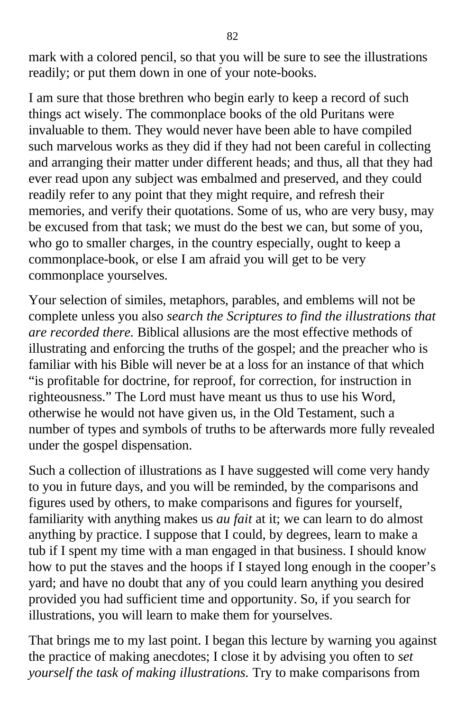mark with a colored pencil, so that you will be sure to see the illustrations readily; or put them down in one of your note-books.

I am sure that those brethren who begin early to keep a record of such things act wisely. The commonplace books of the old Puritans were invaluable to them. They would never have been able to have compiled such marvelous works as they did if they had not been careful in collecting and arranging their matter under different heads; and thus, all that they had ever read upon any subject was embalmed and preserved, and they could readily refer to any point that they might require, and refresh their memories, and verify their quotations. Some of us, who are very busy, may be excused from that task; we must do the best we can, but some of you, who go to smaller charges, in the country especially, ought to keep a commonplace-book, or else I am afraid you will get to be very commonplace yourselves.

Your selection of similes, metaphors, parables, and emblems will not be complete unless you also *search the Scriptures to find the illustrations that are recorded there.* Biblical allusions are the most effective methods of illustrating and enforcing the truths of the gospel; and the preacher who is familiar with his Bible will never be at a loss for an instance of that which "is profitable for doctrine, for reproof, for correction, for instruction in righteousness." The Lord must have meant us thus to use his Word, otherwise he would not have given us, in the Old Testament, such a number of types and symbols of truths to be afterwards more fully revealed under the gospel dispensation.

Such a collection of illustrations as I have suggested will come very handy to you in future days, and you will be reminded, by the comparisons and figures used by others, to make comparisons and figures for yourself, familiarity with anything makes us *au fait* at it; we can learn to do almost anything by practice. I suppose that I could, by degrees, learn to make a tub if I spent my time with a man engaged in that business. I should know how to put the staves and the hoops if I stayed long enough in the cooper's yard; and have no doubt that any of you could learn anything you desired provided you had sufficient time and opportunity. So, if you search for illustrations, you will learn to make them for yourselves.

That brings me to my last point. I began this lecture by warning you against the practice of making anecdotes; I close it by advising you often to *set yourself the task of making illustrations.* Try to make comparisons from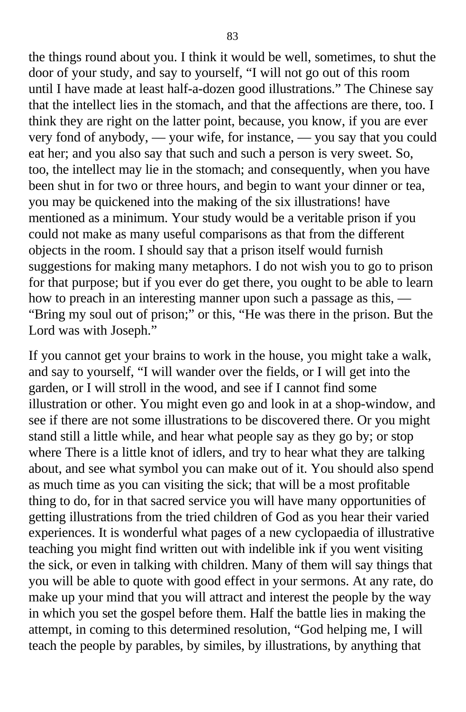the things round about you. I think it would be well, sometimes, to shut the door of your study, and say to yourself, "I will not go out of this room until I have made at least half-a-dozen good illustrations." The Chinese say that the intellect lies in the stomach, and that the affections are there, too. I think they are right on the latter point, because, you know, if you are ever very fond of anybody, — your wife, for instance, — you say that you could eat her; and you also say that such and such a person is very sweet. So, too, the intellect may lie in the stomach; and consequently, when you have been shut in for two or three hours, and begin to want your dinner or tea, you may be quickened into the making of the six illustrations! have mentioned as a minimum. Your study would be a veritable prison if you could not make as many useful comparisons as that from the different objects in the room. I should say that a prison itself would furnish suggestions for making many metaphors. I do not wish you to go to prison for that purpose; but if you ever do get there, you ought to be able to learn how to preach in an interesting manner upon such a passage as this, — "Bring my soul out of prison;" or this, "He was there in the prison. But the Lord was with Joseph."

If you cannot get your brains to work in the house, you might take a walk, and say to yourself, "I will wander over the fields, or I will get into the garden, or I will stroll in the wood, and see if I cannot find some illustration or other. You might even go and look in at a shop-window, and see if there are not some illustrations to be discovered there. Or you might stand still a little while, and hear what people say as they go by; or stop where There is a little knot of idlers, and try to hear what they are talking about, and see what symbol you can make out of it. You should also spend as much time as you can visiting the sick; that will be a most profitable thing to do, for in that sacred service you will have many opportunities of getting illustrations from the tried children of God as you hear their varied experiences. It is wonderful what pages of a new cyclopaedia of illustrative teaching you might find written out with indelible ink if you went visiting the sick, or even in talking with children. Many of them will say things that you will be able to quote with good effect in your sermons. At any rate, do make up your mind that you will attract and interest the people by the way in which you set the gospel before them. Half the battle lies in making the attempt, in coming to this determined resolution, "God helping me, I will teach the people by parables, by similes, by illustrations, by anything that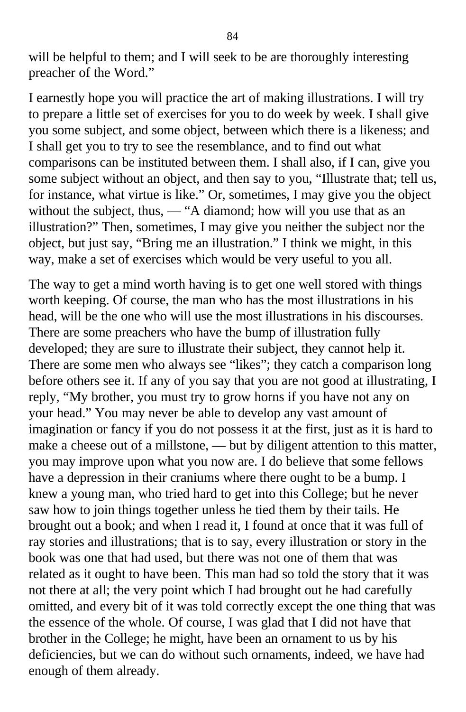will be helpful to them; and I will seek to be are thoroughly interesting preacher of the Word."

I earnestly hope you will practice the art of making illustrations. I will try to prepare a little set of exercises for you to do week by week. I shall give you some subject, and some object, between which there is a likeness; and I shall get you to try to see the resemblance, and to find out what comparisons can be instituted between them. I shall also, if I can, give you some subject without an object, and then say to you, "Illustrate that; tell us, for instance, what virtue is like." Or, sometimes, I may give you the object without the subject, thus, — "A diamond; how will you use that as an illustration?" Then, sometimes, I may give you neither the subject nor the object, but just say, "Bring me an illustration." I think we might, in this way, make a set of exercises which would be very useful to you all.

The way to get a mind worth having is to get one well stored with things worth keeping. Of course, the man who has the most illustrations in his head, will be the one who will use the most illustrations in his discourses. There are some preachers who have the bump of illustration fully developed; they are sure to illustrate their subject, they cannot help it. There are some men who always see "likes"; they catch a comparison long before others see it. If any of you say that you are not good at illustrating, I reply, "My brother, you must try to grow horns if you have not any on your head." You may never be able to develop any vast amount of imagination or fancy if you do not possess it at the first, just as it is hard to make a cheese out of a millstone, — but by diligent attention to this matter, you may improve upon what you now are. I do believe that some fellows have a depression in their craniums where there ought to be a bump. I knew a young man, who tried hard to get into this College; but he never saw how to join things together unless he tied them by their tails. He brought out a book; and when I read it, I found at once that it was full of ray stories and illustrations; that is to say, every illustration or story in the book was one that had used, but there was not one of them that was related as it ought to have been. This man had so told the story that it was not there at all; the very point which I had brought out he had carefully omitted, and every bit of it was told correctly except the one thing that was the essence of the whole. Of course, I was glad that I did not have that brother in the College; he might, have been an ornament to us by his deficiencies, but we can do without such ornaments, indeed, we have had enough of them already.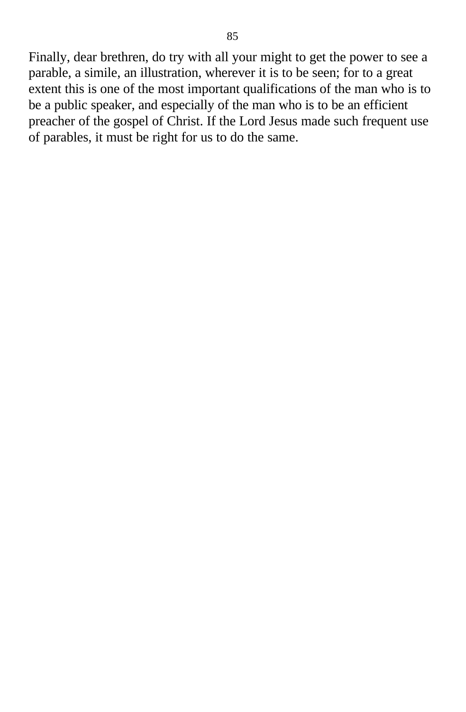Finally, dear brethren, do try with all your might to get the power to see a parable, a simile, an illustration, wherever it is to be seen; for to a great extent this is one of the most important qualifications of the man who is to be a public speaker, and especially of the man who is to be an efficient preacher of the gospel of Christ. If the Lord Jesus made such frequent use of parables, it must be right for us to do the same.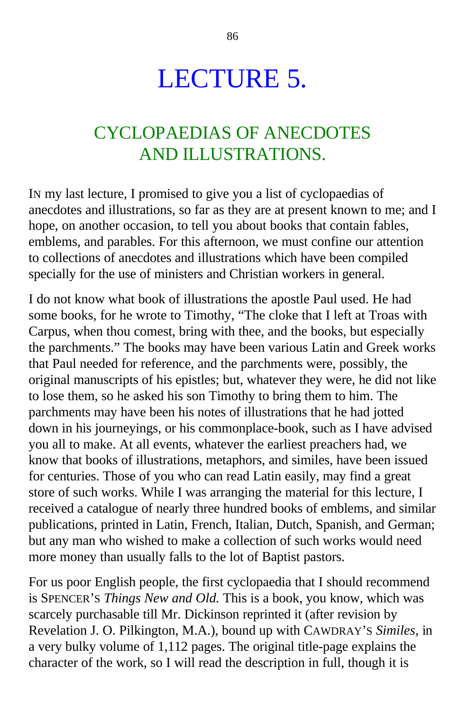# LECTURE 5.

# CYCLOPAEDIAS OF ANECDOTES AND ILLUSTRATIONS.

IN my last lecture, I promised to give you a list of cyclopaedias of anecdotes and illustrations, so far as they are at present known to me; and I hope, on another occasion, to tell you about books that contain fables, emblems, and parables. For this afternoon, we must confine our attention to collections of anecdotes and illustrations which have been compiled specially for the use of ministers and Christian workers in general.

I do not know what book of illustrations the apostle Paul used. He had some books, for he wrote to Timothy, "The cloke that I left at Troas with Carpus, when thou comest, bring with thee, and the books, but especially the parchments." The books may have been various Latin and Greek works that Paul needed for reference, and the parchments were, possibly, the original manuscripts of his epistles; but, whatever they were, he did not like to lose them, so he asked his son Timothy to bring them to him. The parchments may have been his notes of illustrations that he had jotted down in his journeyings, or his commonplace-book, such as I have advised you all to make. At all events, whatever the earliest preachers had, we know that books of illustrations, metaphors, and similes, have been issued for centuries. Those of you who can read Latin easily, may find a great store of such works. While I was arranging the material for this lecture, I received a catalogue of nearly three hundred books of emblems, and similar publications, printed in Latin, French, Italian, Dutch, Spanish, and German; but any man who wished to make a collection of such works would need more money than usually falls to the lot of Baptist pastors.

For us poor English people, the first cyclopaedia that I should recommend is SPENCER'S *Things New and Old.* This is a book, you know, which was scarcely purchasable till Mr. Dickinson reprinted it (after revision by Revelation J. O. Pilkington, M.A.), bound up with CAWDRAY'S *Similes,* in a very bulky volume of 1,112 pages. The original title-page explains the character of the work, so I will read the description in full, though it is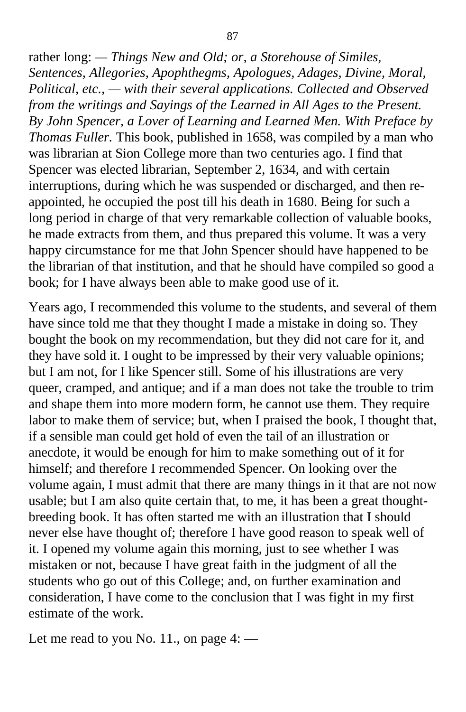rather long: *— Things New and Old; or, a Storehouse of Similes, Sentences, Allegories, Apophthegms, Apologues, Adages, Divine, Moral, Political, etc., — with their several applications. Collected and Observed from the writings and Sayings of the Learned in All Ages to the Present. By John Spencer, a Lover of Learning and Learned Men. With Preface by Thomas Fuller.* This book, published in 1658, was compiled by a man who was librarian at Sion College more than two centuries ago. I find that Spencer was elected librarian, September 2, 1634, and with certain interruptions, during which he was suspended or discharged, and then reappointed, he occupied the post till his death in 1680. Being for such a long period in charge of that very remarkable collection of valuable books, he made extracts from them, and thus prepared this volume. It was a very happy circumstance for me that John Spencer should have happened to be the librarian of that institution, and that he should have compiled so good a book; for I have always been able to make good use of it.

Years ago, I recommended this volume to the students, and several of them have since told me that they thought I made a mistake in doing so. They bought the book on my recommendation, but they did not care for it, and they have sold it. I ought to be impressed by their very valuable opinions; but I am not, for I like Spencer still. Some of his illustrations are very queer, cramped, and antique; and if a man does not take the trouble to trim and shape them into more modern form, he cannot use them. They require labor to make them of service; but, when I praised the book, I thought that, if a sensible man could get hold of even the tail of an illustration or anecdote, it would be enough for him to make something out of it for himself; and therefore I recommended Spencer. On looking over the volume again, I must admit that there are many things in it that are not now usable; but I am also quite certain that, to me, it has been a great thoughtbreeding book. It has often started me with an illustration that I should never else have thought of; therefore I have good reason to speak well of it. I opened my volume again this morning, just to see whether I was mistaken or not, because I have great faith in the judgment of all the students who go out of this College; and, on further examination and consideration, I have come to the conclusion that I was fight in my first estimate of the work.

Let me read to you No. 11., on page  $4:$  —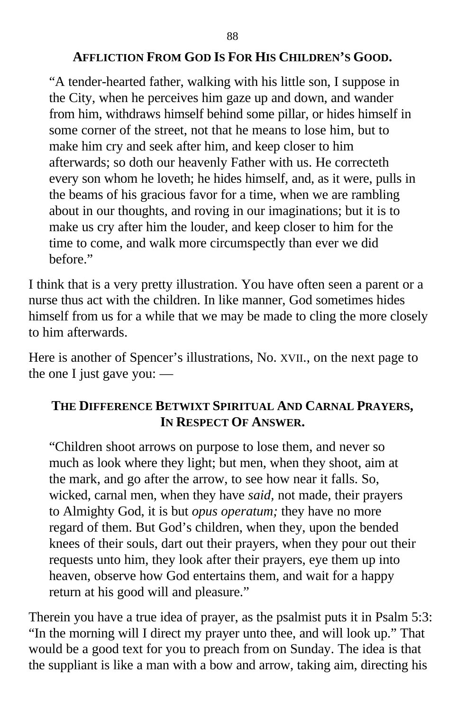"A tender-hearted father, walking with his little son, I suppose in the City, when he perceives him gaze up and down, and wander from him, withdraws himself behind some pillar, or hides himself in some corner of the street, not that he means to lose him, but to make him cry and seek after him, and keep closer to him afterwards; so doth our heavenly Father with us. He correcteth every son whom he loveth; he hides himself, and, as it were, pulls in the beams of his gracious favor for a time, when we are rambling about in our thoughts, and roving in our imaginations; but it is to make us cry after him the louder, and keep closer to him for the time to come, and walk more circumspectly than ever we did before."

I think that is a very pretty illustration. You have often seen a parent or a nurse thus act with the children. In like manner, God sometimes hides himself from us for a while that we may be made to cling the more closely to him afterwards.

Here is another of Spencer's illustrations, No. XVII., on the next page to the one I just gave you: —

# **THE DIFFERENCE BETWIXT SPIRITUAL AND CARNAL PRAYERS, IN RESPECT OF ANSWER.**

"Children shoot arrows on purpose to lose them, and never so much as look where they light; but men, when they shoot, aim at the mark, and go after the arrow, to see how near it falls. So, wicked, carnal men, when they have *said,* not made, their prayers to Almighty God, it is but *opus operatum;* they have no more regard of them. But God's children, when they, upon the bended knees of their souls, dart out their prayers, when they pour out their requests unto him, they look after their prayers, eye them up into heaven, observe how God entertains them, and wait for a happy return at his good will and pleasure."

Therein you have a true idea of prayer, as the psalmist puts it in Psalm 5:3: "In the morning will I direct my prayer unto thee, and will look up." That would be a good text for you to preach from on Sunday. The idea is that the suppliant is like a man with a bow and arrow, taking aim, directing his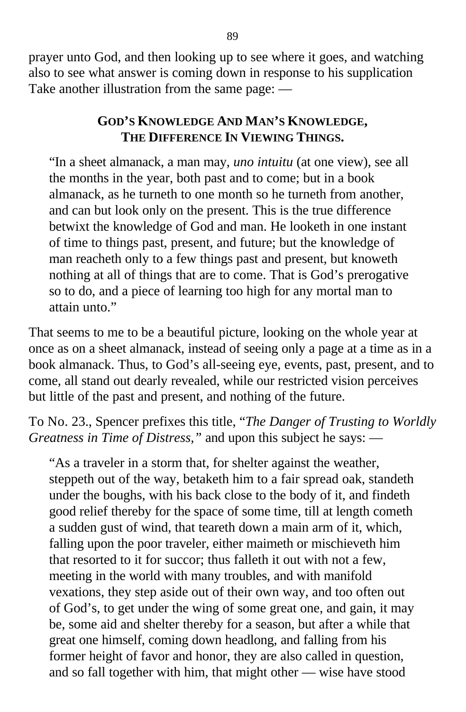prayer unto God, and then looking up to see where it goes, and watching also to see what answer is coming down in response to his supplication Take another illustration from the same page: —

# **GOD'S KNOWLEDGE AND MAN'S KNOWLEDGE, THE DIFFERENCE IN VIEWING THINGS.**

"In a sheet almanack, a man may, *uno intuitu* (at one view), see all the months in the year, both past and to come; but in a book almanack, as he turneth to one month so he turneth from another, and can but look only on the present. This is the true difference betwixt the knowledge of God and man. He looketh in one instant of time to things past, present, and future; but the knowledge of man reacheth only to a few things past and present, but knoweth nothing at all of things that are to come. That is God's prerogative so to do, and a piece of learning too high for any mortal man to attain unto."

That seems to me to be a beautiful picture, looking on the whole year at once as on a sheet almanack, instead of seeing only a page at a time as in a book almanack. Thus, to God's all-seeing eye, events, past, present, and to come, all stand out dearly revealed, while our restricted vision perceives but little of the past and present, and nothing of the future.

To No. 23., Spencer prefixes this title, "*The Danger of Trusting to Worldly Greatness in Time of Distress,"* and upon this subject he says: —

"As a traveler in a storm that, for shelter against the weather, steppeth out of the way, betaketh him to a fair spread oak, standeth under the boughs, with his back close to the body of it, and findeth good relief thereby for the space of some time, till at length cometh a sudden gust of wind, that teareth down a main arm of it, which, falling upon the poor traveler, either maimeth or mischieveth him that resorted to it for succor; thus falleth it out with not a few, meeting in the world with many troubles, and with manifold vexations, they step aside out of their own way, and too often out of God's, to get under the wing of some great one, and gain, it may be, some aid and shelter thereby for a season, but after a while that great one himself, coming down headlong, and falling from his former height of favor and honor, they are also called in question, and so fall together with him, that might other — wise have stood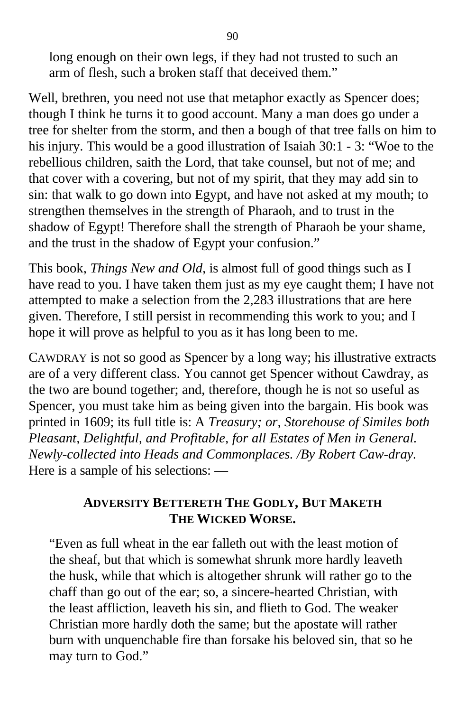long enough on their own legs, if they had not trusted to such an arm of flesh, such a broken staff that deceived them."

Well, brethren, you need not use that metaphor exactly as Spencer does; though I think he turns it to good account. Many a man does go under a tree for shelter from the storm, and then a bough of that tree falls on him to his injury. This would be a good illustration of Isaiah 30:1 - 3: "Woe to the rebellious children, saith the Lord, that take counsel, but not of me; and that cover with a covering, but not of my spirit, that they may add sin to sin: that walk to go down into Egypt, and have not asked at my mouth; to strengthen themselves in the strength of Pharaoh, and to trust in the shadow of Egypt! Therefore shall the strength of Pharaoh be your shame, and the trust in the shadow of Egypt your confusion."

This book, *Things New and Old,* is almost full of good things such as I have read to you. I have taken them just as my eye caught them; I have not attempted to make a selection from the 2,283 illustrations that are here given. Therefore, I still persist in recommending this work to you; and I hope it will prove as helpful to you as it has long been to me.

CAWDRAY is not so good as Spencer by a long way; his illustrative extracts are of a very different class. You cannot get Spencer without Cawdray, as the two are bound together; and, therefore, though he is not so useful as Spencer, you must take him as being given into the bargain. His book was printed in 1609; its full title is: A *Treasury; or, Storehouse of Similes both Pleasant, Delightful, and Profitable, for all Estates of Men in General. Newly-collected into Heads and Commonplaces. /By Robert Caw-dray.* Here is a sample of his selections: —

## **ADVERSITY BETTERETH THE GODLY, BUT MAKETH THE WICKED WORSE.**

"Even as full wheat in the ear falleth out with the least motion of the sheaf, but that which is somewhat shrunk more hardly leaveth the husk, while that which is altogether shrunk will rather go to the chaff than go out of the ear; so, a sincere-hearted Christian, with the least affliction, leaveth his sin, and flieth to God. The weaker Christian more hardly doth the same; but the apostate will rather burn with unquenchable fire than forsake his beloved sin, that so he may turn to God."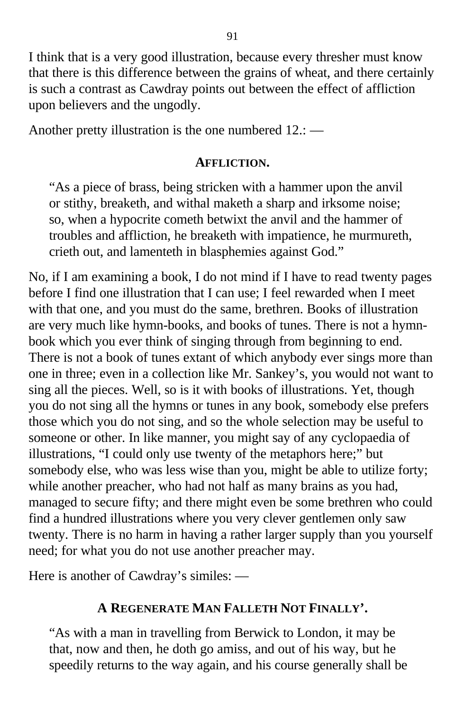I think that is a very good illustration, because every thresher must know that there is this difference between the grains of wheat, and there certainly is such a contrast as Cawdray points out between the effect of affliction upon believers and the ungodly.

Another pretty illustration is the one numbered 12.: —

## **AFFLICTION.**

"As a piece of brass, being stricken with a hammer upon the anvil or stithy, breaketh, and withal maketh a sharp and irksome noise; so, when a hypocrite cometh betwixt the anvil and the hammer of troubles and affliction, he breaketh with impatience, he murmureth, crieth out, and lamenteth in blasphemies against God."

No, if I am examining a book, I do not mind if I have to read twenty pages before I find one illustration that I can use; I feel rewarded when I meet with that one, and you must do the same, brethren. Books of illustration are very much like hymn-books, and books of tunes. There is not a hymnbook which you ever think of singing through from beginning to end. There is not a book of tunes extant of which anybody ever sings more than one in three; even in a collection like Mr. Sankey's, you would not want to sing all the pieces. Well, so is it with books of illustrations. Yet, though you do not sing all the hymns or tunes in any book, somebody else prefers those which you do not sing, and so the whole selection may be useful to someone or other. In like manner, you might say of any cyclopaedia of illustrations, "I could only use twenty of the metaphors here;" but somebody else, who was less wise than you, might be able to utilize forty; while another preacher, who had not half as many brains as you had, managed to secure fifty; and there might even be some brethren who could find a hundred illustrations where you very clever gentlemen only saw twenty. There is no harm in having a rather larger supply than you yourself need; for what you do not use another preacher may.

Here is another of Cawdray's similes: —

# **A REGENERATE MAN FALLETH NOT FINALLY'.**

"As with a man in travelling from Berwick to London, it may be that, now and then, he doth go amiss, and out of his way, but he speedily returns to the way again, and his course generally shall be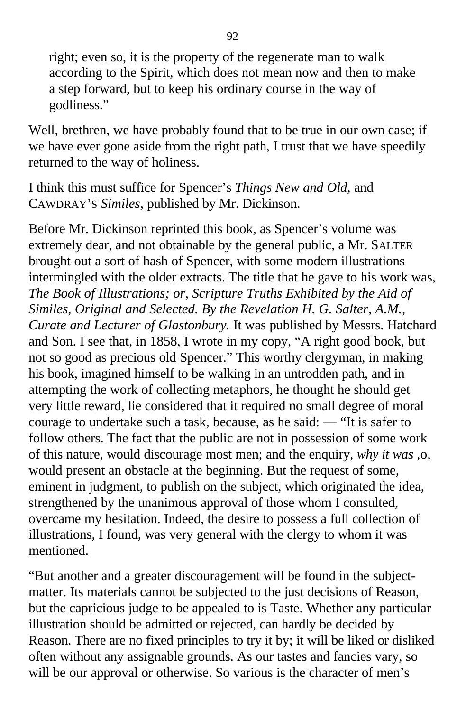right; even so, it is the property of the regenerate man to walk according to the Spirit, which does not mean now and then to make a step forward, but to keep his ordinary course in the way of godliness."

Well, brethren, we have probably found that to be true in our own case; if we have ever gone aside from the right path, I trust that we have speedily returned to the way of holiness.

I think this must suffice for Spencer's *Things New and Old,* and CAWDRAY'S *Similes,* published by Mr. Dickinson.

Before Mr. Dickinson reprinted this book, as Spencer's volume was extremely dear, and not obtainable by the general public, a Mr. SALTER brought out a sort of hash of Spencer, with some modern illustrations intermingled with the older extracts. The title that he gave to his work was, *The Book of Illustrations; or, Scripture Truths Exhibited by the Aid of Similes, Original and Selected. By the Revelation H. G. Salter, A.M., Curate and Lecturer of Glastonbury.* It was published by Messrs. Hatchard and Son. I see that, in 1858, I wrote in my copy, "A right good book, but not so good as precious old Spencer." This worthy clergyman, in making his book, imagined himself to be walking in an untrodden path, and in attempting the work of collecting metaphors, he thought he should get very little reward, lie considered that it required no small degree of moral courage to undertake such a task, because, as he said: — "It is safer to follow others. The fact that the public are not in possession of some work of this nature, would discourage most men; and the enquiry, *why it was* ,o, would present an obstacle at the beginning. But the request of some, eminent in judgment, to publish on the subject, which originated the idea, strengthened by the unanimous approval of those whom I consulted, overcame my hesitation. Indeed, the desire to possess a full collection of illustrations, I found, was very general with the clergy to whom it was mentioned.

"But another and a greater discouragement will be found in the subjectmatter. Its materials cannot be subjected to the just decisions of Reason, but the capricious judge to be appealed to is Taste. Whether any particular illustration should be admitted or rejected, can hardly be decided by Reason. There are no fixed principles to try it by; it will be liked or disliked often without any assignable grounds. As our tastes and fancies vary, so will be our approval or otherwise. So various is the character of men's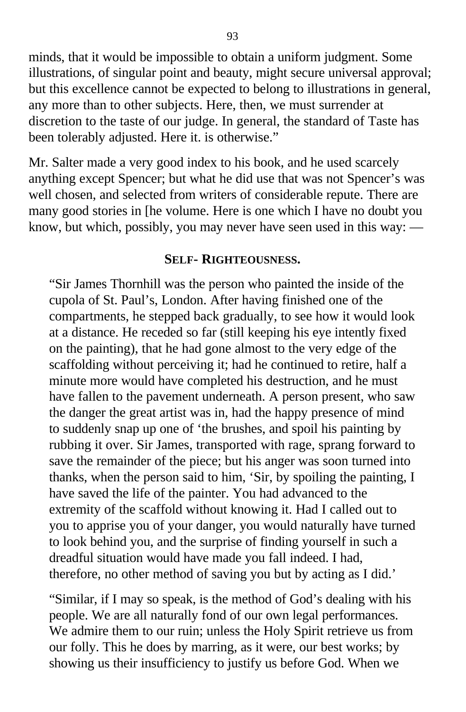minds, that it would be impossible to obtain a uniform judgment. Some illustrations, of singular point and beauty, might secure universal approval; but this excellence cannot be expected to belong to illustrations in general, any more than to other subjects. Here, then, we must surrender at discretion to the taste of our judge. In general, the standard of Taste has been tolerably adjusted. Here it. is otherwise."

Mr. Salter made a very good index to his book, and he used scarcely anything except Spencer; but what he did use that was not Spencer's was well chosen, and selected from writers of considerable repute. There are many good stories in [he volume. Here is one which I have no doubt you know, but which, possibly, you may never have seen used in this way: —

#### **SELF- RIGHTEOUSNESS.**

"Sir James Thornhill was the person who painted the inside of the cupola of St. Paul's, London. After having finished one of the compartments, he stepped back gradually, to see how it would look at a distance. He receded so far (still keeping his eye intently fixed on the painting), that he had gone almost to the very edge of the scaffolding without perceiving it; had he continued to retire, half a minute more would have completed his destruction, and he must have fallen to the pavement underneath. A person present, who saw the danger the great artist was in, had the happy presence of mind to suddenly snap up one of 'the brushes, and spoil his painting by rubbing it over. Sir James, transported with rage, sprang forward to save the remainder of the piece; but his anger was soon turned into thanks, when the person said to him, 'Sir, by spoiling the painting, I have saved the life of the painter. You had advanced to the extremity of the scaffold without knowing it. Had I called out to you to apprise you of your danger, you would naturally have turned to look behind you, and the surprise of finding yourself in such a dreadful situation would have made you fall indeed. I had, therefore, no other method of saving you but by acting as I did.'

"Similar, if I may so speak, is the method of God's dealing with his people. We are all naturally fond of our own legal performances. We admire them to our ruin; unless the Holy Spirit retrieve us from our folly. This he does by marring, as it were, our best works; by showing us their insufficiency to justify us before God. When we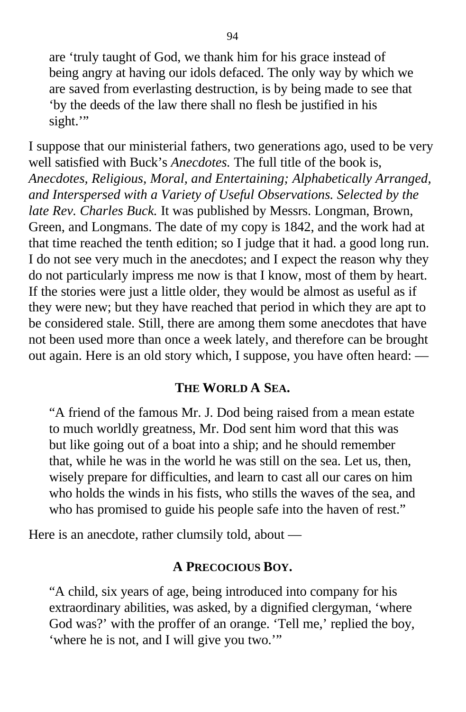are 'truly taught of God, we thank him for his grace instead of being angry at having our idols defaced. The only way by which we are saved from everlasting destruction, is by being made to see that 'by the deeds of the law there shall no flesh be justified in his sight."

I suppose that our ministerial fathers, two generations ago, used to be very well satisfied with Buck's *Anecdotes.* The full title of the book is, *Anecdotes, Religious, Moral, and Entertaining; Alphabetically Arranged, and Interspersed with a Variety of Useful Observations. Selected by the late Rev. Charles Buck.* It was published by Messrs. Longman, Brown, Green, and Longmans. The date of my copy is 1842, and the work had at that time reached the tenth edition; so I judge that it had. a good long run. I do not see very much in the anecdotes; and I expect the reason why they do not particularly impress me now is that I know, most of them by heart. If the stories were just a little older, they would be almost as useful as if they were new; but they have reached that period in which they are apt to be considered stale. Still, there are among them some anecdotes that have not been used more than once a week lately, and therefore can be brought out again. Here is an old story which, I suppose, you have often heard: —

#### **THE WORLD A SEA.**

"A friend of the famous Mr. J. Dod being raised from a mean estate to much worldly greatness, Mr. Dod sent him word that this was but like going out of a boat into a ship; and he should remember that, while he was in the world he was still on the sea. Let us, then, wisely prepare for difficulties, and learn to cast all our cares on him who holds the winds in his fists, who stills the waves of the sea, and who has promised to guide his people safe into the haven of rest."

Here is an anecdote, rather clumsily told, about —

#### **A PRECOCIOUS BOY.**

"A child, six years of age, being introduced into company for his extraordinary abilities, was asked, by a dignified clergyman, 'where God was?' with the proffer of an orange. 'Tell me,' replied the boy, 'where he is not, and I will give you two.'"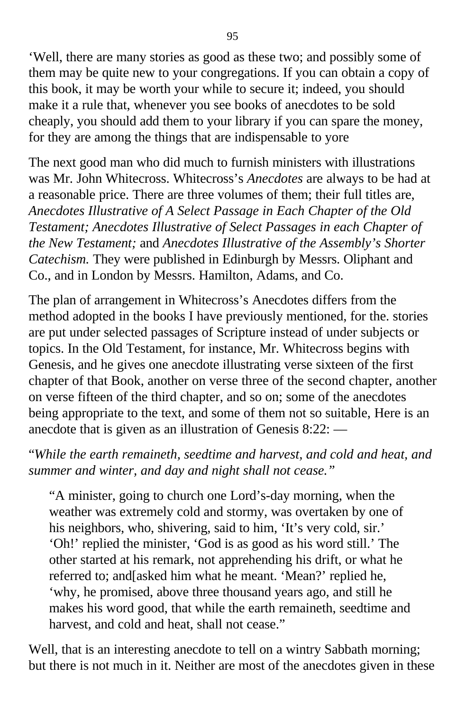'Well, there are many stories as good as these two; and possibly some of them may be quite new to your congregations. If you can obtain a copy of this book, it may be worth your while to secure it; indeed, you should make it a rule that, whenever you see books of anecdotes to be sold cheaply, you should add them to your library if you can spare the money, for they are among the things that are indispensable to yore

The next good man who did much to furnish ministers with illustrations was Mr. John Whitecross. Whitecross's *Anecdotes* are always to be had at a reasonable price. There are three volumes of them; their full titles are, *Anecdotes Illustrative of A Select Passage in Each Chapter of the Old Testament; Anecdotes Illustrative of Select Passages in each Chapter of the New Testament;* and *Anecdotes Illustrative of the Assembly's Shorter Catechism.* They were published in Edinburgh by Messrs. Oliphant and Co., and in London by Messrs. Hamilton, Adams, and Co.

The plan of arrangement in Whitecross's Anecdotes differs from the method adopted in the books I have previously mentioned, for the. stories are put under selected passages of Scripture instead of under subjects or topics. In the Old Testament, for instance, Mr. Whitecross begins with Genesis, and he gives one anecdote illustrating verse sixteen of the first chapter of that Book, another on verse three of the second chapter, another on verse fifteen of the third chapter, and so on; some of the anecdotes being appropriate to the text, and some of them not so suitable, Here is an anecdote that is given as an illustration of Genesis 8:22: —

"*While the earth remaineth, seedtime and harvest, and cold and heat, and summer and winter, and day and night shall not cease."*

"A minister, going to church one Lord's-day morning, when the weather was extremely cold and stormy, was overtaken by one of his neighbors, who, shivering, said to him, 'It's very cold, sir.' 'Oh!' replied the minister, 'God is as good as his word still.' The other started at his remark, not apprehending his drift, or what he referred to; and[asked him what he meant. 'Mean?' replied he, 'why, he promised, above three thousand years ago, and still he makes his word good, that while the earth remaineth, seedtime and harvest, and cold and heat, shall not cease."

Well, that is an interesting anecdote to tell on a wintry Sabbath morning; but there is not much in it. Neither are most of the anecdotes given in these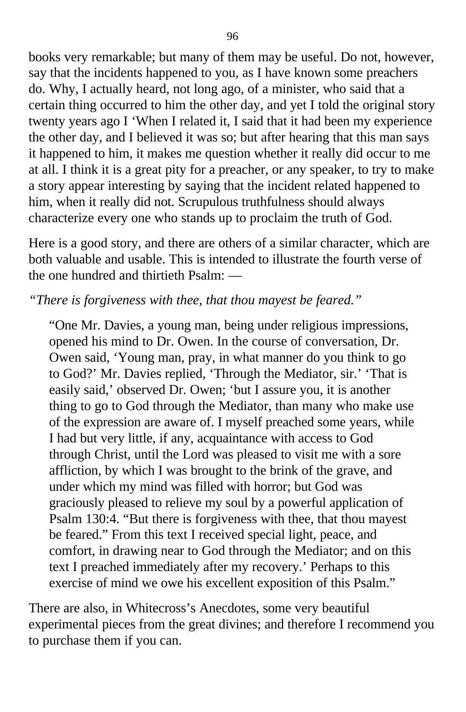books very remarkable; but many of them may be useful. Do not, however, say that the incidents happened to you, as I have known some preachers do. Why, I actually heard, not long ago, of a minister, who said that a certain thing occurred to him the other day, and yet I told the original story twenty years ago I 'When I related it, I said that it had been my experience the other day, and I believed it was so; but after hearing that this man says it happened to him, it makes me question whether it really did occur to me at all. I think it is a great pity for a preacher, or any speaker, to try to make a story appear interesting by saying that the incident related happened to him, when it really did not. Scrupulous truthfulness should always characterize every one who stands up to proclaim the truth of God.

Here is a good story, and there are others of a similar character, which are both valuable and usable. This is intended to illustrate the fourth verse of the one hundred and thirtieth Psalm: —

*"There is forgiveness with thee, that thou mayest be feared."*

"One Mr. Davies, a young man, being under religious impressions, opened his mind to Dr. Owen. In the course of conversation, Dr. Owen said, 'Young man, pray, in what manner do you think to go to God?' Mr. Davies replied, 'Through the Mediator, sir.' 'That is easily said,' observed Dr. Owen; 'but I assure you, it is another thing to go to God through the Mediator, than many who make use of the expression are aware of. I myself preached some years, while I had but very little, if any, acquaintance with access to God through Christ, until the Lord was pleased to visit me with a sore affliction, by which I was brought to the brink of the grave, and under which my mind was filled with horror; but God was graciously pleased to relieve my soul by a powerful application of Psalm 130:4. "But there is forgiveness with thee, that thou mayest be feared." From this text I received special light, peace, and comfort, in drawing near to God through the Mediator; and on this text I preached immediately after my recovery.' Perhaps to this exercise of mind we owe his excellent exposition of this Psalm."

There are also, in Whitecross's Anecdotes, some very beautiful experimental pieces from the great divines; and therefore I recommend you to purchase them if you can.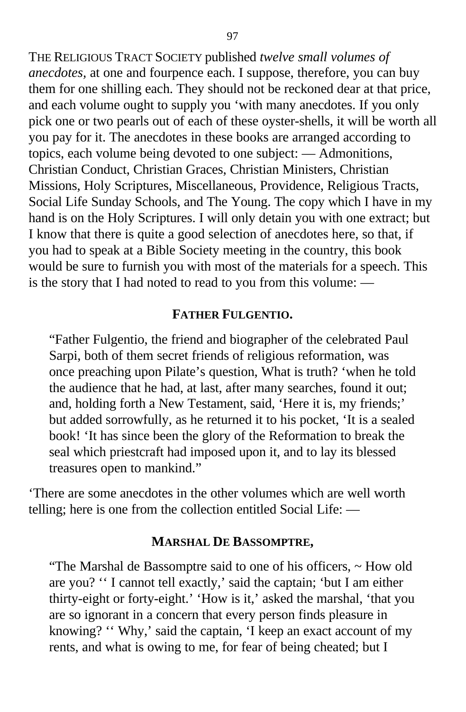THE RELIGIOUS TRACT SOCIETY published *twelve small volumes of anecdotes,* at one and fourpence each. I suppose, therefore, you can buy them for one shilling each. They should not be reckoned dear at that price, and each volume ought to supply you 'with many anecdotes. If you only pick one or two pearls out of each of these oyster-shells, it will be worth all you pay for it. The anecdotes in these books are arranged according to topics, each volume being devoted to one subject: — Admonitions, Christian Conduct, Christian Graces, Christian Ministers, Christian Missions, Holy Scriptures, Miscellaneous, Providence, Religious Tracts, Social Life Sunday Schools, and The Young. The copy which I have in my hand is on the Holy Scriptures. I will only detain you with one extract; but I know that there is quite a good selection of anecdotes here, so that, if you had to speak at a Bible Society meeting in the country, this book would be sure to furnish you with most of the materials for a speech. This is the story that I had noted to read to you from this volume: —

#### **FATHER FULGENTIO.**

"Father Fulgentio, the friend and biographer of the celebrated Paul Sarpi, both of them secret friends of religious reformation, was once preaching upon Pilate's question, What is truth? 'when he told the audience that he had, at last, after many searches, found it out; and, holding forth a New Testament, said, 'Here it is, my friends;' but added sorrowfully, as he returned it to his pocket, 'It is a sealed book! 'It has since been the glory of the Reformation to break the seal which priestcraft had imposed upon it, and to lay its blessed treasures open to mankind."

'There are some anecdotes in the other volumes which are well worth telling; here is one from the collection entitled Social Life: —

#### **MARSHAL DE BASSOMPTRE,**

"The Marshal de Bassomptre said to one of his officers, ~ How old are you? '' I cannot tell exactly,' said the captain; 'but I am either thirty-eight or forty-eight.' 'How is it,' asked the marshal, 'that you are so ignorant in a concern that every person finds pleasure in knowing? '' Why,' said the captain, 'I keep an exact account of my rents, and what is owing to me, for fear of being cheated; but I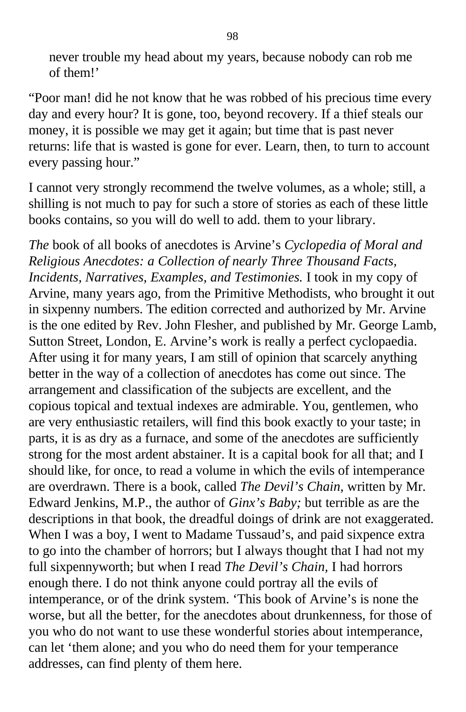never trouble my head about my years, because nobody can rob me of them!'

"Poor man! did he not know that he was robbed of his precious time every day and every hour? It is gone, too, beyond recovery. If a thief steals our money, it is possible we may get it again; but time that is past never returns: life that is wasted is gone for ever. Learn, then, to turn to account every passing hour."

I cannot very strongly recommend the twelve volumes, as a whole; still, a shilling is not much to pay for such a store of stories as each of these little books contains, so you will do well to add. them to your library.

*The* book of all books of anecdotes is Arvine's *Cyclopedia of Moral and Religious Anecdotes: a Collection of nearly Three Thousand Facts, Incidents, Narratives, Examples, and Testimonies.* I took in my copy of Arvine, many years ago, from the Primitive Methodists, who brought it out in sixpenny numbers. The edition corrected and authorized by Mr. Arvine is the one edited by Rev. John Flesher, and published by Mr. George Lamb, Sutton Street, London, E. Arvine's work is really a perfect cyclopaedia. After using it for many years, I am still of opinion that scarcely anything better in the way of a collection of anecdotes has come out since. The arrangement and classification of the subjects are excellent, and the copious topical and textual indexes are admirable. You, gentlemen, who are very enthusiastic retailers, will find this book exactly to your taste; in parts, it is as dry as a furnace, and some of the anecdotes are sufficiently strong for the most ardent abstainer. It is a capital book for all that; and I should like, for once, to read a volume in which the evils of intemperance are overdrawn. There is a book, called *The Devil's Chain,* written by Mr. Edward Jenkins, M.P., the author of *Ginx's Baby;* but terrible as are the descriptions in that book, the dreadful doings of drink are not exaggerated. When I was a boy, I went to Madame Tussaud's, and paid sixpence extra to go into the chamber of horrors; but I always thought that I had not my full sixpennyworth; but when I read *The Devil's Chain,* I had horrors enough there. I do not think anyone could portray all the evils of intemperance, or of the drink system. 'This book of Arvine's is none the worse, but all the better, for the anecdotes about drunkenness, for those of you who do not want to use these wonderful stories about intemperance, can let 'them alone; and you who do need them for your temperance addresses, can find plenty of them here.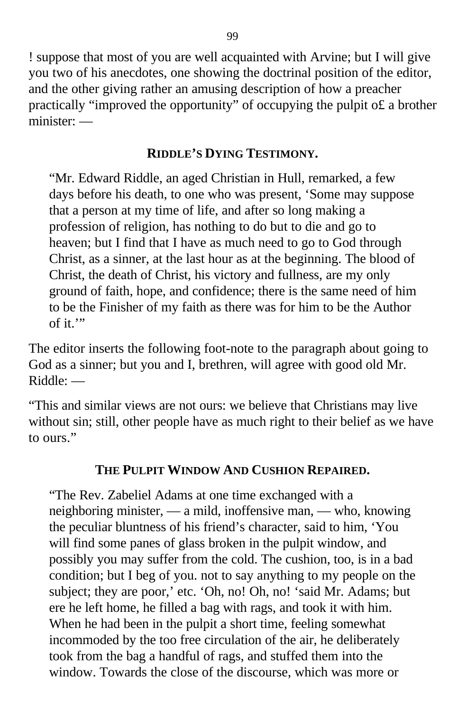! suppose that most of you are well acquainted with Arvine; but I will give you two of his anecdotes, one showing the doctrinal position of the editor, and the other giving rather an amusing description of how a preacher practically "improved the opportunity" of occupying the pulpit o£ a brother minister: —

### **RIDDLE'S DYING TESTIMONY.**

"Mr. Edward Riddle, an aged Christian in Hull, remarked, a few days before his death, to one who was present, 'Some may suppose that a person at my time of life, and after so long making a profession of religion, has nothing to do but to die and go to heaven; but I find that I have as much need to go to God through Christ, as a sinner, at the last hour as at the beginning. The blood of Christ, the death of Christ, his victory and fullness, are my only ground of faith, hope, and confidence; there is the same need of him to be the Finisher of my faith as there was for him to be the Author of it."

The editor inserts the following foot-note to the paragraph about going to God as a sinner; but you and I, brethren, will agree with good old Mr. Riddle: —

"This and similar views are not ours: we believe that Christians may live without sin; still, other people have as much right to their belief as we have to ours."

## **THE PULPIT WINDOW AND CUSHION REPAIRED.**

"The Rev. Zabeliel Adams at one time exchanged with a neighboring minister, — a mild, inoffensive man, — who, knowing the peculiar bluntness of his friend's character, said to him, 'You will find some panes of glass broken in the pulpit window, and possibly you may suffer from the cold. The cushion, too, is in a bad condition; but I beg of you. not to say anything to my people on the subject; they are poor,' etc. 'Oh, no! Oh, no! 'said Mr. Adams; but ere he left home, he filled a bag with rags, and took it with him. When he had been in the pulpit a short time, feeling somewhat incommoded by the too free circulation of the air, he deliberately took from the bag a handful of rags, and stuffed them into the window. Towards the close of the discourse, which was more or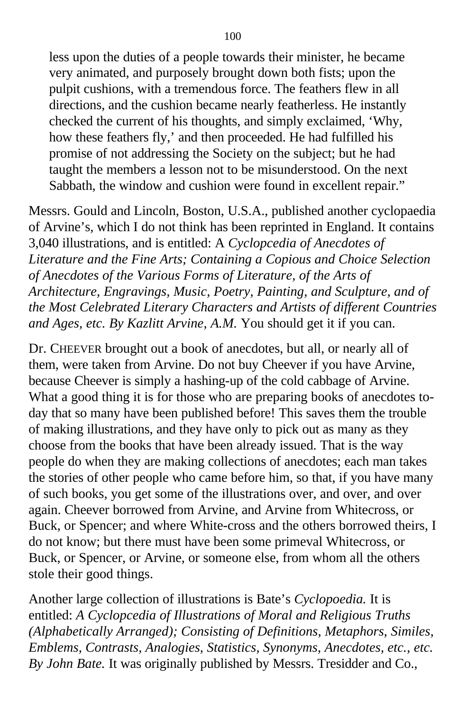less upon the duties of a people towards their minister, he became very animated, and purposely brought down both fists; upon the pulpit cushions, with a tremendous force. The feathers flew in all directions, and the cushion became nearly featherless. He instantly checked the current of his thoughts, and simply exclaimed, 'Why, how these feathers fly,' and then proceeded. He had fulfilled his promise of not addressing the Society on the subject; but he had taught the members a lesson not to be misunderstood. On the next Sabbath, the window and cushion were found in excellent repair."

Messrs. Gould and Lincoln, Boston, U.S.A., published another cyclopaedia of Arvine's, which I do not think has been reprinted in England. It contains 3,040 illustrations, and is entitled: A *Cyclopcedia of Anecdotes of Literature and the Fine Arts; Containing a Copious and Choice Selection of Anecdotes of the Various Forms of Literature, of the Arts of Architecture, Engravings, Music, Poetry, Painting, and Sculpture, and of the Most Celebrated Literary Characters and Artists of different Countries and Ages, etc. By Kazlitt Arvine, A.M.* You should get it if you can.

Dr. CHEEVER brought out a book of anecdotes, but all, or nearly all of them, were taken from Arvine. Do not buy Cheever if you have Arvine, because Cheever is simply a hashing-up of the cold cabbage of Arvine. What a good thing it is for those who are preparing books of anecdotes today that so many have been published before! This saves them the trouble of making illustrations, and they have only to pick out as many as they choose from the books that have been already issued. That is the way people do when they are making collections of anecdotes; each man takes the stories of other people who came before him, so that, if you have many of such books, you get some of the illustrations over, and over, and over again. Cheever borrowed from Arvine, and Arvine from Whitecross, or Buck, or Spencer; and where White-cross and the others borrowed theirs, I do not know; but there must have been some primeval Whitecross, or Buck, or Spencer, or Arvine, or someone else, from whom all the others stole their good things.

Another large collection of illustrations is Bate's *Cyclopoedia.* It is entitled: *A Cyclopcedia of Illustrations of Moral and Religious Truths (Alphabetically Arranged); Consisting of Definitions, Metaphors, Similes, Emblems, Contrasts, Analogies, Statistics, Synonyms, Anecdotes, etc., etc. By John Bate.* It was originally published by Messrs. Tresidder and Co.,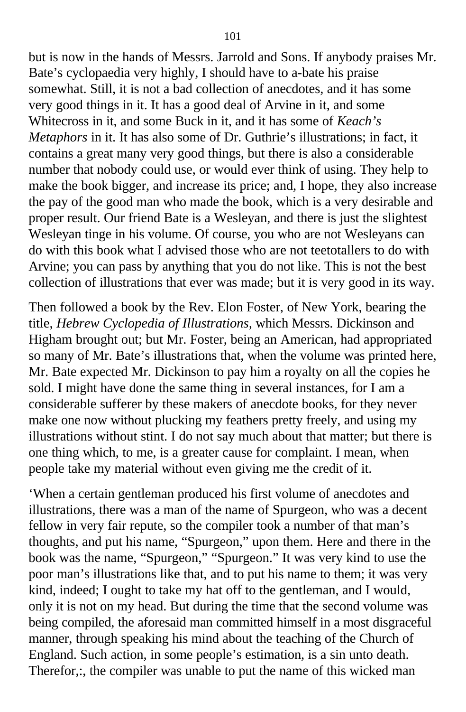but is now in the hands of Messrs. Jarrold and Sons. If anybody praises Mr. Bate's cyclopaedia very highly, I should have to a-bate his praise somewhat. Still, it is not a bad collection of anecdotes, and it has some very good things in it. It has a good deal of Arvine in it, and some Whitecross in it, and some Buck in it, and it has some of *Keach's Metaphors* in it. It has also some of Dr. Guthrie's illustrations; in fact, it contains a great many very good things, but there is also a considerable number that nobody could use, or would ever think of using. They help to make the book bigger, and increase its price; and, I hope, they also increase the pay of the good man who made the book, which is a very desirable and proper result. Our friend Bate is a Wesleyan, and there is just the slightest Wesleyan tinge in his volume. Of course, you who are not Wesleyans can do with this book what I advised those who are not teetotallers to do with Arvine; you can pass by anything that you do not like. This is not the best collection of illustrations that ever was made; but it is very good in its way.

Then followed a book by the Rev. Elon Foster, of New York, bearing the title, *Hebrew Cyclopedia of Illustrations,* which Messrs. Dickinson and Higham brought out; but Mr. Foster, being an American, had appropriated so many of Mr. Bate's illustrations that, when the volume was printed here, Mr. Bate expected Mr. Dickinson to pay him a royalty on all the copies he sold. I might have done the same thing in several instances, for I am a considerable sufferer by these makers of anecdote books, for they never make one now without plucking my feathers pretty freely, and using my illustrations without stint. I do not say much about that matter; but there is one thing which, to me, is a greater cause for complaint. I mean, when people take my material without even giving me the credit of it.

'When a certain gentleman produced his first volume of anecdotes and illustrations, there was a man of the name of Spurgeon, who was a decent fellow in very fair repute, so the compiler took a number of that man's thoughts, and put his name, "Spurgeon," upon them. Here and there in the book was the name, "Spurgeon," "Spurgeon." It was very kind to use the poor man's illustrations like that, and to put his name to them; it was very kind, indeed; I ought to take my hat off to the gentleman, and I would, only it is not on my head. But during the time that the second volume was being compiled, the aforesaid man committed himself in a most disgraceful manner, through speaking his mind about the teaching of the Church of England. Such action, in some people's estimation, is a sin unto death. Therefor,:, the compiler was unable to put the name of this wicked man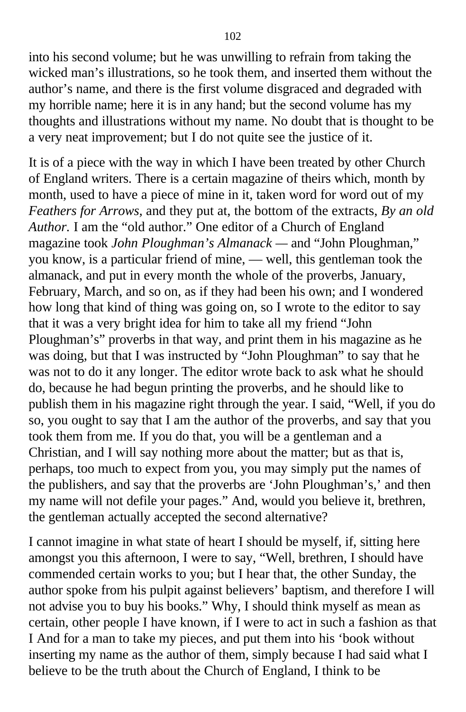into his second volume; but he was unwilling to refrain from taking the wicked man's illustrations, so he took them, and inserted them without the author's name, and there is the first volume disgraced and degraded with my horrible name; here it is in any hand; but the second volume has my thoughts and illustrations without my name. No doubt that is thought to be a very neat improvement; but I do not quite see the justice of it.

It is of a piece with the way in which I have been treated by other Church of England writers. There is a certain magazine of theirs which, month by month, used to have a piece of mine in it, taken word for word out of my *Feathers for Arrows,* and they put at, the bottom of the extracts, *By an old Author.* I am the "old author." One editor of a Church of England magazine took *John Ploughman's Almanack —* and "John Ploughman," you know, is a particular friend of mine, — well, this gentleman took the almanack, and put in every month the whole of the proverbs, January, February, March, and so on, as if they had been his own; and I wondered how long that kind of thing was going on, so I wrote to the editor to say that it was a very bright idea for him to take all my friend "John Ploughman's" proverbs in that way, and print them in his magazine as he was doing, but that I was instructed by "John Ploughman" to say that he was not to do it any longer. The editor wrote back to ask what he should do, because he had begun printing the proverbs, and he should like to publish them in his magazine right through the year. I said, "Well, if you do so, you ought to say that I am the author of the proverbs, and say that you took them from me. If you do that, you will be a gentleman and a Christian, and I will say nothing more about the matter; but as that is, perhaps, too much to expect from you, you may simply put the names of the publishers, and say that the proverbs are 'John Ploughman's,' and then my name will not defile your pages." And, would you believe it, brethren, the gentleman actually accepted the second alternative?

I cannot imagine in what state of heart I should be myself, if, sitting here amongst you this afternoon, I were to say, "Well, brethren, I should have commended certain works to you; but I hear that, the other Sunday, the author spoke from his pulpit against believers' baptism, and therefore I will not advise you to buy his books." Why, I should think myself as mean as certain, other people I have known, if I were to act in such a fashion as that I And for a man to take my pieces, and put them into his 'book without inserting my name as the author of them, simply because I had said what I believe to be the truth about the Church of England, I think to be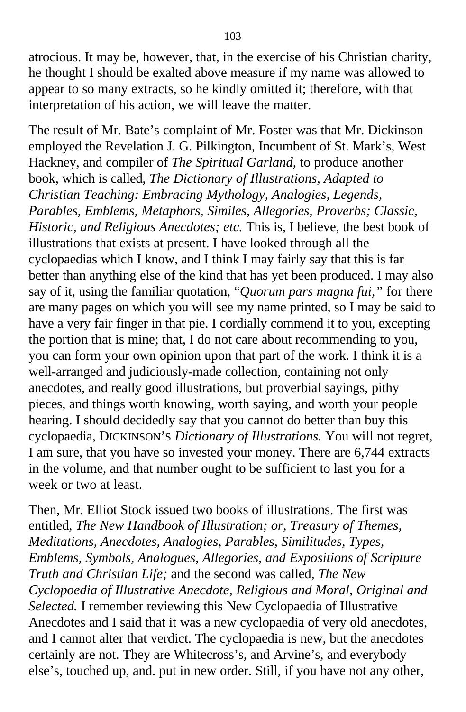atrocious. It may be, however, that, in the exercise of his Christian charity, he thought I should be exalted above measure if my name was allowed to appear to so many extracts, so he kindly omitted it; therefore, with that interpretation of his action, we will leave the matter.

The result of Mr. Bate's complaint of Mr. Foster was that Mr. Dickinson employed the Revelation J. G. Pilkington, Incumbent of St. Mark's, West Hackney, and compiler of *The Spiritual Garland,* to produce another book, which is called, *The Dictionary of Illustrations, Adapted to Christian Teaching: Embracing Mythology, Analogies, Legends, Parables, Emblems, Metaphors, Similes, Allegories, Proverbs; Classic, Historic, and Religious Anecdotes; etc.* This is, I believe, the best book of illustrations that exists at present. I have looked through all the cyclopaedias which I know, and I think I may fairly say that this is far better than anything else of the kind that has yet been produced. I may also say of it, using the familiar quotation, "*Quorum pars magna fui,"* for there are many pages on which you will see my name printed, so I may be said to have a very fair finger in that pie. I cordially commend it to you, excepting the portion that is mine; that, I do not care about recommending to you, you can form your own opinion upon that part of the work. I think it is a well-arranged and judiciously-made collection, containing not only anecdotes, and really good illustrations, but proverbial sayings, pithy pieces, and things worth knowing, worth saying, and worth your people hearing. I should decidedly say that you cannot do better than buy this cyclopaedia, DICKINSON'S *Dictionary of Illustrations.* You will not regret, I am sure, that you have so invested your money. There are 6,744 extracts in the volume, and that number ought to be sufficient to last you for a week or two at least.

Then, Mr. Elliot Stock issued two books of illustrations. The first was entitled, *The New Handbook of Illustration; or, Treasury of Themes, Meditations, Anecdotes, Analogies, Parables, Similitudes, Types, Emblems, Symbols, Analogues, Allegories, and Expositions of Scripture Truth and Christian Life;* and the second was called, *The New Cyclopoedia of Illustrative Anecdote, Religious and Moral, Original and Selected.* I remember reviewing this New Cyclopaedia of Illustrative Anecdotes and I said that it was a new cyclopaedia of very old anecdotes, and I cannot alter that verdict. The cyclopaedia is new, but the anecdotes certainly are not. They are Whitecross's, and Arvine's, and everybody else's, touched up, and. put in new order. Still, if you have not any other,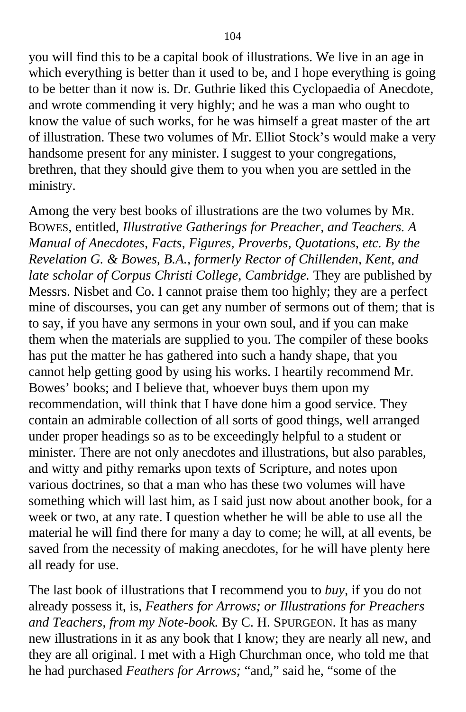you will find this to be a capital book of illustrations. We live in an age in which everything is better than it used to be, and I hope everything is going to be better than it now is. Dr. Guthrie liked this Cyclopaedia of Anecdote, and wrote commending it very highly; and he was a man who ought to know the value of such works, for he was himself a great master of the art of illustration. These two volumes of Mr. Elliot Stock's would make a very handsome present for any minister. I suggest to your congregations, brethren, that they should give them to you when you are settled in the ministry.

Among the very best books of illustrations are the two volumes by MR. BOWES, entitled, *Illustrative Gatherings for Preacher, and Teachers. A Manual of Anecdotes, Facts, Figures, Proverbs, Quotations, etc. By the Revelation G. & Bowes, B.A., formerly Rector of Chillenden, Kent, and late scholar of Corpus Christi College, Cambridge. They are published by* Messrs. Nisbet and Co. I cannot praise them too highly; they are a perfect mine of discourses, you can get any number of sermons out of them; that is to say, if you have any sermons in your own soul, and if you can make them when the materials are supplied to you. The compiler of these books has put the matter he has gathered into such a handy shape, that you cannot help getting good by using his works. I heartily recommend Mr. Bowes' books; and I believe that, whoever buys them upon my recommendation, will think that I have done him a good service. They contain an admirable collection of all sorts of good things, well arranged under proper headings so as to be exceedingly helpful to a student or minister. There are not only anecdotes and illustrations, but also parables, and witty and pithy remarks upon texts of Scripture, and notes upon various doctrines, so that a man who has these two volumes will have something which will last him, as I said just now about another book, for a week or two, at any rate. I question whether he will be able to use all the material he will find there for many a day to come; he will, at all events, be saved from the necessity of making anecdotes, for he will have plenty here all ready for use.

The last book of illustrations that I recommend you to *buy,* if you do not already possess it, is, *Feathers for Arrows; or Illustrations for Preachers and Teachers, from my Note-book.* By C. H. SPURGEON. It has as many new illustrations in it as any book that I know; they are nearly all new, and they are all original. I met with a High Churchman once, who told me that he had purchased *Feathers for Arrows;* "and," said he, "some of the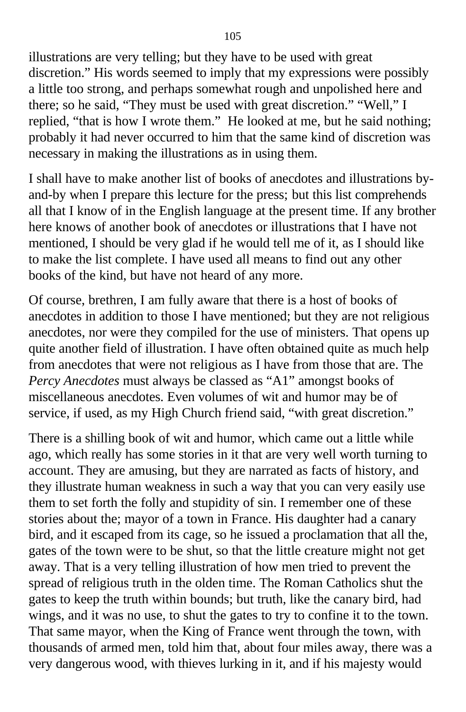illustrations are very telling; but they have to be used with great discretion." His words seemed to imply that my expressions were possibly a little too strong, and perhaps somewhat rough and unpolished here and there; so he said, "They must be used with great discretion." "Well," I replied, "that is how I wrote them." He looked at me, but he said nothing; probably it had never occurred to him that the same kind of discretion was necessary in making the illustrations as in using them.

I shall have to make another list of books of anecdotes and illustrations byand-by when I prepare this lecture for the press; but this list comprehends all that I know of in the English language at the present time. If any brother here knows of another book of anecdotes or illustrations that I have not mentioned, I should be very glad if he would tell me of it, as I should like to make the list complete. I have used all means to find out any other books of the kind, but have not heard of any more.

Of course, brethren, I am fully aware that there is a host of books of anecdotes in addition to those I have mentioned; but they are not religious anecdotes, nor were they compiled for the use of ministers. That opens up quite another field of illustration. I have often obtained quite as much help from anecdotes that were not religious as I have from those that are. The *Percy Anecdotes* must always be classed as "A1" amongst books of miscellaneous anecdotes. Even volumes of wit and humor may be of service, if used, as my High Church friend said, "with great discretion."

There is a shilling book of wit and humor, which came out a little while ago, which really has some stories in it that are very well worth turning to account. They are amusing, but they are narrated as facts of history, and they illustrate human weakness in such a way that you can very easily use them to set forth the folly and stupidity of sin. I remember one of these stories about the; mayor of a town in France. His daughter had a canary bird, and it escaped from its cage, so he issued a proclamation that all the, gates of the town were to be shut, so that the little creature might not get away. That is a very telling illustration of how men tried to prevent the spread of religious truth in the olden time. The Roman Catholics shut the gates to keep the truth within bounds; but truth, like the canary bird, had wings, and it was no use, to shut the gates to try to confine it to the town. That same mayor, when the King of France went through the town, with thousands of armed men, told him that, about four miles away, there was a very dangerous wood, with thieves lurking in it, and if his majesty would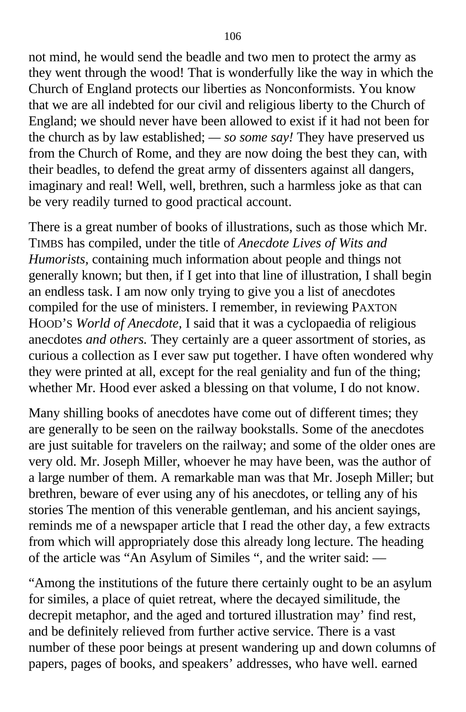not mind, he would send the beadle and two men to protect the army as they went through the wood! That is wonderfully like the way in which the Church of England protects our liberties as Nonconformists. You know that we are all indebted for our civil and religious liberty to the Church of England; we should never have been allowed to exist if it had not been for the church as by law established; *— so some say!* They have preserved us from the Church of Rome, and they are now doing the best they can, with their beadles, to defend the great army of dissenters against all dangers, imaginary and real! Well, well, brethren, such a harmless joke as that can be very readily turned to good practical account.

There is a great number of books of illustrations, such as those which Mr. TIMBS has compiled, under the title of *Anecdote Lives of Wits and Humorists,* containing much information about people and things not generally known; but then, if I get into that line of illustration, I shall begin an endless task. I am now only trying to give you a list of anecdotes compiled for the use of ministers. I remember, in reviewing PAXTON HOOD'S *World of Anecdote,* I said that it was a cyclopaedia of religious anecdotes *and others.* They certainly are a queer assortment of stories, as curious a collection as I ever saw put together. I have often wondered why they were printed at all, except for the real geniality and fun of the thing; whether Mr. Hood ever asked a blessing on that volume, I do not know.

Many shilling books of anecdotes have come out of different times; they are generally to be seen on the railway bookstalls. Some of the anecdotes are just suitable for travelers on the railway; and some of the older ones are very old. Mr. Joseph Miller, whoever he may have been, was the author of a large number of them. A remarkable man was that Mr. Joseph Miller; but brethren, beware of ever using any of his anecdotes, or telling any of his stories The mention of this venerable gentleman, and his ancient sayings, reminds me of a newspaper article that I read the other day, a few extracts from which will appropriately dose this already long lecture. The heading of the article was "An Asylum of Similes ", and the writer said: —

"Among the institutions of the future there certainly ought to be an asylum for similes, a place of quiet retreat, where the decayed similitude, the decrepit metaphor, and the aged and tortured illustration may' find rest, and be definitely relieved from further active service. There is a vast number of these poor beings at present wandering up and down columns of papers, pages of books, and speakers' addresses, who have well. earned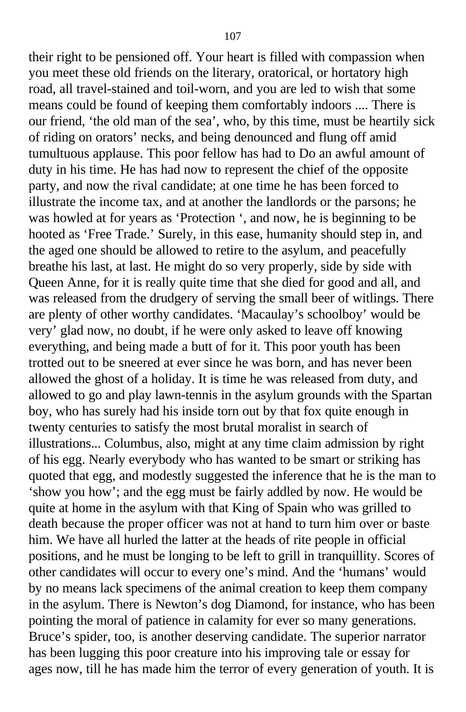their right to be pensioned off. Your heart is filled with compassion when you meet these old friends on the literary, oratorical, or hortatory high road, all travel-stained and toil-worn, and you are led to wish that some means could be found of keeping them comfortably indoors .... There is our friend, 'the old man of the sea', who, by this time, must be heartily sick of riding on orators' necks, and being denounced and flung off amid tumultuous applause. This poor fellow has had to Do an awful amount of duty in his time. He has had now to represent the chief of the opposite party, and now the rival candidate; at one time he has been forced to illustrate the income tax, and at another the landlords or the parsons; he was howled at for years as 'Protection ', and now, he is beginning to be hooted as 'Free Trade.' Surely, in this ease, humanity should step in, and the aged one should be allowed to retire to the asylum, and peacefully breathe his last, at last. He might do so very properly, side by side with Queen Anne, for it is really quite time that she died for good and all, and was released from the drudgery of serving the small beer of witlings. There are plenty of other worthy candidates. 'Macaulay's schoolboy' would be very' glad now, no doubt, if he were only asked to leave off knowing everything, and being made a butt of for it. This poor youth has been trotted out to be sneered at ever since he was born, and has never been allowed the ghost of a holiday. It is time he was released from duty, and allowed to go and play lawn-tennis in the asylum grounds with the Spartan boy, who has surely had his inside torn out by that fox quite enough in twenty centuries to satisfy the most brutal moralist in search of illustrations... Columbus, also, might at any time claim admission by right of his egg. Nearly everybody who has wanted to be smart or striking has quoted that egg, and modestly suggested the inference that he is the man to 'show you how'; and the egg must be fairly addled by now. He would be quite at home in the asylum with that King of Spain who was grilled to death because the proper officer was not at hand to turn him over or baste him. We have all hurled the latter at the heads of rite people in official positions, and he must be longing to be left to grill in tranquillity. Scores of other candidates will occur to every one's mind. And the 'humans' would by no means lack specimens of the animal creation to keep them company in the asylum. There is Newton's dog Diamond, for instance, who has been pointing the moral of patience in calamity for ever so many generations. Bruce's spider, too, is another deserving candidate. The superior narrator has been lugging this poor creature into his improving tale or essay for ages now, till he has made him the terror of every generation of youth. It is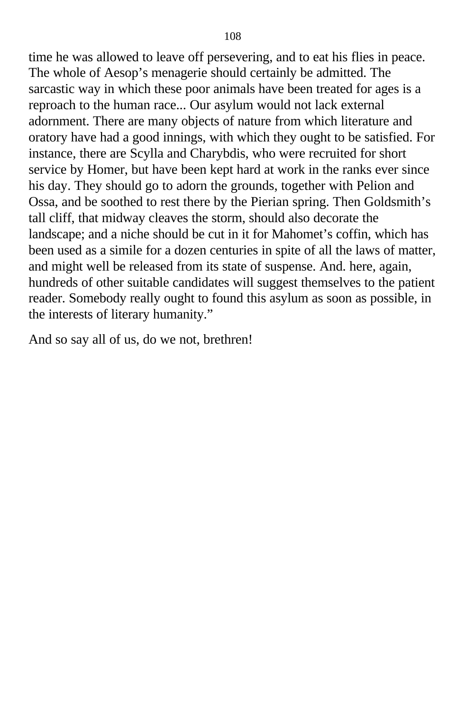time he was allowed to leave off persevering, and to eat his flies in peace. The whole of Aesop's menagerie should certainly be admitted. The sarcastic way in which these poor animals have been treated for ages is a reproach to the human race... Our asylum would not lack external adornment. There are many objects of nature from which literature and oratory have had a good innings, with which they ought to be satisfied. For instance, there are Scylla and Charybdis, who were recruited for short service by Homer, but have been kept hard at work in the ranks ever since his day. They should go to adorn the grounds, together with Pelion and Ossa, and be soothed to rest there by the Pierian spring. Then Goldsmith's tall cliff, that midway cleaves the storm, should also decorate the landscape; and a niche should be cut in it for Mahomet's coffin, which has been used as a simile for a dozen centuries in spite of all the laws of matter, and might well be released from its state of suspense. And. here, again, hundreds of other suitable candidates will suggest themselves to the patient reader. Somebody really ought to found this asylum as soon as possible, in the interests of literary humanity."

And so say all of us, do we not, brethren!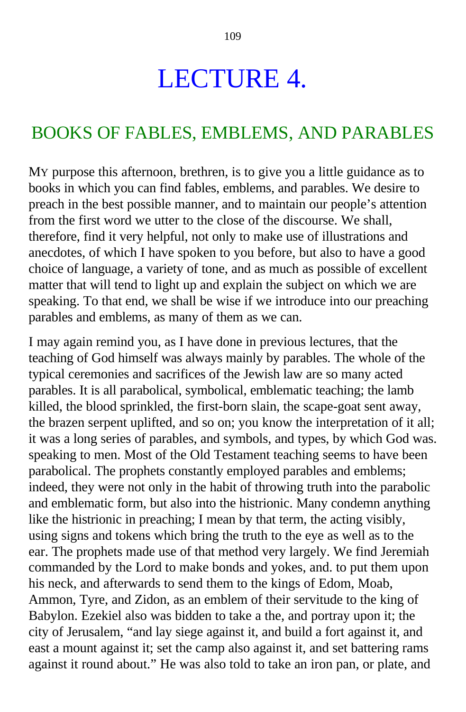# LECTURE 4.

# BOOKS OF FABLES, EMBLEMS, AND PARABLES

MY purpose this afternoon, brethren, is to give you a little guidance as to books in which you can find fables, emblems, and parables. We desire to preach in the best possible manner, and to maintain our people's attention from the first word we utter to the close of the discourse. We shall, therefore, find it very helpful, not only to make use of illustrations and anecdotes, of which I have spoken to you before, but also to have a good choice of language, a variety of tone, and as much as possible of excellent matter that will tend to light up and explain the subject on which we are speaking. To that end, we shall be wise if we introduce into our preaching parables and emblems, as many of them as we can.

I may again remind you, as I have done in previous lectures, that the teaching of God himself was always mainly by parables. The whole of the typical ceremonies and sacrifices of the Jewish law are so many acted parables. It is all parabolical, symbolical, emblematic teaching; the lamb killed, the blood sprinkled, the first-born slain, the scape-goat sent away, the brazen serpent uplifted, and so on; you know the interpretation of it all; it was a long series of parables, and symbols, and types, by which God was. speaking to men. Most of the Old Testament teaching seems to have been parabolical. The prophets constantly employed parables and emblems; indeed, they were not only in the habit of throwing truth into the parabolic and emblematic form, but also into the histrionic. Many condemn anything like the histrionic in preaching; I mean by that term, the acting visibly, using signs and tokens which bring the truth to the eye as well as to the ear. The prophets made use of that method very largely. We find Jeremiah commanded by the Lord to make bonds and yokes, and. to put them upon his neck, and afterwards to send them to the kings of Edom, Moab, Ammon, Tyre, and Zidon, as an emblem of their servitude to the king of Babylon. Ezekiel also was bidden to take a the, and portray upon it; the city of Jerusalem, "and lay siege against it, and build a fort against it, and east a mount against it; set the camp also against it, and set battering rams against it round about." He was also told to take an iron pan, or plate, and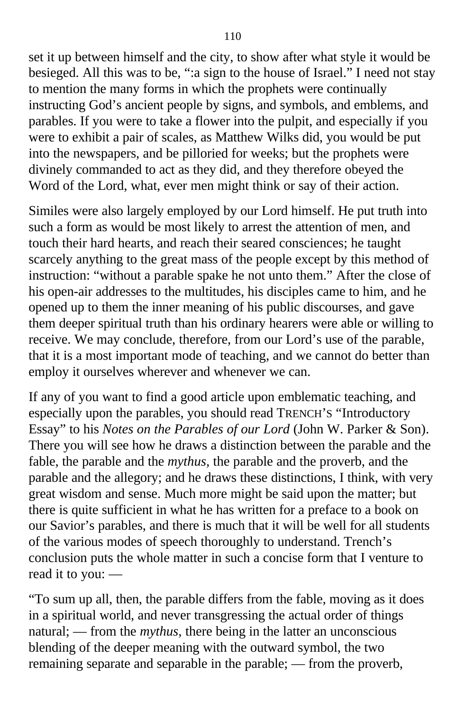set it up between himself and the city, to show after what style it would be besieged. All this was to be, ":a sign to the house of Israel." I need not stay to mention the many forms in which the prophets were continually instructing God's ancient people by signs, and symbols, and emblems, and parables. If you were to take a flower into the pulpit, and especially if you were to exhibit a pair of scales, as Matthew Wilks did, you would be put into the newspapers, and be pilloried for weeks; but the prophets were divinely commanded to act as they did, and they therefore obeyed the Word of the Lord, what, ever men might think or say of their action.

Similes were also largely employed by our Lord himself. He put truth into such a form as would be most likely to arrest the attention of men, and touch their hard hearts, and reach their seared consciences; he taught scarcely anything to the great mass of the people except by this method of instruction: "without a parable spake he not unto them." After the close of his open-air addresses to the multitudes, his disciples came to him, and he opened up to them the inner meaning of his public discourses, and gave them deeper spiritual truth than his ordinary hearers were able or willing to receive. We may conclude, therefore, from our Lord's use of the parable, that it is a most important mode of teaching, and we cannot do better than employ it ourselves wherever and whenever we can.

If any of you want to find a good article upon emblematic teaching, and especially upon the parables, you should read TRENCH'S "Introductory Essay" to his *Notes on the Parables of our Lord* (John W. Parker & Son). There you will see how he draws a distinction between the parable and the fable, the parable and the *mythus,* the parable and the proverb, and the parable and the allegory; and he draws these distinctions, I think, with very great wisdom and sense. Much more might be said upon the matter; but there is quite sufficient in what he has written for a preface to a book on our Savior's parables, and there is much that it will be well for all students of the various modes of speech thoroughly to understand. Trench's conclusion puts the whole matter in such a concise form that I venture to read it to you: —

"To sum up all, then, the parable differs from the fable, moving as it does in a spiritual world, and never transgressing the actual order of things natural; — from the *mythus,* there being in the latter an unconscious blending of the deeper meaning with the outward symbol, the two remaining separate and separable in the parable; — from the proverb,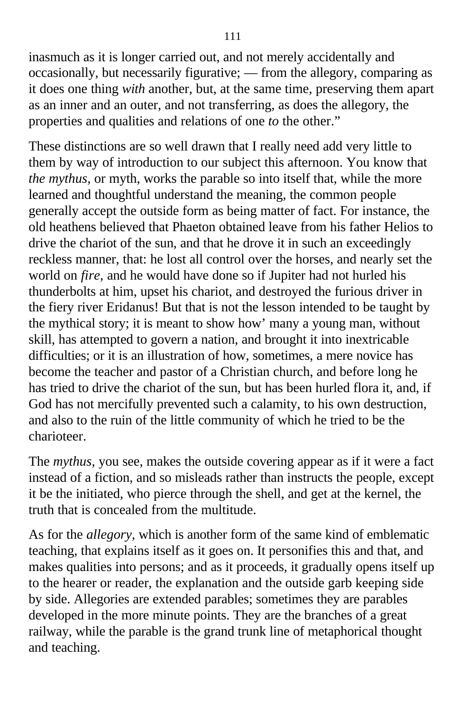inasmuch as it is longer carried out, and not merely accidentally and occasionally, but necessarily figurative; — from the allegory, comparing as it does one thing *with* another, but, at the same time, preserving them apart as an inner and an outer, and not transferring, as does the allegory, the properties and qualities and relations of one *to* the other."

These distinctions are so well drawn that I really need add very little to them by way of introduction to our subject this afternoon. You know that *the mythus,* or myth, works the parable so into itself that, while the more learned and thoughtful understand the meaning, the common people generally accept the outside form as being matter of fact. For instance, the old heathens believed that Phaeton obtained leave from his father Helios to drive the chariot of the sun, and that he drove it in such an exceedingly reckless manner, that: he lost all control over the horses, and nearly set the world on *fire,* and he would have done so if Jupiter had not hurled his thunderbolts at him, upset his chariot, and destroyed the furious driver in the fiery river Eridanus! But that is not the lesson intended to be taught by the mythical story; it is meant to show how' many a young man, without skill, has attempted to govern a nation, and brought it into inextricable difficulties; or it is an illustration of how, sometimes, a mere novice has become the teacher and pastor of a Christian church, and before long he has tried to drive the chariot of the sun, but has been hurled flora it, and, if God has not mercifully prevented such a calamity, to his own destruction, and also to the ruin of the little community of which he tried to be the charioteer.

The *mythus,* you see, makes the outside covering appear as if it were a fact instead of a fiction, and so misleads rather than instructs the people, except it be the initiated, who pierce through the shell, and get at the kernel, the truth that is concealed from the multitude.

As for the *allegory,* which is another form of the same kind of emblematic teaching, that explains itself as it goes on. It personifies this and that, and makes qualities into persons; and as it proceeds, it gradually opens itself up to the hearer or reader, the explanation and the outside garb keeping side by side. Allegories are extended parables; sometimes they are parables developed in the more minute points. They are the branches of a great railway, while the parable is the grand trunk line of metaphorical thought and teaching.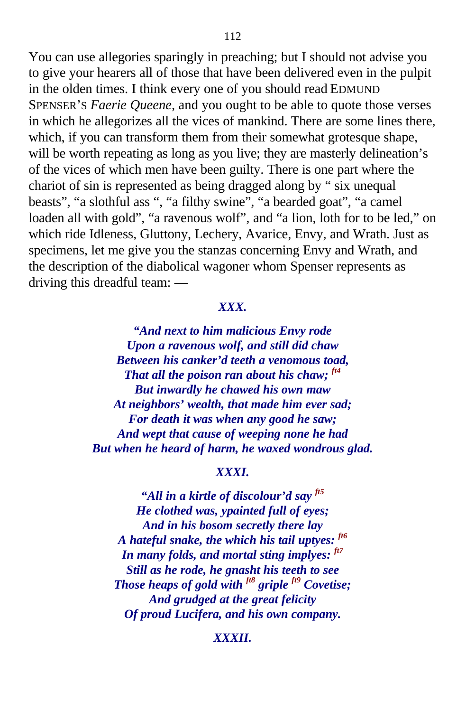You can use allegories sparingly in preaching; but I should not advise you to give your hearers all of those that have been delivered even in the pulpit in the olden times. I think every one of you should read EDMUND SPENSER'S *Faerie Queene,* and you ought to be able to quote those verses in which he allegorizes all the vices of mankind. There are some lines there, which, if you can transform them from their somewhat grotesque shape, will be worth repeating as long as you live; they are masterly delineation's of the vices of which men have been guilty. There is one part where the chariot of sin is represented as being dragged along by " six unequal beasts", "a slothful ass ", "a filthy swine", "a bearded goat", "a camel loaden all with gold", "a ravenous wolf", and "a lion, loth for to be led," on which ride Idleness, Gluttony, Lechery, Avarice, Envy, and Wrath. Just as specimens, let me give you the stanzas concerning Envy and Wrath, and the description of the diabolical wagoner whom Spenser represents as driving this dreadful team: —

#### *XXX.*

*"And next to him malicious Envy rode Upon a ravenous wolf, and still did chaw Between his canker'd teeth a venomous toad, That all the poison ran about his chaw; ft4 But inwardly he chawed his own maw At neighbors' wealth, that made him ever sad; For death it was when any good he saw; And wept that cause of weeping none he had But when he heard of harm, he waxed wondrous glad.*

#### *XXXI.*

*"All in a kirtle of discolour'd say ft5 He clothed was, ypainted full of eyes; And in his bosom secretly there lay A hateful snake, the which his tail uptyes: ft6 In many folds, and mortal sting implyes: ft7 Still as he rode, he gnasht his teeth to see Those heaps of gold with ft8 griple ft9 Covetise; And grudged at the great felicity Of proud Lucifera, and his own company.*

### *XXXII.*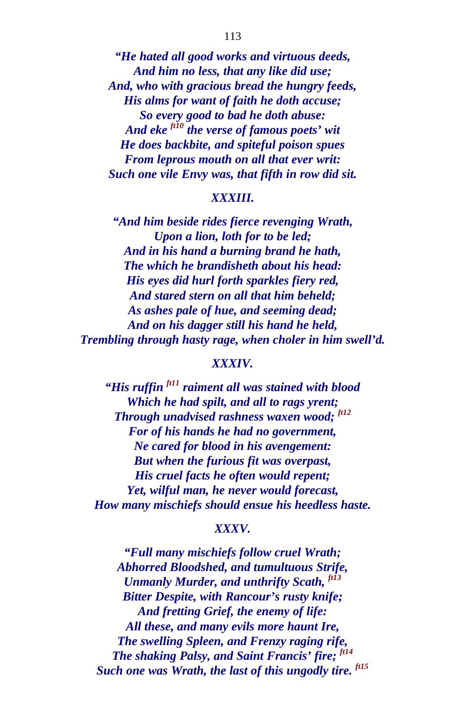*"He hated all good works and virtuous deeds, And him no less, that any like did use; And, who with gracious bread the hungry feeds, His alms for want of faith he doth accuse; So every good to bad he doth abuse: And eke ft10 the verse of famous poets' wit He does backbite, and spiteful poison spues From leprous mouth on all that ever writ: Such one vile Envy was, that fifth in row did sit.*

#### *XXXIII.*

*"And him beside rides fierce revenging Wrath, Upon a lion, loth for to be led; And in his hand a burning brand he hath, The which he brandisheth about his head: His eyes did hurl forth sparkles fiery red, And stared stern on all that him beheld; As ashes pale of hue, and seeming dead; And on his dagger still his hand he held, Trembling through hasty rage, when choler in him swell'd.*

#### *XXXIV.*

*"His ruffin ft11 raiment all was stained with blood Which he had spilt, and all to rags yrent; Through unadvised rashness waxen wood; ft12 For of his hands he had no government, Ne cared for blood in his avengement: But when the furious fit was overpast, His cruel facts he often would repent; Yet, wilful man, he never would forecast, How many mischiefs should ensue his heedless haste.*

#### *XXXV.*

*"Full many mischiefs follow cruel Wrath; Abhorred Bloodshed, and tumultuous Strife, Unmanly Murder, and unthrifty Scath, ft13 Bitter Despite, with Rancour's rusty knife; And fretting Grief, the enemy of life: All these, and many evils more haunt Ire, The swelling Spleen, and Frenzy raging rife, The shaking Palsy, and Saint Francis' fire; ft14 Such one was Wrath, the last of this ungodly tire. ft15*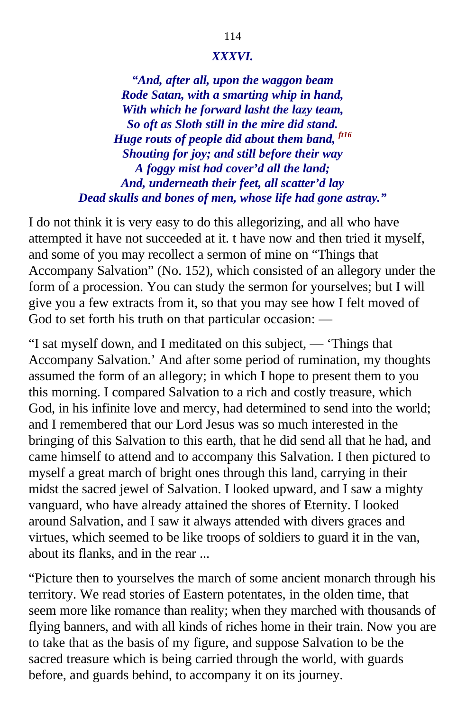# 114 *XXXVI.*

*"And, after all, upon the waggon beam Rode Satan, with a smarting whip in hand, With which he forward lasht the lazy team, So oft as Sloth still in the mire did stand. Huge routs of people did about them band, ft16 Shouting for joy; and still before their way A foggy mist had cover'd all the land; And, underneath their feet, all scatter'd lay Dead skulls and bones of men, whose life had gone astray."*

I do not think it is very easy to do this allegorizing, and all who have attempted it have not succeeded at it. t have now and then tried it myself, and some of you may recollect a sermon of mine on "Things that Accompany Salvation" (No. 152), which consisted of an allegory under the form of a procession. You can study the sermon for yourselves; but I will give you a few extracts from it, so that you may see how I felt moved of God to set forth his truth on that particular occasion: —

"I sat myself down, and I meditated on this subject, — 'Things that Accompany Salvation.' And after some period of rumination, my thoughts assumed the form of an allegory; in which I hope to present them to you this morning. I compared Salvation to a rich and costly treasure, which God, in his infinite love and mercy, had determined to send into the world; and I remembered that our Lord Jesus was so much interested in the bringing of this Salvation to this earth, that he did send all that he had, and came himself to attend and to accompany this Salvation. I then pictured to myself a great march of bright ones through this land, carrying in their midst the sacred jewel of Salvation. I looked upward, and I saw a mighty vanguard, who have already attained the shores of Eternity. I looked around Salvation, and I saw it always attended with divers graces and virtues, which seemed to be like troops of soldiers to guard it in the van, about its flanks, and in the rear ...

"Picture then to yourselves the march of some ancient monarch through his territory. We read stories of Eastern potentates, in the olden time, that seem more like romance than reality; when they marched with thousands of flying banners, and with all kinds of riches home in their train. Now you are to take that as the basis of my figure, and suppose Salvation to be the sacred treasure which is being carried through the world, with guards before, and guards behind, to accompany it on its journey.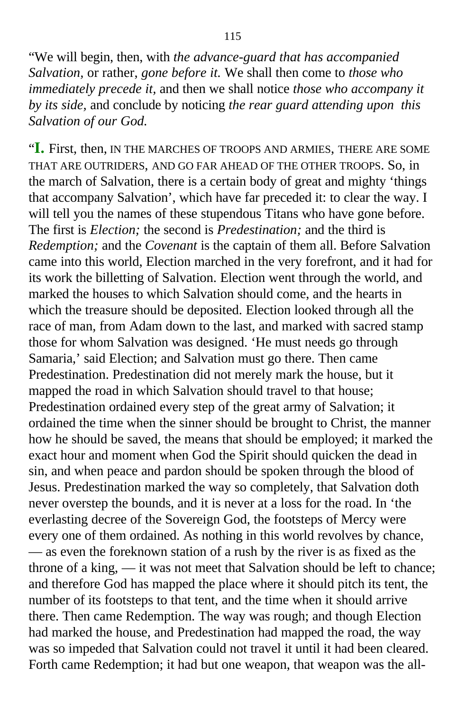"We will begin, then, with *the advance-guard that has accompanied Salvation,* or rather, *gone before it.* We shall then come to *those who immediately precede it,* and then we shall notice *those who accompany it by its side,* and conclude by noticing *the rear guard attending upon this Salvation of our God.*

"**I.** First, then, IN THE MARCHES OF TROOPS AND ARMIES, THERE ARE SOME THAT ARE OUTRIDERS, AND GO FAR AHEAD OF THE OTHER TROOPS. So, in the march of Salvation, there is a certain body of great and mighty 'things that accompany Salvation', which have far preceded it: to clear the way. I will tell you the names of these stupendous Titans who have gone before. The first is *Election;* the second is *Predestination;* and the third is *Redemption;* and the *Covenant* is the captain of them all. Before Salvation came into this world, Election marched in the very forefront, and it had for its work the billetting of Salvation. Election went through the world, and marked the houses to which Salvation should come, and the hearts in which the treasure should be deposited. Election looked through all the race of man, from Adam down to the last, and marked with sacred stamp those for whom Salvation was designed. 'He must needs go through Samaria,' said Election; and Salvation must go there. Then came Predestination. Predestination did not merely mark the house, but it mapped the road in which Salvation should travel to that house; Predestination ordained every step of the great army of Salvation; it ordained the time when the sinner should be brought to Christ, the manner how he should be saved, the means that should be employed; it marked the exact hour and moment when God the Spirit should quicken the dead in sin, and when peace and pardon should be spoken through the blood of Jesus. Predestination marked the way so completely, that Salvation doth never overstep the bounds, and it is never at a loss for the road. In 'the everlasting decree of the Sovereign God, the footsteps of Mercy were every one of them ordained. As nothing in this world revolves by chance, — as even the foreknown station of a rush by the river is as fixed as the throne of a king, — it was not meet that Salvation should be left to chance; and therefore God has mapped the place where it should pitch its tent, the number of its footsteps to that tent, and the time when it should arrive there. Then came Redemption. The way was rough; and though Election had marked the house, and Predestination had mapped the road, the way was so impeded that Salvation could not travel it until it had been cleared. Forth came Redemption; it had but one weapon, that weapon was the all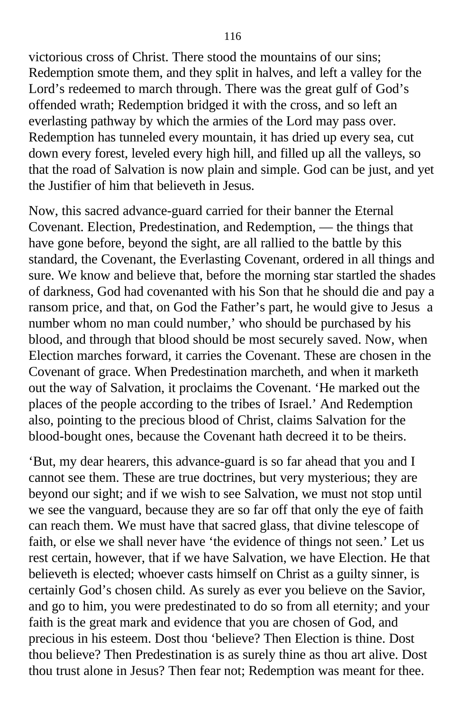victorious cross of Christ. There stood the mountains of our sins; Redemption smote them, and they split in halves, and left a valley for the Lord's redeemed to march through. There was the great gulf of God's offended wrath; Redemption bridged it with the cross, and so left an everlasting pathway by which the armies of the Lord may pass over. Redemption has tunneled every mountain, it has dried up every sea, cut down every forest, leveled every high hill, and filled up all the valleys, so that the road of Salvation is now plain and simple. God can be just, and yet the Justifier of him that believeth in Jesus.

Now, this sacred advance-guard carried for their banner the Eternal Covenant. Election, Predestination, and Redemption, — the things that have gone before, beyond the sight, are all rallied to the battle by this standard, the Covenant, the Everlasting Covenant, ordered in all things and sure. We know and believe that, before the morning star startled the shades of darkness, God had covenanted with his Son that he should die and pay a ransom price, and that, on God the Father's part, he would give to Jesus a number whom no man could number,' who should be purchased by his blood, and through that blood should be most securely saved. Now, when Election marches forward, it carries the Covenant. These are chosen in the Covenant of grace. When Predestination marcheth, and when it marketh out the way of Salvation, it proclaims the Covenant. 'He marked out the places of the people according to the tribes of Israel.' And Redemption also, pointing to the precious blood of Christ, claims Salvation for the blood-bought ones, because the Covenant hath decreed it to be theirs.

'But, my dear hearers, this advance-guard is so far ahead that you and I cannot see them. These are true doctrines, but very mysterious; they are beyond our sight; and if we wish to see Salvation, we must not stop until we see the vanguard, because they are so far off that only the eye of faith can reach them. We must have that sacred glass, that divine telescope of faith, or else we shall never have 'the evidence of things not seen.' Let us rest certain, however, that if we have Salvation, we have Election. He that believeth is elected; whoever casts himself on Christ as a guilty sinner, is certainly God's chosen child. As surely as ever you believe on the Savior, and go to him, you were predestinated to do so from all eternity; and your faith is the great mark and evidence that you are chosen of God, and precious in his esteem. Dost thou 'believe? Then Election is thine. Dost thou believe? Then Predestination is as surely thine as thou art alive. Dost thou trust alone in Jesus? Then fear not; Redemption was meant for thee.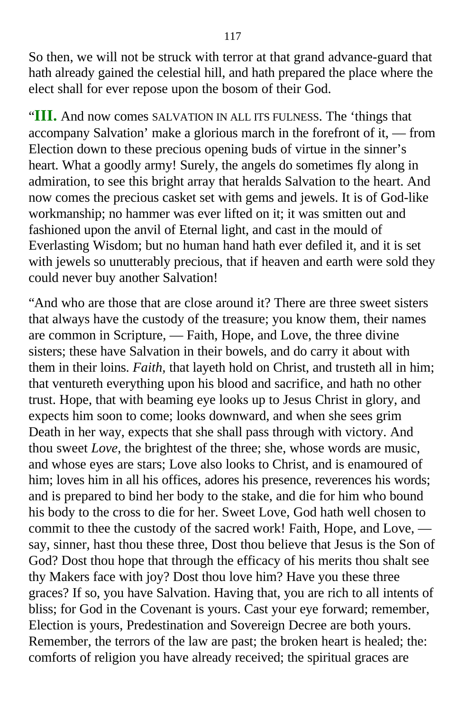So then, we will not be struck with terror at that grand advance-guard that hath already gained the celestial hill, and hath prepared the place where the elect shall for ever repose upon the bosom of their God.

"**III.** And now comes SALVATION IN ALL ITS FULNESS. The 'things that accompany Salvation' make a glorious march in the forefront of it, — from Election down to these precious opening buds of virtue in the sinner's heart. What a goodly army! Surely, the angels do sometimes fly along in admiration, to see this bright array that heralds Salvation to the heart. And now comes the precious casket set with gems and jewels. It is of God-like workmanship; no hammer was ever lifted on it; it was smitten out and fashioned upon the anvil of Eternal light, and cast in the mould of Everlasting Wisdom; but no human hand hath ever defiled it, and it is set with jewels so unutterably precious, that if heaven and earth were sold they could never buy another Salvation!

"And who are those that are close around it? There are three sweet sisters that always have the custody of the treasure; you know them, their names are common in Scripture, — Faith, Hope, and Love, the three divine sisters; these have Salvation in their bowels, and do carry it about with them in their loins. *Faith,* that layeth hold on Christ, and trusteth all in him; that ventureth everything upon his blood and sacrifice, and hath no other trust. Hope, that with beaming eye looks up to Jesus Christ in glory, and expects him soon to come; looks downward, and when she sees grim Death in her way, expects that she shall pass through with victory. And thou sweet *Love*, the brightest of the three; she, whose words are music, and whose eyes are stars; Love also looks to Christ, and is enamoured of him; loves him in all his offices, adores his presence, reverences his words; and is prepared to bind her body to the stake, and die for him who bound his body to the cross to die for her. Sweet Love, God hath well chosen to commit to thee the custody of the sacred work! Faith, Hope, and Love, say, sinner, hast thou these three, Dost thou believe that Jesus is the Son of God? Dost thou hope that through the efficacy of his merits thou shalt see thy Makers face with joy? Dost thou love him? Have you these three graces? If so, you have Salvation. Having that, you are rich to all intents of bliss; for God in the Covenant is yours. Cast your eye forward; remember, Election is yours, Predestination and Sovereign Decree are both yours. Remember, the terrors of the law are past; the broken heart is healed; the: comforts of religion you have already received; the spiritual graces are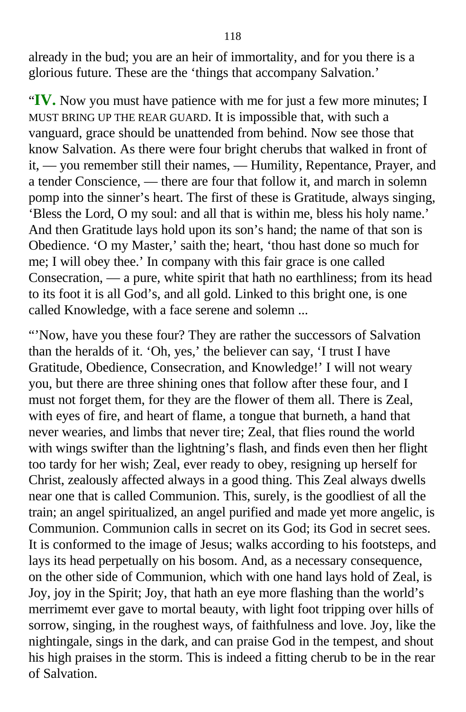already in the bud; you are an heir of immortality, and for you there is a glorious future. These are the 'things that accompany Salvation.'

"IV. Now you must have patience with me for just a few more minutes; I MUST BRING UP THE REAR GUARD. It is impossible that, with such a vanguard, grace should be unattended from behind. Now see those that know Salvation. As there were four bright cherubs that walked in front of it, — you remember still their names, — Humility, Repentance, Prayer, and a tender Conscience, — there are four that follow it, and march in solemn pomp into the sinner's heart. The first of these is Gratitude, always singing, 'Bless the Lord, O my soul: and all that is within me, bless his holy name.' And then Gratitude lays hold upon its son's hand; the name of that son is Obedience. 'O my Master,' saith the; heart, 'thou hast done so much for me; I will obey thee.' In company with this fair grace is one called Consecration, — a pure, white spirit that hath no earthliness; from its head to its foot it is all God's, and all gold. Linked to this bright one, is one called Knowledge, with a face serene and solemn ...

"Now, have you these four? They are rather the successors of Salvation than the heralds of it. 'Oh, yes,' the believer can say, 'I trust I have Gratitude, Obedience, Consecration, and Knowledge!' I will not weary you, but there are three shining ones that follow after these four, and I must not forget them, for they are the flower of them all. There is Zeal, with eyes of fire, and heart of flame, a tongue that burneth, a hand that never wearies, and limbs that never tire; Zeal, that flies round the world with wings swifter than the lightning's flash, and finds even then her flight too tardy for her wish; Zeal, ever ready to obey, resigning up herself for Christ, zealously affected always in a good thing. This Zeal always dwells near one that is called Communion. This, surely, is the goodliest of all the train; an angel spiritualized, an angel purified and made yet more angelic, is Communion. Communion calls in secret on its God; its God in secret sees. It is conformed to the image of Jesus; walks according to his footsteps, and lays its head perpetually on his bosom. And, as a necessary consequence, on the other side of Communion, which with one hand lays hold of Zeal, is Joy, joy in the Spirit; Joy, that hath an eye more flashing than the world's merrimemt ever gave to mortal beauty, with light foot tripping over hills of sorrow, singing, in the roughest ways, of faithfulness and love. Joy, like the nightingale, sings in the dark, and can praise God in the tempest, and shout his high praises in the storm. This is indeed a fitting cherub to be in the rear of Salvation.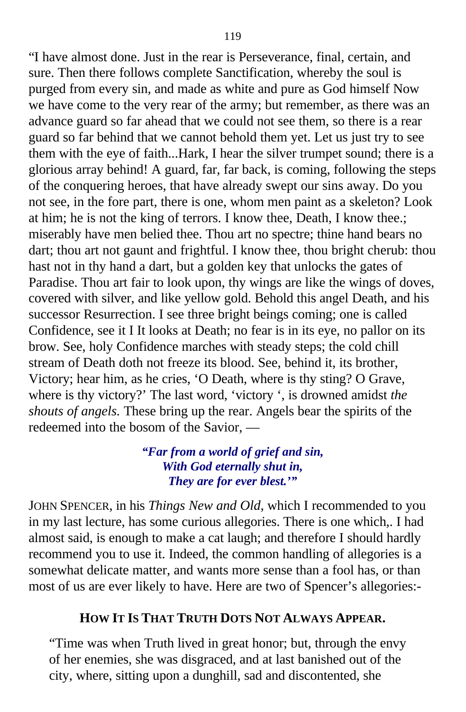"I have almost done. Just in the rear is Perseverance, final, certain, and sure. Then there follows complete Sanctification, whereby the soul is purged from every sin, and made as white and pure as God himself Now we have come to the very rear of the army; but remember, as there was an advance guard so far ahead that we could not see them, so there is a rear guard so far behind that we cannot behold them yet. Let us just try to see them with the eye of faith...Hark, I hear the silver trumpet sound; there is a glorious array behind! A guard, far, far back, is coming, following the steps of the conquering heroes, that have already swept our sins away. Do you not see, in the fore part, there is one, whom men paint as a skeleton? Look at him; he is not the king of terrors. I know thee, Death, I know thee.; miserably have men belied thee. Thou art no spectre; thine hand bears no dart; thou art not gaunt and frightful. I know thee, thou bright cherub: thou hast not in thy hand a dart, but a golden key that unlocks the gates of Paradise. Thou art fair to look upon, thy wings are like the wings of doves, covered with silver, and like yellow gold. Behold this angel Death, and his successor Resurrection. I see three bright beings coming; one is called Confidence, see it I It looks at Death; no fear is in its eye, no pallor on its brow. See, holy Confidence marches with steady steps; the cold chill stream of Death doth not freeze its blood. See, behind it, its brother, Victory; hear him, as he cries, 'O Death, where is thy sting? O Grave, where is thy victory?' The last word, 'victory ', is drowned amidst *the shouts of angels.* These bring up the rear. Angels bear the spirits of the redeemed into the bosom of the Savior, —

### *"Far from a world of grief and sin, With God eternally shut in, They are for ever blest.'"*

JOHN SPENCER, in his *Things New and Old,* which I recommended to you in my last lecture, has some curious allegories. There is one which,. I had almost said, is enough to make a cat laugh; and therefore I should hardly recommend you to use it. Indeed, the common handling of allegories is a somewhat delicate matter, and wants more sense than a fool has, or than most of us are ever likely to have. Here are two of Spencer's allegories:-

## **HOW IT IS THAT TRUTH DOTS NOT ALWAYS APPEAR.**

"Time was when Truth lived in great honor; but, through the envy of her enemies, she was disgraced, and at last banished out of the city, where, sitting upon a dunghill, sad and discontented, she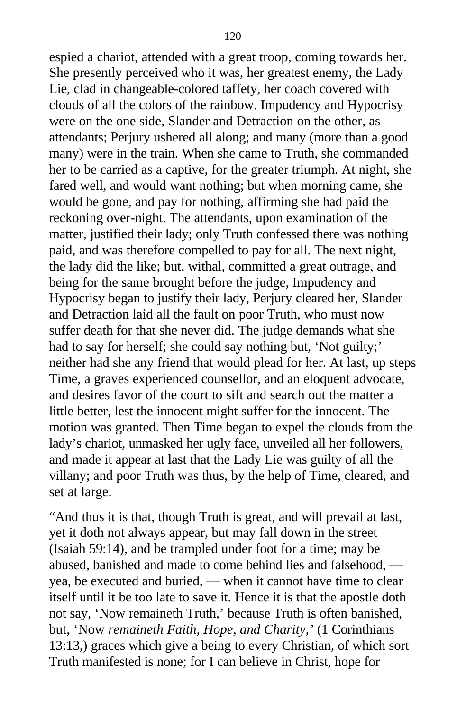espied a chariot, attended with a great troop, coming towards her. She presently perceived who it was, her greatest enemy, the Lady Lie, clad in changeable-colored taffety, her coach covered with clouds of all the colors of the rainbow. Impudency and Hypocrisy were on the one side, Slander and Detraction on the other, as attendants; Perjury ushered all along; and many (more than a good many) were in the train. When she came to Truth, she commanded her to be carried as a captive, for the greater triumph. At night, she fared well, and would want nothing; but when morning came, she would be gone, and pay for nothing, affirming she had paid the reckoning over-night. The attendants, upon examination of the matter, justified their lady; only Truth confessed there was nothing paid, and was therefore compelled to pay for all. The next night, the lady did the like; but, withal, committed a great outrage, and being for the same brought before the judge, Impudency and Hypocrisy began to justify their lady, Perjury cleared her, Slander and Detraction laid all the fault on poor Truth, who must now suffer death for that she never did. The judge demands what she had to say for herself; she could say nothing but, 'Not guilty;' neither had she any friend that would plead for her. At last, up steps Time, a graves experienced counsellor, and an eloquent advocate, and desires favor of the court to sift and search out the matter a little better, lest the innocent might suffer for the innocent. The motion was granted. Then Time began to expel the clouds from the lady's chariot, unmasked her ugly face, unveiled all her followers, and made it appear at last that the Lady Lie was guilty of all the villany; and poor Truth was thus, by the help of Time, cleared, and set at large.

"And thus it is that, though Truth is great, and will prevail at last, yet it doth not always appear, but may fall down in the street (Isaiah 59:14), and be trampled under foot for a time; may be abused, banished and made to come behind lies and falsehood, yea, be executed and buried, — when it cannot have time to clear itself until it be too late to save it. Hence it is that the apostle doth not say, 'Now remaineth Truth,' because Truth is often banished, but, 'Now *remaineth Faith, Hope, and Charity,'* (1 Corinthians 13:13,) graces which give a being to every Christian, of which sort Truth manifested is none; for I can believe in Christ, hope for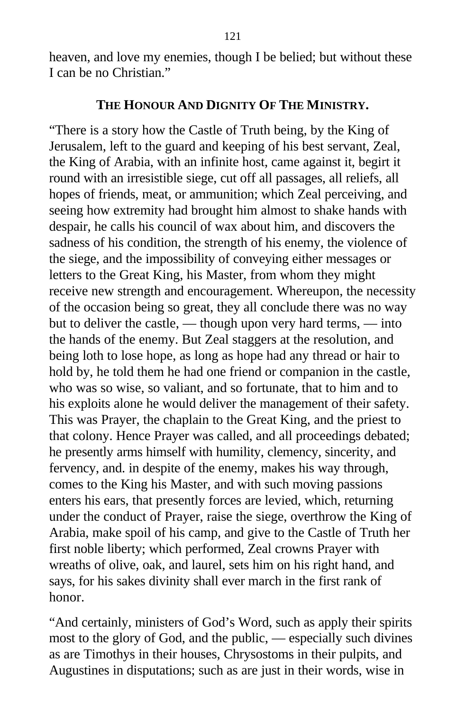heaven, and love my enemies, though I be belied; but without these I can be no Christian."

### **THE HONOUR AND DIGNITY OF THE MINISTRY.**

"There is a story how the Castle of Truth being, by the King of Jerusalem, left to the guard and keeping of his best servant, Zeal, the King of Arabia, with an infinite host, came against it, begirt it round with an irresistible siege, cut off all passages, all reliefs, all hopes of friends, meat, or ammunition; which Zeal perceiving, and seeing how extremity had brought him almost to shake hands with despair, he calls his council of wax about him, and discovers the sadness of his condition, the strength of his enemy, the violence of the siege, and the impossibility of conveying either messages or letters to the Great King, his Master, from whom they might receive new strength and encouragement. Whereupon, the necessity of the occasion being so great, they all conclude there was no way but to deliver the castle, — though upon very hard terms, — into the hands of the enemy. But Zeal staggers at the resolution, and being loth to lose hope, as long as hope had any thread or hair to hold by, he told them he had one friend or companion in the castle, who was so wise, so valiant, and so fortunate, that to him and to his exploits alone he would deliver the management of their safety. This was Prayer, the chaplain to the Great King, and the priest to that colony. Hence Prayer was called, and all proceedings debated; he presently arms himself with humility, clemency, sincerity, and fervency, and. in despite of the enemy, makes his way through, comes to the King his Master, and with such moving passions enters his ears, that presently forces are levied, which, returning under the conduct of Prayer, raise the siege, overthrow the King of Arabia, make spoil of his camp, and give to the Castle of Truth her first noble liberty; which performed, Zeal crowns Prayer with wreaths of olive, oak, and laurel, sets him on his right hand, and says, for his sakes divinity shall ever march in the first rank of honor.

"And certainly, ministers of God's Word, such as apply their spirits most to the glory of God, and the public, — especially such divines as are Timothys in their houses, Chrysostoms in their pulpits, and Augustines in disputations; such as are just in their words, wise in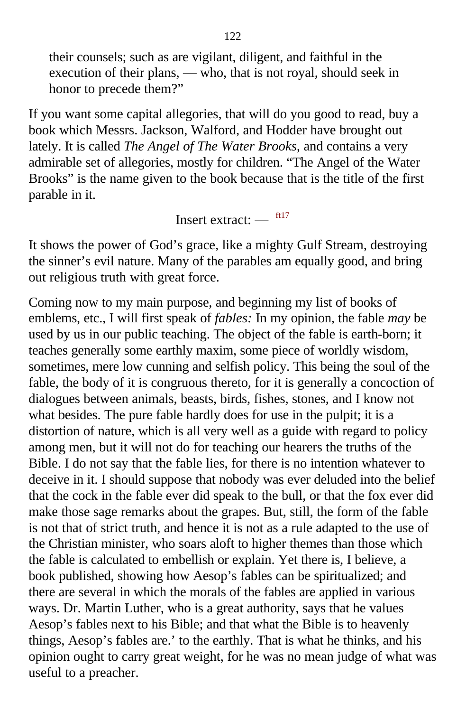their counsels; such as are vigilant, diligent, and faithful in the execution of their plans, — who, that is not royal, should seek in honor to precede them?"

If you want some capital allegories, that will do you good to read, buy a book which Messrs. Jackson, Walford, and Hodder have brought out lately. It is called *The Angel of The Water Brooks,* and contains a very admirable set of allegories, mostly for children. "The Angel of the Water Brooks" is the name given to the book because that is the title of the first parable in it.

Insert extract: — ft17

It shows the power of God's grace, like a mighty Gulf Stream, destroying the sinner's evil nature. Many of the parables am equally good, and bring out religious truth with great force.

Coming now to my main purpose, and beginning my list of books of emblems, etc., I will first speak of *fables:* In my opinion, the fable *may* be used by us in our public teaching. The object of the fable is earth-born; it teaches generally some earthly maxim, some piece of worldly wisdom, sometimes, mere low cunning and selfish policy. This being the soul of the fable, the body of it is congruous thereto, for it is generally a concoction of dialogues between animals, beasts, birds, fishes, stones, and I know not what besides. The pure fable hardly does for use in the pulpit; it is a distortion of nature, which is all very well as a guide with regard to policy among men, but it will not do for teaching our hearers the truths of the Bible. I do not say that the fable lies, for there is no intention whatever to deceive in it. I should suppose that nobody was ever deluded into the belief that the cock in the fable ever did speak to the bull, or that the fox ever did make those sage remarks about the grapes. But, still, the form of the fable is not that of strict truth, and hence it is not as a rule adapted to the use of the Christian minister, who soars aloft to higher themes than those which the fable is calculated to embellish or explain. Yet there is, I believe, a book published, showing how Aesop's fables can be spiritualized; and there are several in which the morals of the fables are applied in various ways. Dr. Martin Luther, who is a great authority, says that he values Aesop's fables next to his Bible; and that what the Bible is to heavenly things, Aesop's fables are.' to the earthly. That is what he thinks, and his opinion ought to carry great weight, for he was no mean judge of what was useful to a preacher.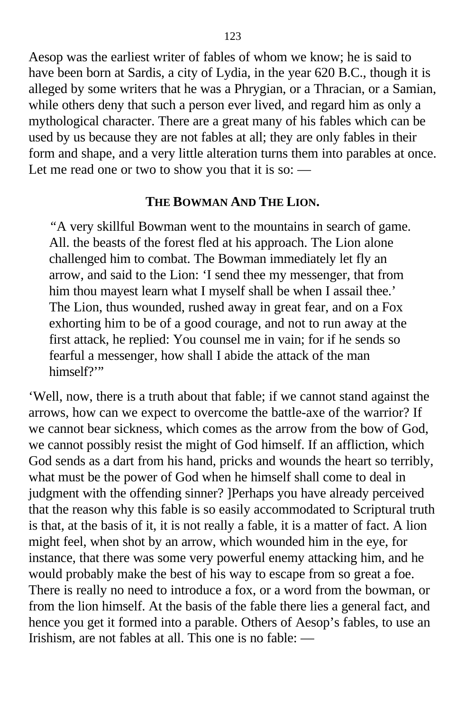Aesop was the earliest writer of fables of whom we know; he is said to have been born at Sardis, a city of Lydia, in the year 620 B.C., though it is alleged by some writers that he was a Phrygian, or a Thracian, or a Samian, while others deny that such a person ever lived, and regard him as only a mythological character. There are a great many of his fables which can be used by us because they are not fables at all; they are only fables in their form and shape, and a very little alteration turns them into parables at once. Let me read one or two to show you that it is so: —

### **THE BOWMAN AND THE LION.**

*"*A very skillful Bowman went to the mountains in search of game. All. the beasts of the forest fled at his approach. The Lion alone challenged him to combat. The Bowman immediately let fly an arrow, and said to the Lion: 'I send thee my messenger, that from him thou mayest learn what I myself shall be when I assail thee.' The Lion, thus wounded, rushed away in great fear, and on a Fox exhorting him to be of a good courage, and not to run away at the first attack, he replied: You counsel me in vain; for if he sends so fearful a messenger, how shall I abide the attack of the man himself?"

'Well, now, there is a truth about that fable; if we cannot stand against the arrows, how can we expect to overcome the battle-axe of the warrior? If we cannot bear sickness, which comes as the arrow from the bow of God, we cannot possibly resist the might of God himself. If an affliction, which God sends as a dart from his hand, pricks and wounds the heart so terribly, what must be the power of God when he himself shall come to deal in judgment with the offending sinner? ]Perhaps you have already perceived that the reason why this fable is so easily accommodated to Scriptural truth is that, at the basis of it, it is not really a fable, it is a matter of fact. A lion might feel, when shot by an arrow, which wounded him in the eye, for instance, that there was some very powerful enemy attacking him, and he would probably make the best of his way to escape from so great a foe. There is really no need to introduce a fox, or a word from the bowman, or from the lion himself. At the basis of the fable there lies a general fact, and hence you get it formed into a parable. Others of Aesop's fables, to use an Irishism, are not fables at all. This one is no fable: —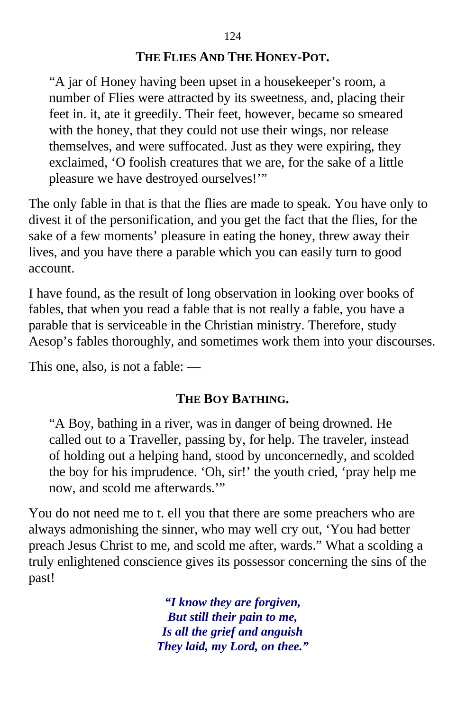# **THE FLIES AND THE HONEY-POT.**

"A jar of Honey having been upset in a housekeeper's room, a number of Flies were attracted by its sweetness, and, placing their feet in. it, ate it greedily. Their feet, however, became so smeared with the honey, that they could not use their wings, nor release themselves, and were suffocated. Just as they were expiring, they exclaimed, 'O foolish creatures that we are, for the sake of a little pleasure we have destroyed ourselves!'"

The only fable in that is that the flies are made to speak. You have only to divest it of the personification, and you get the fact that the flies, for the sake of a few moments' pleasure in eating the honey, threw away their lives, and you have there a parable which you can easily turn to good account.

I have found, as the result of long observation in looking over books of fables, that when you read a fable that is not really a fable, you have a parable that is serviceable in the Christian ministry. Therefore, study Aesop's fables thoroughly, and sometimes work them into your discourses.

This one, also, is not a fable: —

### **THE BOY BATHING.**

"A Boy, bathing in a river, was in danger of being drowned. He called out to a Traveller, passing by, for help. The traveler, instead of holding out a helping hand, stood by unconcernedly, and scolded the boy for his imprudence. 'Oh, sir!' the youth cried, 'pray help me now, and scold me afterwards.'"

You do not need me to t. ell you that there are some preachers who are always admonishing the sinner, who may well cry out, 'You had better preach Jesus Christ to me, and scold me after, wards." What a scolding a truly enlightened conscience gives its possessor concerning the sins of the past!

> *"I know they are forgiven, But still their pain to me, Is all the grief and anguish They laid, my Lord, on thee."*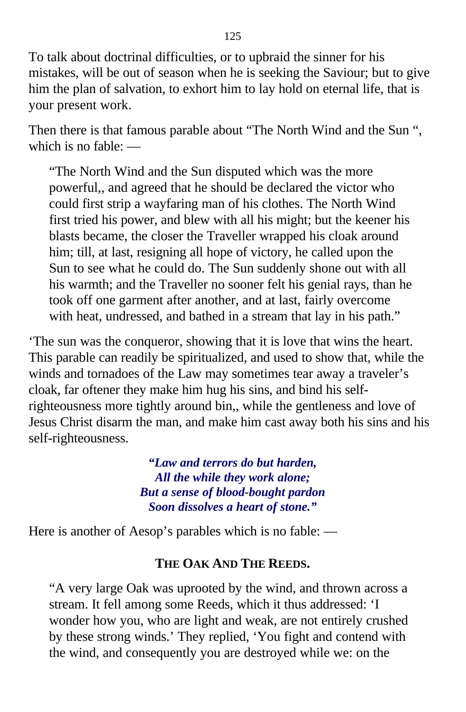To talk about doctrinal difficulties, or to upbraid the sinner for his mistakes, will be out of season when he is seeking the Saviour; but to give him the plan of salvation, to exhort him to lay hold on eternal life, that is your present work.

Then there is that famous parable about "The North Wind and the Sun ", which is no fable: —

"The North Wind and the Sun disputed which was the more powerful,, and agreed that he should be declared the victor who could first strip a wayfaring man of his clothes. The North Wind first tried his power, and blew with all his might; but the keener his blasts became, the closer the Traveller wrapped his cloak around him; till, at last, resigning all hope of victory, he called upon the Sun to see what he could do. The Sun suddenly shone out with all his warmth; and the Traveller no sooner felt his genial rays, than he took off one garment after another, and at last, fairly overcome with heat, undressed, and bathed in a stream that lay in his path."

'The sun was the conqueror, showing that it is love that wins the heart. This parable can readily be spiritualized, and used to show that, while the winds and tornadoes of the Law may sometimes tear away a traveler's cloak, far oftener they make him hug his sins, and bind his selfrighteousness more tightly around bin,, while the gentleness and love of Jesus Christ disarm the man, and make him cast away both his sins and his self-righteousness.

> *"Law and terrors do but harden, All the while they work alone; But a sense of blood-bought pardon Soon dissolves a heart of stone."*

Here is another of Aesop's parables which is no fable: —

## **THE OAK AND THE REEDS.**

"A very large Oak was uprooted by the wind, and thrown across a stream. It fell among some Reeds, which it thus addressed: 'I wonder how you, who are light and weak, are not entirely crushed by these strong winds.' They replied, 'You fight and contend with the wind, and consequently you are destroyed while we: on the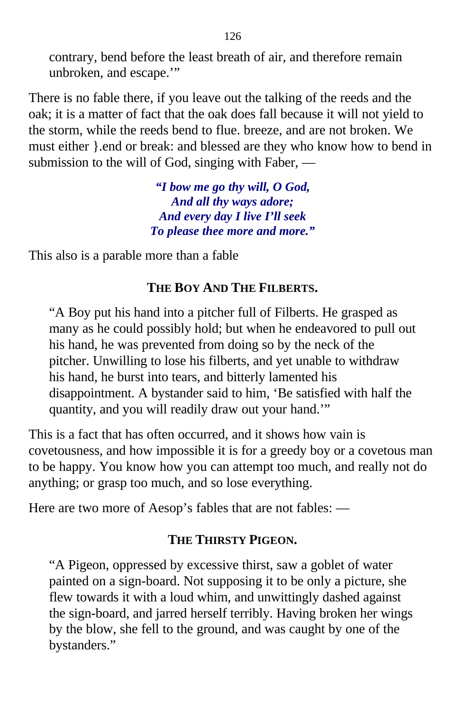contrary, bend before the least breath of air, and therefore remain unbroken, and escape.'"

There is no fable there, if you leave out the talking of the reeds and the oak; it is a matter of fact that the oak does fall because it will not yield to the storm, while the reeds bend to flue. breeze, and are not broken. We must either }.end or break: and blessed are they who know how to bend in submission to the will of God, singing with Faber, —

> *"I bow me go thy will, O God, And all thy ways adore; And every day I live I'll seek To please thee more and more."*

This also is a parable more than a fable

## **THE BOY AND THE FILBERTS.**

"A Boy put his hand into a pitcher full of Filberts. He grasped as many as he could possibly hold; but when he endeavored to pull out his hand, he was prevented from doing so by the neck of the pitcher. Unwilling to lose his filberts, and yet unable to withdraw his hand, he burst into tears, and bitterly lamented his disappointment. A bystander said to him, 'Be satisfied with half the quantity, and you will readily draw out your hand.'"

This is a fact that has often occurred, and it shows how vain is covetousness, and how impossible it is for a greedy boy or a covetous man to be happy. You know how you can attempt too much, and really not do anything; or grasp too much, and so lose everything.

Here are two more of Aesop's fables that are not fables: —

## **THE THIRSTY PIGEON.**

"A Pigeon, oppressed by excessive thirst, saw a goblet of water painted on a sign-board. Not supposing it to be only a picture, she flew towards it with a loud whim, and unwittingly dashed against the sign-board, and jarred herself terribly. Having broken her wings by the blow, she fell to the ground, and was caught by one of the bystanders."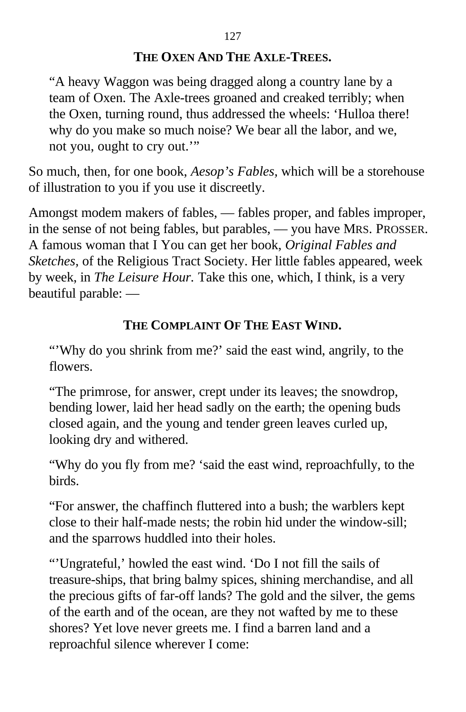# **THE OXEN AND THE AXLE-TREES.**

"A heavy Waggon was being dragged along a country lane by a team of Oxen. The Axle-trees groaned and creaked terribly; when the Oxen, turning round, thus addressed the wheels: 'Hulloa there! why do you make so much noise? We bear all the labor, and we, not you, ought to cry out.'"

So much, then, for one book, *Aesop's Fables,* which will be a storehouse of illustration to you if you use it discreetly.

Amongst modem makers of fables, — fables proper, and fables improper, in the sense of not being fables, but parables, — you have MRS. PROSSER. A famous woman that I You can get her book, *Original Fables and Sketches,* of the Religious Tract Society. Her little fables appeared, week by week, in *The Leisure Hour.* Take this one, which, I think, is a very beautiful parable: —

## **THE COMPLAINT OF THE EAST WIND.**

"Why do you shrink from me?' said the east wind, angrily, to the flowers.

"The primrose, for answer, crept under its leaves; the snowdrop, bending lower, laid her head sadly on the earth; the opening buds closed again, and the young and tender green leaves curled up, looking dry and withered.

"Why do you fly from me? 'said the east wind, reproachfully, to the birds.

"For answer, the chaffinch fluttered into a bush; the warblers kept close to their half-made nests; the robin hid under the window-sill; and the sparrows huddled into their holes.

"'Ungrateful,' howled the east wind. 'Do I not fill the sails of treasure-ships, that bring balmy spices, shining merchandise, and all the precious gifts of far-off lands? The gold and the silver, the gems of the earth and of the ocean, are they not wafted by me to these shores? Yet love never greets me. I find a barren land and a reproachful silence wherever I come: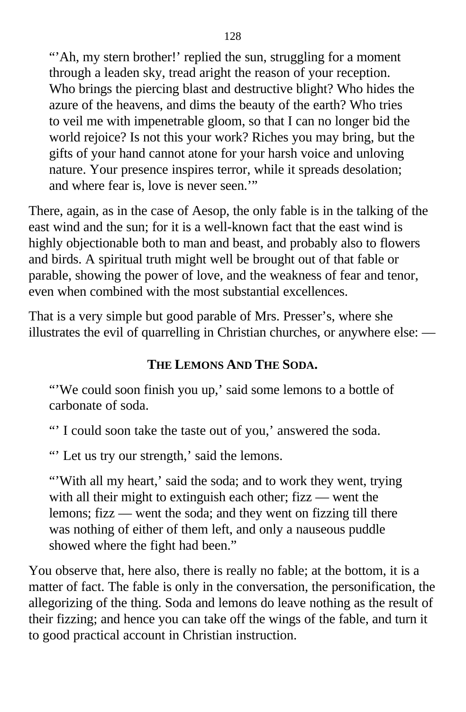"Ah, my stern brother!' replied the sun, struggling for a moment through a leaden sky, tread aright the reason of your reception. Who brings the piercing blast and destructive blight? Who hides the azure of the heavens, and dims the beauty of the earth? Who tries to veil me with impenetrable gloom, so that I can no longer bid the world rejoice? Is not this your work? Riches you may bring, but the gifts of your hand cannot atone for your harsh voice and unloving nature. Your presence inspires terror, while it spreads desolation; and where fear is, love is never seen.'"

There, again, as in the case of Aesop, the only fable is in the talking of the east wind and the sun; for it is a well-known fact that the east wind is highly objectionable both to man and beast, and probably also to flowers and birds. A spiritual truth might well be brought out of that fable or parable, showing the power of love, and the weakness of fear and tenor, even when combined with the most substantial excellences.

That is a very simple but good parable of Mrs. Presser's, where she illustrates the evil of quarrelling in Christian churches, or anywhere else: —

## **THE LEMONS AND THE SODA.**

"We could soon finish you up,' said some lemons to a bottle of carbonate of soda.

"' I could soon take the taste out of you,' answered the soda.

"' Let us try our strength,' said the lemons.

"With all my heart,' said the soda; and to work they went, trying with all their might to extinguish each other; fizz — went the lemons; fizz — went the soda; and they went on fizzing till there was nothing of either of them left, and only a nauseous puddle showed where the fight had been."

You observe that, here also, there is really no fable; at the bottom, it is a matter of fact. The fable is only in the conversation, the personification, the allegorizing of the thing. Soda and lemons do leave nothing as the result of their fizzing; and hence you can take off the wings of the fable, and turn it to good practical account in Christian instruction.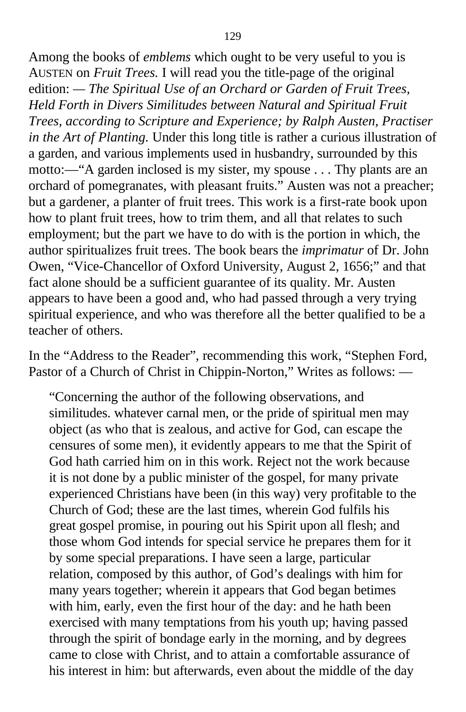Among the books of *emblems* which ought to be very useful to you is AUSTEN on *Fruit Trees.* I will read you the title-page of the original edition: *— The Spiritual Use of an Orchard or Garden of Fruit Trees, Held Forth in Divers Similitudes between Natural and Spiritual Fruit Trees, according to Scripture and Experience; by Ralph Austen, Practiser in the Art of Planting.* Under this long title is rather a curious illustration of a garden, and various implements used in husbandry, surrounded by this motto:—"A garden inclosed is my sister, my spouse . . . Thy plants are an orchard of pomegranates, with pleasant fruits." Austen was not a preacher; but a gardener, a planter of fruit trees. This work is a first-rate book upon how to plant fruit trees, how to trim them, and all that relates to such employment; but the part we have to do with is the portion in which, the author spiritualizes fruit trees. The book bears the *imprimatur* of Dr. John Owen, "Vice-Chancellor of Oxford University, August 2, 1656;" and that fact alone should be a sufficient guarantee of its quality. Mr. Austen appears to have been a good and, who had passed through a very trying spiritual experience, and who was therefore all the better qualified to be a teacher of others.

In the "Address to the Reader", recommending this work, "Stephen Ford, Pastor of a Church of Christ in Chippin-Norton," Writes as follows: —

"Concerning the author of the following observations, and similitudes. whatever carnal men, or the pride of spiritual men may object (as who that is zealous, and active for God, can escape the censures of some men), it evidently appears to me that the Spirit of God hath carried him on in this work. Reject not the work because it is not done by a public minister of the gospel, for many private experienced Christians have been (in this way) very profitable to the Church of God; these are the last times, wherein God fulfils his great gospel promise, in pouring out his Spirit upon all flesh; and those whom God intends for special service he prepares them for it by some special preparations. I have seen a large, particular relation, composed by this author, of God's dealings with him for many years together; wherein it appears that God began betimes with him, early, even the first hour of the day: and he hath been exercised with many temptations from his youth up; having passed through the spirit of bondage early in the morning, and by degrees came to close with Christ, and to attain a comfortable assurance of his interest in him: but afterwards, even about the middle of the day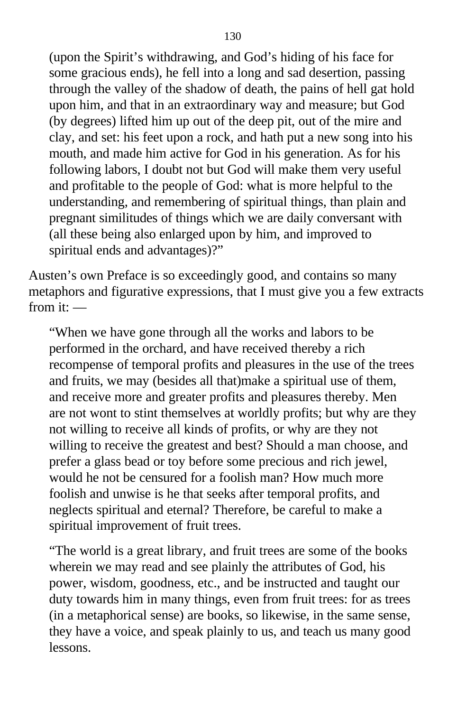(upon the Spirit's withdrawing, and God's hiding of his face for some gracious ends), he fell into a long and sad desertion, passing through the valley of the shadow of death, the pains of hell gat hold upon him, and that in an extraordinary way and measure; but God (by degrees) lifted him up out of the deep pit, out of the mire and clay, and set: his feet upon a rock, and hath put a new song into his mouth, and made him active for God in his generation. As for his following labors, I doubt not but God will make them very useful and profitable to the people of God: what is more helpful to the understanding, and remembering of spiritual things, than plain and pregnant similitudes of things which we are daily conversant with (all these being also enlarged upon by him, and improved to spiritual ends and advantages)?"

Austen's own Preface is so exceedingly good, and contains so many metaphors and figurative expressions, that I must give you a few extracts from it: —

"When we have gone through all the works and labors to be performed in the orchard, and have received thereby a rich recompense of temporal profits and pleasures in the use of the trees and fruits, we may (besides all that)make a spiritual use of them, and receive more and greater profits and pleasures thereby. Men are not wont to stint themselves at worldly profits; but why are they not willing to receive all kinds of profits, or why are they not willing to receive the greatest and best? Should a man choose, and prefer a glass bead or toy before some precious and rich jewel, would he not be censured for a foolish man? How much more foolish and unwise is he that seeks after temporal profits, and neglects spiritual and eternal? Therefore, be careful to make a spiritual improvement of fruit trees.

"The world is a great library, and fruit trees are some of the books wherein we may read and see plainly the attributes of God, his power, wisdom, goodness, etc., and be instructed and taught our duty towards him in many things, even from fruit trees: for as trees (in a metaphorical sense) are books, so likewise, in the same sense, they have a voice, and speak plainly to us, and teach us many good lessons.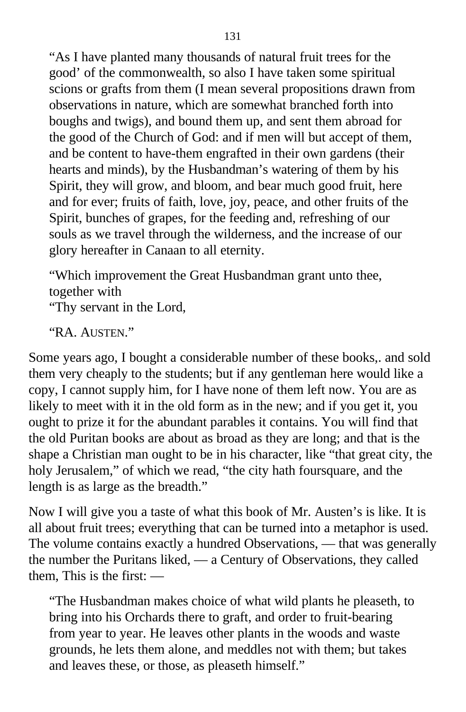"As I have planted many thousands of natural fruit trees for the good' of the commonwealth, so also I have taken some spiritual scions or grafts from them (I mean several propositions drawn from observations in nature, which are somewhat branched forth into boughs and twigs), and bound them up, and sent them abroad for the good of the Church of God: and if men will but accept of them, and be content to have-them engrafted in their own gardens (their hearts and minds), by the Husbandman's watering of them by his Spirit, they will grow, and bloom, and bear much good fruit, here and for ever; fruits of faith, love, joy, peace, and other fruits of the Spirit, bunches of grapes, for the feeding and, refreshing of our souls as we travel through the wilderness, and the increase of our glory hereafter in Canaan to all eternity.

"Which improvement the Great Husbandman grant unto thee, together with "Thy servant in the Lord,

"RA AUSTEN"

Some years ago, I bought a considerable number of these books,. and sold them very cheaply to the students; but if any gentleman here would like a copy, I cannot supply him, for I have none of them left now. You are as likely to meet with it in the old form as in the new; and if you get it, you ought to prize it for the abundant parables it contains. You will find that the old Puritan books are about as broad as they are long; and that is the shape a Christian man ought to be in his character, like "that great city, the holy Jerusalem," of which we read, "the city hath foursquare, and the length is as large as the breadth."

Now I will give you a taste of what this book of Mr. Austen's is like. It is all about fruit trees; everything that can be turned into a metaphor is used. The volume contains exactly a hundred Observations, — that was generally the number the Puritans liked, — a Century of Observations, they called them, This is the first: —

"The Husbandman makes choice of what wild plants he pleaseth, to bring into his Orchards there to graft, and order to fruit-bearing from year to year. He leaves other plants in the woods and waste grounds, he lets them alone, and meddles not with them; but takes and leaves these, or those, as pleaseth himself."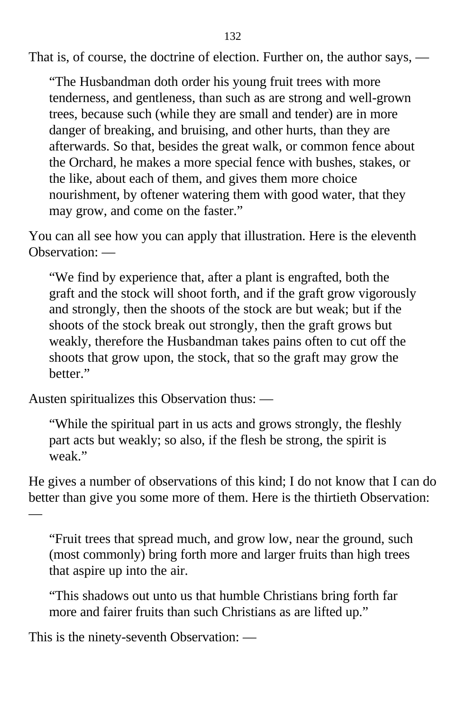That is, of course, the doctrine of election. Further on, the author says, —

"The Husbandman doth order his young fruit trees with more tenderness, and gentleness, than such as are strong and well-grown trees, because such (while they are small and tender) are in more danger of breaking, and bruising, and other hurts, than they are afterwards. So that, besides the great walk, or common fence about the Orchard, he makes a more special fence with bushes, stakes, or the like, about each of them, and gives them more choice nourishment, by oftener watering them with good water, that they may grow, and come on the faster."

You can all see how you can apply that illustration. Here is the eleventh Observation: —

"We find by experience that, after a plant is engrafted, both the graft and the stock will shoot forth, and if the graft grow vigorously and strongly, then the shoots of the stock are but weak; but if the shoots of the stock break out strongly, then the graft grows but weakly, therefore the Husbandman takes pains often to cut off the shoots that grow upon, the stock, that so the graft may grow the better."

Austen spiritualizes this Observation thus: —

"While the spiritual part in us acts and grows strongly, the fleshly part acts but weakly; so also, if the flesh be strong, the spirit is weak."

He gives a number of observations of this kind; I do not know that I can do better than give you some more of them. Here is the thirtieth Observation:

"Fruit trees that spread much, and grow low, near the ground, such (most commonly) bring forth more and larger fruits than high trees that aspire up into the air.

"This shadows out unto us that humble Christians bring forth far more and fairer fruits than such Christians as are lifted up."

This is the ninety-seventh Observation: —

—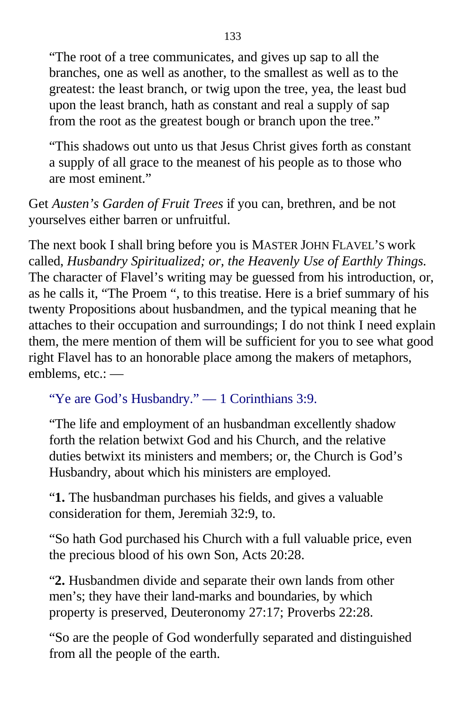"The root of a tree communicates, and gives up sap to all the branches, one as well as another, to the smallest as well as to the greatest: the least branch, or twig upon the tree, yea, the least bud upon the least branch, hath as constant and real a supply of sap from the root as the greatest bough or branch upon the tree."

"This shadows out unto us that Jesus Christ gives forth as constant a supply of all grace to the meanest of his people as to those who are most eminent."

Get *Austen's Garden of Fruit Trees* if you can, brethren, and be not yourselves either barren or unfruitful.

The next book I shall bring before you is MASTER JOHN FLAVEL'S work called, *Husbandry Spiritualized; or, the Heavenly Use of Earthly Things.* The character of Flavel's writing may be guessed from his introduction, or, as he calls it, "The Proem ", to this treatise. Here is a brief summary of his twenty Propositions about husbandmen, and the typical meaning that he attaches to their occupation and surroundings; I do not think I need explain them, the mere mention of them will be sufficient for you to see what good right Flavel has to an honorable place among the makers of metaphors, emblems, etc.: —

# "Ye are God's Husbandry." — 1 Corinthians 3:9.

"The life and employment of an husbandman excellently shadow forth the relation betwixt God and his Church, and the relative duties betwixt its ministers and members; or, the Church is God's Husbandry, about which his ministers are employed.

"**1.** The husbandman purchases his fields, and gives a valuable consideration for them, Jeremiah 32:9, to.

"So hath God purchased his Church with a full valuable price, even the precious blood of his own Son, Acts 20:28.

"**2.** Husbandmen divide and separate their own lands from other men's; they have their land-marks and boundaries, by which property is preserved, Deuteronomy 27:17; Proverbs 22:28.

"So are the people of God wonderfully separated and distinguished from all the people of the earth.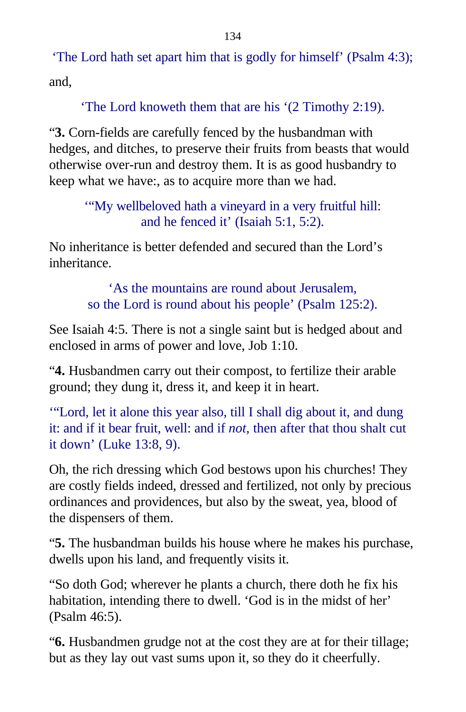'The Lord hath set apart him that is godly for himself' (Psalm 4:3); and,

'The Lord knoweth them that are his '(2 Timothy 2:19).

"**3.** Corn-fields are carefully fenced by the husbandman with hedges, and ditches, to preserve their fruits from beasts that would otherwise over-run and destroy them. It is as good husbandry to keep what we have:, as to acquire more than we had.

'"My wellbeloved hath a vineyard in a very fruitful hill: and he fenced it' (Isaiah 5:1, 5:2).

No inheritance is better defended and secured than the Lord's inheritance.

> 'As the mountains are round about Jerusalem, so the Lord is round about his people' (Psalm 125:2).

See Isaiah 4:5. There is not a single saint but is hedged about and enclosed in arms of power and love, Job 1:10.

"**4.** Husbandmen carry out their compost, to fertilize their arable ground; they dung it, dress it, and keep it in heart.

'"Lord, let it alone this year also, till I shall dig about it, and dung it: and if it bear fruit, well: and if *not,* then after that thou shalt cut it down' (Luke 13:8, 9).

Oh, the rich dressing which God bestows upon his churches! They are costly fields indeed, dressed and fertilized, not only by precious ordinances and providences, but also by the sweat, yea, blood of the dispensers of them.

"**5.** The husbandman builds his house where he makes his purchase, dwells upon his land, and frequently visits it.

"So doth God; wherever he plants a church, there doth he fix his habitation, intending there to dwell. 'God is in the midst of her' (Psalm 46:5).

"**6.** Husbandmen grudge not at the cost they are at for their tillage; but as they lay out vast sums upon it, so they do it cheerfully.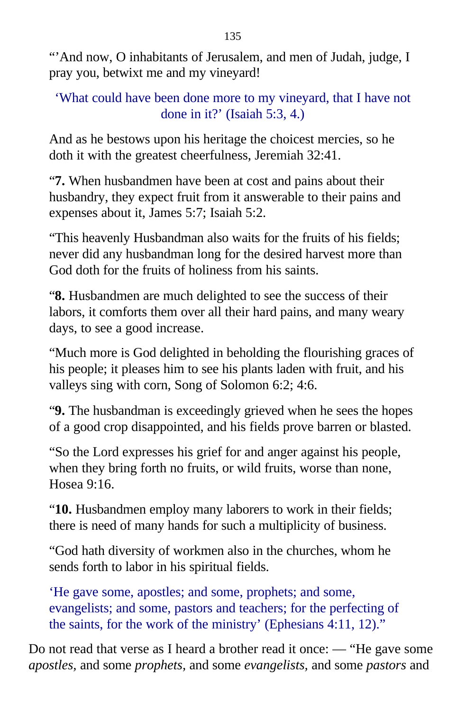"'And now, O inhabitants of Jerusalem, and men of Judah, judge, I pray you, betwixt me and my vineyard!

'What could have been done more to my vineyard, that I have not done in it?' (Isaiah 5:3, 4.)

And as he bestows upon his heritage the choicest mercies, so he doth it with the greatest cheerfulness, Jeremiah 32:41.

"**7.** When husbandmen have been at cost and pains about their husbandry, they expect fruit from it answerable to their pains and expenses about it, James 5:7; Isaiah 5:2.

"This heavenly Husbandman also waits for the fruits of his fields; never did any husbandman long for the desired harvest more than God doth for the fruits of holiness from his saints.

"**8.** Husbandmen are much delighted to see the success of their labors, it comforts them over all their hard pains, and many weary days, to see a good increase.

"Much more is God delighted in beholding the flourishing graces of his people; it pleases him to see his plants laden with fruit, and his valleys sing with corn, Song of Solomon 6:2; 4:6.

"**9.** The husbandman is exceedingly grieved when he sees the hopes of a good crop disappointed, and his fields prove barren or blasted.

"So the Lord expresses his grief for and anger against his people, when they bring forth no fruits, or wild fruits, worse than none, Hosea  $9.16$ .

"**10.** Husbandmen employ many laborers to work in their fields; there is need of many hands for such a multiplicity of business.

"God hath diversity of workmen also in the churches, whom he sends forth to labor in his spiritual fields.

'He gave some, apostles; and some, prophets; and some, evangelists; and some, pastors and teachers; for the perfecting of the saints, for the work of the ministry' (Ephesians 4:11, 12)."

Do not read that verse as I heard a brother read it once: — "He gave some *apostles,* and some *prophets,* and some *evangelists,* and some *pastors* and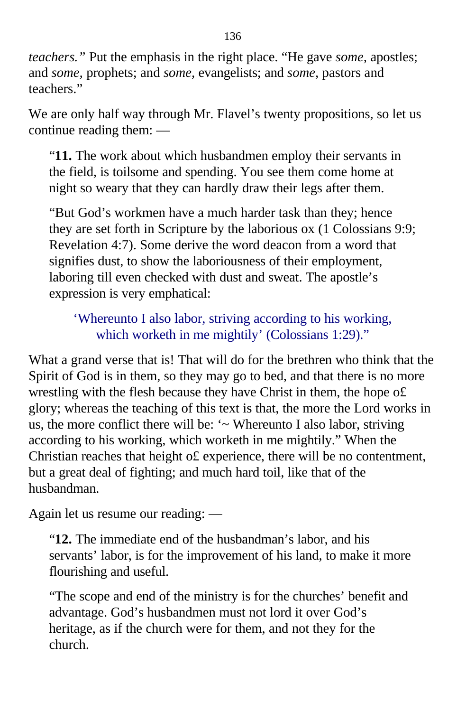*teachers."* Put the emphasis in the right place. "He gave *some,* apostles; and *some,* prophets; and *some,* evangelists; and *some,* pastors and teachers."

We are only half way through Mr. Flavel's twenty propositions, so let us continue reading them: —

"**11.** The work about which husbandmen employ their servants in the field, is toilsome and spending. You see them come home at night so weary that they can hardly draw their legs after them.

"But God's workmen have a much harder task than they; hence they are set forth in Scripture by the laborious ox (1 Colossians 9:9; Revelation 4:7). Some derive the word deacon from a word that signifies dust, to show the laboriousness of their employment, laboring till even checked with dust and sweat. The apostle's expression is very emphatical:

# 'Whereunto I also labor, striving according to his working, which worketh in me mightily' (Colossians 1:29)."

What a grand verse that is! That will do for the brethren who think that the Spirit of God is in them, so they may go to bed, and that there is no more wrestling with the flesh because they have Christ in them, the hope o£ glory; whereas the teaching of this text is that, the more the Lord works in us, the more conflict there will be: '~ Whereunto I also labor, striving according to his working, which worketh in me mightily." When the Christian reaches that height o£ experience, there will be no contentment, but a great deal of fighting; and much hard toil, like that of the husbandman.

Again let us resume our reading: —

"**12.** The immediate end of the husbandman's labor, and his servants' labor, is for the improvement of his land, to make it more flourishing and useful.

"The scope and end of the ministry is for the churches' benefit and advantage. God's husbandmen must not lord it over God's heritage, as if the church were for them, and not they for the church.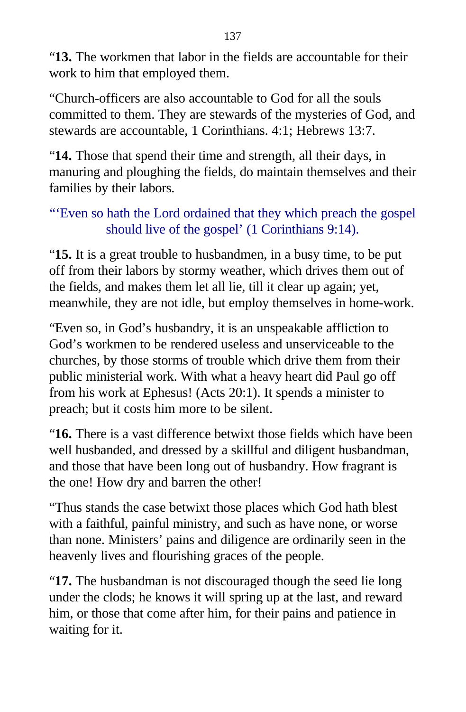"**13.** The workmen that labor in the fields are accountable for their work to him that employed them.

"Church-officers are also accountable to God for all the souls committed to them. They are stewards of the mysteries of God, and stewards are accountable, 1 Corinthians. 4:1; Hebrews 13:7.

"**14.** Those that spend their time and strength, all their days, in manuring and ploughing the fields, do maintain themselves and their families by their labors.

"'Even so hath the Lord ordained that they which preach the gospel should live of the gospel' (1 Corinthians 9:14).

"**15.** It is a great trouble to husbandmen, in a busy time, to be put off from their labors by stormy weather, which drives them out of the fields, and makes them let all lie, till it clear up again; yet, meanwhile, they are not idle, but employ themselves in home-work.

"Even so, in God's husbandry, it is an unspeakable affliction to God's workmen to be rendered useless and unserviceable to the churches, by those storms of trouble which drive them from their public ministerial work. With what a heavy heart did Paul go off from his work at Ephesus! (Acts 20:1). It spends a minister to preach; but it costs him more to be silent.

"**16.** There is a vast difference betwixt those fields which have been well husbanded, and dressed by a skillful and diligent husbandman, and those that have been long out of husbandry. How fragrant is the one! How dry and barren the other!

"Thus stands the case betwixt those places which God hath blest with a faithful, painful ministry, and such as have none, or worse than none. Ministers' pains and diligence are ordinarily seen in the heavenly lives and flourishing graces of the people.

"**17.** The husbandman is not discouraged though the seed lie long under the clods; he knows it will spring up at the last, and reward him, or those that come after him, for their pains and patience in waiting for it.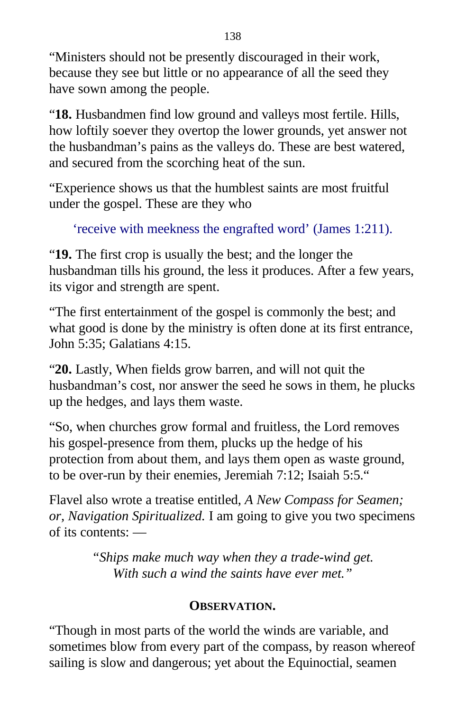"Ministers should not be presently discouraged in their work, because they see but little or no appearance of all the seed they have sown among the people.

"**18.** Husbandmen find low ground and valleys most fertile. Hills, how loftily soever they overtop the lower grounds, yet answer not the husbandman's pains as the valleys do. These are best watered, and secured from the scorching heat of the sun.

"Experience shows us that the humblest saints are most fruitful under the gospel. These are they who

```
'receive with meekness the engrafted word' (James 1:211).
```
"**19.** The first crop is usually the best; and the longer the husbandman tills his ground, the less it produces. After a few years, its vigor and strength are spent.

"The first entertainment of the gospel is commonly the best; and what good is done by the ministry is often done at its first entrance, John 5:35; Galatians 4:15.

"**20.** Lastly, When fields grow barren, and will not quit the husbandman's cost, nor answer the seed he sows in them, he plucks up the hedges, and lays them waste.

"So, when churches grow formal and fruitless, the Lord removes his gospel-presence from them, plucks up the hedge of his protection from about them, and lays them open as waste ground, to be over-run by their enemies, Jeremiah 7:12; Isaiah 5:5."

Flavel also wrote a treatise entitled, *A New Compass for Seamen; or, Navigation Spiritualized.* I am going to give you two specimens of its contents: —

> *"Ships make much way when they a trade-wind get. With such a wind the saints have ever met."*

# **OBSERVATION.**

"Though in most parts of the world the winds are variable, and sometimes blow from every part of the compass, by reason whereof sailing is slow and dangerous; yet about the Equinoctial, seamen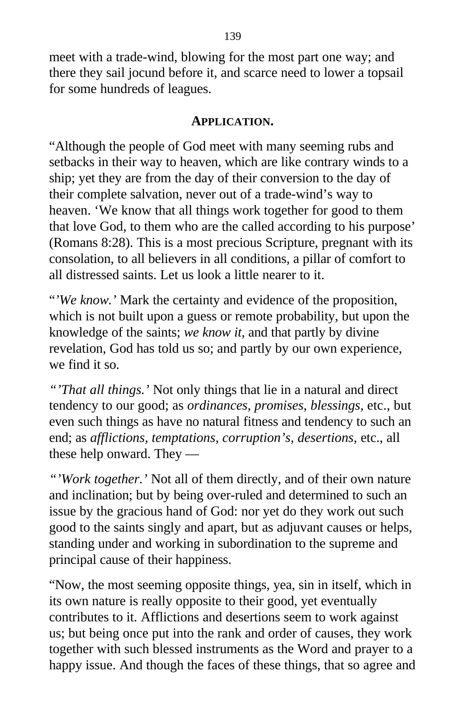meet with a trade-wind, blowing for the most part one way; and there they sail jocund before it, and scarce need to lower a topsail for some hundreds of leagues.

### **APPLICATION.**

"Although the people of God meet with many seeming rubs and setbacks in their way to heaven, which are like contrary winds to a ship; yet they are from the day of their conversion to the day of their complete salvation, never out of a trade-wind's way to heaven. 'We know that all things work together for good to them that love God, to them who are the called according to his purpose' (Romans 8:28). This is a most precious Scripture, pregnant with its consolation, to all believers in all conditions, a pillar of comfort to all distressed saints. Let us look a little nearer to it.

"*'We know.'* Mark the certainty and evidence of the proposition, which is not built upon a guess or remote probability, but upon the knowledge of the saints; *we know it,* and that partly by divine revelation, God has told us so; and partly by our own experience, we find it so.

*"'That all things.'* Not only things that lie in a natural and direct tendency to our good; as *ordinances, promises, blessings,* etc., but even such things as have no natural fitness and tendency to such an end; as *afflictions, temptations, corruption's, desertions,* etc., all these help onward. They —

*"'Work together.'* Not all of them directly, and of their own nature and inclination; but by being over-ruled and determined to such an issue by the gracious hand of God: nor yet do they work out such good to the saints singly and apart, but as adjuvant causes or helps, standing under and working in subordination to the supreme and principal cause of their happiness.

"Now, the most seeming opposite things, yea, sin in itself, which in its own nature is really opposite to their good, yet eventually contributes to it. Afflictions and desertions seem to work against us; but being once put into the rank and order of causes, they work together with such blessed instruments as the Word and prayer to a happy issue. And though the faces of these things, that so agree and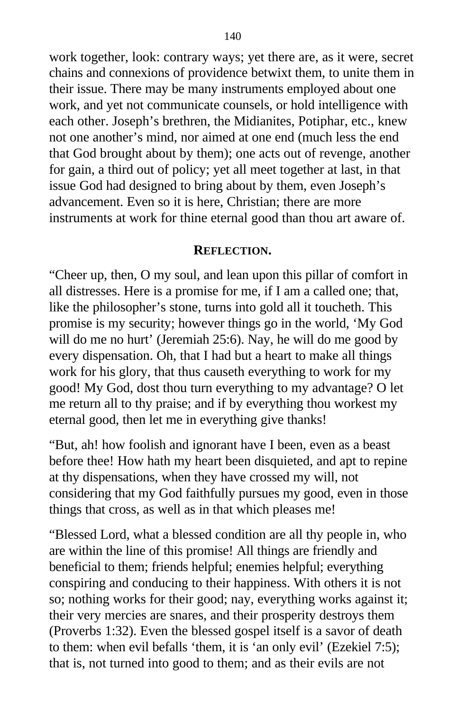work together, look: contrary ways; yet there are, as it were, secret chains and connexions of providence betwixt them, to unite them in their issue. There may be many instruments employed about one work, and yet not communicate counsels, or hold intelligence with each other. Joseph's brethren, the Midianites, Potiphar, etc., knew not one another's mind, nor aimed at one end (much less the end that God brought about by them); one acts out of revenge, another for gain, a third out of policy; yet all meet together at last, in that issue God had designed to bring about by them, even Joseph's advancement. Even so it is here, Christian; there are more instruments at work for thine eternal good than thou art aware of.

#### **REFLECTION.**

"Cheer up, then, O my soul, and lean upon this pillar of comfort in all distresses. Here is a promise for me, if I am a called one; that, like the philosopher's stone, turns into gold all it toucheth. This promise is my security; however things go in the world, 'My God will do me no hurt' (Jeremiah 25:6). Nay, he will do me good by every dispensation. Oh, that I had but a heart to make all things work for his glory, that thus causeth everything to work for my good! My God, dost thou turn everything to my advantage? O let me return all to thy praise; and if by everything thou workest my eternal good, then let me in everything give thanks!

"But, ah! how foolish and ignorant have I been, even as a beast before thee! How hath my heart been disquieted, and apt to repine at thy dispensations, when they have crossed my will, not considering that my God faithfully pursues my good, even in those things that cross, as well as in that which pleases me!

"Blessed Lord, what a blessed condition are all thy people in, who are within the line of this promise! All things are friendly and beneficial to them; friends helpful; enemies helpful; everything conspiring and conducing to their happiness. With others it is not so; nothing works for their good; nay, everything works against it; their very mercies are snares, and their prosperity destroys them (Proverbs 1:32). Even the blessed gospel itself is a savor of death to them: when evil befalls 'them, it is 'an only evil' (Ezekiel 7:5); that is, not turned into good to them; and as their evils are not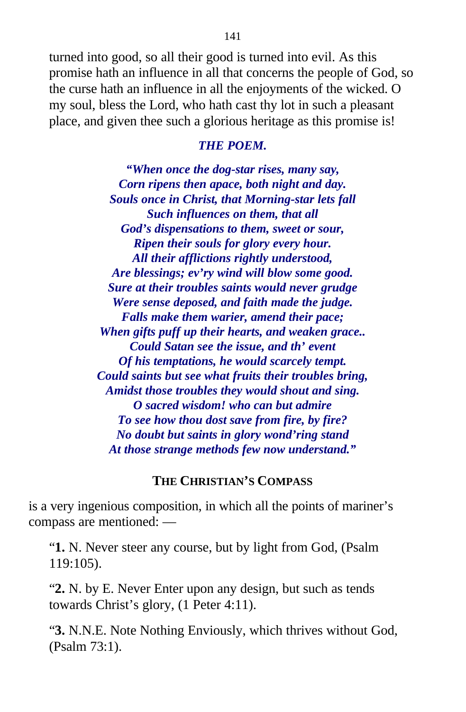turned into good, so all their good is turned into evil. As this promise hath an influence in all that concerns the people of God, so the curse hath an influence in all the enjoyments of the wicked. O my soul, bless the Lord, who hath cast thy lot in such a pleasant place, and given thee such a glorious heritage as this promise is!

### *THE POEM.*

*"When once the dog-star rises, many say, Corn ripens then apace, both night and day. Souls once in Christ, that Morning-star lets fall Such influences on them, that all God's dispensations to them, sweet or sour, Ripen their souls for glory every hour. All their afflictions rightly understood, Are blessings; ev'ry wind will blow some good. Sure at their troubles saints would never grudge Were sense deposed, and faith made the judge. Falls make them warier, amend their pace; When gifts puff up their hearts, and weaken grace.. Could Satan see the issue, and th' event Of his temptations, he would scarcely tempt. Could saints but see what fruits their troubles bring, Amidst those troubles they would shout and sing. O sacred wisdom! who can but admire To see how thou dost save from fire, by fire? No doubt but saints in glory wond'ring stand At those strange methods few now understand."*

### **THE CHRISTIAN'S COMPASS**

is a very ingenious composition, in which all the points of mariner's compass are mentioned: —

"**1.** N. Never steer any course, but by light from God, (Psalm 119:105).

"**2.** N. by E. Never Enter upon any design, but such as tends towards Christ's glory, (1 Peter 4:11).

"**3.** N.N.E. Note Nothing Enviously, which thrives without God, (Psalm 73:1).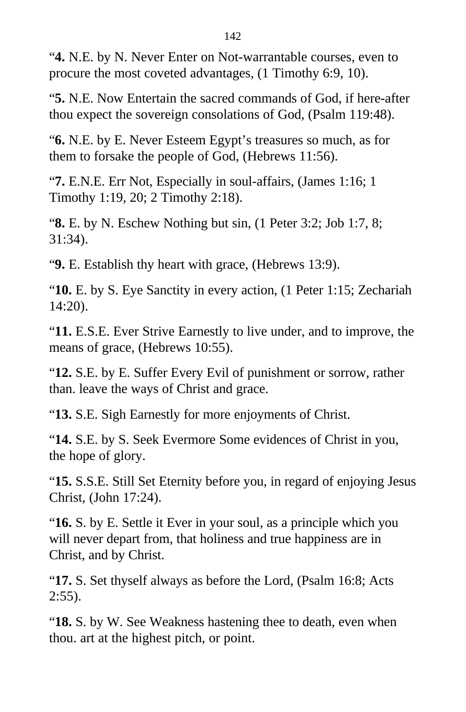"**4.** N.E. by N. Never Enter on Not-warrantable courses, even to procure the most coveted advantages, (1 Timothy 6:9, 10).

"**5.** N.E. Now Entertain the sacred commands of God, if here-after thou expect the sovereign consolations of God, (Psalm 119:48).

"**6.** N.E. by E. Never Esteem Egypt's treasures so much, as for them to forsake the people of God, (Hebrews 11:56).

"**7.** E.N.E. Err Not, Especially in soul-affairs, (James 1:16; 1 Timothy 1:19, 20; 2 Timothy 2:18).

"**8.** E. by N. Eschew Nothing but sin, (1 Peter 3:2; Job 1:7, 8; 31:34).

"**9.** E. Establish thy heart with grace, (Hebrews 13:9).

"**10.** E. by S. Eye Sanctity in every action, (1 Peter 1:15; Zechariah 14:20).

"**11.** E.S.E. Ever Strive Earnestly to live under, and to improve, the means of grace, (Hebrews 10:55).

"**12.** S.E. by E. Suffer Every Evil of punishment or sorrow, rather than. leave the ways of Christ and grace.

"**13.** S.E. Sigh Earnestly for more enjoyments of Christ.

"**14.** S.E. by S. Seek Evermore Some evidences of Christ in you, the hope of glory.

"**15.** S.S.E. Still Set Eternity before you, in regard of enjoying Jesus Christ, (John 17:24).

"**16.** S. by E. Settle it Ever in your soul, as a principle which you will never depart from, that holiness and true happiness are in Christ, and by Christ.

"**17.** S. Set thyself always as before the Lord, (Psalm 16:8; Acts  $2:55$ ).

"**18.** S. by W. See Weakness hastening thee to death, even when thou. art at the highest pitch, or point.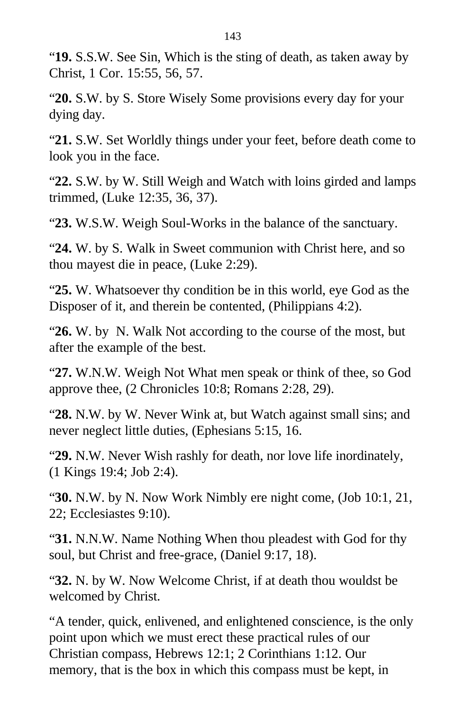"**19.** S.S.W. See Sin, Which is the sting of death, as taken away by Christ, 1 Cor. 15:55, 56, 57.

"**20.** S.W. by S. Store Wisely Some provisions every day for your dying day.

"**21.** S.W. Set Worldly things under your feet, before death come to look you in the face.

"**22.** S.W. by W. Still Weigh and Watch with loins girded and lamps trimmed, (Luke 12:35, 36, 37).

"**23.** W.S.W. Weigh Soul-Works in the balance of the sanctuary.

"**24.** W. by S. Walk in Sweet communion with Christ here, and so thou mayest die in peace, (Luke 2:29).

"**25.** W. Whatsoever thy condition be in this world, eye God as the Disposer of it, and therein be contented, (Philippians 4:2).

"**26.** W. by N. Walk Not according to the course of the most, but after the example of the best.

"**27.** W.N.W. Weigh Not What men speak or think of thee, so God approve thee, (2 Chronicles 10:8; Romans 2:28, 29).

"**28.** N.W. by W. Never Wink at, but Watch against small sins; and never neglect little duties, (Ephesians 5:15, 16.

"**29.** N.W. Never Wish rashly for death, nor love life inordinately, (1 Kings 19:4; Job 2:4).

"**30.** N.W. by N. Now Work Nimbly ere night come, (Job 10:1, 21, 22; Ecclesiastes 9:10).

"**31.** N.N.W. Name Nothing When thou pleadest with God for thy soul, but Christ and free-grace, (Daniel 9:17, 18).

"**32.** N. by W. Now Welcome Christ, if at death thou wouldst be welcomed by Christ.

"A tender, quick, enlivened, and enlightened conscience, is the only point upon which we must erect these practical rules of our Christian compass, Hebrews 12:1; 2 Corinthians 1:12. Our memory, that is the box in which this compass must be kept, in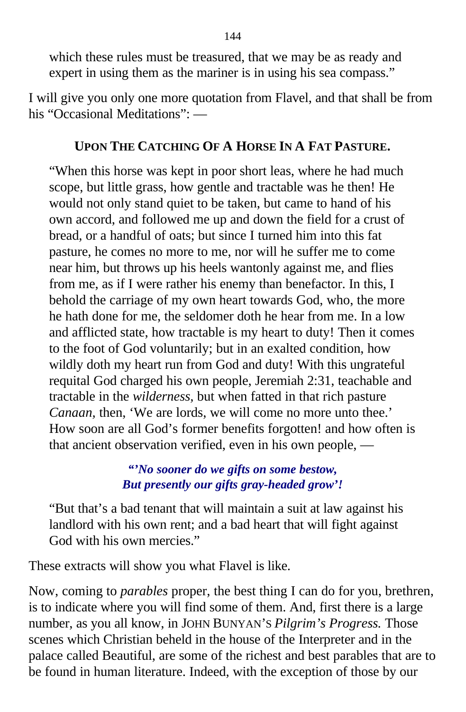which these rules must be treasured, that we may be as ready and expert in using them as the mariner is in using his sea compass."

I will give you only one more quotation from Flavel, and that shall be from his "Occasional Meditations": —

## **UPON THE CATCHING OF A HORSE IN A FAT PASTURE.**

"When this horse was kept in poor short leas, where he had much scope, but little grass, how gentle and tractable was he then! He would not only stand quiet to be taken, but came to hand of his own accord, and followed me up and down the field for a crust of bread, or a handful of oats; but since I turned him into this fat pasture, he comes no more to me, nor will he suffer me to come near him, but throws up his heels wantonly against me, and flies from me, as if I were rather his enemy than benefactor. In this, I behold the carriage of my own heart towards God, who, the more he hath done for me, the seldomer doth he hear from me. In a low and afflicted state, how tractable is my heart to duty! Then it comes to the foot of God voluntarily; but in an exalted condition, how wildly doth my heart run from God and duty! With this ungrateful requital God charged his own people, Jeremiah 2:31, teachable and tractable in the *wilderness,* but when fatted in that rich pasture *Canaan,* then, 'We are lords, we will come no more unto thee.' How soon are all God's former benefits forgotten! and how often is that ancient observation verified, even in his own people, —

## *"'No sooner do we gifts on some bestow, But presently our gifts gray-headed grow'!*

"But that's a bad tenant that will maintain a suit at law against his landlord with his own rent; and a bad heart that will fight against God with his own mercies."

These extracts will show you what Flavel is like.

Now, coming to *parables* proper, the best thing I can do for you, brethren, is to indicate where you will find some of them. And, first there is a large number, as you all know, in JOHN BUNYAN'S *Pilgrim's Progress.* Those scenes which Christian beheld in the house of the Interpreter and in the palace called Beautiful, are some of the richest and best parables that are to be found in human literature. Indeed, with the exception of those by our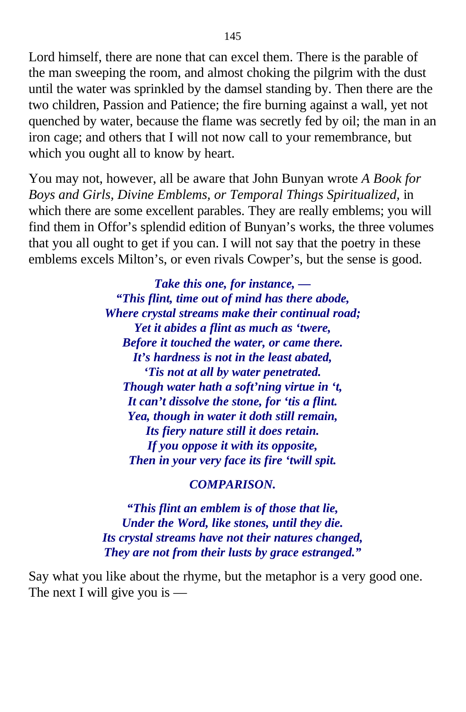Lord himself, there are none that can excel them. There is the parable of the man sweeping the room, and almost choking the pilgrim with the dust until the water was sprinkled by the damsel standing by. Then there are the two children, Passion and Patience; the fire burning against a wall, yet not quenched by water, because the flame was secretly fed by oil; the man in an iron cage; and others that I will not now call to your remembrance, but which you ought all to know by heart.

You may not, however, all be aware that John Bunyan wrote *A Book for Boys and Girls, Divine Emblems, or Temporal Things Spiritualized,* in which there are some excellent parables. They are really emblems; you will find them in Offor's splendid edition of Bunyan's works, the three volumes that you all ought to get if you can. I will not say that the poetry in these emblems excels Milton's, or even rivals Cowper's, but the sense is good.

> *Take this one, for instance, — "This flint, time out of mind has there abode, Where crystal streams make their continual road; Yet it abides a flint as much as 'twere, Before it touched the water, or came there. It's hardness is not in the least abated, 'Tis not at all by water penetrated. Though water hath a soft'ning virtue in 't, It can't dissolve the stone, for 'tis a flint. Yea, though in water it doth still remain, Its fiery nature still it does retain. If you oppose it with its opposite, Then in your very face its fire 'twill spit.*

### *COMPARISON.*

*"This flint an emblem is of those that lie, Under the Word, like stones, until they die. Its crystal streams have not their natures changed, They are not from their lusts by grace estranged."*

Say what you like about the rhyme, but the metaphor is a very good one. The next I will give you is —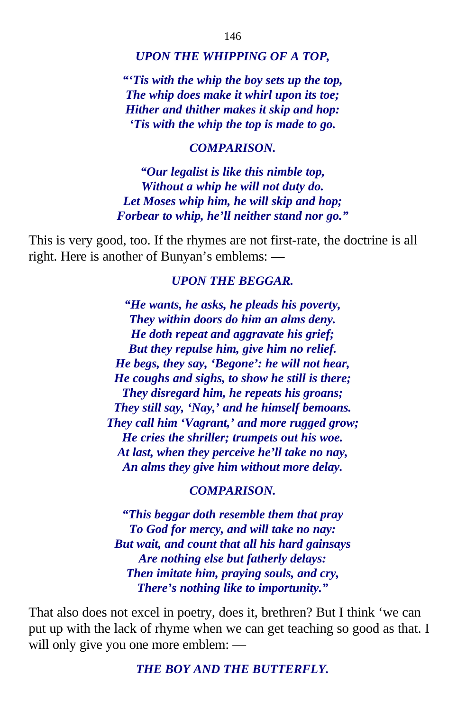#### *UPON THE WHIPPING OF A TOP,*

*"'Tis with the whip the boy sets up the top, The whip does make it whirl upon its toe; Hither and thither makes it skip and hop: 'Tis with the whip the top is made to go.*

#### *COMPARISON.*

*"Our legalist is like this nimble top, Without a whip he will not duty do. Let Moses whip him, he will skip and hop; Forbear to whip, he'll neither stand nor go."*

This is very good, too. If the rhymes are not first-rate, the doctrine is all right. Here is another of Bunyan's emblems: —

### *UPON THE BEGGAR.*

*"He wants, he asks, he pleads his poverty, They within doors do him an alms deny. He doth repeat and aggravate his grief; But they repulse him, give him no relief. He begs, they say, 'Begone': he will not hear, He coughs and sighs, to show he still is there; They disregard him, he repeats his groans; They still say, 'Nay,' and he himself bemoans. They call him 'Vagrant,' and more rugged grow; He cries the shriller; trumpets out his woe. At last, when they perceive he'll take no nay, An alms they give him without more delay.*

#### *COMPARISON.*

*"This beggar doth resemble them that pray To God for mercy, and will take no nay: But wait, and count that all his hard gainsays Are nothing else but fatherly delays: Then imitate him, praying souls, and cry, There's nothing like to importunity."*

That also does not excel in poetry, does it, brethren? But I think 'we can put up with the lack of rhyme when we can get teaching so good as that. I will only give you one more emblem: —

*THE BOY AND THE BUTTERFLY.*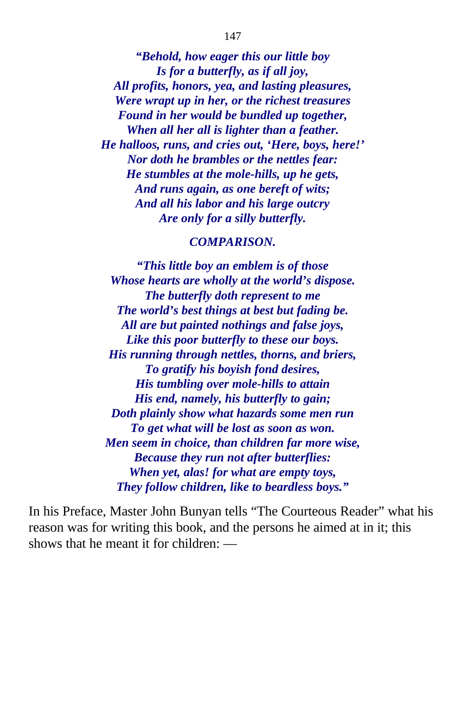*"Behold, how eager this our little boy Is for a butterfly, as if all joy, All profits, honors, yea, and lasting pleasures, Were wrapt up in her, or the richest treasures Found in her would be bundled up together, When all her all is lighter than a feather. He halloos, runs, and cries out, 'Here, boys, here!' Nor doth he brambles or the nettles fear: He stumbles at the mole-hills, up he gets, And runs again, as one bereft of wits; And all his labor and his large outcry Are only for a silly butterfly.*

#### *COMPARISON.*

*"This little boy an emblem is of those Whose hearts are wholly at the world's dispose. The butterfly doth represent to me The world's best things at best but fading be. All are but painted nothings and false joys, Like this poor butterfly to these our boys. His running through nettles, thorns, and briers, To gratify his boyish fond desires, His tumbling over mole-hills to attain His end, namely, his butterfly to gain; Doth plainly show what hazards some men run To get what will be lost as soon as won. Men seem in choice, than children far more wise, Because they run not after butterflies: When yet, alas! for what are empty toys, They follow children, like to beardless boys."*

In his Preface, Master John Bunyan tells "The Courteous Reader" what his reason was for writing this book, and the persons he aimed at in it; this shows that he meant it for children: —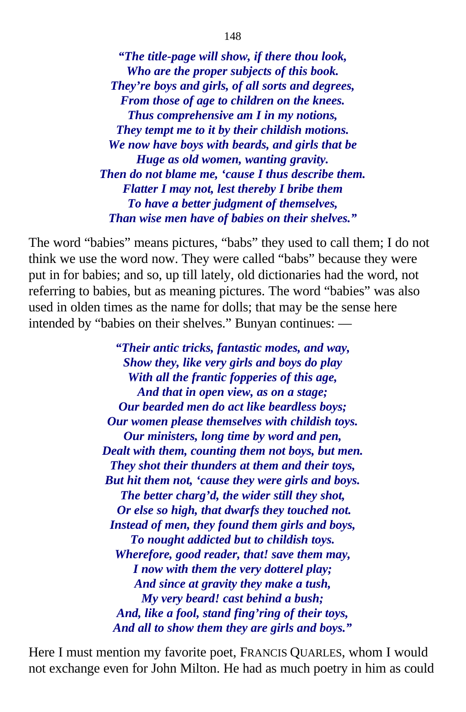*"The title-page will show, if there thou look, Who are the proper subjects of this book. They're boys and girls, of all sorts and degrees, From those of age to children on the knees. Thus comprehensive am I in my notions, They tempt me to it by their childish motions. We now have boys with beards, and girls that be Huge as old women, wanting gravity. Then do not blame me, 'cause I thus describe them. Flatter I may not, lest thereby I bribe them To have a better judgment of themselves, Than wise men have of babies on their shelves."*

The word "babies" means pictures, "babs" they used to call them; I do not think we use the word now. They were called "babs" because they were put in for babies; and so, up till lately, old dictionaries had the word, not referring to babies, but as meaning pictures. The word "babies" was also used in olden times as the name for dolls; that may be the sense here intended by "babies on their shelves." Bunyan continues: —

> *"Their antic tricks, fantastic modes, and way, Show they, like very girls and boys do play With all the frantic fopperies of this age, And that in open view, as on a stage; Our bearded men do act like beardless boys; Our women please themselves with childish toys. Our ministers, long time by word and pen, Dealt with them, counting them not boys, but men. They shot their thunders at them and their toys, But hit them not, 'cause they were girls and boys. The better charg'd, the wider still they shot, Or else so high, that dwarfs they touched not. Instead of men, they found them girls and boys, To nought addicted but to childish toys. Wherefore, good reader, that! save them may, I now with them the very dotterel play; And since at gravity they make a tush, My very beard! cast behind a bush; And, like a fool, stand fing'ring of their toys, And all to show them they are girls and boys."*

Here I must mention my favorite poet, FRANCIS QUARLES, whom I would not exchange even for John Milton. He had as much poetry in him as could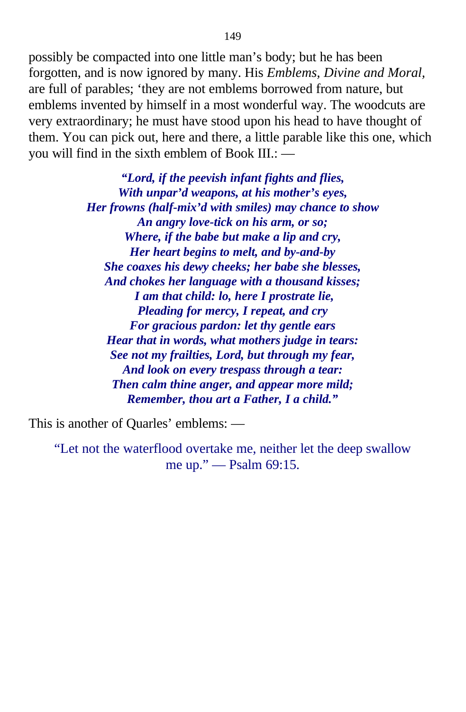possibly be compacted into one little man's body; but he has been forgotten, and is now ignored by many. His *Emblems, Divine and Moral,* are full of parables; 'they are not emblems borrowed from nature, but emblems invented by himself in a most wonderful way. The woodcuts are very extraordinary; he must have stood upon his head to have thought of them. You can pick out, here and there, a little parable like this one, which you will find in the sixth emblem of Book III.: —

> *"Lord, if the peevish infant fights and flies, With unpar'd weapons, at his mother's eyes, Her frowns (half-mix'd with smiles) may chance to show An angry love-tick on his arm, or so; Where, if the babe but make a lip and cry, Her heart begins to melt, and by-and-by She coaxes his dewy cheeks; her babe she blesses, And chokes her language with a thousand kisses; I am that child: lo, here I prostrate lie, Pleading for mercy, I repeat, and cry For gracious pardon: let thy gentle ears Hear that in words, what mothers judge in tears: See not my frailties, Lord, but through my fear, And look on every trespass through a tear: Then calm thine anger, and appear more mild; Remember, thou art a Father, I a child."*

This is another of Quarles' emblems: —

"Let not the waterflood overtake me, neither let the deep swallow me up." — Psalm 69:15.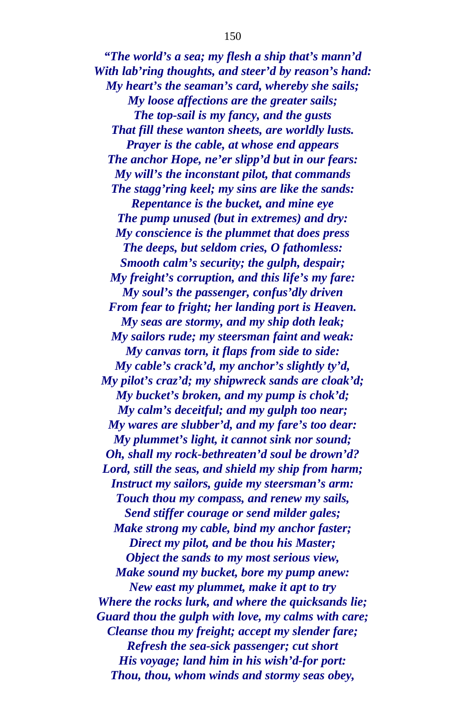*"The world's a sea; my flesh a ship that's mann'd With lab'ring thoughts, and steer'd by reason's hand: My heart's the seaman's card, whereby she sails; My loose affections are the greater sails; The top-sail is my fancy, and the gusts That fill these wanton sheets, are worldly lusts. Prayer is the cable, at whose end appears The anchor Hope, ne'er slipp'd but in our fears: My will's the inconstant pilot, that commands The stagg'ring keel; my sins are like the sands: Repentance is the bucket, and mine eye The pump unused (but in extremes) and dry: My conscience is the plummet that does press The deeps, but seldom cries, O fathomless: Smooth calm's security; the gulph, despair; My freight's corruption, and this life's my fare: My soul's the passenger, confus'dly driven From fear to fright; her landing port is Heaven. My seas are stormy, and my ship doth leak; My sailors rude; my steersman faint and weak: My canvas torn, it flaps from side to side: My cable's crack'd, my anchor's slightly ty'd, My pilot's craz'd; my shipwreck sands are cloak'd; My bucket's broken, and my pump is chok'd; My calm's deceitful; and my gulph too near; My wares are slubber'd, and my fare's too dear: My plummet's light, it cannot sink nor sound; Oh, shall my rock-bethreaten'd soul be drown'd? Lord, still the seas, and shield my ship from harm; Instruct my sailors, guide my steersman's arm: Touch thou my compass, and renew my sails, Send stiffer courage or send milder gales; Make strong my cable, bind my anchor faster; Direct my pilot, and be thou his Master; Object the sands to my most serious view, Make sound my bucket, bore my pump anew: New east my plummet, make it apt to try Where the rocks lurk, and where the quicksands lie; Guard thou the gulph with love, my calms with care; Cleanse thou my freight; accept my slender fare; Refresh the sea-sick passenger; cut short His voyage; land him in his wish'd-for port: Thou, thou, whom winds and stormy seas obey,*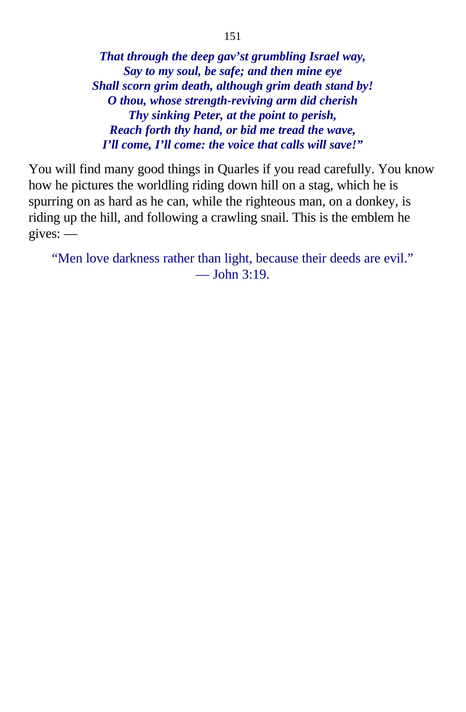*That through the deep gav'st grumbling Israel way, Say to my soul, be safe; and then mine eye Shall scorn grim death, although grim death stand by! O thou, whose strength-reviving arm did cherish Thy sinking Peter, at the point to perish, Reach forth thy hand, or bid me tread the wave, I'll come, I'll come: the voice that calls will save!"*

You will find many good things in Quarles if you read carefully. You know how he pictures the worldling riding down hill on a stag, which he is spurring on as hard as he can, while the righteous man, on a donkey, is riding up the hill, and following a crawling snail. This is the emblem he gives: —

"Men love darkness rather than light, because their deeds are evil."  $\overline{\phantom{0}}$  John 3:19.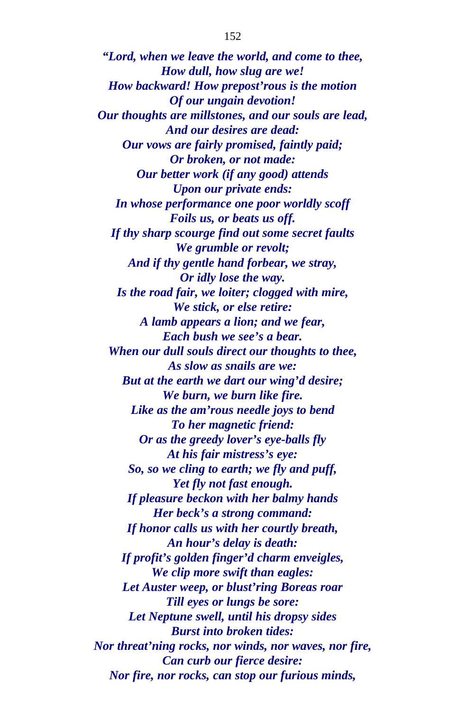*"Lord, when we leave the world, and come to thee, How dull, how slug are we! How backward! How prepost'rous is the motion Of our ungain devotion! Our thoughts are millstones, and our souls are lead, And our desires are dead: Our vows are fairly promised, faintly paid; Or broken, or not made: Our better work (if any good) attends Upon our private ends: In whose performance one poor worldly scoff Foils us, or beats us off. If thy sharp scourge find out some secret faults We grumble or revolt; And if thy gentle hand forbear, we stray, Or idly lose the way. Is the road fair, we loiter; clogged with mire, We stick, or else retire: A lamb appears a lion; and we fear, Each bush we see's a bear. When our dull souls direct our thoughts to thee, As slow as snails are we: But at the earth we dart our wing'd desire; We burn, we burn like fire. Like as the am'rous needle joys to bend To her magnetic friend: Or as the greedy lover's eye-balls fly At his fair mistress's eye: So, so we cling to earth; we fly and puff, Yet fly not fast enough. If pleasure beckon with her balmy hands Her beck's a strong command: If honor calls us with her courtly breath, An hour's delay is death: If profit's golden finger'd charm enveigles, We clip more swift than eagles: Let Auster weep, or blust'ring Boreas roar Till eyes or lungs be sore: Let Neptune swell, until his dropsy sides Burst into broken tides: Nor threat'ning rocks, nor winds, nor waves, nor fire, Can curb our fierce desire: Nor fire, nor rocks, can stop our furious minds,*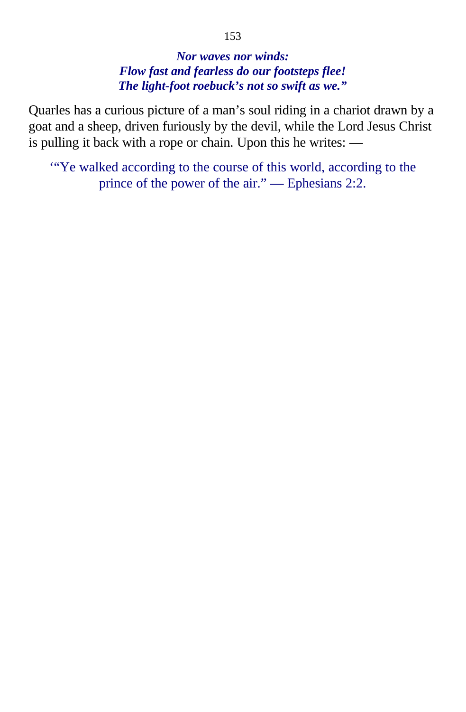*Nor waves nor winds: Flow fast and fearless do our footsteps flee! The light-foot roebuck's not so swift as we."*

Quarles has a curious picture of a man's soul riding in a chariot drawn by a goat and a sheep, driven furiously by the devil, while the Lord Jesus Christ is pulling it back with a rope or chain. Upon this he writes: —

'"Ye walked according to the course of this world, according to the prince of the power of the air." — Ephesians 2:2.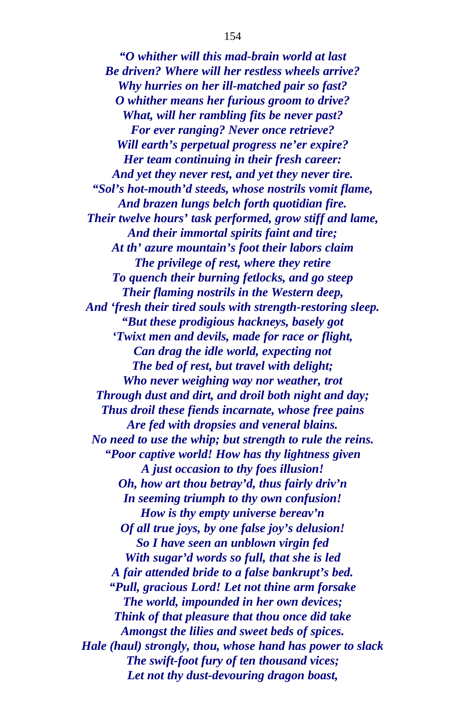*"O whither will this mad-brain world at last Be driven? Where will her restless wheels arrive? Why hurries on her ill-matched pair so fast? O whither means her furious groom to drive? What, will her rambling fits be never past? For ever ranging? Never once retrieve? Will earth's perpetual progress ne'er expire? Her team continuing in their fresh career: And yet they never rest, and yet they never tire. "Sol's hot-mouth'd steeds, whose nostrils vomit flame, And brazen lungs belch forth quotidian fire. Their twelve hours' task performed, grow stiff and lame, And their immortal spirits faint and tire; At th' azure mountain's foot their labors claim The privilege of rest, where they retire To quench their burning fetlocks, and go steep Their flaming nostrils in the Western deep, And 'fresh their tired souls with strength-restoring sleep. "But these prodigious hackneys, basely got 'Twixt men and devils, made for race or flight, Can drag the idle world, expecting not The bed of rest, but travel with delight; Who never weighing way nor weather, trot Through dust and dirt, and droil both night and day; Thus droil these fiends incarnate, whose free pains Are fed with dropsies and veneral blains. No need to use the whip; but strength to rule the reins. "Poor captive world! How has thy lightness given A just occasion to thy foes illusion! Oh, how art thou betray'd, thus fairly driv'n In seeming triumph to thy own confusion! How is thy empty universe bereav'n Of all true joys, by one false joy's delusion! So I have seen an unblown virgin fed With sugar'd words so full, that she is led A fair attended bride to a false bankrupt's bed. "Pull, gracious Lord! Let not thine arm forsake The world, impounded in her own devices; Think of that pleasure that thou once did take Amongst the lilies and sweet beds of spices. Hale (haul) strongly, thou, whose hand has power to slack The swift-foot fury of ten thousand vices; Let not thy dust-devouring dragon boast,*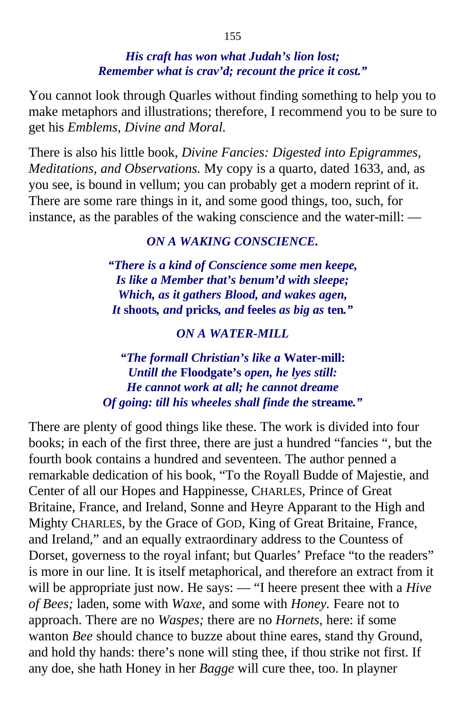## *His craft has won what Judah's lion lost; Remember what is crav'd; recount the price it cost."*

You cannot look through Quarles without finding something to help you to make metaphors and illustrations; therefore, I recommend you to be sure to get his *Emblems, Divine and Moral.*

There is also his little book, *Divine Fancies: Digested into Epigrammes, Meditations, and Observations.* My copy is a quarto, dated 1633, and, as you see, is bound in vellum; you can probably get a modern reprint of it. There are some rare things in it, and some good things, too, such, for instance, as the parables of the waking conscience and the water-mill: —

## *ON A WAKING CONSCIENCE.*

*"There is a kind of Conscience some men keepe, Is like a Member that's benum'd with sleepe; Which, as it gathers Blood, and wakes agen, It* **shoots***, and* **pricks***, and* **feeles** *as big as* **ten***."*

## *ON A WATER-MILL*

*"The formall Christian's like a* **Water-mill:** *Untill the* **Floodgate's** *open, he lyes still: He cannot work at all; he cannot dreame Of going: till his wheeles shall finde the* **streame***."*

There are plenty of good things like these. The work is divided into four books; in each of the first three, there are just a hundred "fancies ", but the fourth book contains a hundred and seventeen. The author penned a remarkable dedication of his book, "To the Royall Budde of Majestie, and Center of all our Hopes and Happinesse, CHARLES, Prince of Great Britaine, France, and Ireland, Sonne and Heyre Apparant to the High and Mighty CHARLES, by the Grace of GOD, King of Great Britaine, France, and Ireland," and an equally extraordinary address to the Countess of Dorset, governess to the royal infant; but Quarles' Preface "to the readers" is more in our line. It is itself metaphorical, and therefore an extract from it will be appropriate just now. He says: — "I heere present thee with a *Hive of Bees;* laden, some with *Waxe,* and some with *Honey.* Feare not to approach. There are no *Waspes;* there are no *Hornets,* here: if some wanton *Bee* should chance to buzze about thine eares, stand thy Ground, and hold thy hands: there's none will sting thee, if thou strike not first. If any doe, she hath Honey in her *Bagge* will cure thee, too. In playner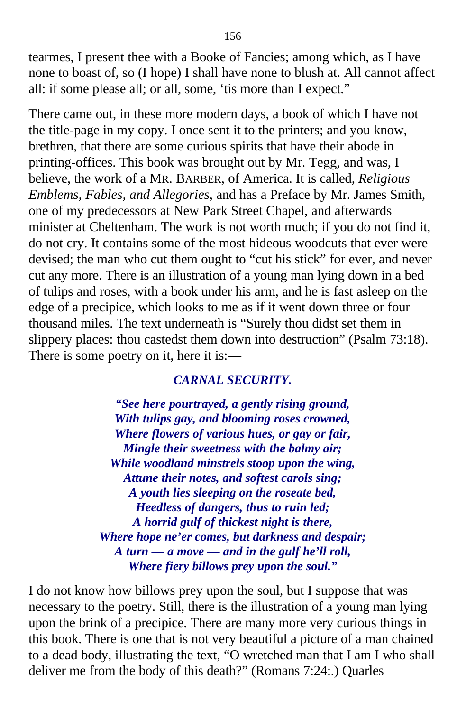tearmes, I present thee with a Booke of Fancies; among which, as I have none to boast of, so (I hope) I shall have none to blush at. All cannot affect all: if some please all; or all, some, 'tis more than I expect."

There came out, in these more modern days, a book of which I have not the title-page in my copy. I once sent it to the printers; and you know, brethren, that there are some curious spirits that have their abode in printing-offices. This book was brought out by Mr. Tegg, and was, I believe, the work of a MR. BARBER, of America. It is called, *Religious Emblems, Fables, and Allegories,* and has a Preface by Mr. James Smith, one of my predecessors at New Park Street Chapel, and afterwards minister at Cheltenham. The work is not worth much; if you do not find it, do not cry. It contains some of the most hideous woodcuts that ever were devised; the man who cut them ought to "cut his stick" for ever, and never cut any more. There is an illustration of a young man lying down in a bed of tulips and roses, with a book under his arm, and he is fast asleep on the edge of a precipice, which looks to me as if it went down three or four thousand miles. The text underneath is "Surely thou didst set them in slippery places: thou castedst them down into destruction" (Psalm 73:18). There is some poetry on it, here it is:—

## *CARNAL SECURITY.*

*"See here pourtrayed, a gently rising ground, With tulips gay, and blooming roses crowned, Where flowers of various hues, or gay or fair, Mingle their sweetness with the balmy air; While woodland minstrels stoop upon the wing, Attune their notes, and softest carols sing; A youth lies sleeping on the roseate bed, Heedless of dangers, thus to ruin led; A horrid gulf of thickest night is there, Where hope ne'er comes, but darkness and despair; A turn — a move — and in the gulf he'll roll, Where fiery billows prey upon the soul."*

I do not know how billows prey upon the soul, but I suppose that was necessary to the poetry. Still, there is the illustration of a young man lying upon the brink of a precipice. There are many more very curious things in this book. There is one that is not very beautiful a picture of a man chained to a dead body, illustrating the text, "O wretched man that I am I who shall deliver me from the body of this death?" (Romans 7:24:.) Quarles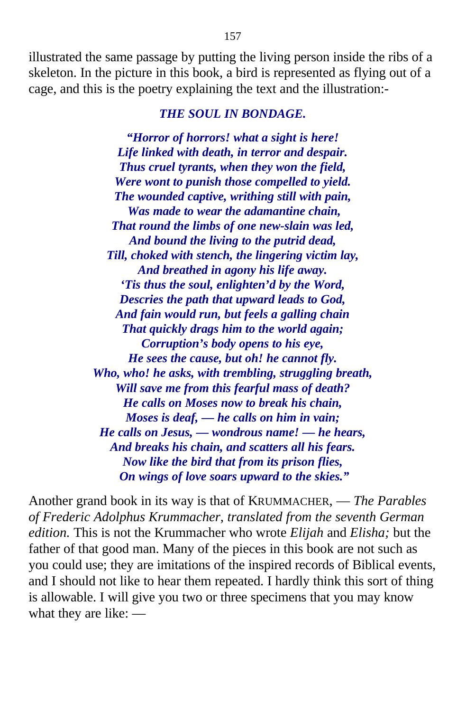illustrated the same passage by putting the living person inside the ribs of a skeleton. In the picture in this book, a bird is represented as flying out of a cage, and this is the poetry explaining the text and the illustration:-

## *THE SOUL IN BONDAGE.*

*"Horror of horrors! what a sight is here! Life linked with death, in terror and despair. Thus cruel tyrants, when they won the field, Were wont to punish those compelled to yield. The wounded captive, writhing still with pain, Was made to wear the adamantine chain, That round the limbs of one new-slain was led, And bound the living to the putrid dead, Till, choked with stench, the lingering victim lay, And breathed in agony his life away. 'Tis thus the soul, enlighten'd by the Word, Descries the path that upward leads to God, And fain would run, but feels a galling chain That quickly drags him to the world again; Corruption's body opens to his eye, He sees the cause, but oh! he cannot fly. Who, who! he asks, with trembling, struggling breath, Will save me from this fearful mass of death? He calls on Moses now to break his chain, Moses is deaf, — he calls on him in vain; He calls on Jesus, — wondrous name! — he hears, And breaks his chain, and scatters all his fears. Now like the bird that from its prison flies, On wings of love soars upward to the skies."*

Another grand book in its way is that of KRUMMACHER, — *The Parables of Frederic Adolphus Krummacher, translated from the seventh German edition.* This is not the Krummacher who wrote *Elijah* and *Elisha;* but the father of that good man. Many of the pieces in this book are not such as you could use; they are imitations of the inspired records of Biblical events, and I should not like to hear them repeated. I hardly think this sort of thing is allowable. I will give you two or three specimens that you may know what they are like: —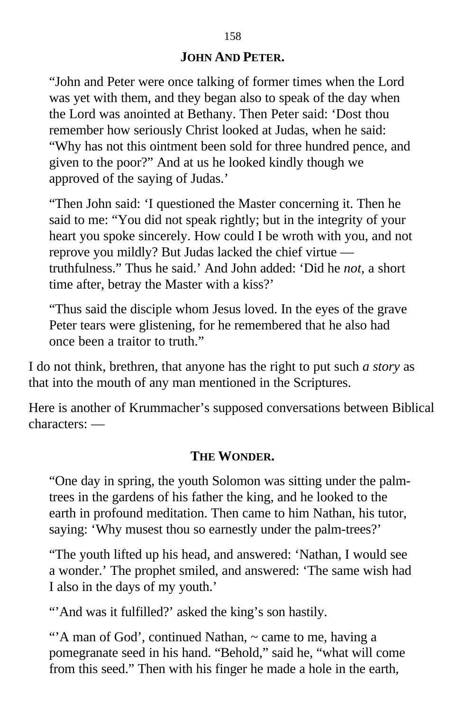## **JOHN AND PETER.**

"John and Peter were once talking of former times when the Lord was yet with them, and they began also to speak of the day when the Lord was anointed at Bethany. Then Peter said: 'Dost thou remember how seriously Christ looked at Judas, when he said: "Why has not this ointment been sold for three hundred pence, and given to the poor?" And at us he looked kindly though we approved of the saying of Judas.'

"Then John said: 'I questioned the Master concerning it. Then he said to me: "You did not speak rightly; but in the integrity of your heart you spoke sincerely. How could I be wroth with you, and not reprove you mildly? But Judas lacked the chief virtue truthfulness." Thus he said.' And John added: 'Did he *not,* a short time after, betray the Master with a kiss?'

"Thus said the disciple whom Jesus loved. In the eyes of the grave Peter tears were glistening, for he remembered that he also had once been a traitor to truth."

I do not think, brethren, that anyone has the right to put such *a story* as that into the mouth of any man mentioned in the Scriptures.

Here is another of Krummacher's supposed conversations between Biblical characters: —

## **THE WONDER.**

"One day in spring, the youth Solomon was sitting under the palmtrees in the gardens of his father the king, and he looked to the earth in profound meditation. Then came to him Nathan, his tutor, saying: 'Why musest thou so earnestly under the palm-trees?'

"The youth lifted up his head, and answered: 'Nathan, I would see a wonder.' The prophet smiled, and answered: 'The same wish had I also in the days of my youth.'

"'And was it fulfilled?' asked the king's son hastily.

"'A man of God', continued Nathan, ~ came to me, having a pomegranate seed in his hand. "Behold," said he, "what will come from this seed." Then with his finger he made a hole in the earth,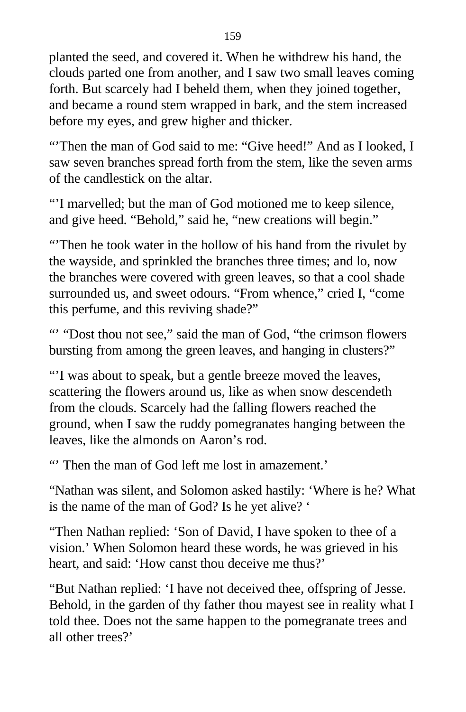planted the seed, and covered it. When he withdrew his hand, the clouds parted one from another, and I saw two small leaves coming forth. But scarcely had I beheld them, when they joined together, and became a round stem wrapped in bark, and the stem increased before my eyes, and grew higher and thicker.

"Then the man of God said to me: "Give heed!" And as I looked, I saw seven branches spread forth from the stem, like the seven arms of the candlestick on the altar.

"'I marvelled; but the man of God motioned me to keep silence, and give heed. "Behold," said he, "new creations will begin."

"'Then he took water in the hollow of his hand from the rivulet by the wayside, and sprinkled the branches three times; and lo, now the branches were covered with green leaves, so that a cool shade surrounded us, and sweet odours. "From whence," cried I, "come this perfume, and this reviving shade?"

"' "Dost thou not see," said the man of God, "the crimson flowers bursting from among the green leaves, and hanging in clusters?"

"'I was about to speak, but a gentle breeze moved the leaves, scattering the flowers around us, like as when snow descendeth from the clouds. Scarcely had the falling flowers reached the ground, when I saw the ruddy pomegranates hanging between the leaves, like the almonds on Aaron's rod.

"Then the man of God left me lost in amazement."

"Nathan was silent, and Solomon asked hastily: 'Where is he? What is the name of the man of God? Is he yet alive? '

"Then Nathan replied: 'Son of David, I have spoken to thee of a vision.' When Solomon heard these words, he was grieved in his heart, and said: 'How canst thou deceive me thus?'

"But Nathan replied: 'I have not deceived thee, offspring of Jesse. Behold, in the garden of thy father thou mayest see in reality what I told thee. Does not the same happen to the pomegranate trees and all other trees?'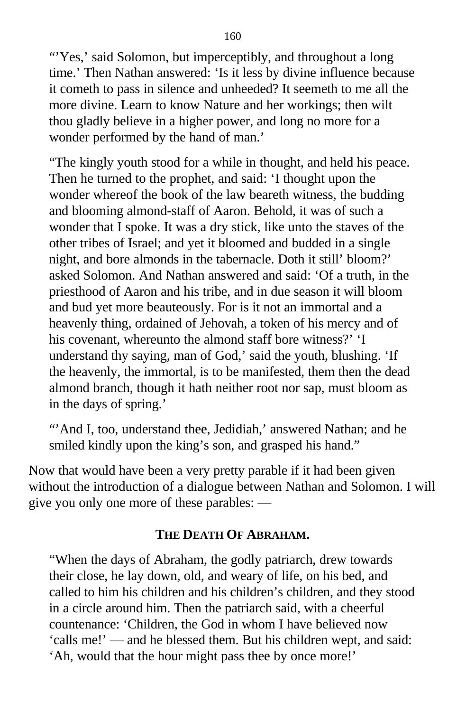"Yes,' said Solomon, but imperceptibly, and throughout a long time.' Then Nathan answered: 'Is it less by divine influence because it cometh to pass in silence and unheeded? It seemeth to me all the more divine. Learn to know Nature and her workings; then wilt thou gladly believe in a higher power, and long no more for a wonder performed by the hand of man.'

"The kingly youth stood for a while in thought, and held his peace. Then he turned to the prophet, and said: 'I thought upon the wonder whereof the book of the law beareth witness, the budding and blooming almond-staff of Aaron. Behold, it was of such a wonder that I spoke. It was a dry stick, like unto the staves of the other tribes of Israel; and yet it bloomed and budded in a single night, and bore almonds in the tabernacle. Doth it still' bloom?' asked Solomon. And Nathan answered and said: 'Of a truth, in the priesthood of Aaron and his tribe, and in due season it will bloom and bud yet more beauteously. For is it not an immortal and a heavenly thing, ordained of Jehovah, a token of his mercy and of his covenant, whereunto the almond staff bore witness?' 'I understand thy saying, man of God,' said the youth, blushing. 'If the heavenly, the immortal, is to be manifested, them then the dead almond branch, though it hath neither root nor sap, must bloom as in the days of spring.'

"'And I, too, understand thee, Jedidiah,' answered Nathan; and he smiled kindly upon the king's son, and grasped his hand."

Now that would have been a very pretty parable if it had been given without the introduction of a dialogue between Nathan and Solomon. I will give you only one more of these parables: —

## **THE DEATH OF ABRAHAM.**

"When the days of Abraham, the godly patriarch, drew towards their close, he lay down, old, and weary of life, on his bed, and called to him his children and his children's children, and they stood in a circle around him. Then the patriarch said, with a cheerful countenance: 'Children, the God in whom I have believed now 'calls me!' — and he blessed them. But his children wept, and said: 'Ah, would that the hour might pass thee by once more!'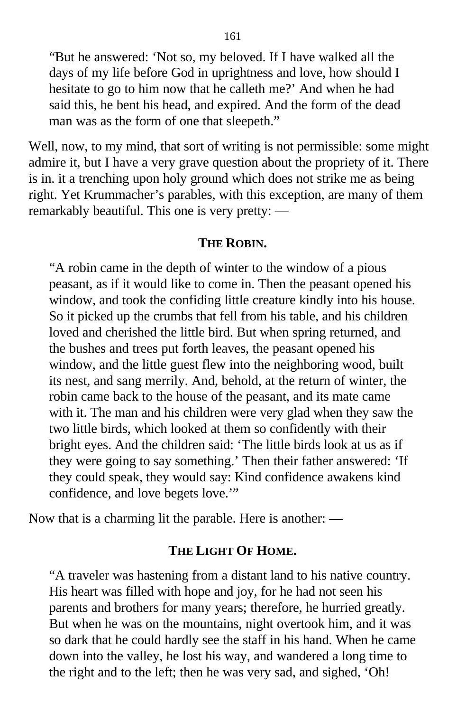"But he answered: 'Not so, my beloved. If I have walked all the days of my life before God in uprightness and love, how should I hesitate to go to him now that he calleth me?' And when he had said this, he bent his head, and expired. And the form of the dead man was as the form of one that sleepeth."

Well, now, to my mind, that sort of writing is not permissible: some might admire it, but I have a very grave question about the propriety of it. There is in. it a trenching upon holy ground which does not strike me as being right. Yet Krummacher's parables, with this exception, are many of them remarkably beautiful. This one is very pretty: —

#### **THE ROBIN.**

"A robin came in the depth of winter to the window of a pious peasant, as if it would like to come in. Then the peasant opened his window, and took the confiding little creature kindly into his house. So it picked up the crumbs that fell from his table, and his children loved and cherished the little bird. But when spring returned, and the bushes and trees put forth leaves, the peasant opened his window, and the little guest flew into the neighboring wood, built its nest, and sang merrily. And, behold, at the return of winter, the robin came back to the house of the peasant, and its mate came with it. The man and his children were very glad when they saw the two little birds, which looked at them so confidently with their bright eyes. And the children said: 'The little birds look at us as if they were going to say something.' Then their father answered: 'If they could speak, they would say: Kind confidence awakens kind confidence, and love begets love.'"

Now that is a charming lit the parable. Here is another: —

## **THE LIGHT OF HOME.**

"A traveler was hastening from a distant land to his native country. His heart was filled with hope and joy, for he had not seen his parents and brothers for many years; therefore, he hurried greatly. But when he was on the mountains, night overtook him, and it was so dark that he could hardly see the staff in his hand. When he came down into the valley, he lost his way, and wandered a long time to the right and to the left; then he was very sad, and sighed, 'Oh!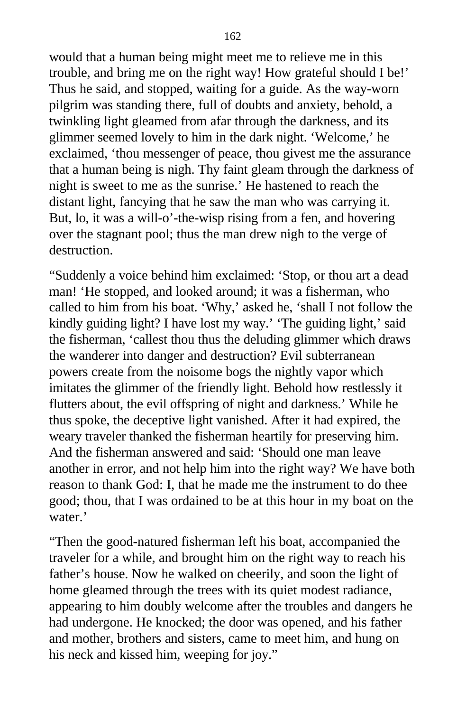would that a human being might meet me to relieve me in this trouble, and bring me on the right way! How grateful should I be!' Thus he said, and stopped, waiting for a guide. As the way-worn pilgrim was standing there, full of doubts and anxiety, behold, a twinkling light gleamed from afar through the darkness, and its glimmer seemed lovely to him in the dark night. 'Welcome,' he exclaimed, 'thou messenger of peace, thou givest me the assurance that a human being is nigh. Thy faint gleam through the darkness of night is sweet to me as the sunrise.' He hastened to reach the distant light, fancying that he saw the man who was carrying it. But, lo, it was a will-o'-the-wisp rising from a fen, and hovering over the stagnant pool; thus the man drew nigh to the verge of destruction.

"Suddenly a voice behind him exclaimed: 'Stop, or thou art a dead man! 'He stopped, and looked around; it was a fisherman, who called to him from his boat. 'Why,' asked he, 'shall I not follow the kindly guiding light? I have lost my way.' 'The guiding light,' said the fisherman, 'callest thou thus the deluding glimmer which draws the wanderer into danger and destruction? Evil subterranean powers create from the noisome bogs the nightly vapor which imitates the glimmer of the friendly light. Behold how restlessly it flutters about, the evil offspring of night and darkness.' While he thus spoke, the deceptive light vanished. After it had expired, the weary traveler thanked the fisherman heartily for preserving him. And the fisherman answered and said: 'Should one man leave another in error, and not help him into the right way? We have both reason to thank God: I, that he made me the instrument to do thee good; thou, that I was ordained to be at this hour in my boat on the water.'

"Then the good-natured fisherman left his boat, accompanied the traveler for a while, and brought him on the right way to reach his father's house. Now he walked on cheerily, and soon the light of home gleamed through the trees with its quiet modest radiance, appearing to him doubly welcome after the troubles and dangers he had undergone. He knocked; the door was opened, and his father and mother, brothers and sisters, came to meet him, and hung on his neck and kissed him, weeping for joy."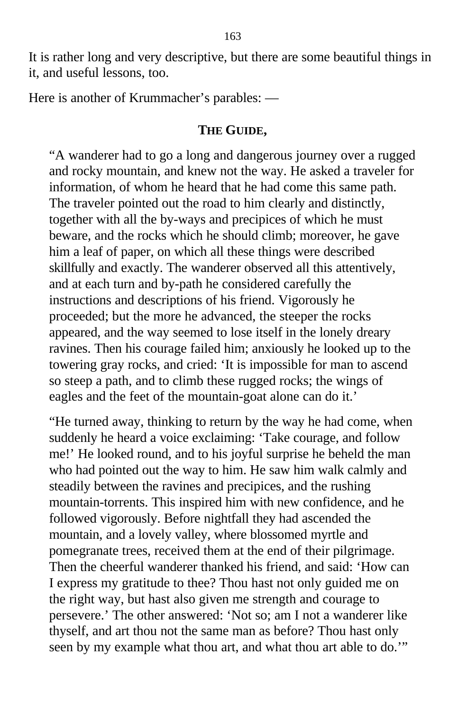It is rather long and very descriptive, but there are some beautiful things in it, and useful lessons, too.

Here is another of Krummacher's parables: —

## **THE GUIDE,**

"A wanderer had to go a long and dangerous journey over a rugged and rocky mountain, and knew not the way. He asked a traveler for information, of whom he heard that he had come this same path. The traveler pointed out the road to him clearly and distinctly, together with all the by-ways and precipices of which he must beware, and the rocks which he should climb; moreover, he gave him a leaf of paper, on which all these things were described skillfully and exactly. The wanderer observed all this attentively, and at each turn and by-path he considered carefully the instructions and descriptions of his friend. Vigorously he proceeded; but the more he advanced, the steeper the rocks appeared, and the way seemed to lose itself in the lonely dreary ravines. Then his courage failed him; anxiously he looked up to the towering gray rocks, and cried: 'It is impossible for man to ascend so steep a path, and to climb these rugged rocks; the wings of eagles and the feet of the mountain-goat alone can do it.'

"He turned away, thinking to return by the way he had come, when suddenly he heard a voice exclaiming: 'Take courage, and follow me!' He looked round, and to his joyful surprise he beheld the man who had pointed out the way to him. He saw him walk calmly and steadily between the ravines and precipices, and the rushing mountain-torrents. This inspired him with new confidence, and he followed vigorously. Before nightfall they had ascended the mountain, and a lovely valley, where blossomed myrtle and pomegranate trees, received them at the end of their pilgrimage. Then the cheerful wanderer thanked his friend, and said: 'How can I express my gratitude to thee? Thou hast not only guided me on the right way, but hast also given me strength and courage to persevere.' The other answered: 'Not so; am I not a wanderer like thyself, and art thou not the same man as before? Thou hast only seen by my example what thou art, and what thou art able to do.'"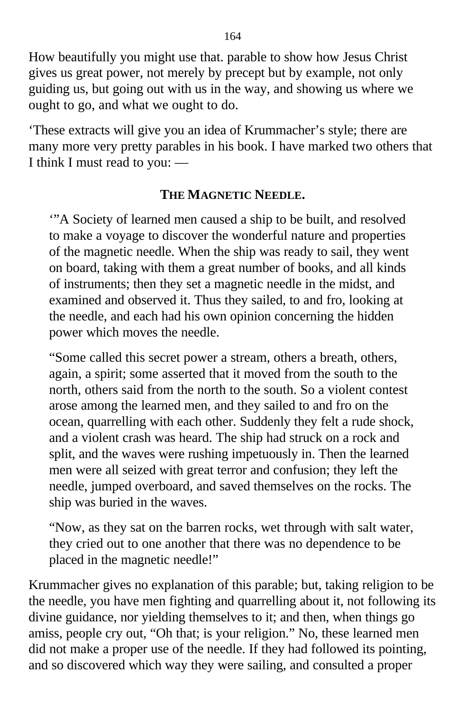How beautifully you might use that. parable to show how Jesus Christ gives us great power, not merely by precept but by example, not only guiding us, but going out with us in the way, and showing us where we ought to go, and what we ought to do.

'These extracts will give you an idea of Krummacher's style; there are many more very pretty parables in his book. I have marked two others that I think I must read to you: —

## $THE$  **MAGNETIC NEEDLE.**

'"A Society of learned men caused a ship to be built, and resolved to make a voyage to discover the wonderful nature and properties of the magnetic needle. When the ship was ready to sail, they went on board, taking with them a great number of books, and all kinds of instruments; then they set a magnetic needle in the midst, and examined and observed it. Thus they sailed, to and fro, looking at the needle, and each had his own opinion concerning the hidden power which moves the needle.

"Some called this secret power a stream, others a breath, others, again, a spirit; some asserted that it moved from the south to the north, others said from the north to the south. So a violent contest arose among the learned men, and they sailed to and fro on the ocean, quarrelling with each other. Suddenly they felt a rude shock, and a violent crash was heard. The ship had struck on a rock and split, and the waves were rushing impetuously in. Then the learned men were all seized with great terror and confusion; they left the needle, jumped overboard, and saved themselves on the rocks. The ship was buried in the waves.

"Now, as they sat on the barren rocks, wet through with salt water, they cried out to one another that there was no dependence to be placed in the magnetic needle!"

Krummacher gives no explanation of this parable; but, taking religion to be the needle, you have men fighting and quarrelling about it, not following its divine guidance, nor yielding themselves to it; and then, when things go amiss, people cry out, "Oh that; is your religion." No, these learned men did not make a proper use of the needle. If they had followed its pointing, and so discovered which way they were sailing, and consulted a proper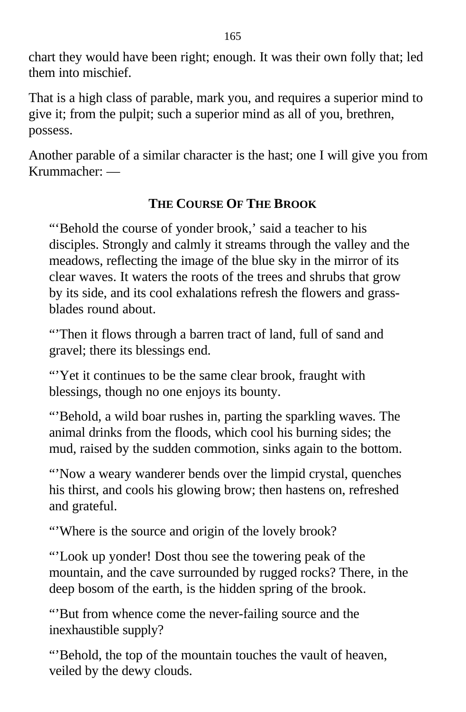chart they would have been right; enough. It was their own folly that; led them into mischief.

That is a high class of parable, mark you, and requires a superior mind to give it; from the pulpit; such a superior mind as all of you, brethren, possess.

Another parable of a similar character is the hast; one I will give you from Krummacher: —

## **THE COURSE OF THE BROOK**

"'Behold the course of yonder brook,' said a teacher to his disciples. Strongly and calmly it streams through the valley and the meadows, reflecting the image of the blue sky in the mirror of its clear waves. It waters the roots of the trees and shrubs that grow by its side, and its cool exhalations refresh the flowers and grassblades round about.

"'Then it flows through a barren tract of land, full of sand and gravel; there its blessings end.

"Yet it continues to be the same clear brook, fraught with blessings, though no one enjoys its bounty.

"'Behold, a wild boar rushes in, parting the sparkling waves. The animal drinks from the floods, which cool his burning sides; the mud, raised by the sudden commotion, sinks again to the bottom.

"'Now a weary wanderer bends over the limpid crystal, quenches his thirst, and cools his glowing brow; then hastens on, refreshed and grateful.

"'Where is the source and origin of the lovely brook?

"'Look up yonder! Dost thou see the towering peak of the mountain, and the cave surrounded by rugged rocks? There, in the deep bosom of the earth, is the hidden spring of the brook.

"'But from whence come the never-failing source and the inexhaustible supply?

"'Behold, the top of the mountain touches the vault of heaven, veiled by the dewy clouds.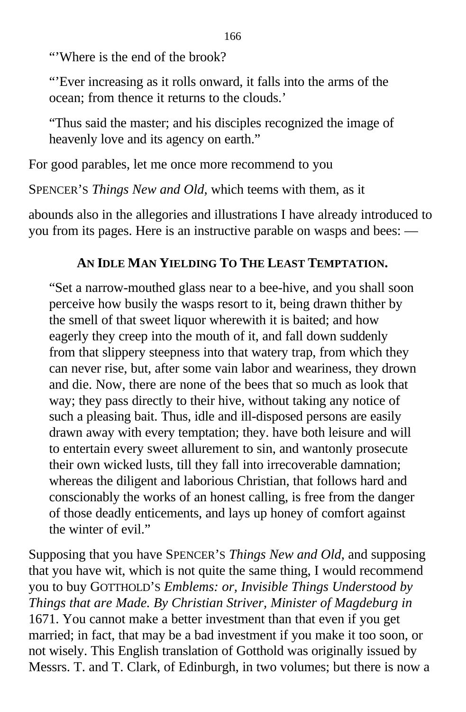"'Where is the end of the brook?

"'Ever increasing as it rolls onward, it falls into the arms of the ocean; from thence it returns to the clouds.'

"Thus said the master; and his disciples recognized the image of heavenly love and its agency on earth."

For good parables, let me once more recommend to you

SPENCER'S *Things New and Old,* which teems with them, as it

abounds also in the allegories and illustrations I have already introduced to you from its pages. Here is an instructive parable on wasps and bees: —

## **AN IDLE MAN YIELDING TO THE LEAST TEMPTATION.**

"Set a narrow-mouthed glass near to a bee-hive, and you shall soon perceive how busily the wasps resort to it, being drawn thither by the smell of that sweet liquor wherewith it is baited; and how eagerly they creep into the mouth of it, and fall down suddenly from that slippery steepness into that watery trap, from which they can never rise, but, after some vain labor and weariness, they drown and die. Now, there are none of the bees that so much as look that way; they pass directly to their hive, without taking any notice of such a pleasing bait. Thus, idle and ill-disposed persons are easily drawn away with every temptation; they. have both leisure and will to entertain every sweet allurement to sin, and wantonly prosecute their own wicked lusts, till they fall into irrecoverable damnation; whereas the diligent and laborious Christian, that follows hard and conscionably the works of an honest calling, is free from the danger of those deadly enticements, and lays up honey of comfort against the winter of evil."

Supposing that you have SPENCER'S *Things New and Old,* and supposing that you have wit, which is not quite the same thing, I would recommend you to buy GOTTHOLD'S *Emblems: or, Invisible Things Understood by Things that are Made. By Christian Striver, Minister of Magdeburg in* 1671. You cannot make a better investment than that even if you get married; in fact, that may be a bad investment if you make it too soon, or not wisely. This English translation of Gotthold was originally issued by Messrs. T. and T. Clark, of Edinburgh, in two volumes; but there is now a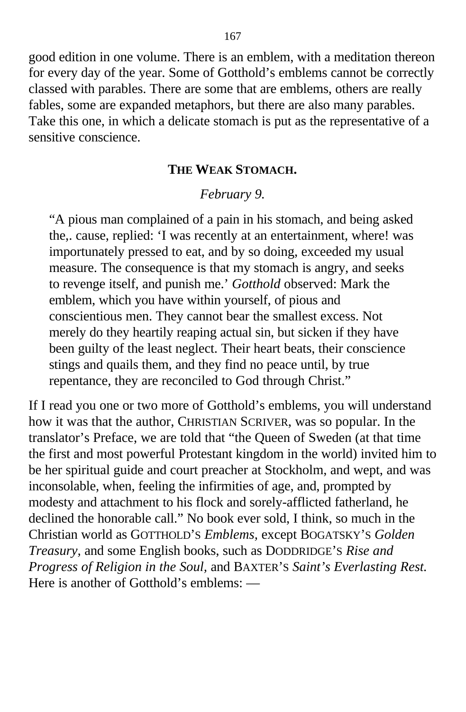good edition in one volume. There is an emblem, with a meditation thereon for every day of the year. Some of Gotthold's emblems cannot be correctly classed with parables. There are some that are emblems, others are really fables, some are expanded metaphors, but there are also many parables. Take this one, in which a delicate stomach is put as the representative of a sensitive conscience.

## **THE WEAK STOMACH.**

## *February 9.*

"A pious man complained of a pain in his stomach, and being asked the,. cause, replied: 'I was recently at an entertainment, where! was importunately pressed to eat, and by so doing, exceeded my usual measure. The consequence is that my stomach is angry, and seeks to revenge itself, and punish me.' *Gotthold* observed: Mark the emblem, which you have within yourself, of pious and conscientious men. They cannot bear the smallest excess. Not merely do they heartily reaping actual sin, but sicken if they have been guilty of the least neglect. Their heart beats, their conscience stings and quails them, and they find no peace until, by true repentance, they are reconciled to God through Christ."

If I read you one or two more of Gotthold's emblems, you will understand how it was that the author, CHRISTIAN SCRIVER, was so popular. In the translator's Preface, we are told that "the Queen of Sweden (at that time the first and most powerful Protestant kingdom in the world) invited him to be her spiritual guide and court preacher at Stockholm, and wept, and was inconsolable, when, feeling the infirmities of age, and, prompted by modesty and attachment to his flock and sorely-afflicted fatherland, he declined the honorable call." No book ever sold, I think, so much in the Christian world as GOTTHOLD'S *Emblems,* except BOGATSKY'S *Golden Treasury,* and some English books, such as DODDRIDGE'S *Rise and Progress of Religion in the Soul,* and BAXTER'S *Saint's Everlasting Rest.* Here is another of Gotthold's emblems: —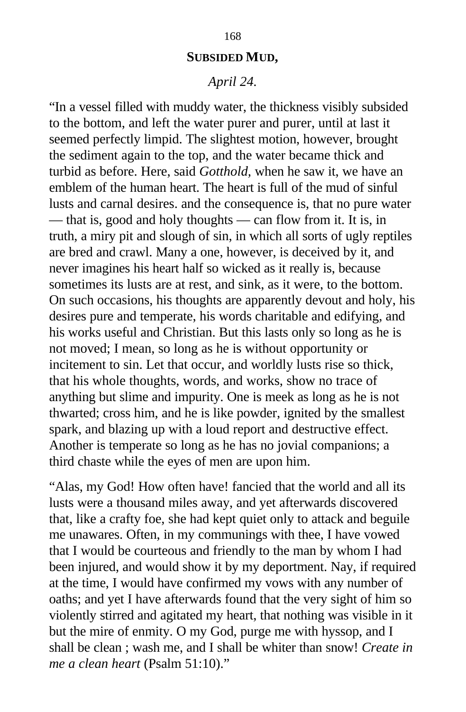## **SUBSIDED MUD,**

## *April 24.*

"In a vessel filled with muddy water, the thickness visibly subsided to the bottom, and left the water purer and purer, until at last it seemed perfectly limpid. The slightest motion, however, brought the sediment again to the top, and the water became thick and turbid as before. Here, said *Gotthold,* when he saw it, we have an emblem of the human heart. The heart is full of the mud of sinful lusts and carnal desires. and the consequence is, that no pure water — that is, good and holy thoughts — can flow from it. It is, in truth, a miry pit and slough of sin, in which all sorts of ugly reptiles are bred and crawl. Many a one, however, is deceived by it, and never imagines his heart half so wicked as it really is, because sometimes its lusts are at rest, and sink, as it were, to the bottom. On such occasions, his thoughts are apparently devout and holy, his desires pure and temperate, his words charitable and edifying, and his works useful and Christian. But this lasts only so long as he is not moved; I mean, so long as he is without opportunity or incitement to sin. Let that occur, and worldly lusts rise so thick, that his whole thoughts, words, and works, show no trace of anything but slime and impurity. One is meek as long as he is not thwarted; cross him, and he is like powder, ignited by the smallest spark, and blazing up with a loud report and destructive effect. Another is temperate so long as he has no jovial companions; a third chaste while the eyes of men are upon him.

"Alas, my God! How often have! fancied that the world and all its lusts were a thousand miles away, and yet afterwards discovered that, like a crafty foe, she had kept quiet only to attack and beguile me unawares. Often, in my communings with thee, I have vowed that I would be courteous and friendly to the man by whom I had been injured, and would show it by my deportment. Nay, if required at the time, I would have confirmed my vows with any number of oaths; and yet I have afterwards found that the very sight of him so violently stirred and agitated my heart, that nothing was visible in it but the mire of enmity. O my God, purge me with hyssop, and I shall be clean ; wash me, and I shall be whiter than snow! *Create in me a clean heart* (Psalm 51:10)."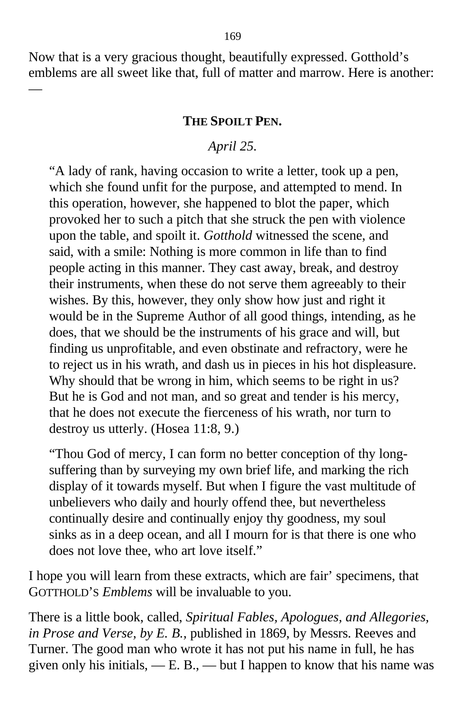Now that is a very gracious thought, beautifully expressed. Gotthold's emblems are all sweet like that, full of matter and marrow. Here is another:

—

## **THE SPOILT PEN.**

## *April 25.*

"A lady of rank, having occasion to write a letter, took up a pen, which she found unfit for the purpose, and attempted to mend. In this operation, however, she happened to blot the paper, which provoked her to such a pitch that she struck the pen with violence upon the table, and spoilt it. *Gotthold* witnessed the scene, and said, with a smile: Nothing is more common in life than to find people acting in this manner. They cast away, break, and destroy their instruments, when these do not serve them agreeably to their wishes. By this, however, they only show how just and right it would be in the Supreme Author of all good things, intending, as he does, that we should be the instruments of his grace and will, but finding us unprofitable, and even obstinate and refractory, were he to reject us in his wrath, and dash us in pieces in his hot displeasure. Why should that be wrong in him, which seems to be right in us? But he is God and not man, and so great and tender is his mercy, that he does not execute the fierceness of his wrath, nor turn to destroy us utterly. (Hosea 11:8, 9.)

"Thou God of mercy, I can form no better conception of thy longsuffering than by surveying my own brief life, and marking the rich display of it towards myself. But when I figure the vast multitude of unbelievers who daily and hourly offend thee, but nevertheless continually desire and continually enjoy thy goodness, my soul sinks as in a deep ocean, and all I mourn for is that there is one who does not love thee, who art love itself."

I hope you will learn from these extracts, which are fair' specimens, that GOTTHOLD'S *Emblems* will be invaluable to you.

There is a little book, called, *Spiritual Fables, Apologues, and Allegories, in Prose and Verse, by E. B.,* published in 1869, by Messrs. Reeves and Turner. The good man who wrote it has not put his name in full, he has given only his initials,  $- E. B., - but I happen to know that his name was$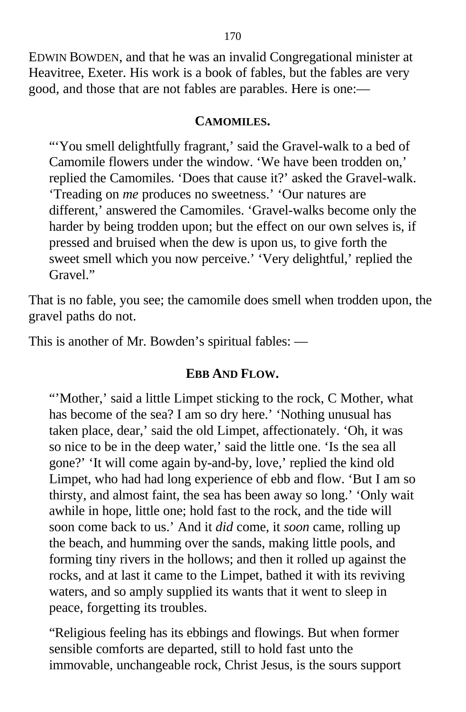EDWIN BOWDEN, and that he was an invalid Congregational minister at Heavitree, Exeter. His work is a book of fables, but the fables are very good, and those that are not fables are parables. Here is one:—

## **CAMOMILES.**

"You smell delightfully fragrant,' said the Gravel-walk to a bed of Camomile flowers under the window. 'We have been trodden on,' replied the Camomiles. 'Does that cause it?' asked the Gravel-walk. 'Treading on *me* produces no sweetness.' 'Our natures are different,' answered the Camomiles. 'Gravel-walks become only the harder by being trodden upon; but the effect on our own selves is, if pressed and bruised when the dew is upon us, to give forth the sweet smell which you now perceive.' 'Very delightful,' replied the Gravel."

That is no fable, you see; the camomile does smell when trodden upon, the gravel paths do not.

This is another of Mr. Bowden's spiritual fables: —

## **EBB AND FLOW.**

"'Mother,' said a little Limpet sticking to the rock, C Mother, what has become of the sea? I am so dry here.' 'Nothing unusual has taken place, dear,' said the old Limpet, affectionately. 'Oh, it was so nice to be in the deep water,' said the little one. 'Is the sea all gone?' 'It will come again by-and-by, love,' replied the kind old Limpet, who had had long experience of ebb and flow. 'But I am so thirsty, and almost faint, the sea has been away so long.' 'Only wait awhile in hope, little one; hold fast to the rock, and the tide will soon come back to us.' And it *did* come, it *soon* came, rolling up the beach, and humming over the sands, making little pools, and forming tiny rivers in the hollows; and then it rolled up against the rocks, and at last it came to the Limpet, bathed it with its reviving waters, and so amply supplied its wants that it went to sleep in peace, forgetting its troubles.

"Religious feeling has its ebbings and flowings. But when former sensible comforts are departed, still to hold fast unto the immovable, unchangeable rock, Christ Jesus, is the sours support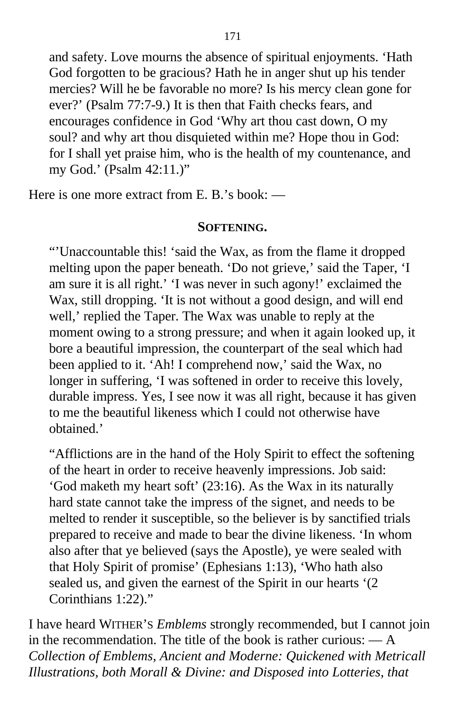and safety. Love mourns the absence of spiritual enjoyments. 'Hath God forgotten to be gracious? Hath he in anger shut up his tender mercies? Will he be favorable no more? Is his mercy clean gone for ever?' (Psalm 77:7-9.) It is then that Faith checks fears, and encourages confidence in God 'Why art thou cast down, O my soul? and why art thou disquieted within me? Hope thou in God: for I shall yet praise him, who is the health of my countenance, and my God.' (Psalm 42:11.)"

Here is one more extract from E. B.'s book: —

## **SOFTENING.**

"'Unaccountable this! 'said the Wax, as from the flame it dropped melting upon the paper beneath. 'Do not grieve,' said the Taper, 'I am sure it is all right.' 'I was never in such agony!' exclaimed the Wax, still dropping. 'It is not without a good design, and will end well,' replied the Taper. The Wax was unable to reply at the moment owing to a strong pressure; and when it again looked up, it bore a beautiful impression, the counterpart of the seal which had been applied to it. 'Ah! I comprehend now,' said the Wax, no longer in suffering, 'I was softened in order to receive this lovely, durable impress. Yes, I see now it was all right, because it has given to me the beautiful likeness which I could not otherwise have obtained.'

"Afflictions are in the hand of the Holy Spirit to effect the softening of the heart in order to receive heavenly impressions. Job said: 'God maketh my heart soft' (23:16). As the Wax in its naturally hard state cannot take the impress of the signet, and needs to be melted to render it susceptible, so the believer is by sanctified trials prepared to receive and made to bear the divine likeness. 'In whom also after that ye believed (says the Apostle), ye were sealed with that Holy Spirit of promise' (Ephesians 1:13), 'Who hath also sealed us, and given the earnest of the Spirit in our hearts '(2 Corinthians 1:22)."

I have heard WITHER'S *Emblems* strongly recommended, but I cannot join in the recommendation. The title of the book is rather curious: — A *Collection of Emblems, Ancient and Moderne: Quickened with Metricall Illustrations, both Morall & Divine: and Disposed into Lotteries, that*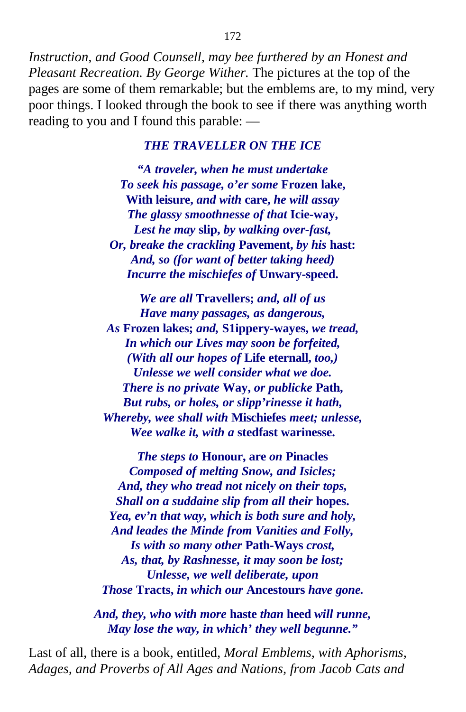*Instruction, and Good Counsell, may bee furthered by an Honest and Pleasant Recreation. By George Wither.* The pictures at the top of the pages are some of them remarkable; but the emblems are, to my mind, very poor things. I looked through the book to see if there was anything worth reading to you and I found this parable: —

## *THE TRAVELLER ON THE ICE*

*"A traveler, when he must undertake To seek his passage, o'er some* **Frozen lake, With leisure,** *and with* **care,** *he will assay The glassy smoothnesse of that* **Icie-way,** *Lest he may* **slip,** *by walking over-fast, Or, breake the crackling* **Pavement,** *by his* **hast:** *And, so (for want of better taking heed) Incurre the mischiefes of* **Unwary-speed.**

*We are all* **Travellers;** *and, all of us Have many passages, as dangerous, As* **Frozen lakes;** *and,* **S1ippery-wayes,** *we tread, In which our Lives may soon be forfeited, (With all our hopes of* **Life eternall,** *too,) Unlesse we well consider what we doe. There is no private* **Way,** *or publicke* **Path,** *But rubs, or holes, or slipp'rinesse it hath, Whereby, wee shall with* **Mischiefes** *meet; unlesse, Wee walke it, with a* **stedfast warinesse.**

*The steps to* **Honour, are** *on* **Pinacles** *Composed of melting Snow, and Isicles; And, they who tread not nicely on their tops, Shall on a suddaine slip from all their* **hopes.** *Yea, ev'n that way, which is both sure and holy, And leades the Minde from Vanities and Folly, Is with so many other* **Path-Ways** *crost, As, that, by Rashnesse, it may soon be lost; Unlesse, we well deliberate, upon Those* **Tracts,** *in which our* **Ancestours** *have gone.*

*And, they, who with more* **haste** *than* **heed** *will runne, May lose the way, in which' they well begunne."*

Last of all, there is a book, entitled, *Moral Emblems, with Aphorisms, Adages, and Proverbs of All Ages and Nations, from Jacob Cats and*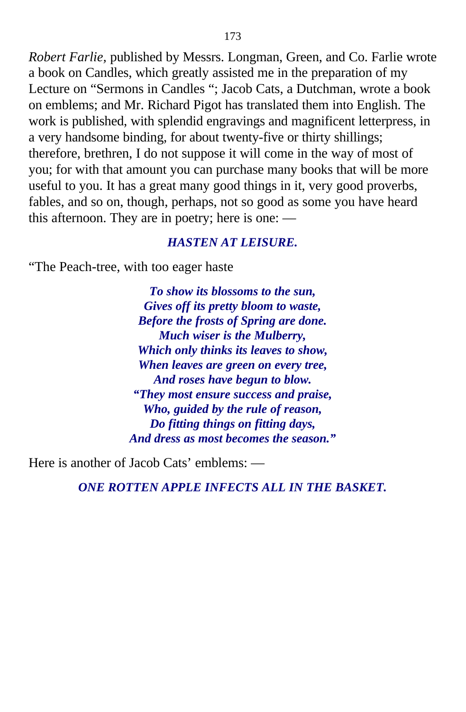*Robert Farlie,* published by Messrs. Longman, Green, and Co. Farlie wrote a book on Candles, which greatly assisted me in the preparation of my Lecture on "Sermons in Candles "; Jacob Cats, a Dutchman, wrote a book on emblems; and Mr. Richard Pigot has translated them into English. The work is published, with splendid engravings and magnificent letterpress, in a very handsome binding, for about twenty-five or thirty shillings; therefore, brethren, I do not suppose it will come in the way of most of you; for with that amount you can purchase many books that will be more useful to you. It has a great many good things in it, very good proverbs, fables, and so on, though, perhaps, not so good as some you have heard this afternoon. They are in poetry; here is one: —

## *HASTEN AT LEISURE.*

"The Peach-tree, with too eager haste

*To show its blossoms to the sun, Gives off its pretty bloom to waste, Before the frosts of Spring are done. Much wiser is the Mulberry, Which only thinks its leaves to show, When leaves are green on every tree, And roses have begun to blow. "They most ensure success and praise, Who, guided by the rule of reason, Do fitting things on fitting days, And dress as most becomes the season."*

Here is another of Jacob Cats' emblems: —

*ONE ROTTEN APPLE INFECTS ALL IN THE BASKET.*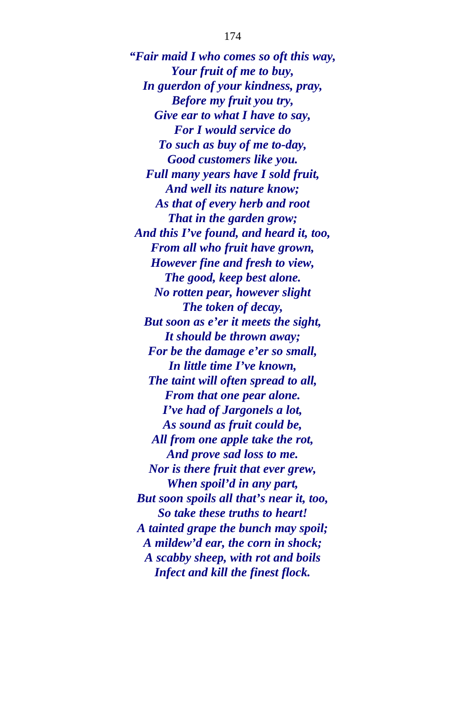*"Fair maid I who comes so oft this way, Your fruit of me to buy, In guerdon of your kindness, pray, Before my fruit you try, Give ear to what I have to say, For I would service do To such as buy of me to-day, Good customers like you. Full many years have I sold fruit, And well its nature know; As that of every herb and root That in the garden grow; And this I've found, and heard it, too, From all who fruit have grown, However fine and fresh to view, The good, keep best alone. No rotten pear, however slight The token of decay, But soon as e'er it meets the sight, It should be thrown away; For be the damage e'er so small, In little time I've known, The taint will often spread to all, From that one pear alone. I've had of Jargonels a lot, As sound as fruit could be, All from one apple take the rot, And prove sad loss to me. Nor is there fruit that ever grew, When spoil'd in any part, But soon spoils all that's near it, too, So take these truths to heart! A tainted grape the bunch may spoil; A mildew'd ear, the corn in shock; A scabby sheep, with rot and boils Infect and kill the finest flock.*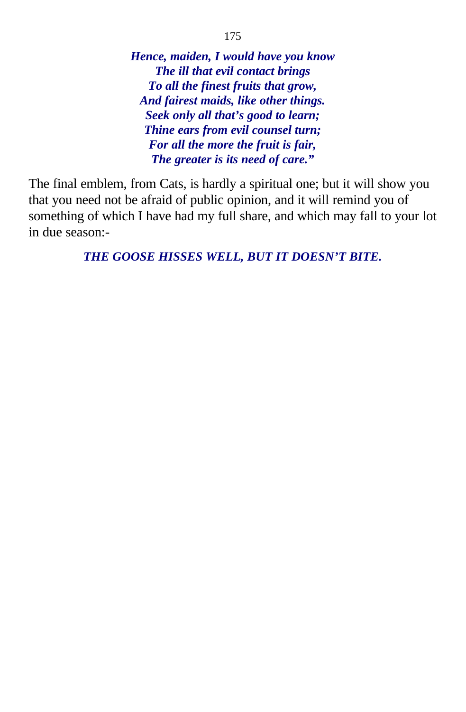*Hence, maiden, I would have you know The ill that evil contact brings To all the finest fruits that grow, And fairest maids, like other things. Seek only all that's good to learn; Thine ears from evil counsel turn; For all the more the fruit is fair, The greater is its need of care."*

The final emblem, from Cats, is hardly a spiritual one; but it will show you that you need not be afraid of public opinion, and it will remind you of something of which I have had my full share, and which may fall to your lot in due season:-

*THE GOOSE HISSES WELL, BUT IT DOESN'T BITE.*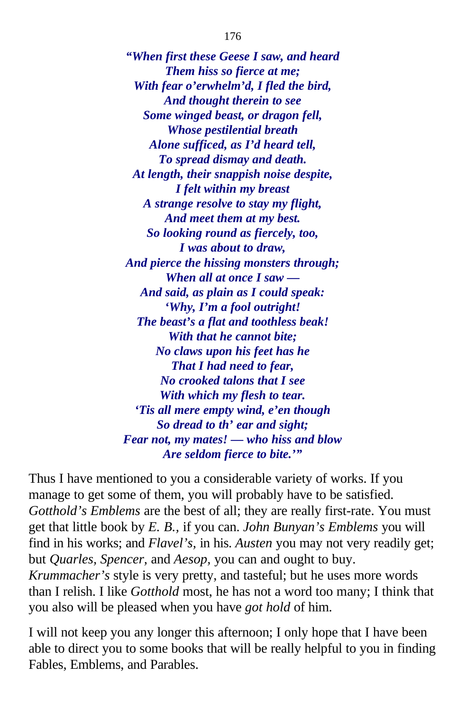*"When first these Geese I saw, and heard Them hiss so fierce at me; With fear o'erwhelm'd, I fled the bird, And thought therein to see Some winged beast, or dragon fell, Whose pestilential breath Alone sufficed, as I'd heard tell, To spread dismay and death. At length, their snappish noise despite, I felt within my breast A strange resolve to stay my flight, And meet them at my best. So looking round as fiercely, too, I was about to draw, And pierce the hissing monsters through; When all at once I saw — And said, as plain as I could speak: 'Why, I'm a fool outright! The beast's a flat and toothless beak! With that he cannot bite; No claws upon his feet has he That I had need to fear, No crooked talons that I see With which my flesh to tear. 'Tis all mere empty wind, e'en though So dread to th' ear and sight; Fear not, my mates! — who hiss and blow Are seldom fierce to bite.'"*

Thus I have mentioned to you a considerable variety of works. If you manage to get some of them, you will probably have to be satisfied. *Gotthold's Emblems* are the best of all; they are really first-rate. You must get that little book by *E. B.,* if you can. *John Bunyan's Emblems* you will find in his works; and *Flavel's,* in his. *Austen* you may not very readily get; but *Quarles, Spencer,* and *Aesop,* you can and ought to buy. *Krummacher's* style is very pretty, and tasteful; but he uses more words than I relish. I like *Gotthold* most, he has not a word too many; I think that you also will be pleased when you have *got hold* of him.

I will not keep you any longer this afternoon; I only hope that I have been able to direct you to some books that will be really helpful to you in finding Fables, Emblems, and Parables.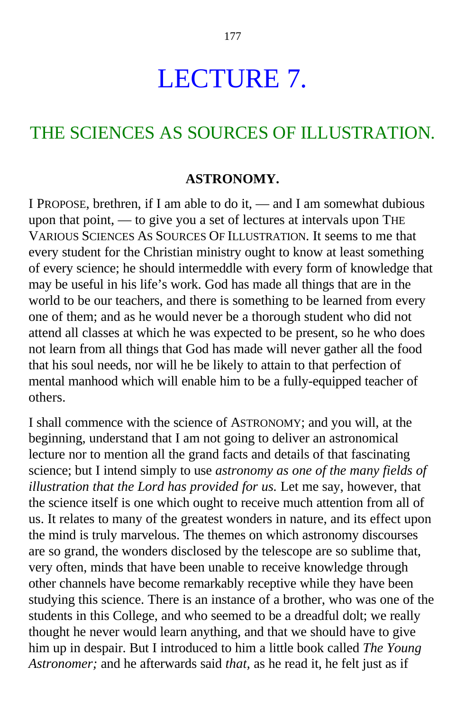# LECTURE 7.

## THE SCIENCES AS SOURCES OF ILLUSTRATION.

## **ASTRONOMY.**

I PROPOSE, brethren, if I am able to do it, — and I am somewhat dubious upon that point, — to give you a set of lectures at intervals upon THE VARIOUS SCIENCES AS SOURCES OF ILLUSTRATION. It seems to me that every student for the Christian ministry ought to know at least something of every science; he should intermeddle with every form of knowledge that may be useful in his life's work. God has made all things that are in the world to be our teachers, and there is something to be learned from every one of them; and as he would never be a thorough student who did not attend all classes at which he was expected to be present, so he who does not learn from all things that God has made will never gather all the food that his soul needs, nor will he be likely to attain to that perfection of mental manhood which will enable him to be a fully-equipped teacher of others.

I shall commence with the science of ASTRONOMY; and you will, at the beginning, understand that I am not going to deliver an astronomical lecture nor to mention all the grand facts and details of that fascinating science; but I intend simply to use *astronomy as one of the many fields of illustration that the Lord has provided for us.* Let me say, however, that the science itself is one which ought to receive much attention from all of us. It relates to many of the greatest wonders in nature, and its effect upon the mind is truly marvelous. The themes on which astronomy discourses are so grand, the wonders disclosed by the telescope are so sublime that, very often, minds that have been unable to receive knowledge through other channels have become remarkably receptive while they have been studying this science. There is an instance of a brother, who was one of the students in this College, and who seemed to be a dreadful dolt; we really thought he never would learn anything, and that we should have to give him up in despair. But I introduced to him a little book called *The Young Astronomer;* and he afterwards said *that,* as he read it, he felt just as if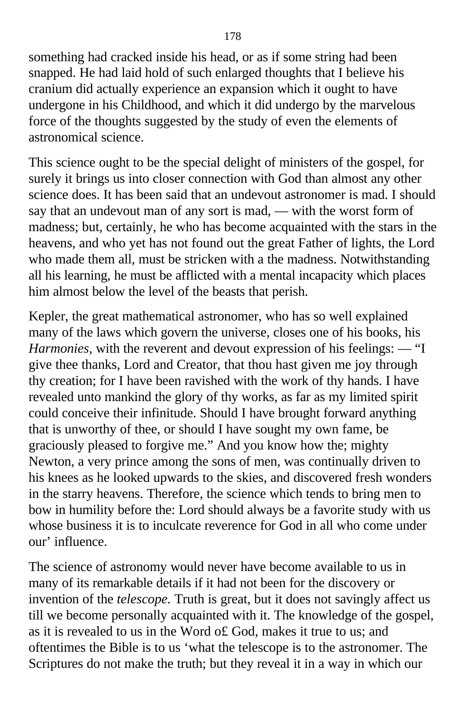something had cracked inside his head, or as if some string had been snapped. He had laid hold of such enlarged thoughts that I believe his cranium did actually experience an expansion which it ought to have undergone in his Childhood, and which it did undergo by the marvelous force of the thoughts suggested by the study of even the elements of astronomical science.

This science ought to be the special delight of ministers of the gospel, for surely it brings us into closer connection with God than almost any other science does. It has been said that an undevout astronomer is mad. I should say that an undevout man of any sort is mad, — with the worst form of madness; but, certainly, he who has become acquainted with the stars in the heavens, and who yet has not found out the great Father of lights, the Lord who made them all, must be stricken with a the madness. Notwithstanding all his learning, he must be afflicted with a mental incapacity which places him almost below the level of the beasts that perish.

Kepler, the great mathematical astronomer, who has so well explained many of the laws which govern the universe, closes one of his books, his *Harmonies,* with the reverent and devout expression of his feelings: — "I give thee thanks, Lord and Creator, that thou hast given me joy through thy creation; for I have been ravished with the work of thy hands. I have revealed unto mankind the glory of thy works, as far as my limited spirit could conceive their infinitude. Should I have brought forward anything that is unworthy of thee, or should I have sought my own fame, be graciously pleased to forgive me." And you know how the; mighty Newton, a very prince among the sons of men, was continually driven to his knees as he looked upwards to the skies, and discovered fresh wonders in the starry heavens. Therefore, the science which tends to bring men to bow in humility before the: Lord should always be a favorite study with us whose business it is to inculcate reverence for God in all who come under our' influence.

The science of astronomy would never have become available to us in many of its remarkable details if it had not been for the discovery or invention of the *telescope.* Truth is great, but it does not savingly affect us till we become personally acquainted with it. The knowledge of the gospel, as it is revealed to us in the Word o£ God, makes it true to us; and oftentimes the Bible is to us 'what the telescope is to the astronomer. The Scriptures do not make the truth; but they reveal it in a way in which our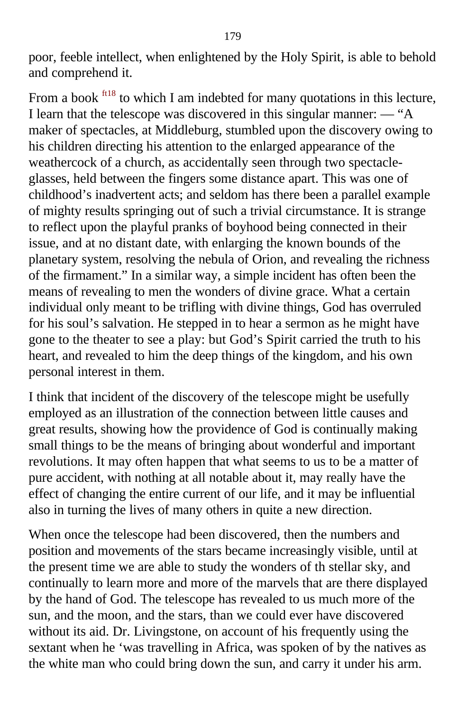poor, feeble intellect, when enlightened by the Holy Spirit, is able to behold and comprehend it.

From a book  $\frac{ft18}{}$  to which I am indebted for many quotations in this lecture, I learn that the telescope was discovered in this singular manner: — "A maker of spectacles, at Middleburg, stumbled upon the discovery owing to his children directing his attention to the enlarged appearance of the weathercock of a church, as accidentally seen through two spectacleglasses, held between the fingers some distance apart. This was one of childhood's inadvertent acts; and seldom has there been a parallel example of mighty results springing out of such a trivial circumstance. It is strange to reflect upon the playful pranks of boyhood being connected in their issue, and at no distant date, with enlarging the known bounds of the planetary system, resolving the nebula of Orion, and revealing the richness of the firmament." In a similar way, a simple incident has often been the means of revealing to men the wonders of divine grace. What a certain individual only meant to be trifling with divine things, God has overruled for his soul's salvation. He stepped in to hear a sermon as he might have gone to the theater to see a play: but God's Spirit carried the truth to his heart, and revealed to him the deep things of the kingdom, and his own personal interest in them.

I think that incident of the discovery of the telescope might be usefully employed as an illustration of the connection between little causes and great results, showing how the providence of God is continually making small things to be the means of bringing about wonderful and important revolutions. It may often happen that what seems to us to be a matter of pure accident, with nothing at all notable about it, may really have the effect of changing the entire current of our life, and it may be influential also in turning the lives of many others in quite a new direction.

When once the telescope had been discovered, then the numbers and position and movements of the stars became increasingly visible, until at the present time we are able to study the wonders of th stellar sky, and continually to learn more and more of the marvels that are there displayed by the hand of God. The telescope has revealed to us much more of the sun, and the moon, and the stars, than we could ever have discovered without its aid. Dr. Livingstone, on account of his frequently using the sextant when he 'was travelling in Africa, was spoken of by the natives as the white man who could bring down the sun, and carry it under his arm.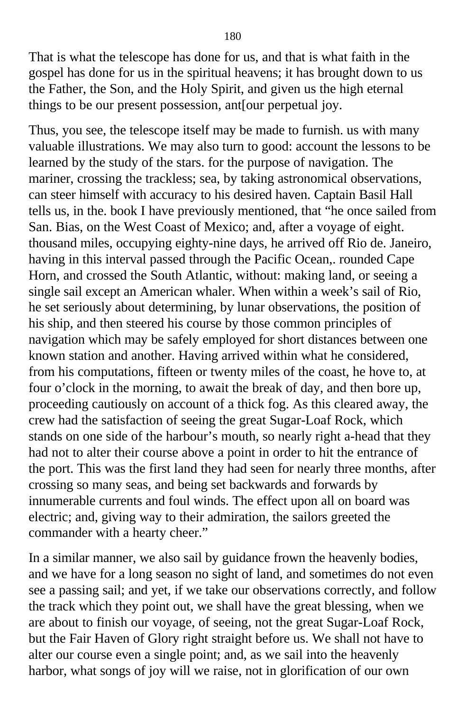That is what the telescope has done for us, and that is what faith in the gospel has done for us in the spiritual heavens; it has brought down to us the Father, the Son, and the Holy Spirit, and given us the high eternal things to be our present possession, ant[our perpetual joy.

Thus, you see, the telescope itself may be made to furnish. us with many valuable illustrations. We may also turn to good: account the lessons to be learned by the study of the stars. for the purpose of navigation. The mariner, crossing the trackless; sea, by taking astronomical observations, can steer himself with accuracy to his desired haven. Captain Basil Hall tells us, in the. book I have previously mentioned, that "he once sailed from San. Bias, on the West Coast of Mexico; and, after a voyage of eight. thousand miles, occupying eighty-nine days, he arrived off Rio de. Janeiro, having in this interval passed through the Pacific Ocean,. rounded Cape Horn, and crossed the South Atlantic, without: making land, or seeing a single sail except an American whaler. When within a week's sail of Rio, he set seriously about determining, by lunar observations, the position of his ship, and then steered his course by those common principles of navigation which may be safely employed for short distances between one known station and another. Having arrived within what he considered, from his computations, fifteen or twenty miles of the coast, he hove to, at four o'clock in the morning, to await the break of day, and then bore up, proceeding cautiously on account of a thick fog. As this cleared away, the crew had the satisfaction of seeing the great Sugar-Loaf Rock, which stands on one side of the harbour's mouth, so nearly right a-head that they had not to alter their course above a point in order to hit the entrance of the port. This was the first land they had seen for nearly three months, after crossing so many seas, and being set backwards and forwards by innumerable currents and foul winds. The effect upon all on board was electric; and, giving way to their admiration, the sailors greeted the commander with a hearty cheer."

In a similar manner, we also sail by guidance frown the heavenly bodies, and we have for a long season no sight of land, and sometimes do not even see a passing sail; and yet, if we take our observations correctly, and follow the track which they point out, we shall have the great blessing, when we are about to finish our voyage, of seeing, not the great Sugar-Loaf Rock, but the Fair Haven of Glory right straight before us. We shall not have to alter our course even a single point; and, as we sail into the heavenly harbor, what songs of joy will we raise, not in glorification of our own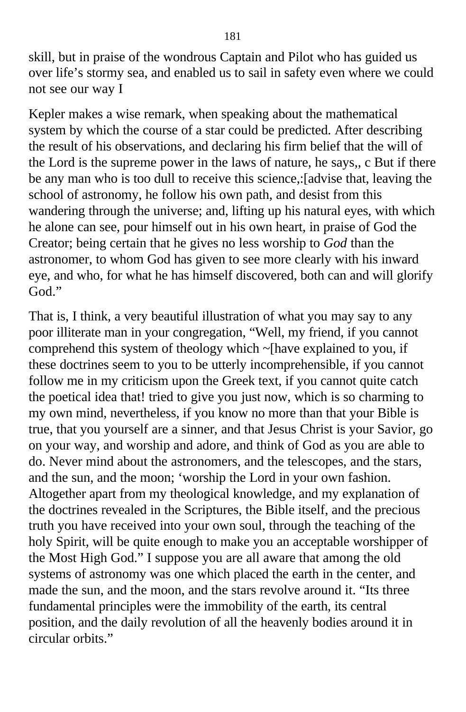skill, but in praise of the wondrous Captain and Pilot who has guided us over life's stormy sea, and enabled us to sail in safety even where we could not see our way I

Kepler makes a wise remark, when speaking about the mathematical system by which the course of a star could be predicted. After describing the result of his observations, and declaring his firm belief that the will of the Lord is the supreme power in the laws of nature, he says,, c But if there be any man who is too dull to receive this science,:[advise that, leaving the school of astronomy, he follow his own path, and desist from this wandering through the universe; and, lifting up his natural eyes, with which he alone can see, pour himself out in his own heart, in praise of God the Creator; being certain that he gives no less worship to *God* than the astronomer, to whom God has given to see more clearly with his inward eye, and who, for what he has himself discovered, both can and will glorify God."

That is, I think, a very beautiful illustration of what you may say to any poor illiterate man in your congregation, "Well, my friend, if you cannot comprehend this system of theology which ~[have explained to you, if these doctrines seem to you to be utterly incomprehensible, if you cannot follow me in my criticism upon the Greek text, if you cannot quite catch the poetical idea that! tried to give you just now, which is so charming to my own mind, nevertheless, if you know no more than that your Bible is true, that you yourself are a sinner, and that Jesus Christ is your Savior, go on your way, and worship and adore, and think of God as you are able to do. Never mind about the astronomers, and the telescopes, and the stars, and the sun, and the moon; 'worship the Lord in your own fashion. Altogether apart from my theological knowledge, and my explanation of the doctrines revealed in the Scriptures, the Bible itself, and the precious truth you have received into your own soul, through the teaching of the holy Spirit, will be quite enough to make you an acceptable worshipper of the Most High God." I suppose you are all aware that among the old systems of astronomy was one which placed the earth in the center, and made the sun, and the moon, and the stars revolve around it. "Its three fundamental principles were the immobility of the earth, its central position, and the daily revolution of all the heavenly bodies around it in circular orbits."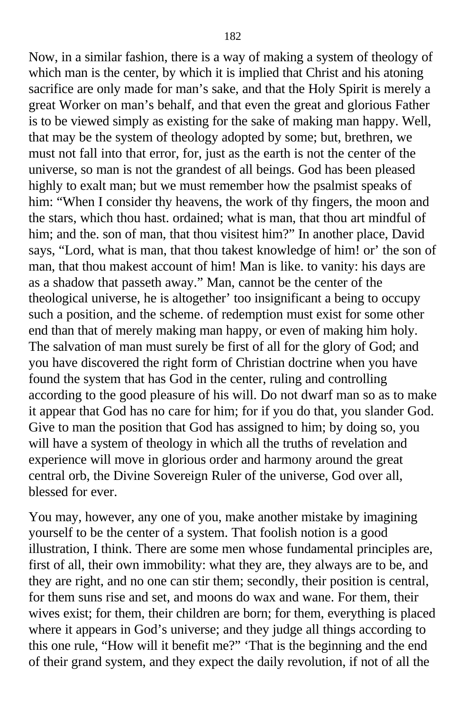Now, in a similar fashion, there is a way of making a system of theology of which man is the center, by which it is implied that Christ and his atoning sacrifice are only made for man's sake, and that the Holy Spirit is merely a great Worker on man's behalf, and that even the great and glorious Father is to be viewed simply as existing for the sake of making man happy. Well, that may be the system of theology adopted by some; but, brethren, we must not fall into that error, for, just as the earth is not the center of the universe, so man is not the grandest of all beings. God has been pleased highly to exalt man; but we must remember how the psalmist speaks of him: "When I consider thy heavens, the work of thy fingers, the moon and the stars, which thou hast. ordained; what is man, that thou art mindful of him; and the. son of man, that thou visitest him?" In another place, David says, "Lord, what is man, that thou takest knowledge of him! or' the son of man, that thou makest account of him! Man is like. to vanity: his days are as a shadow that passeth away." Man, cannot be the center of the theological universe, he is altogether' too insignificant a being to occupy such a position, and the scheme. of redemption must exist for some other end than that of merely making man happy, or even of making him holy. The salvation of man must surely be first of all for the glory of God; and you have discovered the right form of Christian doctrine when you have found the system that has God in the center, ruling and controlling according to the good pleasure of his will. Do not dwarf man so as to make it appear that God has no care for him; for if you do that, you slander God. Give to man the position that God has assigned to him; by doing so, you will have a system of theology in which all the truths of revelation and experience will move in glorious order and harmony around the great central orb, the Divine Sovereign Ruler of the universe, God over all, blessed for ever.

You may, however, any one of you, make another mistake by imagining yourself to be the center of a system. That foolish notion is a good illustration, I think. There are some men whose fundamental principles are, first of all, their own immobility: what they are, they always are to be, and they are right, and no one can stir them; secondly, their position is central, for them suns rise and set, and moons do wax and wane. For them, their wives exist; for them, their children are born; for them, everything is placed where it appears in God's universe; and they judge all things according to this one rule, "How will it benefit me?" 'That is the beginning and the end of their grand system, and they expect the daily revolution, if not of all the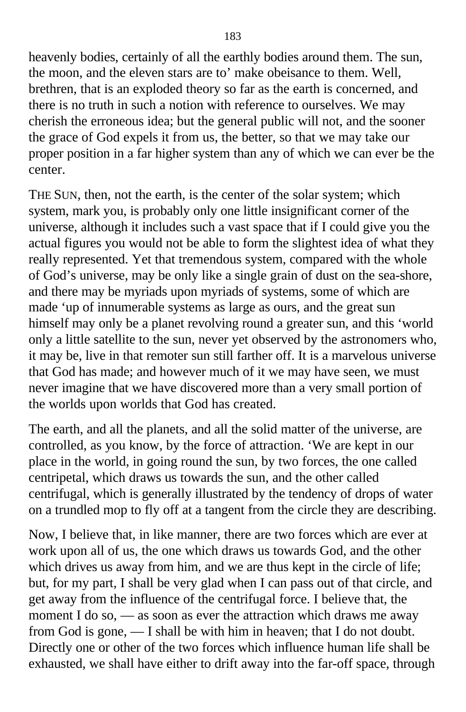heavenly bodies, certainly of all the earthly bodies around them. The sun, the moon, and the eleven stars are to' make obeisance to them. Well, brethren, that is an exploded theory so far as the earth is concerned, and there is no truth in such a notion with reference to ourselves. We may cherish the erroneous idea; but the general public will not, and the sooner the grace of God expels it from us, the better, so that we may take our proper position in a far higher system than any of which we can ever be the center.

THE SUN, then, not the earth, is the center of the solar system; which system, mark you, is probably only one little insignificant corner of the universe, although it includes such a vast space that if I could give you the actual figures you would not be able to form the slightest idea of what they really represented. Yet that tremendous system, compared with the whole of God's universe, may be only like a single grain of dust on the sea-shore, and there may be myriads upon myriads of systems, some of which are made 'up of innumerable systems as large as ours, and the great sun himself may only be a planet revolving round a greater sun, and this 'world only a little satellite to the sun, never yet observed by the astronomers who, it may be, live in that remoter sun still farther off. It is a marvelous universe that God has made; and however much of it we may have seen, we must never imagine that we have discovered more than a very small portion of the worlds upon worlds that God has created.

The earth, and all the planets, and all the solid matter of the universe, are controlled, as you know, by the force of attraction. 'We are kept in our place in the world, in going round the sun, by two forces, the one called centripetal, which draws us towards the sun, and the other called centrifugal, which is generally illustrated by the tendency of drops of water on a trundled mop to fly off at a tangent from the circle they are describing.

Now, I believe that, in like manner, there are two forces which are ever at work upon all of us, the one which draws us towards God, and the other which drives us away from him, and we are thus kept in the circle of life; but, for my part, I shall be very glad when I can pass out of that circle, and get away from the influence of the centrifugal force. I believe that, the moment I do so, — as soon as ever the attraction which draws me away from God is gone, — I shall be with him in heaven; that I do not doubt. Directly one or other of the two forces which influence human life shall be exhausted, we shall have either to drift away into the far-off space, through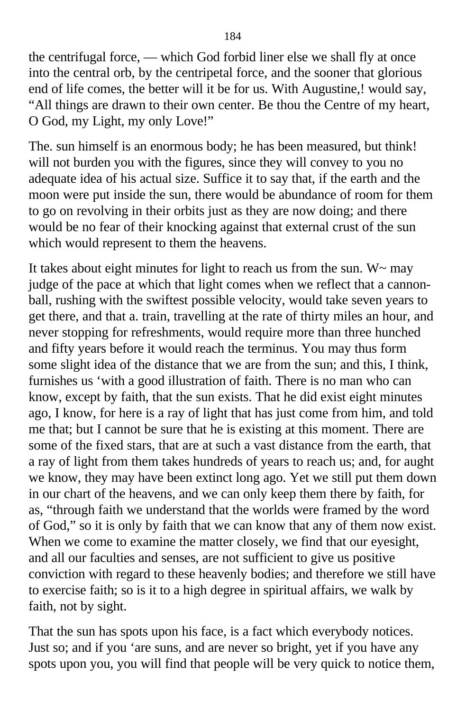the centrifugal force, — which God forbid liner else we shall fly at once into the central orb, by the centripetal force, and the sooner that glorious end of life comes, the better will it be for us. With Augustine,! would say, "All things are drawn to their own center. Be thou the Centre of my heart, O God, my Light, my only Love!"

The. sun himself is an enormous body; he has been measured, but think! will not burden you with the figures, since they will convey to you no adequate idea of his actual size. Suffice it to say that, if the earth and the moon were put inside the sun, there would be abundance of room for them to go on revolving in their orbits just as they are now doing; and there would be no fear of their knocking against that external crust of the sun which would represent to them the heavens.

It takes about eight minutes for light to reach us from the sun.  $W \sim$  may judge of the pace at which that light comes when we reflect that a cannonball, rushing with the swiftest possible velocity, would take seven years to get there, and that a. train, travelling at the rate of thirty miles an hour, and never stopping for refreshments, would require more than three hunched and fifty years before it would reach the terminus. You may thus form some slight idea of the distance that we are from the sun; and this, I think, furnishes us 'with a good illustration of faith. There is no man who can know, except by faith, that the sun exists. That he did exist eight minutes ago, I know, for here is a ray of light that has just come from him, and told me that; but I cannot be sure that he is existing at this moment. There are some of the fixed stars, that are at such a vast distance from the earth, that a ray of light from them takes hundreds of years to reach us; and, for aught we know, they may have been extinct long ago. Yet we still put them down in our chart of the heavens, and we can only keep them there by faith, for as, "through faith we understand that the worlds were framed by the word of God," so it is only by faith that we can know that any of them now exist. When we come to examine the matter closely, we find that our eyesight, and all our faculties and senses, are not sufficient to give us positive conviction with regard to these heavenly bodies; and therefore we still have to exercise faith; so is it to a high degree in spiritual affairs, we walk by faith, not by sight.

That the sun has spots upon his face, is a fact which everybody notices. Just so; and if you 'are suns, and are never so bright, yet if you have any spots upon you, you will find that people will be very quick to notice them,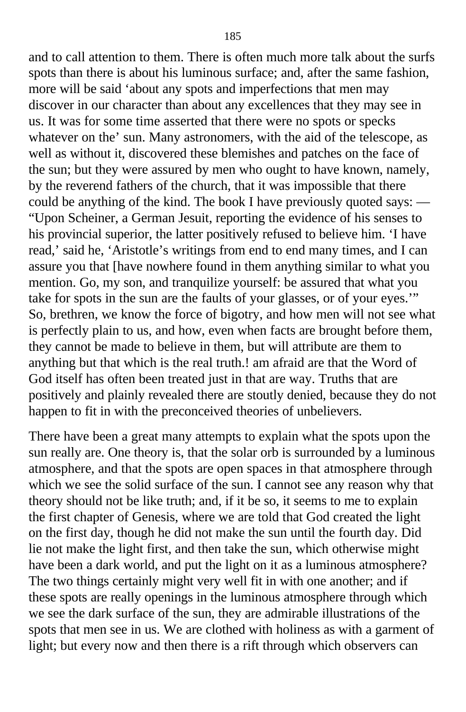and to call attention to them. There is often much more talk about the surfs spots than there is about his luminous surface; and, after the same fashion, more will be said 'about any spots and imperfections that men may discover in our character than about any excellences that they may see in us. It was for some time asserted that there were no spots or specks whatever on the' sun. Many astronomers, with the aid of the telescope, as well as without it, discovered these blemishes and patches on the face of the sun; but they were assured by men who ought to have known, namely, by the reverend fathers of the church, that it was impossible that there could be anything of the kind. The book I have previously quoted says: — "Upon Scheiner, a German Jesuit, reporting the evidence of his senses to his provincial superior, the latter positively refused to believe him. 'I have read,' said he, 'Aristotle's writings from end to end many times, and I can assure you that [have nowhere found in them anything similar to what you mention. Go, my son, and tranquilize yourself: be assured that what you take for spots in the sun are the faults of your glasses, or of your eyes.'" So, brethren, we know the force of bigotry, and how men will not see what is perfectly plain to us, and how, even when facts are brought before them, they cannot be made to believe in them, but will attribute are them to anything but that which is the real truth.! am afraid are that the Word of God itself has often been treated just in that are way. Truths that are positively and plainly revealed there are stoutly denied, because they do not happen to fit in with the preconceived theories of unbelievers.

There have been a great many attempts to explain what the spots upon the sun really are. One theory is, that the solar orb is surrounded by a luminous atmosphere, and that the spots are open spaces in that atmosphere through which we see the solid surface of the sun. I cannot see any reason why that theory should not be like truth; and, if it be so, it seems to me to explain the first chapter of Genesis, where we are told that God created the light on the first day, though he did not make the sun until the fourth day. Did lie not make the light first, and then take the sun, which otherwise might have been a dark world, and put the light on it as a luminous atmosphere? The two things certainly might very well fit in with one another; and if these spots are really openings in the luminous atmosphere through which we see the dark surface of the sun, they are admirable illustrations of the spots that men see in us. We are clothed with holiness as with a garment of light; but every now and then there is a rift through which observers can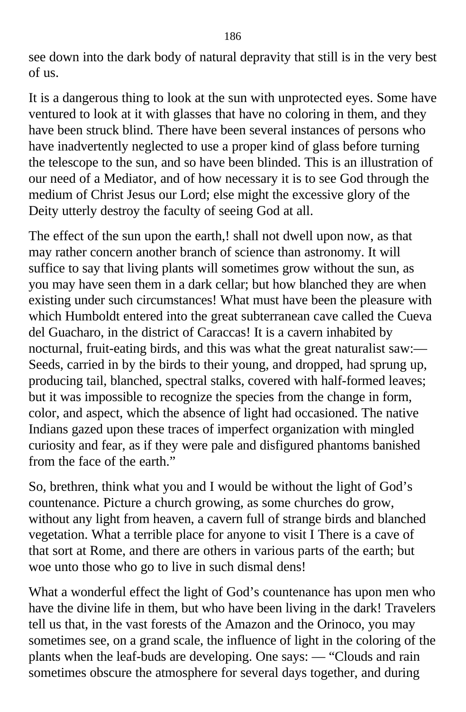see down into the dark body of natural depravity that still is in the very best of us.

It is a dangerous thing to look at the sun with unprotected eyes. Some have ventured to look at it with glasses that have no coloring in them, and they have been struck blind. There have been several instances of persons who have inadvertently neglected to use a proper kind of glass before turning the telescope to the sun, and so have been blinded. This is an illustration of our need of a Mediator, and of how necessary it is to see God through the medium of Christ Jesus our Lord; else might the excessive glory of the Deity utterly destroy the faculty of seeing God at all.

The effect of the sun upon the earth,! shall not dwell upon now, as that may rather concern another branch of science than astronomy. It will suffice to say that living plants will sometimes grow without the sun, as you may have seen them in a dark cellar; but how blanched they are when existing under such circumstances! What must have been the pleasure with which Humboldt entered into the great subterranean cave called the Cueva del Guacharo, in the district of Caraccas! It is a cavern inhabited by nocturnal, fruit-eating birds, and this was what the great naturalist saw:— Seeds, carried in by the birds to their young, and dropped, had sprung up, producing tail, blanched, spectral stalks, covered with half-formed leaves; but it was impossible to recognize the species from the change in form, color, and aspect, which the absence of light had occasioned. The native Indians gazed upon these traces of imperfect organization with mingled curiosity and fear, as if they were pale and disfigured phantoms banished from the face of the earth."

So, brethren, think what you and I would be without the light of God's countenance. Picture a church growing, as some churches do grow, without any light from heaven, a cavern full of strange birds and blanched vegetation. What a terrible place for anyone to visit I There is a cave of that sort at Rome, and there are others in various parts of the earth; but woe unto those who go to live in such dismal dens!

What a wonderful effect the light of God's countenance has upon men who have the divine life in them, but who have been living in the dark! Travelers tell us that, in the vast forests of the Amazon and the Orinoco, you may sometimes see, on a grand scale, the influence of light in the coloring of the plants when the leaf-buds are developing. One says: — "Clouds and rain sometimes obscure the atmosphere for several days together, and during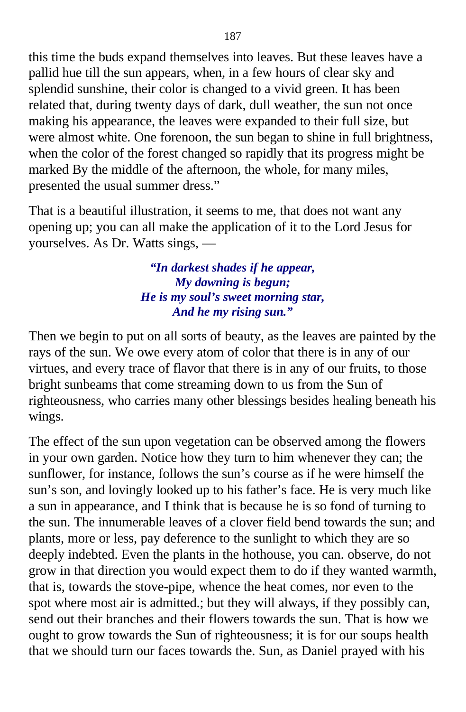this time the buds expand themselves into leaves. But these leaves have a pallid hue till the sun appears, when, in a few hours of clear sky and splendid sunshine, their color is changed to a vivid green. It has been related that, during twenty days of dark, dull weather, the sun not once making his appearance, the leaves were expanded to their full size, but were almost white. One forenoon, the sun began to shine in full brightness, when the color of the forest changed so rapidly that its progress might be marked By the middle of the afternoon, the whole, for many miles, presented the usual summer dress."

That is a beautiful illustration, it seems to me, that does not want any opening up; you can all make the application of it to the Lord Jesus for yourselves. As Dr. Watts sings, —

> *"In darkest shades if he appear, My dawning is begun; He is my soul's sweet morning star, And he my rising sun."*

Then we begin to put on all sorts of beauty, as the leaves are painted by the rays of the sun. We owe every atom of color that there is in any of our virtues, and every trace of flavor that there is in any of our fruits, to those bright sunbeams that come streaming down to us from the Sun of righteousness, who carries many other blessings besides healing beneath his wings.

The effect of the sun upon vegetation can be observed among the flowers in your own garden. Notice how they turn to him whenever they can; the sunflower, for instance, follows the sun's course as if he were himself the sun's son, and lovingly looked up to his father's face. He is very much like a sun in appearance, and I think that is because he is so fond of turning to the sun. The innumerable leaves of a clover field bend towards the sun; and plants, more or less, pay deference to the sunlight to which they are so deeply indebted. Even the plants in the hothouse, you can. observe, do not grow in that direction you would expect them to do if they wanted warmth, that is, towards the stove-pipe, whence the heat comes, nor even to the spot where most air is admitted.; but they will always, if they possibly can, send out their branches and their flowers towards the sun. That is how we ought to grow towards the Sun of righteousness; it is for our soups health that we should turn our faces towards the. Sun, as Daniel prayed with his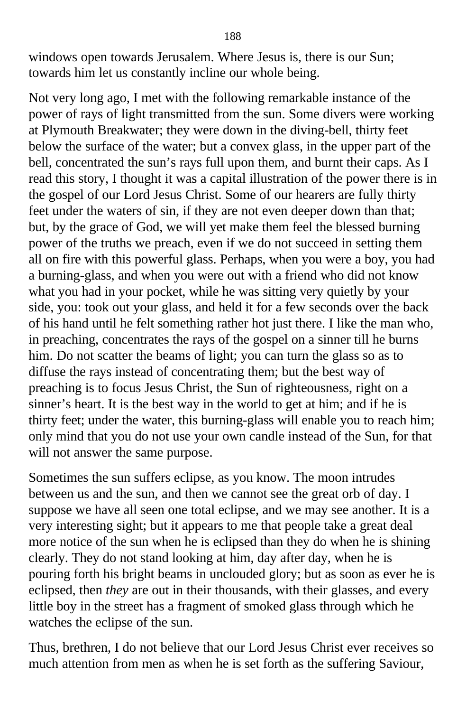windows open towards Jerusalem. Where Jesus is, there is our Sun; towards him let us constantly incline our whole being.

Not very long ago, I met with the following remarkable instance of the power of rays of light transmitted from the sun. Some divers were working at Plymouth Breakwater; they were down in the diving-bell, thirty feet below the surface of the water; but a convex glass, in the upper part of the bell, concentrated the sun's rays full upon them, and burnt their caps. As I read this story, I thought it was a capital illustration of the power there is in the gospel of our Lord Jesus Christ. Some of our hearers are fully thirty feet under the waters of sin, if they are not even deeper down than that; but, by the grace of God, we will yet make them feel the blessed burning power of the truths we preach, even if we do not succeed in setting them all on fire with this powerful glass. Perhaps, when you were a boy, you had a burning-glass, and when you were out with a friend who did not know what you had in your pocket, while he was sitting very quietly by your side, you: took out your glass, and held it for a few seconds over the back of his hand until he felt something rather hot just there. I like the man who, in preaching, concentrates the rays of the gospel on a sinner till he burns him. Do not scatter the beams of light; you can turn the glass so as to diffuse the rays instead of concentrating them; but the best way of preaching is to focus Jesus Christ, the Sun of righteousness, right on a sinner's heart. It is the best way in the world to get at him; and if he is thirty feet; under the water, this burning-glass will enable you to reach him; only mind that you do not use your own candle instead of the Sun, for that will not answer the same purpose.

Sometimes the sun suffers eclipse, as you know. The moon intrudes between us and the sun, and then we cannot see the great orb of day. I suppose we have all seen one total eclipse, and we may see another. It is a very interesting sight; but it appears to me that people take a great deal more notice of the sun when he is eclipsed than they do when he is shining clearly. They do not stand looking at him, day after day, when he is pouring forth his bright beams in unclouded glory; but as soon as ever he is eclipsed, then *they* are out in their thousands, with their glasses, and every little boy in the street has a fragment of smoked glass through which he watches the eclipse of the sun.

Thus, brethren, I do not believe that our Lord Jesus Christ ever receives so much attention from men as when he is set forth as the suffering Saviour,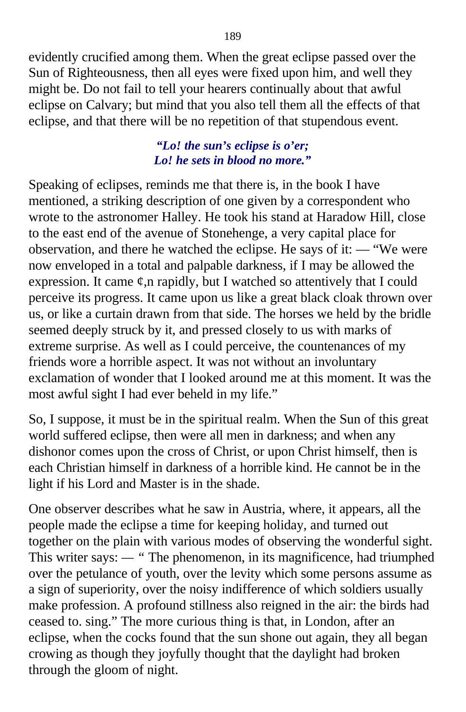evidently crucified among them. When the great eclipse passed over the Sun of Righteousness, then all eyes were fixed upon him, and well they might be. Do not fail to tell your hearers continually about that awful eclipse on Calvary; but mind that you also tell them all the effects of that eclipse, and that there will be no repetition of that stupendous event.

#### *"Lo! the sun's eclipse is o'er; Lo! he sets in blood no more."*

Speaking of eclipses, reminds me that there is, in the book I have mentioned, a striking description of one given by a correspondent who wrote to the astronomer Halley. He took his stand at Haradow Hill, close to the east end of the avenue of Stonehenge, a very capital place for observation, and there he watched the eclipse. He says of it: — "We were now enveloped in a total and palpable darkness, if I may be allowed the expression. It came  $\phi$ , an rapidly, but I watched so attentively that I could perceive its progress. It came upon us like a great black cloak thrown over us, or like a curtain drawn from that side. The horses we held by the bridle seemed deeply struck by it, and pressed closely to us with marks of extreme surprise. As well as I could perceive, the countenances of my friends wore a horrible aspect. It was not without an involuntary exclamation of wonder that I looked around me at this moment. It was the most awful sight I had ever beheld in my life."

So, I suppose, it must be in the spiritual realm. When the Sun of this great world suffered eclipse, then were all men in darkness; and when any dishonor comes upon the cross of Christ, or upon Christ himself, then is each Christian himself in darkness of a horrible kind. He cannot be in the light if his Lord and Master is in the shade.

One observer describes what he saw in Austria, where, it appears, all the people made the eclipse a time for keeping holiday, and turned out together on the plain with various modes of observing the wonderful sight. This writer says: *— "* The phenomenon, in its magnificence, had triumphed over the petulance of youth, over the levity which some persons assume as a sign of superiority, over the noisy indifference of which soldiers usually make profession. A profound stillness also reigned in the air: the birds had ceased to. sing." The more curious thing is that, in London, after an eclipse, when the cocks found that the sun shone out again, they all began crowing as though they joyfully thought that the daylight had broken through the gloom of night.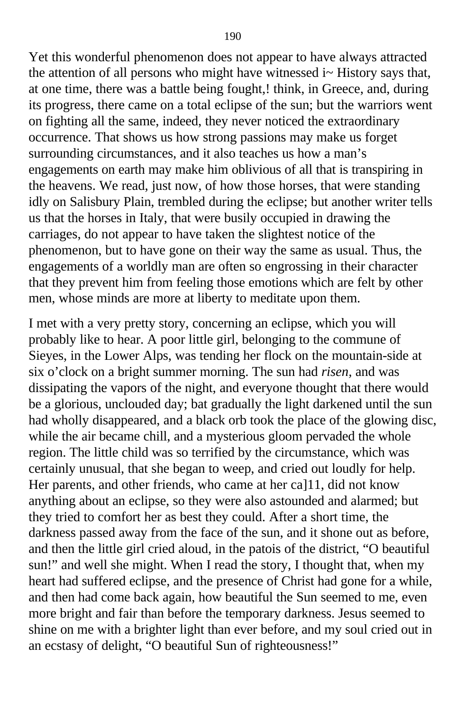Yet this wonderful phenomenon does not appear to have always attracted the attention of all persons who might have witnessed i~ History says that, at one time, there was a battle being fought,! think, in Greece, and, during its progress, there came on a total eclipse of the sun; but the warriors went on fighting all the same, indeed, they never noticed the extraordinary occurrence. That shows us how strong passions may make us forget surrounding circumstances, and it also teaches us how a man's engagements on earth may make him oblivious of all that is transpiring in the heavens. We read, just now, of how those horses, that were standing idly on Salisbury Plain, trembled during the eclipse; but another writer tells us that the horses in Italy, that were busily occupied in drawing the carriages, do not appear to have taken the slightest notice of the phenomenon, but to have gone on their way the same as usual. Thus, the engagements of a worldly man are often so engrossing in their character that they prevent him from feeling those emotions which are felt by other men, whose minds are more at liberty to meditate upon them.

I met with a very pretty story, concerning an eclipse, which you will probably like to hear. A poor little girl, belonging to the commune of Sieyes, in the Lower Alps, was tending her flock on the mountain-side at six o'clock on a bright summer morning. The sun had *risen,* and was dissipating the vapors of the night, and everyone thought that there would be a glorious, unclouded day; bat gradually the light darkened until the sun had wholly disappeared, and a black orb took the place of the glowing disc, while the air became chill, and a mysterious gloom pervaded the whole region. The little child was so terrified by the circumstance, which was certainly unusual, that she began to weep, and cried out loudly for help. Her parents, and other friends, who came at her ca]11, did not know anything about an eclipse, so they were also astounded and alarmed; but they tried to comfort her as best they could. After a short time, the darkness passed away from the face of the sun, and it shone out as before, and then the little girl cried aloud, in the patois of the district, "O beautiful sun!" and well she might. When I read the story, I thought that, when my heart had suffered eclipse, and the presence of Christ had gone for a while, and then had come back again, how beautiful the Sun seemed to me, even more bright and fair than before the temporary darkness. Jesus seemed to shine on me with a brighter light than ever before, and my soul cried out in an ecstasy of delight, "O beautiful Sun of righteousness!"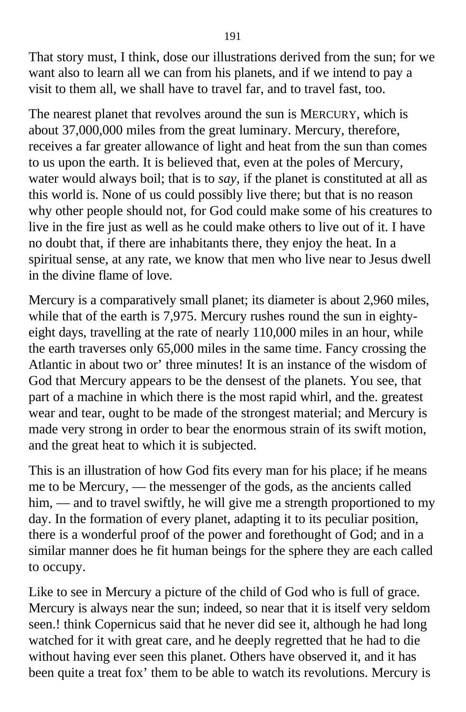That story must, I think, dose our illustrations derived from the sun; for we want also to learn all we can from his planets, and if we intend to pay a visit to them all, we shall have to travel far, and to travel fast, too.

The nearest planet that revolves around the sun is MERCURY, which is about 37,000,000 miles from the great luminary. Mercury, therefore, receives a far greater allowance of light and heat from the sun than comes to us upon the earth. It is believed that, even at the poles of Mercury, water would always boil; that is to *say,* if the planet is constituted at all as this world is. None of us could possibly live there; but that is no reason why other people should not, for God could make some of his creatures to live in the fire just as well as he could make others to live out of it. I have no doubt that, if there are inhabitants there, they enjoy the heat. In a spiritual sense, at any rate, we know that men who live near to Jesus dwell in the divine flame of love.

Mercury is a comparatively small planet; its diameter is about 2,960 miles, while that of the earth is 7,975. Mercury rushes round the sun in eightyeight days, travelling at the rate of nearly 110,000 miles in an hour, while the earth traverses only 65,000 miles in the same time. Fancy crossing the Atlantic in about two or' three minutes! It is an instance of the wisdom of God that Mercury appears to be the densest of the planets. You see, that part of a machine in which there is the most rapid whirl, and the. greatest wear and tear, ought to be made of the strongest material; and Mercury is made very strong in order to bear the enormous strain of its swift motion, and the great heat to which it is subjected.

This is an illustration of how God fits every man for his place; if he means me to be Mercury, — the messenger of the gods, as the ancients called him, — and to travel swiftly, he will give me a strength proportioned to my day. In the formation of every planet, adapting it to its peculiar position, there is a wonderful proof of the power and forethought of God; and in a similar manner does he fit human beings for the sphere they are each called to occupy.

Like to see in Mercury a picture of the child of God who is full of grace. Mercury is always near the sun; indeed, so near that it is itself very seldom seen.! think Copernicus said that he never did see it, although he had long watched for it with great care, and he deeply regretted that he had to die without having ever seen this planet. Others have observed it, and it has been quite a treat fox' them to be able to watch its revolutions. Mercury is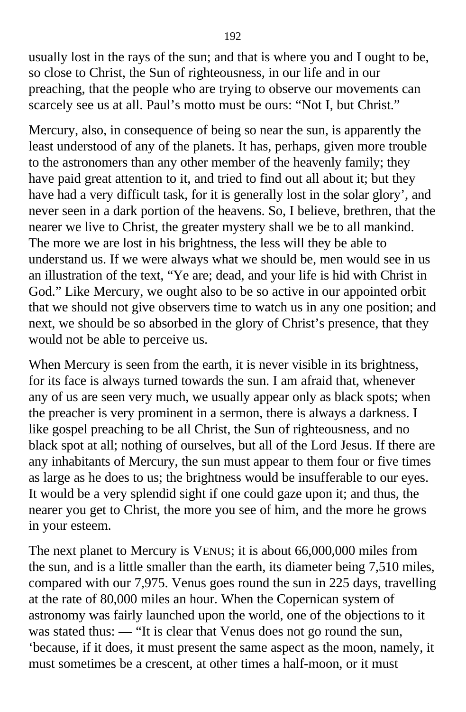usually lost in the rays of the sun; and that is where you and I ought to be, so close to Christ, the Sun of righteousness, in our life and in our preaching, that the people who are trying to observe our movements can scarcely see us at all. Paul's motto must be ours: "Not I, but Christ."

Mercury, also, in consequence of being so near the sun, is apparently the least understood of any of the planets. It has, perhaps, given more trouble to the astronomers than any other member of the heavenly family; they have paid great attention to it, and tried to find out all about it; but they have had a very difficult task, for it is generally lost in the solar glory', and never seen in a dark portion of the heavens. So, I believe, brethren, that the nearer we live to Christ, the greater mystery shall we be to all mankind. The more we are lost in his brightness, the less will they be able to understand us. If we were always what we should be, men would see in us an illustration of the text, "Ye are; dead, and your life is hid with Christ in God." Like Mercury, we ought also to be so active in our appointed orbit that we should not give observers time to watch us in any one position; and next, we should be so absorbed in the glory of Christ's presence, that they would not be able to perceive us.

When Mercury is seen from the earth, it is never visible in its brightness, for its face is always turned towards the sun. I am afraid that, whenever any of us are seen very much, we usually appear only as black spots; when the preacher is very prominent in a sermon, there is always a darkness. I like gospel preaching to be all Christ, the Sun of righteousness, and no black spot at all; nothing of ourselves, but all of the Lord Jesus. If there are any inhabitants of Mercury, the sun must appear to them four or five times as large as he does to us; the brightness would be insufferable to our eyes. It would be a very splendid sight if one could gaze upon it; and thus, the nearer you get to Christ, the more you see of him, and the more he grows in your esteem.

The next planet to Mercury is VENUS; it is about 66,000,000 miles from the sun, and is a little smaller than the earth, its diameter being 7,510 miles, compared with our 7,975. Venus goes round the sun in 225 days, travelling at the rate of 80,000 miles an hour. When the Copernican system of astronomy was fairly launched upon the world, one of the objections to it was stated thus: — "It is clear that Venus does not go round the sun, 'because, if it does, it must present the same aspect as the moon, namely, it must sometimes be a crescent, at other times a half-moon, or it must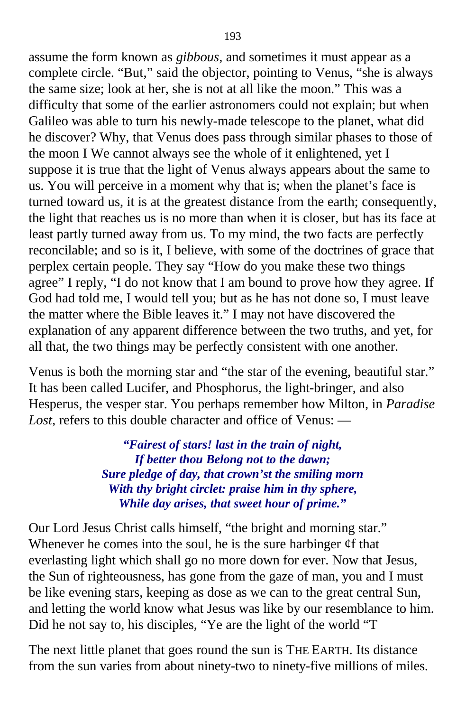assume the form known as *gibbous*, and sometimes it must appear as a complete circle. "But," said the objector, pointing to Venus, "she is always the same size; look at her, she is not at all like the moon." This was a difficulty that some of the earlier astronomers could not explain; but when Galileo was able to turn his newly-made telescope to the planet, what did he discover? Why, that Venus does pass through similar phases to those of the moon I We cannot always see the whole of it enlightened, yet I suppose it is true that the light of Venus always appears about the same to us. You will perceive in a moment why that is; when the planet's face is turned toward us, it is at the greatest distance from the earth; consequently, the light that reaches us is no more than when it is closer, but has its face at least partly turned away from us. To my mind, the two facts are perfectly reconcilable; and so is it, I believe, with some of the doctrines of grace that perplex certain people. They say "How do you make these two things agree" I reply, "I do not know that I am bound to prove how they agree. If God had told me, I would tell you; but as he has not done so, I must leave the matter where the Bible leaves it." I may not have discovered the explanation of any apparent difference between the two truths, and yet, for all that, the two things may be perfectly consistent with one another.

Venus is both the morning star and "the star of the evening, beautiful star." It has been called Lucifer, and Phosphorus, the light-bringer, and also Hesperus, the vesper star. You perhaps remember how Milton, in *Paradise* Lost, refers to this double character and office of Venus: —

> *"Fairest of stars! last in the train of night, If better thou Belong not to the dawn; Sure pledge of day, that crown'st the smiling morn With thy bright circlet: praise him in thy sphere, While day arises, that sweet hour of prime."*

Our Lord Jesus Christ calls himself, "the bright and morning star." Whenever he comes into the soul, he is the sure harbinger  $\varphi f$  that everlasting light which shall go no more down for ever. Now that Jesus, the Sun of righteousness, has gone from the gaze of man, you and I must be like evening stars, keeping as dose as we can to the great central Sun, and letting the world know what Jesus was like by our resemblance to him. Did he not say to, his disciples, "Ye are the light of the world "T

The next little planet that goes round the sun is THE EARTH. Its distance from the sun varies from about ninety-two to ninety-five millions of miles.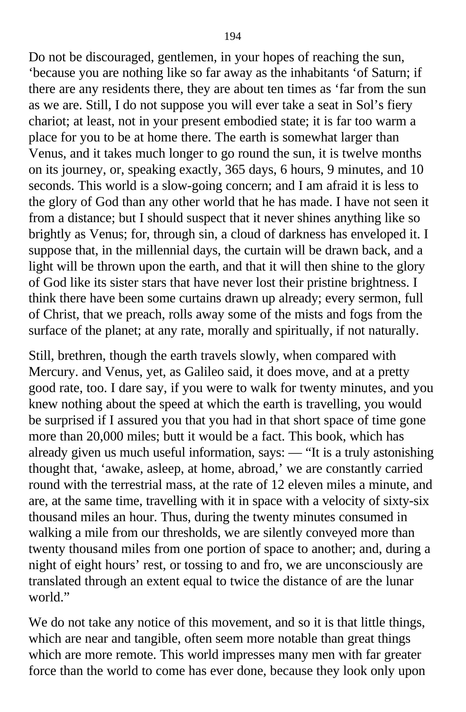Do not be discouraged, gentlemen, in your hopes of reaching the sun, 'because you are nothing like so far away as the inhabitants 'of Saturn; if there are any residents there, they are about ten times as 'far from the sun as we are. Still, I do not suppose you will ever take a seat in Sol's fiery chariot; at least, not in your present embodied state; it is far too warm a place for you to be at home there. The earth is somewhat larger than Venus, and it takes much longer to go round the sun, it is twelve months on its journey, or, speaking exactly, 365 days, 6 hours, 9 minutes, and 10 seconds. This world is a slow-going concern; and I am afraid it is less to the glory of God than any other world that he has made. I have not seen it from a distance; but I should suspect that it never shines anything like so brightly as Venus; for, through sin, a cloud of darkness has enveloped it. I suppose that, in the millennial days, the curtain will be drawn back, and a light will be thrown upon the earth, and that it will then shine to the glory of God like its sister stars that have never lost their pristine brightness. I think there have been some curtains drawn up already; every sermon, full of Christ, that we preach, rolls away some of the mists and fogs from the surface of the planet; at any rate, morally and spiritually, if not naturally.

Still, brethren, though the earth travels slowly, when compared with Mercury. and Venus, yet, as Galileo said, it does move, and at a pretty good rate, too. I dare say, if you were to walk for twenty minutes, and you knew nothing about the speed at which the earth is travelling, you would be surprised if I assured you that you had in that short space of time gone more than 20,000 miles; butt it would be a fact. This book, which has already given us much useful information, says: — "It is a truly astonishing thought that, 'awake, asleep, at home, abroad,' we are constantly carried round with the terrestrial mass, at the rate of 12 eleven miles a minute, and are, at the same time, travelling with it in space with a velocity of sixty-six thousand miles an hour. Thus, during the twenty minutes consumed in walking a mile from our thresholds, we are silently conveyed more than twenty thousand miles from one portion of space to another; and, during a night of eight hours' rest, or tossing to and fro, we are unconsciously are translated through an extent equal to twice the distance of are the lunar world."

We do not take any notice of this movement, and so it is that little things, which are near and tangible, often seem more notable than great things which are more remote. This world impresses many men with far greater force than the world to come has ever done, because they look only upon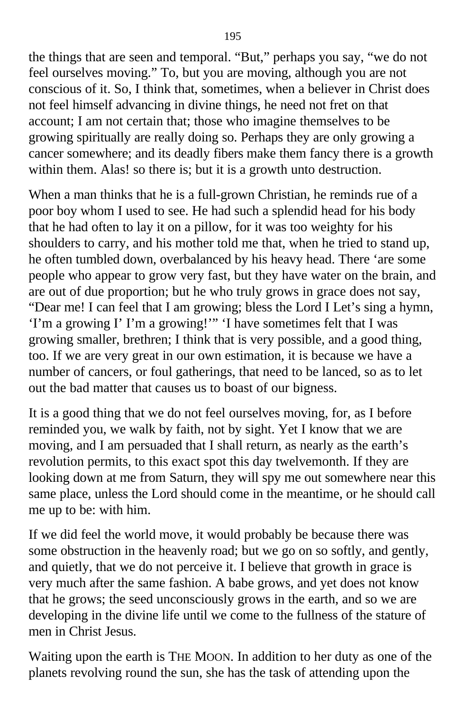the things that are seen and temporal. "But," perhaps you say, "we do not feel ourselves moving." To, but you are moving, although you are not conscious of it. So, I think that, sometimes, when a believer in Christ does not feel himself advancing in divine things, he need not fret on that account; I am not certain that; those who imagine themselves to be growing spiritually are really doing so. Perhaps they are only growing a cancer somewhere; and its deadly fibers make them fancy there is a growth within them. Alas! so there is; but it is a growth unto destruction.

When a man thinks that he is a full-grown Christian, he reminds rue of a poor boy whom I used to see. He had such a splendid head for his body that he had often to lay it on a pillow, for it was too weighty for his shoulders to carry, and his mother told me that, when he tried to stand up, he often tumbled down, overbalanced by his heavy head. There 'are some people who appear to grow very fast, but they have water on the brain, and are out of due proportion; but he who truly grows in grace does not say, "Dear me! I can feel that I am growing; bless the Lord I Let's sing a hymn, 'I'm a growing I' I'm a growing!'" 'I have sometimes felt that I was growing smaller, brethren; I think that is very possible, and a good thing, too. If we are very great in our own estimation, it is because we have a number of cancers, or foul gatherings, that need to be lanced, so as to let out the bad matter that causes us to boast of our bigness.

It is a good thing that we do not feel ourselves moving, for, as I before reminded you, we walk by faith, not by sight. Yet I know that we are moving, and I am persuaded that I shall return, as nearly as the earth's revolution permits, to this exact spot this day twelvemonth. If they are looking down at me from Saturn, they will spy me out somewhere near this same place, unless the Lord should come in the meantime, or he should call me up to be: with him.

If we did feel the world move, it would probably be because there was some obstruction in the heavenly road; but we go on so softly, and gently, and quietly, that we do not perceive it. I believe that growth in grace is very much after the same fashion. A babe grows, and yet does not know that he grows; the seed unconsciously grows in the earth, and so we are developing in the divine life until we come to the fullness of the stature of men in Christ Jesus.

Waiting upon the earth is THE MOON. In addition to her duty as one of the planets revolving round the sun, she has the task of attending upon the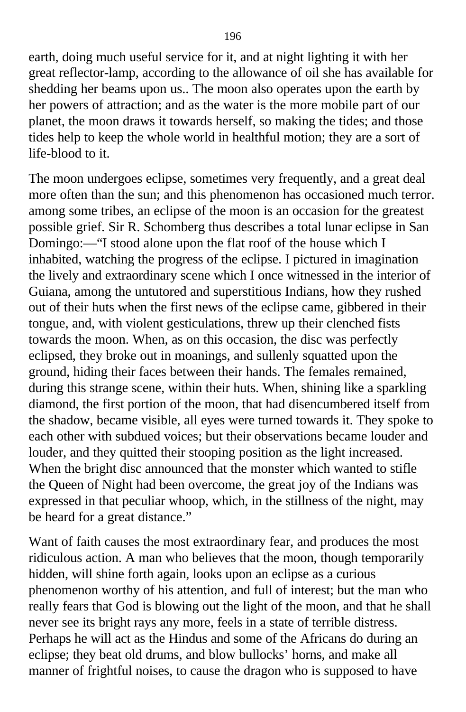earth, doing much useful service for it, and at night lighting it with her great reflector-lamp, according to the allowance of oil she has available for shedding her beams upon us.. The moon also operates upon the earth by her powers of attraction; and as the water is the more mobile part of our planet, the moon draws it towards herself, so making the tides; and those tides help to keep the whole world in healthful motion; they are a sort of life-blood to it.

The moon undergoes eclipse, sometimes very frequently, and a great deal more often than the sun; and this phenomenon has occasioned much terror. among some tribes, an eclipse of the moon is an occasion for the greatest possible grief. Sir R. Schomberg thus describes a total lunar eclipse in San Domingo:—"I stood alone upon the flat roof of the house which I inhabited, watching the progress of the eclipse. I pictured in imagination the lively and extraordinary scene which I once witnessed in the interior of Guiana, among the untutored and superstitious Indians, how they rushed out of their huts when the first news of the eclipse came, gibbered in their tongue, and, with violent gesticulations, threw up their clenched fists towards the moon. When, as on this occasion, the disc was perfectly eclipsed, they broke out in moanings, and sullenly squatted upon the ground, hiding their faces between their hands. The females remained, during this strange scene, within their huts. When, shining like a sparkling diamond, the first portion of the moon, that had disencumbered itself from the shadow, became visible, all eyes were turned towards it. They spoke to each other with subdued voices; but their observations became louder and louder, and they quitted their stooping position as the light increased. When the bright disc announced that the monster which wanted to stifle the Queen of Night had been overcome, the great joy of the Indians was expressed in that peculiar whoop, which, in the stillness of the night, may be heard for a great distance."

Want of faith causes the most extraordinary fear, and produces the most ridiculous action. A man who believes that the moon, though temporarily hidden, will shine forth again, looks upon an eclipse as a curious phenomenon worthy of his attention, and full of interest; but the man who really fears that God is blowing out the light of the moon, and that he shall never see its bright rays any more, feels in a state of terrible distress. Perhaps he will act as the Hindus and some of the Africans do during an eclipse; they beat old drums, and blow bullocks' horns, and make all manner of frightful noises, to cause the dragon who is supposed to have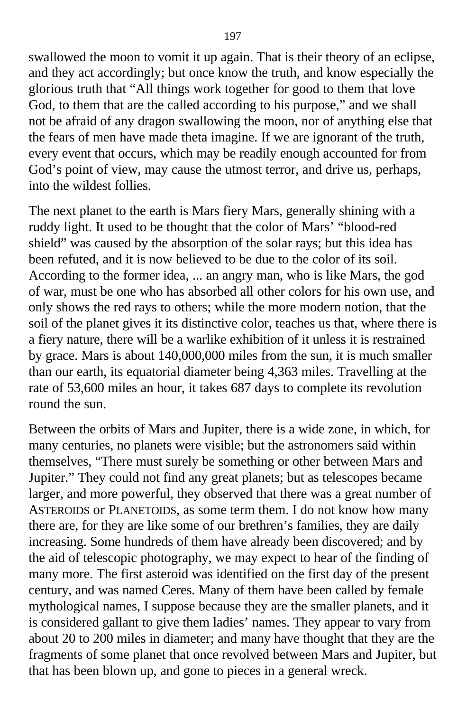swallowed the moon to vomit it up again. That is their theory of an eclipse, and they act accordingly; but once know the truth, and know especially the glorious truth that "All things work together for good to them that love God, to them that are the called according to his purpose," and we shall not be afraid of any dragon swallowing the moon, nor of anything else that the fears of men have made theta imagine. If we are ignorant of the truth, every event that occurs, which may be readily enough accounted for from God's point of view, may cause the utmost terror, and drive us, perhaps, into the wildest follies.

The next planet to the earth is Mars fiery Mars, generally shining with a ruddy light. It used to be thought that the color of Mars' "blood-red shield" was caused by the absorption of the solar rays; but this idea has been refuted, and it is now believed to be due to the color of its soil. According to the former idea, ... an angry man, who is like Mars, the god of war, must be one who has absorbed all other colors for his own use, and only shows the red rays to others; while the more modern notion, that the soil of the planet gives it its distinctive color, teaches us that, where there is a fiery nature, there will be a warlike exhibition of it unless it is restrained by grace. Mars is about 140,000,000 miles from the sun, it is much smaller than our earth, its equatorial diameter being 4,363 miles. Travelling at the rate of 53,600 miles an hour, it takes 687 days to complete its revolution round the sun.

Between the orbits of Mars and Jupiter, there is a wide zone, in which, for many centuries, no planets were visible; but the astronomers said within themselves, "There must surely be something or other between Mars and Jupiter." They could not find any great planets; but as telescopes became larger, and more powerful, they observed that there was a great number of ASTEROIDS or PLANETOIDS, as some term them. I do not know how many there are, for they are like some of our brethren's families, they are daily increasing. Some hundreds of them have already been discovered; and by the aid of telescopic photography, we may expect to hear of the finding of many more. The first asteroid was identified on the first day of the present century, and was named Ceres. Many of them have been called by female mythological names, I suppose because they are the smaller planets, and it is considered gallant to give them ladies' names. They appear to vary from about 20 to 200 miles in diameter; and many have thought that they are the fragments of some planet that once revolved between Mars and Jupiter, but that has been blown up, and gone to pieces in a general wreck.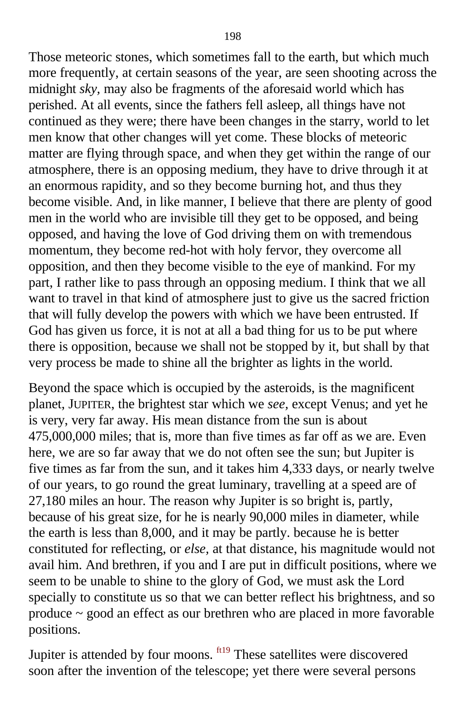Those meteoric stones, which sometimes fall to the earth, but which much more frequently, at certain seasons of the year, are seen shooting across the midnight *sky,* may also be fragments of the aforesaid world which has perished. At all events, since the fathers fell asleep, all things have not continued as they were; there have been changes in the starry, world to let men know that other changes will yet come. These blocks of meteoric matter are flying through space, and when they get within the range of our atmosphere, there is an opposing medium, they have to drive through it at an enormous rapidity, and so they become burning hot, and thus they become visible. And, in like manner, I believe that there are plenty of good men in the world who are invisible till they get to be opposed, and being opposed, and having the love of God driving them on with tremendous momentum, they become red-hot with holy fervor, they overcome all opposition, and then they become visible to the eye of mankind. For my part, I rather like to pass through an opposing medium. I think that we all want to travel in that kind of atmosphere just to give us the sacred friction that will fully develop the powers with which we have been entrusted. If God has given us force, it is not at all a bad thing for us to be put where there is opposition, because we shall not be stopped by it, but shall by that very process be made to shine all the brighter as lights in the world.

Beyond the space which is occupied by the asteroids, is the magnificent planet, JUPITER, the brightest star which we *see,* except Venus; and yet he is very, very far away. His mean distance from the sun is about 475,000,000 miles; that is, more than five times as far off as we are. Even here, we are so far away that we do not often see the sun; but Jupiter is five times as far from the sun, and it takes him 4,333 days, or nearly twelve of our years, to go round the great luminary, travelling at a speed are of 27,180 miles an hour. The reason why Jupiter is so bright is, partly, because of his great size, for he is nearly 90,000 miles in diameter, while the earth is less than 8,000, and it may be partly. because he is better constituted for reflecting, or *else,* at that distance, his magnitude would not avail him. And brethren, if you and I are put in difficult positions, where we seem to be unable to shine to the glory of God, we must ask the Lord specially to constitute us so that we can better reflect his brightness, and so produce ~ good an effect as our brethren who are placed in more favorable positions.

Jupiter is attended by four moons.  $ft19$  These satellites were discovered soon after the invention of the telescope; yet there were several persons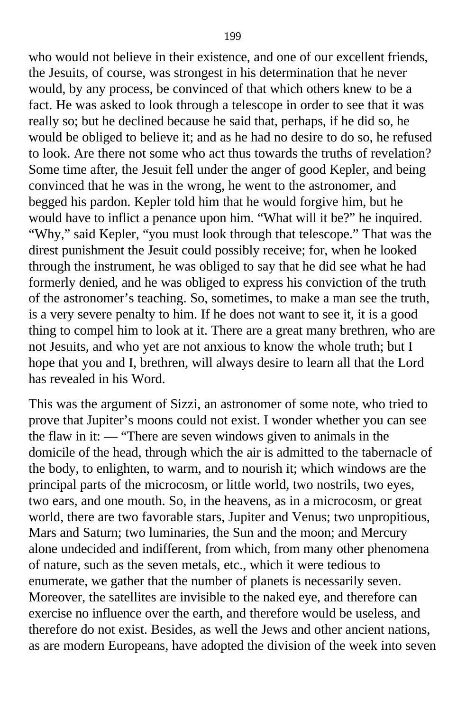who would not believe in their existence, and one of our excellent friends, the Jesuits, of course, was strongest in his determination that he never would, by any process, be convinced of that which others knew to be a fact. He was asked to look through a telescope in order to see that it was really so; but he declined because he said that, perhaps, if he did so, he would be obliged to believe it; and as he had no desire to do so, he refused to look. Are there not some who act thus towards the truths of revelation? Some time after, the Jesuit fell under the anger of good Kepler, and being convinced that he was in the wrong, he went to the astronomer, and begged his pardon. Kepler told him that he would forgive him, but he would have to inflict a penance upon him. "What will it be?" he inquired. "Why," said Kepler, "you must look through that telescope." That was the direst punishment the Jesuit could possibly receive; for, when he looked through the instrument, he was obliged to say that he did see what he had formerly denied, and he was obliged to express his conviction of the truth of the astronomer's teaching. So, sometimes, to make a man see the truth, is a very severe penalty to him. If he does not want to see it, it is a good thing to compel him to look at it. There are a great many brethren, who are not Jesuits, and who yet are not anxious to know the whole truth; but I hope that you and I, brethren, will always desire to learn all that the Lord has revealed in his Word.

This was the argument of Sizzi, an astronomer of some note, who tried to prove that Jupiter's moons could not exist. I wonder whether you can see the flaw in it: — "There are seven windows given to animals in the domicile of the head, through which the air is admitted to the tabernacle of the body, to enlighten, to warm, and to nourish it; which windows are the principal parts of the microcosm, or little world, two nostrils, two eyes, two ears, and one mouth. So, in the heavens, as in a microcosm, or great world, there are two favorable stars, Jupiter and Venus; two unpropitious, Mars and Saturn; two luminaries, the Sun and the moon; and Mercury alone undecided and indifferent, from which, from many other phenomena of nature, such as the seven metals, etc., which it were tedious to enumerate, we gather that the number of planets is necessarily seven. Moreover, the satellites are invisible to the naked eye, and therefore can exercise no influence over the earth, and therefore would be useless, and therefore do not exist. Besides, as well the Jews and other ancient nations, as are modern Europeans, have adopted the division of the week into seven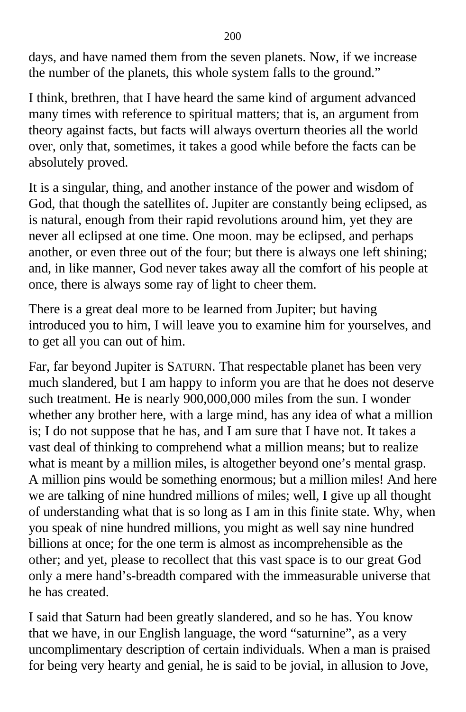days, and have named them from the seven planets. Now, if we increase the number of the planets, this whole system falls to the ground."

I think, brethren, that I have heard the same kind of argument advanced many times with reference to spiritual matters; that is, an argument from theory against facts, but facts will always overturn theories all the world over, only that, sometimes, it takes a good while before the facts can be absolutely proved.

It is a singular, thing, and another instance of the power and wisdom of God, that though the satellites of. Jupiter are constantly being eclipsed, as is natural, enough from their rapid revolutions around him, yet they are never all eclipsed at one time. One moon. may be eclipsed, and perhaps another, or even three out of the four; but there is always one left shining; and, in like manner, God never takes away all the comfort of his people at once, there is always some ray of light to cheer them.

There is a great deal more to be learned from Jupiter; but having introduced you to him, I will leave you to examine him for yourselves, and to get all you can out of him.

Far, far beyond Jupiter is SATURN. That respectable planet has been very much slandered, but I am happy to inform you are that he does not deserve such treatment. He is nearly 900,000,000 miles from the sun. I wonder whether any brother here, with a large mind, has any idea of what a million is; I do not suppose that he has, and I am sure that I have not. It takes a vast deal of thinking to comprehend what a million means; but to realize what is meant by a million miles, is altogether beyond one's mental grasp. A million pins would be something enormous; but a million miles! And here we are talking of nine hundred millions of miles; well, I give up all thought of understanding what that is so long as I am in this finite state. Why, when you speak of nine hundred millions, you might as well say nine hundred billions at once; for the one term is almost as incomprehensible as the other; and yet, please to recollect that this vast space is to our great God only a mere hand's-breadth compared with the immeasurable universe that he has created.

I said that Saturn had been greatly slandered, and so he has. You know that we have, in our English language, the word "saturnine", as a very uncomplimentary description of certain individuals. When a man is praised for being very hearty and genial, he is said to be jovial, in allusion to Jove,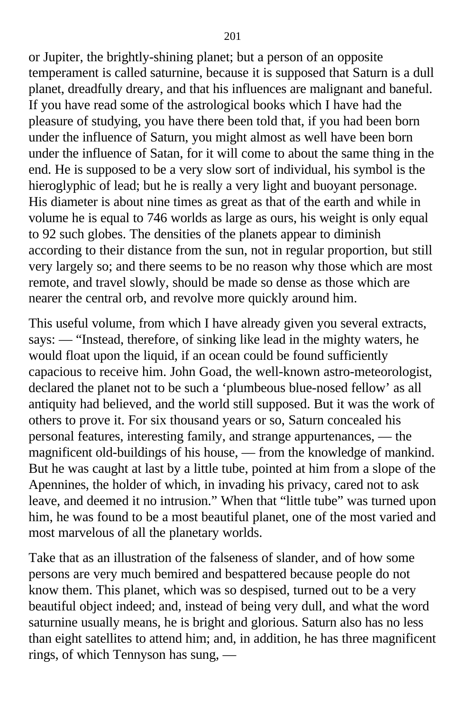or Jupiter, the brightly-shining planet; but a person of an opposite temperament is called saturnine, because it is supposed that Saturn is a dull planet, dreadfully dreary, and that his influences are malignant and baneful. If you have read some of the astrological books which I have had the pleasure of studying, you have there been told that, if you had been born under the influence of Saturn, you might almost as well have been born under the influence of Satan, for it will come to about the same thing in the end. He is supposed to be a very slow sort of individual, his symbol is the hieroglyphic of lead; but he is really a very light and buoyant personage. His diameter is about nine times as great as that of the earth and while in volume he is equal to 746 worlds as large as ours, his weight is only equal to 92 such globes. The densities of the planets appear to diminish according to their distance from the sun, not in regular proportion, but still very largely so; and there seems to be no reason why those which are most remote, and travel slowly, should be made so dense as those which are nearer the central orb, and revolve more quickly around him.

This useful volume, from which I have already given you several extracts, says: — "Instead, therefore, of sinking like lead in the mighty waters, he would float upon the liquid, if an ocean could be found sufficiently capacious to receive him. John Goad, the well-known astro-meteorologist, declared the planet not to be such a 'plumbeous blue-nosed fellow' as all antiquity had believed, and the world still supposed. But it was the work of others to prove it. For six thousand years or so, Saturn concealed his personal features, interesting family, and strange appurtenances, — the magnificent old-buildings of his house, — from the knowledge of mankind. But he was caught at last by a little tube, pointed at him from a slope of the Apennines, the holder of which, in invading his privacy, cared not to ask leave, and deemed it no intrusion." When that "little tube" was turned upon him, he was found to be a most beautiful planet, one of the most varied and most marvelous of all the planetary worlds.

Take that as an illustration of the falseness of slander, and of how some persons are very much bemired and bespattered because people do not know them. This planet, which was so despised, turned out to be a very beautiful object indeed; and, instead of being very dull, and what the word saturnine usually means, he is bright and glorious. Saturn also has no less than eight satellites to attend him; and, in addition, he has three magnificent rings, of which Tennyson has sung, —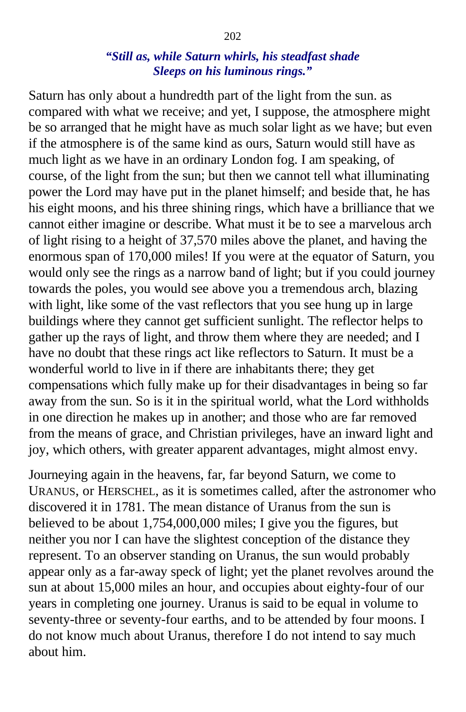#### *"Still as, while Saturn whirls, his steadfast shade Sleeps on his luminous rings."*

Saturn has only about a hundredth part of the light from the sun. as compared with what we receive; and yet, I suppose, the atmosphere might be so arranged that he might have as much solar light as we have; but even if the atmosphere is of the same kind as ours, Saturn would still have as much light as we have in an ordinary London fog. I am speaking, of course, of the light from the sun; but then we cannot tell what illuminating power the Lord may have put in the planet himself; and beside that, he has his eight moons, and his three shining rings, which have a brilliance that we cannot either imagine or describe. What must it be to see a marvelous arch of light rising to a height of 37,570 miles above the planet, and having the enormous span of 170,000 miles! If you were at the equator of Saturn, you would only see the rings as a narrow band of light; but if you could journey towards the poles, you would see above you a tremendous arch, blazing with light, like some of the vast reflectors that you see hung up in large buildings where they cannot get sufficient sunlight. The reflector helps to gather up the rays of light, and throw them where they are needed; and I have no doubt that these rings act like reflectors to Saturn. It must be a wonderful world to live in if there are inhabitants there; they get compensations which fully make up for their disadvantages in being so far away from the sun. So is it in the spiritual world, what the Lord withholds in one direction he makes up in another; and those who are far removed from the means of grace, and Christian privileges, have an inward light and joy, which others, with greater apparent advantages, might almost envy.

Journeying again in the heavens, far, far beyond Saturn, we come to URANUS, or HERSCHEL, as it is sometimes called, after the astronomer who discovered it in 1781. The mean distance of Uranus from the sun is believed to be about 1,754,000,000 miles; I give you the figures, but neither you nor I can have the slightest conception of the distance they represent. To an observer standing on Uranus, the sun would probably appear only as a far-away speck of light; yet the planet revolves around the sun at about 15,000 miles an hour, and occupies about eighty-four of our years in completing one journey. Uranus is said to be equal in volume to seventy-three or seventy-four earths, and to be attended by four moons. I do not know much about Uranus, therefore I do not intend to say much about him.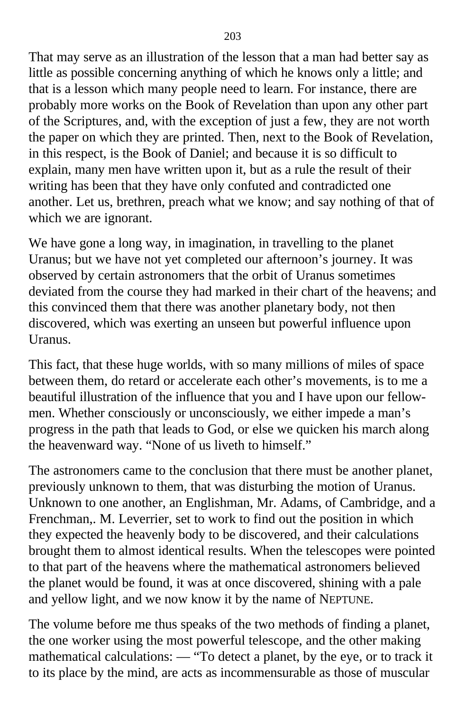That may serve as an illustration of the lesson that a man had better say as little as possible concerning anything of which he knows only a little; and that is a lesson which many people need to learn. For instance, there are probably more works on the Book of Revelation than upon any other part of the Scriptures, and, with the exception of just a few, they are not worth the paper on which they are printed. Then, next to the Book of Revelation, in this respect, is the Book of Daniel; and because it is so difficult to explain, many men have written upon it, but as a rule the result of their writing has been that they have only confuted and contradicted one another. Let us, brethren, preach what we know; and say nothing of that of which we are ignorant.

We have gone a long way, in imagination, in travelling to the planet Uranus; but we have not yet completed our afternoon's journey. It was observed by certain astronomers that the orbit of Uranus sometimes deviated from the course they had marked in their chart of the heavens; and this convinced them that there was another planetary body, not then discovered, which was exerting an unseen but powerful influence upon Uranus.

This fact, that these huge worlds, with so many millions of miles of space between them, do retard or accelerate each other's movements, is to me a beautiful illustration of the influence that you and I have upon our fellowmen. Whether consciously or unconsciously, we either impede a man's progress in the path that leads to God, or else we quicken his march along the heavenward way. "None of us liveth to himself."

The astronomers came to the conclusion that there must be another planet, previously unknown to them, that was disturbing the motion of Uranus. Unknown to one another, an Englishman, Mr. Adams, of Cambridge, and a Frenchman,. M. Leverrier, set to work to find out the position in which they expected the heavenly body to be discovered, and their calculations brought them to almost identical results. When the telescopes were pointed to that part of the heavens where the mathematical astronomers believed the planet would be found, it was at once discovered, shining with a pale and yellow light, and we now know it by the name of NEPTUNE.

The volume before me thus speaks of the two methods of finding a planet, the one worker using the most powerful telescope, and the other making mathematical calculations: — "To detect a planet, by the eye, or to track it to its place by the mind, are acts as incommensurable as those of muscular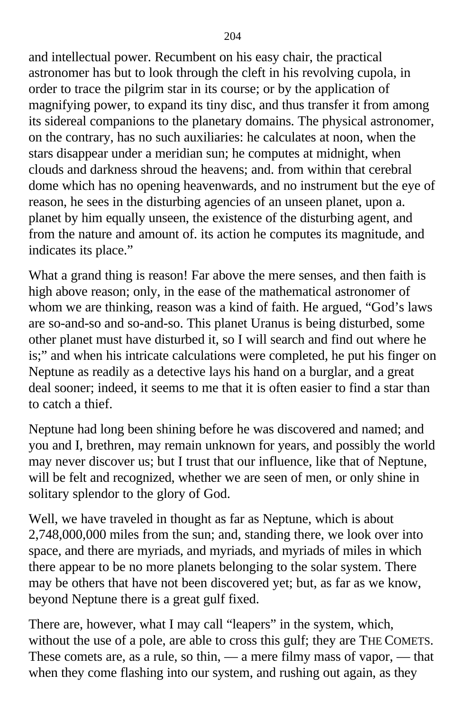and intellectual power. Recumbent on his easy chair, the practical astronomer has but to look through the cleft in his revolving cupola, in order to trace the pilgrim star in its course; or by the application of magnifying power, to expand its tiny disc, and thus transfer it from among its sidereal companions to the planetary domains. The physical astronomer, on the contrary, has no such auxiliaries: he calculates at noon, when the stars disappear under a meridian sun; he computes at midnight, when clouds and darkness shroud the heavens; and. from within that cerebral dome which has no opening heavenwards, and no instrument but the eye of reason, he sees in the disturbing agencies of an unseen planet, upon a. planet by him equally unseen, the existence of the disturbing agent, and from the nature and amount of. its action he computes its magnitude, and indicates its place."

What a grand thing is reason! Far above the mere senses, and then faith is high above reason; only, in the ease of the mathematical astronomer of whom we are thinking, reason was a kind of faith. He argued, "God's laws are so-and-so and so-and-so. This planet Uranus is being disturbed, some other planet must have disturbed it, so I will search and find out where he is;" and when his intricate calculations were completed, he put his finger on Neptune as readily as a detective lays his hand on a burglar, and a great deal sooner; indeed, it seems to me that it is often easier to find a star than to catch a thief.

Neptune had long been shining before he was discovered and named; and you and I, brethren, may remain unknown for years, and possibly the world may never discover us; but I trust that our influence, like that of Neptune, will be felt and recognized, whether we are seen of men, or only shine in solitary splendor to the glory of God.

Well, we have traveled in thought as far as Neptune, which is about 2,748,000,000 miles from the sun; and, standing there, we look over into space, and there are myriads, and myriads, and myriads of miles in which there appear to be no more planets belonging to the solar system. There may be others that have not been discovered yet; but, as far as we know, beyond Neptune there is a great gulf fixed.

There are, however, what I may call "leapers" in the system, which, without the use of a pole, are able to cross this gulf; they are THE COMETS. These comets are, as a rule, so thin, — a mere filmy mass of vapor, — that when they come flashing into our system, and rushing out again, as they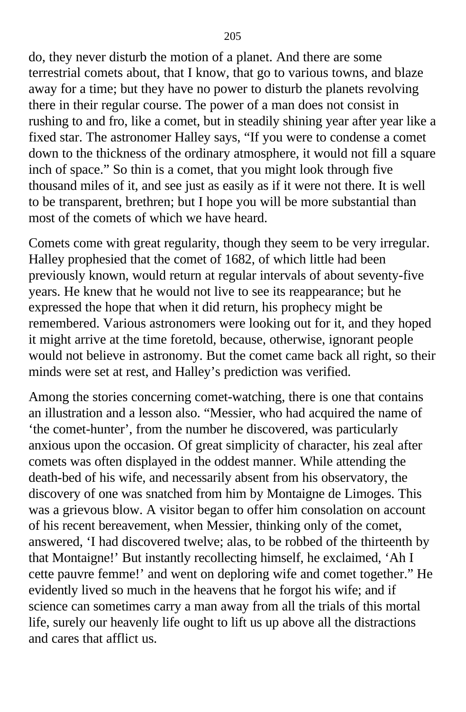do, they never disturb the motion of a planet. And there are some terrestrial comets about, that I know, that go to various towns, and blaze away for a time; but they have no power to disturb the planets revolving there in their regular course. The power of a man does not consist in rushing to and fro, like a comet, but in steadily shining year after year like a fixed star. The astronomer Halley says, "If you were to condense a comet down to the thickness of the ordinary atmosphere, it would not fill a square inch of space." So thin is a comet, that you might look through five thousand miles of it, and see just as easily as if it were not there. It is well to be transparent, brethren; but I hope you will be more substantial than most of the comets of which we have heard.

Comets come with great regularity, though they seem to be very irregular. Halley prophesied that the comet of 1682, of which little had been previously known, would return at regular intervals of about seventy-five years. He knew that he would not live to see its reappearance; but he expressed the hope that when it did return, his prophecy might be remembered. Various astronomers were looking out for it, and they hoped it might arrive at the time foretold, because, otherwise, ignorant people would not believe in astronomy. But the comet came back all right, so their minds were set at rest, and Halley's prediction was verified.

Among the stories concerning comet-watching, there is one that contains an illustration and a lesson also. "Messier, who had acquired the name of 'the comet-hunter', from the number he discovered, was particularly anxious upon the occasion. Of great simplicity of character, his zeal after comets was often displayed in the oddest manner. While attending the death-bed of his wife, and necessarily absent from his observatory, the discovery of one was snatched from him by Montaigne de Limoges. This was a grievous blow. A visitor began to offer him consolation on account of his recent bereavement, when Messier, thinking only of the comet, answered, 'I had discovered twelve; alas, to be robbed of the thirteenth by that Montaigne!' But instantly recollecting himself, he exclaimed, 'Ah I cette pauvre femme!' and went on deploring wife and comet together." He evidently lived so much in the heavens that he forgot his wife; and if science can sometimes carry a man away from all the trials of this mortal life, surely our heavenly life ought to lift us up above all the distractions and cares that afflict us.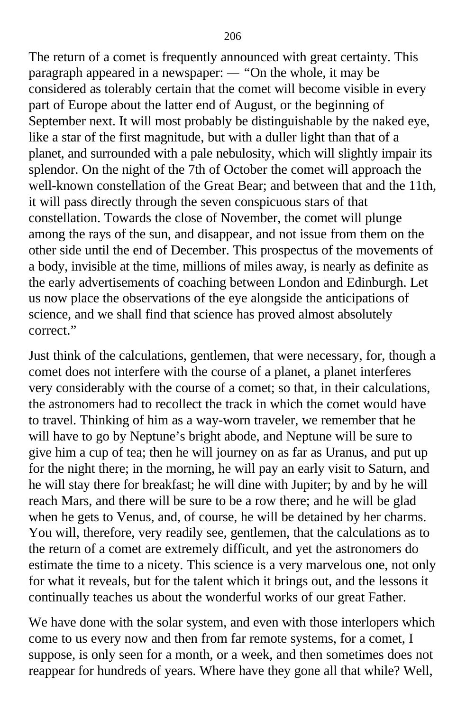The return of a comet is frequently announced with great certainty. This paragraph appeared in a newspaper: *— "*On the whole, it may be considered as tolerably certain that the comet will become visible in every part of Europe about the latter end of August, or the beginning of September next. It will most probably be distinguishable by the naked eye, like a star of the first magnitude, but with a duller light than that of a planet, and surrounded with a pale nebulosity, which will slightly impair its splendor. On the night of the 7th of October the comet will approach the well-known constellation of the Great Bear; and between that and the 11th, it will pass directly through the seven conspicuous stars of that constellation. Towards the close of November, the comet will plunge among the rays of the sun, and disappear, and not issue from them on the other side until the end of December. This prospectus of the movements of a body, invisible at the time, millions of miles away, is nearly as definite as the early advertisements of coaching between London and Edinburgh. Let us now place the observations of the eye alongside the anticipations of science, and we shall find that science has proved almost absolutely correct<sup>"</sup>

Just think of the calculations, gentlemen, that were necessary, for, though a comet does not interfere with the course of a planet, a planet interferes very considerably with the course of a comet; so that, in their calculations, the astronomers had to recollect the track in which the comet would have to travel. Thinking of him as a way-worn traveler, we remember that he will have to go by Neptune's bright abode, and Neptune will be sure to give him a cup of tea; then he will journey on as far as Uranus, and put up for the night there; in the morning, he will pay an early visit to Saturn, and he will stay there for breakfast; he will dine with Jupiter; by and by he will reach Mars, and there will be sure to be a row there; and he will be glad when he gets to Venus, and, of course, he will be detained by her charms. You will, therefore, very readily see, gentlemen, that the calculations as to the return of a comet are extremely difficult, and yet the astronomers do estimate the time to a nicety. This science is a very marvelous one, not only for what it reveals, but for the talent which it brings out, and the lessons it continually teaches us about the wonderful works of our great Father.

We have done with the solar system, and even with those interlopers which come to us every now and then from far remote systems, for a comet, I suppose, is only seen for a month, or a week, and then sometimes does not reappear for hundreds of years. Where have they gone all that while? Well,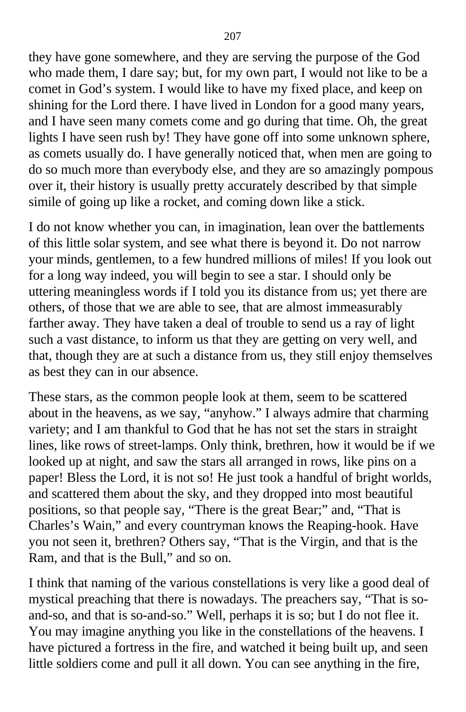they have gone somewhere, and they are serving the purpose of the God who made them, I dare say; but, for my own part, I would not like to be a comet in God's system. I would like to have my fixed place, and keep on shining for the Lord there. I have lived in London for a good many years, and I have seen many comets come and go during that time. Oh, the great lights I have seen rush by! They have gone off into some unknown sphere, as comets usually do. I have generally noticed that, when men are going to do so much more than everybody else, and they are so amazingly pompous over it, their history is usually pretty accurately described by that simple simile of going up like a rocket, and coming down like a stick.

I do not know whether you can, in imagination, lean over the battlements of this little solar system, and see what there is beyond it. Do not narrow your minds, gentlemen, to a few hundred millions of miles! If you look out for a long way indeed, you will begin to see a star. I should only be uttering meaningless words if I told you its distance from us; yet there are others, of those that we are able to see, that are almost immeasurably farther away. They have taken a deal of trouble to send us a ray of light such a vast distance, to inform us that they are getting on very well, and that, though they are at such a distance from us, they still enjoy themselves as best they can in our absence.

These stars, as the common people look at them, seem to be scattered about in the heavens, as we say, "anyhow." I always admire that charming variety; and I am thankful to God that he has not set the stars in straight lines, like rows of street-lamps. Only think, brethren, how it would be if we looked up at night, and saw the stars all arranged in rows, like pins on a paper! Bless the Lord, it is not so! He just took a handful of bright worlds, and scattered them about the sky, and they dropped into most beautiful positions, so that people say, "There is the great Bear;" and, "That is Charles's Wain," and every countryman knows the Reaping-hook. Have you not seen it, brethren? Others say, "That is the Virgin, and that is the Ram, and that is the Bull," and so on.

I think that naming of the various constellations is very like a good deal of mystical preaching that there is nowadays. The preachers say, "That is soand-so, and that is so-and-so." Well, perhaps it is so; but I do not flee it. You may imagine anything you like in the constellations of the heavens. I have pictured a fortress in the fire, and watched it being built up, and seen little soldiers come and pull it all down. You can see anything in the fire,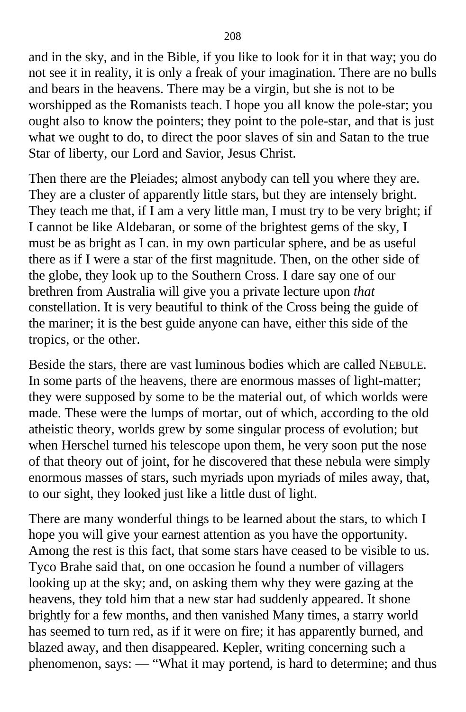and in the sky, and in the Bible, if you like to look for it in that way; you do not see it in reality, it is only a freak of your imagination. There are no bulls and bears in the heavens. There may be a virgin, but she is not to be worshipped as the Romanists teach. I hope you all know the pole-star; you ought also to know the pointers; they point to the pole-star, and that is just what we ought to do, to direct the poor slaves of sin and Satan to the true Star of liberty, our Lord and Savior, Jesus Christ.

Then there are the Pleiades; almost anybody can tell you where they are. They are a cluster of apparently little stars, but they are intensely bright. They teach me that, if I am a very little man, I must try to be very bright; if I cannot be like Aldebaran, or some of the brightest gems of the sky, I must be as bright as I can. in my own particular sphere, and be as useful there as if I were a star of the first magnitude. Then, on the other side of the globe, they look up to the Southern Cross. I dare say one of our brethren from Australia will give you a private lecture upon *that* constellation. It is very beautiful to think of the Cross being the guide of the mariner; it is the best guide anyone can have, either this side of the tropics, or the other.

Beside the stars, there are vast luminous bodies which are called NEBULE. In some parts of the heavens, there are enormous masses of light-matter; they were supposed by some to be the material out, of which worlds were made. These were the lumps of mortar, out of which, according to the old atheistic theory, worlds grew by some singular process of evolution; but when Herschel turned his telescope upon them, he very soon put the nose of that theory out of joint, for he discovered that these nebula were simply enormous masses of stars, such myriads upon myriads of miles away, that, to our sight, they looked just like a little dust of light.

There are many wonderful things to be learned about the stars, to which I hope you will give your earnest attention as you have the opportunity. Among the rest is this fact, that some stars have ceased to be visible to us. Tyco Brahe said that, on one occasion he found a number of villagers looking up at the sky; and, on asking them why they were gazing at the heavens, they told him that a new star had suddenly appeared. It shone brightly for a few months, and then vanished Many times, a starry world has seemed to turn red, as if it were on fire; it has apparently burned, and blazed away, and then disappeared. Kepler, writing concerning such a phenomenon, says: — "What it may portend, is hard to determine; and thus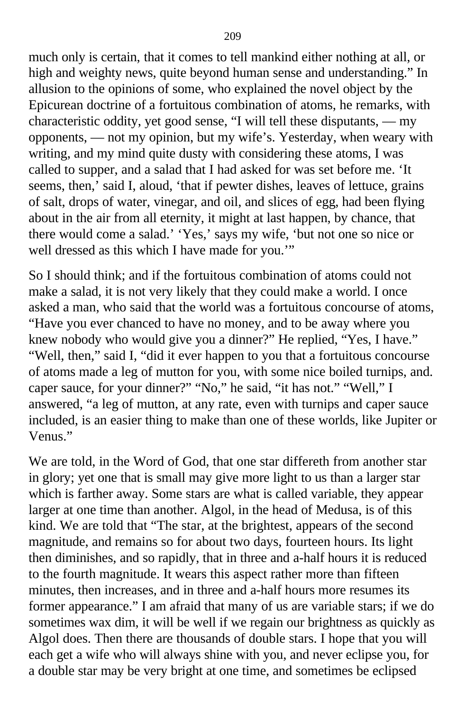much only is certain, that it comes to tell mankind either nothing at all, or high and weighty news, quite beyond human sense and understanding." In allusion to the opinions of some, who explained the novel object by the Epicurean doctrine of a fortuitous combination of atoms, he remarks, with characteristic oddity, yet good sense, "I will tell these disputants, — my opponents, — not my opinion, but my wife's. Yesterday, when weary with writing, and my mind quite dusty with considering these atoms, I was called to supper, and a salad that I had asked for was set before me. 'It seems, then,' said I, aloud, 'that if pewter dishes, leaves of lettuce, grains of salt, drops of water, vinegar, and oil, and slices of egg, had been flying about in the air from all eternity, it might at last happen, by chance, that there would come a salad.' 'Yes,' says my wife, 'but not one so nice or well dressed as this which I have made for you.'"

So I should think; and if the fortuitous combination of atoms could not make a salad, it is not very likely that they could make a world. I once asked a man, who said that the world was a fortuitous concourse of atoms, "Have you ever chanced to have no money, and to be away where you knew nobody who would give you a dinner?" He replied, "Yes, I have." "Well, then," said I, "did it ever happen to you that a fortuitous concourse of atoms made a leg of mutton for you, with some nice boiled turnips, and. caper sauce, for your dinner?" "No," he said, "it has not." "Well," I answered, "a leg of mutton, at any rate, even with turnips and caper sauce included, is an easier thing to make than one of these worlds, like Jupiter or Venus."

We are told, in the Word of God, that one star differeth from another star in glory; yet one that is small may give more light to us than a larger star which is farther away. Some stars are what is called variable, they appear larger at one time than another. Algol, in the head of Medusa, is of this kind. We are told that "The star, at the brightest, appears of the second magnitude, and remains so for about two days, fourteen hours. Its light then diminishes, and so rapidly, that in three and a-half hours it is reduced to the fourth magnitude. It wears this aspect rather more than fifteen minutes, then increases, and in three and a-half hours more resumes its former appearance." I am afraid that many of us are variable stars; if we do sometimes wax dim, it will be well if we regain our brightness as quickly as Algol does. Then there are thousands of double stars. I hope that you will each get a wife who will always shine with you, and never eclipse you, for a double star may be very bright at one time, and sometimes be eclipsed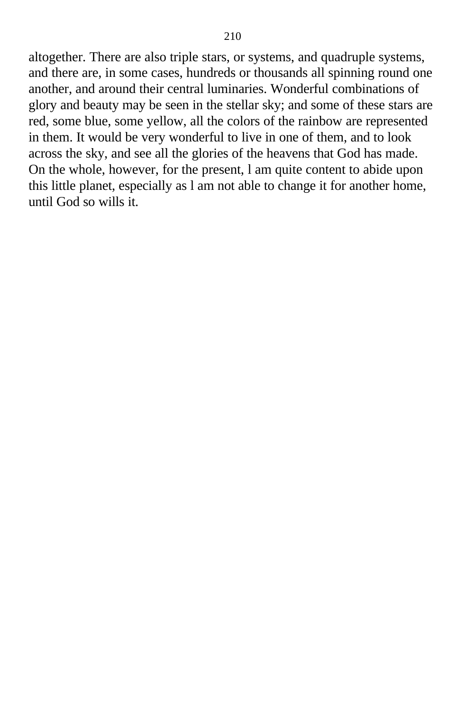altogether. There are also triple stars, or systems, and quadruple systems, and there are, in some cases, hundreds or thousands all spinning round one another, and around their central luminaries. Wonderful combinations of glory and beauty may be seen in the stellar sky; and some of these stars are red, some blue, some yellow, all the colors of the rainbow are represented in them. It would be very wonderful to live in one of them, and to look across the sky, and see all the glories of the heavens that God has made. On the whole, however, for the present, l am quite content to abide upon this little planet, especially as l am not able to change it for another home, until God so wills it.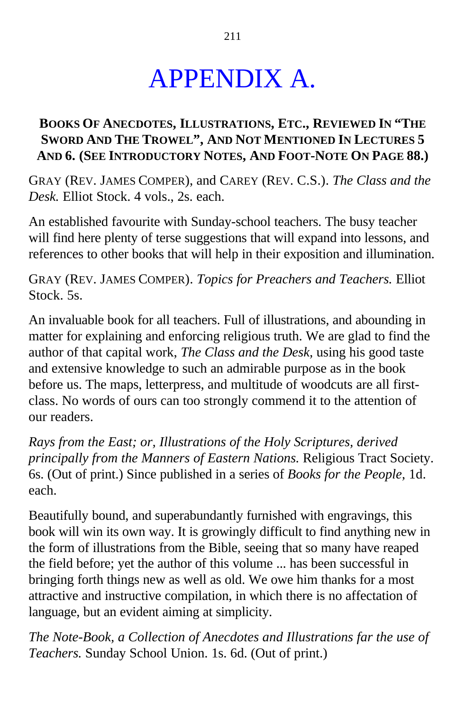# APPENDIX A.

## **BOOKS OF ANECDOTES, ILLUSTRATIONS, ETC., REVIEWED IN "THE SWORD AND THE TROWEL", AND NOT MENTIONED IN LECTURES 5 AND 6. (SEE INTRODUCTORY NOTES, AND FOOT-NOTE ON PAGE 88.)**

GRAY (REV. JAMES COMPER), and CAREY (REV. C.S.). *The Class and the Desk.* Elliot Stock. 4 vols., 2s. each.

An established favourite with Sunday-school teachers. The busy teacher will find here plenty of terse suggestions that will expand into lessons, and references to other books that will help in their exposition and illumination.

GRAY (REV. JAMES COMPER). *Topics for Preachers and Teachers.* Elliot Stock. 5s.

An invaluable book for all teachers. Full of illustrations, and abounding in matter for explaining and enforcing religious truth. We are glad to find the author of that capital work, *The Class and the Desk,* using his good taste and extensive knowledge to such an admirable purpose as in the book before us. The maps, letterpress, and multitude of woodcuts are all firstclass. No words of ours can too strongly commend it to the attention of our readers.

*Rays from the East; or, Illustrations of the Holy Scriptures, derived principally from the Manners of Eastern Nations.* Religious Tract Society. 6s. (Out of print.) Since published in a series of *Books for the People,* 1d. each.

Beautifully bound, and superabundantly furnished with engravings, this book will win its own way. It is growingly difficult to find anything new in the form of illustrations from the Bible, seeing that so many have reaped the field before; yet the author of this volume ... has been successful in bringing forth things new as well as old. We owe him thanks for a most attractive and instructive compilation, in which there is no affectation of language, but an evident aiming at simplicity.

*The Note-Book, a Collection of Anecdotes and Illustrations far the use of Teachers.* Sunday School Union. 1s. 6d. (Out of print.)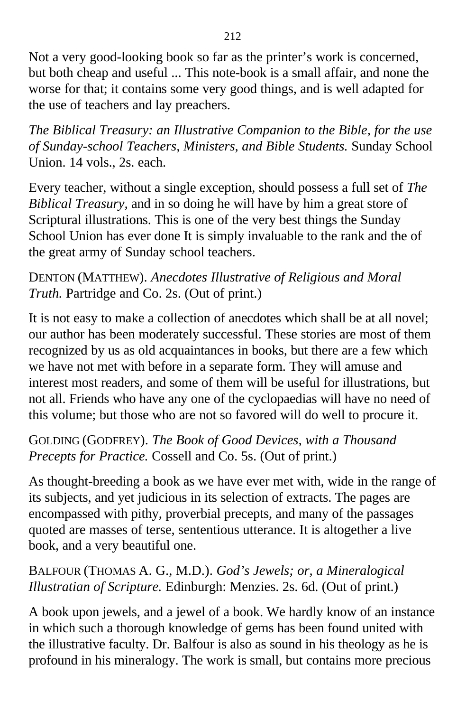Not a very good-looking book so far as the printer's work is concerned, but both cheap and useful ... This note-book is a small affair, and none the worse for that; it contains some very good things, and is well adapted for the use of teachers and lay preachers.

*The Biblical Treasury: an Illustrative Companion to the Bible, for the use of Sunday-school Teachers, Ministers, and Bible Students.* Sunday School Union. 14 vols., 2s. each.

Every teacher, without a single exception, should possess a full set of *The Biblical Treasury,* and in so doing he will have by him a great store of Scriptural illustrations. This is one of the very best things the Sunday School Union has ever done It is simply invaluable to the rank and the of the great army of Sunday school teachers.

DENTON (MATTHEW). *Anecdotes Illustrative of Religious and Moral Truth.* Partridge and Co. 2s. (Out of print.)

It is not easy to make a collection of anecdotes which shall be at all novel; our author has been moderately successful. These stories are most of them recognized by us as old acquaintances in books, but there are a few which we have not met with before in a separate form. They will amuse and interest most readers, and some of them will be useful for illustrations, but not all. Friends who have any one of the cyclopaedias will have no need of this volume; but those who are not so favored will do well to procure it.

GOLDING (GODFREY). *The Book of Good Devices, with a Thousand Precepts for Practice.* Cossell and Co. 5s. (Out of print.)

As thought-breeding a book as we have ever met with, wide in the range of its subjects, and yet judicious in its selection of extracts. The pages are encompassed with pithy, proverbial precepts, and many of the passages quoted are masses of terse, sententious utterance. It is altogether a live book, and a very beautiful one.

## BALFOUR (THOMAS A. G., M.D.). *God's Jewels; or, a Mineralogical Illustratian of Scripture.* Edinburgh: Menzies. 2s. 6d. (Out of print.)

A book upon jewels, and a jewel of a book. We hardly know of an instance in which such a thorough knowledge of gems has been found united with the illustrative faculty. Dr. Balfour is also as sound in his theology as he is profound in his mineralogy. The work is small, but contains more precious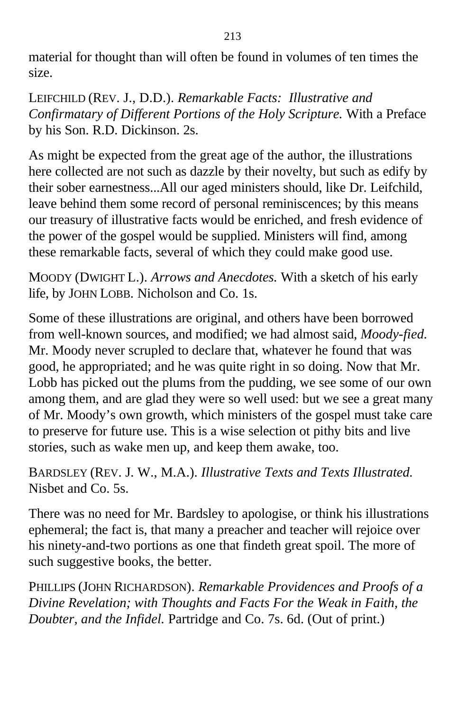material for thought than will often be found in volumes of ten times the size.

LEIFCHILD (REV. J., D.D.). *Remarkable Facts: Illustrative and Confirmatary of Different Portions of the Holy Scripture.* With a Preface by his Son. R.D. Dickinson. 2s.

As might be expected from the great age of the author, the illustrations here collected are not such as dazzle by their novelty, but such as edify by their sober earnestness...All our aged ministers should, like Dr. Leifchild, leave behind them some record of personal reminiscences; by this means our treasury of illustrative facts would be enriched, and fresh evidence of the power of the gospel would be supplied. Ministers will find, among these remarkable facts, several of which they could make good use.

MOODY (DWIGHT L.). *Arrows and Anecdotes.* With a sketch of his early life, by JOHN LOBB. Nicholson and Co. 1s.

Some of these illustrations are original, and others have been borrowed from well-known sources, and modified; we had almost said, *Moody-fied.* Mr. Moody never scrupled to declare that, whatever he found that was good, he appropriated; and he was quite right in so doing. Now that Mr. Lobb has picked out the plums from the pudding, we see some of our own among them, and are glad they were so well used: but we see a great many of Mr. Moody's own growth, which ministers of the gospel must take care to preserve for future use. This is a wise selection ot pithy bits and live stories, such as wake men up, and keep them awake, too.

BARDSLEY (REV. J. W., M.A.). *Illustrative Texts and Texts Illustrated.* Nisbet and Co. 5s.

There was no need for Mr. Bardsley to apologise, or think his illustrations ephemeral; the fact is, that many a preacher and teacher will rejoice over his ninety-and-two portions as one that findeth great spoil. The more of such suggestive books, the better.

PHILLIPS (JOHN RICHARDSON). *Remarkable Providences and Proofs of a Divine Revelation; with Thoughts and Facts For the Weak in Faith, the Doubter, and the Infidel.* Partridge and Co. 7s. 6d. (Out of print.)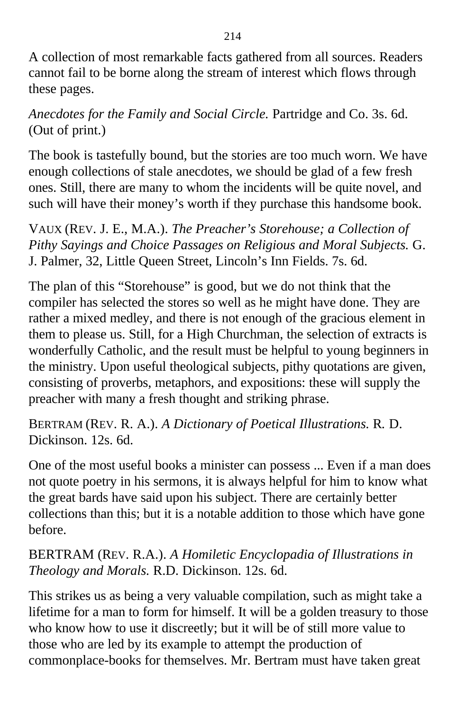A collection of most remarkable facts gathered from all sources. Readers cannot fail to be borne along the stream of interest which flows through these pages.

*Anecdotes for the Family and Social Circle.* Partridge and Co. 3s. 6d. (Out of print.)

The book is tastefully bound, but the stories are too much worn. We have enough collections of stale anecdotes, we should be glad of a few fresh ones. Still, there are many to whom the incidents will be quite novel, and such will have their money's worth if they purchase this handsome book.

VAUX (REV. J. E., M.A.). *The Preacher's Storehouse; a Collection of Pithy Sayings and Choice Passages on Religious and Moral Subjects.* G. J. Palmer, 32, Little Queen Street, Lincoln's Inn Fields. 7s. 6d.

The plan of this "Storehouse" is good, but we do not think that the compiler has selected the stores so well as he might have done. They are rather a mixed medley, and there is not enough of the gracious element in them to please us. Still, for a High Churchman, the selection of extracts is wonderfully Catholic, and the result must be helpful to young beginners in the ministry. Upon useful theological subjects, pithy quotations are given, consisting of proverbs, metaphors, and expositions: these will supply the preacher with many a fresh thought and striking phrase.

BERTRAM (REV. R. A.). *A Dictionary of Poetical Illustrations.* R*.* D. Dickinson. 12s. 6d.

One of the most useful books a minister can possess ... Even if a man does not quote poetry in his sermons, it is always helpful for him to know what the great bards have said upon his subject. There are certainly better collections than this; but it is a notable addition to those which have gone before.

BERTRAM (REV. R.A.). *A Homiletic Encyclopadia of Illustrations in Theology and Morals.* R.D. Dickinson. 12s. 6d.

This strikes us as being a very valuable compilation, such as might take a lifetime for a man to form for himself. It will be a golden treasury to those who know how to use it discreetly; but it will be of still more value to those who are led by its example to attempt the production of commonplace-books for themselves. Mr. Bertram must have taken great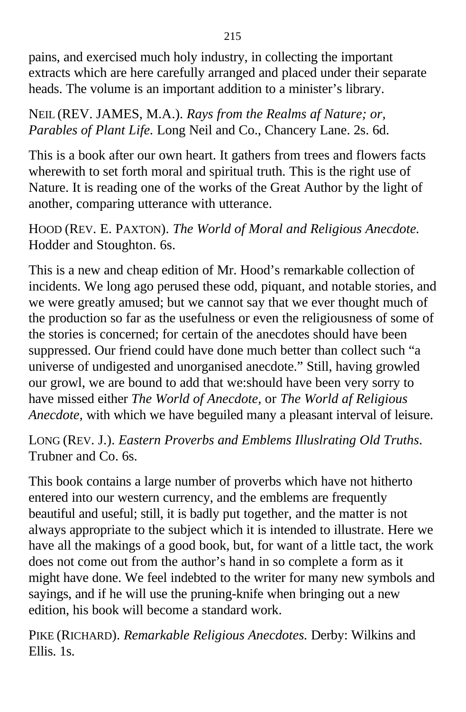pains, and exercised much holy industry, in collecting the important extracts which are here carefully arranged and placed under their separate heads. The volume is an important addition to a minister's library.

## NEIL (REV. JAMES, M.A.). *Rays from the Realms af Nature; or, Parables of Plant Life.* Long Neil and Co., Chancery Lane. 2s. 6d.

This is a book after our own heart. It gathers from trees and flowers facts wherewith to set forth moral and spiritual truth. This is the right use of Nature. It is reading one of the works of the Great Author by the light of another, comparing utterance with utterance.

HOOD (REV. E. PAXTON). *The World of Moral and Religious Anecdote.* Hodder and Stoughton. 6s.

This is a new and cheap edition of Mr. Hood's remarkable collection of incidents. We long ago perused these odd, piquant, and notable stories, and we were greatly amused; but we cannot say that we ever thought much of the production so far as the usefulness or even the religiousness of some of the stories is concerned; for certain of the anecdotes should have been suppressed. Our friend could have done much better than collect such "a universe of undigested and unorganised anecdote." Still, having growled our growl, we are bound to add that we:should have been very sorry to have missed either *The World of Anecdote,* or *The World af Religious Anecdote,* with which we have beguiled many a pleasant interval of leisure.

LONG (REV. J.). *Eastern Proverbs and Emblems Illuslrating Old Truths*. Trubner and Co. 6s.

This book contains a large number of proverbs which have not hitherto entered into our western currency, and the emblems are frequently beautiful and useful; still, it is badly put together, and the matter is not always appropriate to the subject which it is intended to illustrate. Here we have all the makings of a good book, but, for want of a little tact, the work does not come out from the author's hand in so complete a form as it might have done. We feel indebted to the writer for many new symbols and sayings, and if he will use the pruning-knife when bringing out a new edition, his book will become a standard work.

PIKE (RICHARD). *Remarkable Religious Anecdotes.* Derby: Wilkins and Ellis. 1s.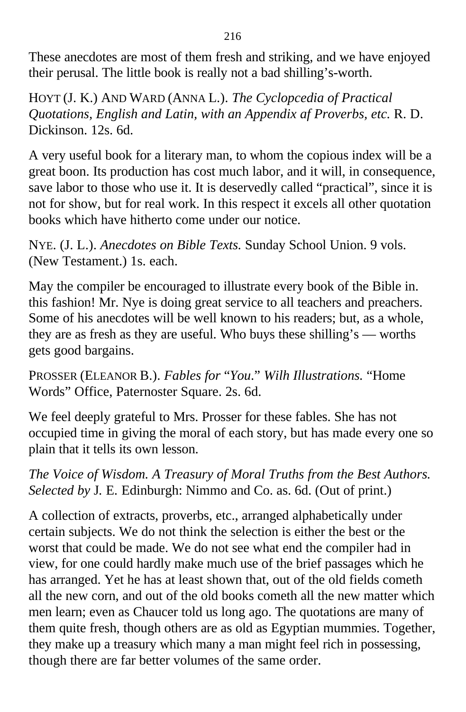These anecdotes are most of them fresh and striking, and we have enjoyed their perusal. The little book is really not a bad shilling's-worth.

HOYT (J. K.) AND WARD (ANNA L.). *The Cyclopcedia of Practical Quotations, English and Latin, with an Appendix af Proverbs, etc.* R. D. Dickinson. 12s. 6d.

A very useful book for a literary man, to whom the copious index will be a great boon. Its production has cost much labor, and it will, in consequence, save labor to those who use it. It is deservedly called "practical", since it is not for show, but for real work. In this respect it excels all other quotation books which have hitherto come under our notice.

NYE. (J. L.). *Anecdotes on Bible Texts.* Sunday School Union. 9 vols. (New Testament.) 1s. each.

May the compiler be encouraged to illustrate every book of the Bible in. this fashion! Mr. Nye is doing great service to all teachers and preachers. Some of his anecdotes will be well known to his readers; but, as a whole, they are as fresh as they are useful. Who buys these shilling's — worths gets good bargains.

PROSSER (ELEANOR B.). *Fables for* "*You*." *Wilh Illustrations.* "Home Words" Office, Paternoster Square. 2s. 6d.

We feel deeply grateful to Mrs. Prosser for these fables. She has not occupied time in giving the moral of each story, but has made every one so plain that it tells its own lesson.

*The Voice of Wisdom. A Treasury of Moral Truths from the Best Authors. Selected by* J*.* E*.* Edinburgh: Nimmo and Co. as. 6d. (Out of print.)

A collection of extracts, proverbs, etc., arranged alphabetically under certain subjects. We do not think the selection is either the best or the worst that could be made. We do not see what end the compiler had in view, for one could hardly make much use of the brief passages which he has arranged. Yet he has at least shown that, out of the old fields cometh all the new corn, and out of the old books cometh all the new matter which men learn; even as Chaucer told us long ago. The quotations are many of them quite fresh, though others are as old as Egyptian mummies. Together, they make up a treasury which many a man might feel rich in possessing, though there are far better volumes of the same order.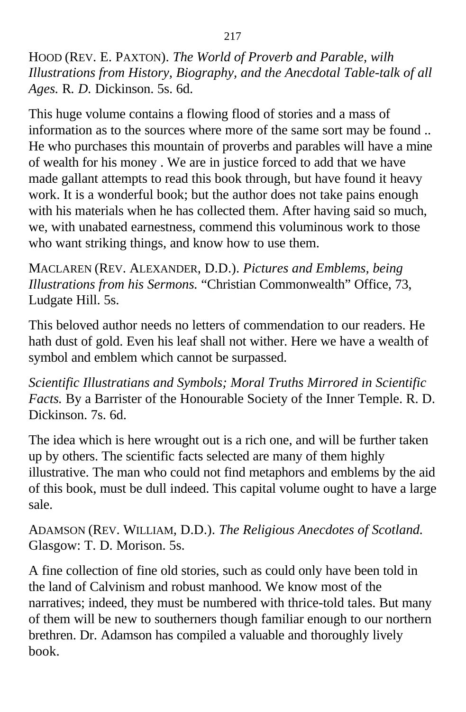HOOD (REV. E. PAXTON). *The World of Proverb and Parable, wilh Illustrations from History, Biography, and the Anecdotal Table-talk of all Ages.* R*. D.* Dickinson. 5s. 6d.

This huge volume contains a flowing flood of stories and a mass of information as to the sources where more of the same sort may be found .. He who purchases this mountain of proverbs and parables will have a mine of wealth for his money . We are in justice forced to add that we have made gallant attempts to read this book through, but have found it heavy work. It is a wonderful book; but the author does not take pains enough with his materials when he has collected them. After having said so much, we, with unabated earnestness, commend this voluminous work to those who want striking things, and know how to use them.

MACLAREN (REV. ALEXANDER, D.D.). *Pictures and Emblems, being Illustrations from his Sermons.* "Christian Commonwealth" Office, 73, Ludgate Hill. 5s.

This beloved author needs no letters of commendation to our readers. He hath dust of gold. Even his leaf shall not wither. Here we have a wealth of symbol and emblem which cannot be surpassed.

*Scientific Illustratians and Symbols; Moral Truths Mirrored in Scientific Facts.* By a Barrister of the Honourable Society of the Inner Temple. R. D. Dickinson. 7s. 6d.

The idea which is here wrought out is a rich one, and will be further taken up by others. The scientific facts selected are many of them highly illustrative. The man who could not find metaphors and emblems by the aid of this book, must be dull indeed. This capital volume ought to have a large sale.

ADAMSON (REV. WILLIAM, D.D.). *The Religious Anecdotes of Scotland.* Glasgow: T. D. Morison. 5s.

A fine collection of fine old stories, such as could only have been told in the land of Calvinism and robust manhood. We know most of the narratives; indeed, they must be numbered with thrice-told tales. But many of them will be new to southerners though familiar enough to our northern brethren. Dr. Adamson has compiled a valuable and thoroughly lively book.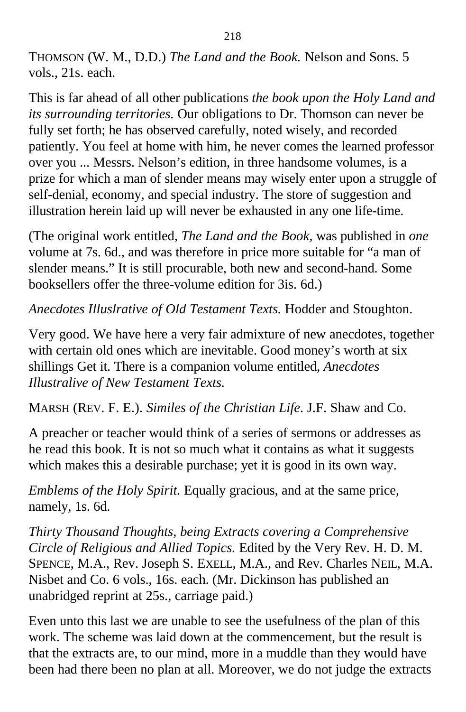THOMSON (W. M., D.D.) *The Land and the Book.* Nelson and Sons. 5 vols., 21s. each.

This is far ahead of all other publications *the book upon the Holy Land and its surrounding territories.* Our obligations to Dr. Thomson can never be fully set forth; he has observed carefully, noted wisely, and recorded patiently. You feel at home with him, he never comes the learned professor over you ... Messrs. Nelson's edition, in three handsome volumes, is a prize for which a man of slender means may wisely enter upon a struggle of self-denial, economy, and special industry. The store of suggestion and illustration herein laid up will never be exhausted in any one life-time.

(The original work entitled, *The Land and the Book,* was published in *one* volume at 7s. 6d., and was therefore in price more suitable for "a man of slender means." It is still procurable, both new and second-hand. Some booksellers offer the three-volume edition for 3is. 6d.)

*Anecdotes Illuslrative of Old Testament Texts.* Hodder and Stoughton.

Very good. We have here a very fair admixture of new anecdotes, together with certain old ones which are inevitable. Good money's worth at six shillings Get it. There is a companion volume entitled, *Anecdotes Illustralive of New Testament Texts.*

MARSH (REV. F. E.). *Similes of the Christian Life*. J.F. Shaw and Co.

A preacher or teacher would think of a series of sermons or addresses as he read this book. It is not so much what it contains as what it suggests which makes this a desirable purchase; yet it is good in its own way.

*Emblems of the Holy Spirit.* Equally gracious, and at the same price, namely, 1s. 6d.

*Thirty Thousand Thoughts, being Extracts covering a Comprehensive Circle of Religious and Allied Topics.* Edited by the Very Rev. H. D. M. SPENCE, M.A., Rev. Joseph S. EXELL, M.A., and Rev. Charles NEIL, M.A. Nisbet and Co. 6 vols., 16s. each. (Mr. Dickinson has published an unabridged reprint at 25s., carriage paid.)

Even unto this last we are unable to see the usefulness of the plan of this work. The scheme was laid down at the commencement, but the result is that the extracts are, to our mind, more in a muddle than they would have been had there been no plan at all. Moreover, we do not judge the extracts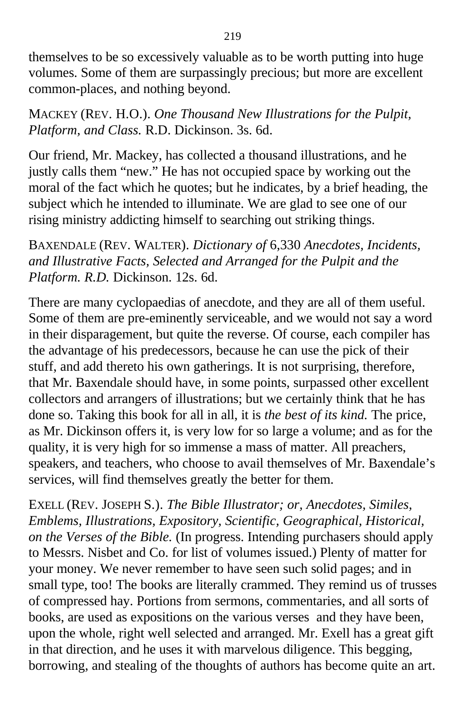themselves to be so excessively valuable as to be worth putting into huge volumes. Some of them are surpassingly precious; but more are excellent common-places, and nothing beyond.

MACKEY (REV. H.O.). *One Thousand New Illustrations for the Pulpit, Platform, and Class.* R.D. Dickinson. 3s. 6d.

Our friend, Mr. Mackey, has collected a thousand illustrations, and he justly calls them "new." He has not occupied space by working out the moral of the fact which he quotes; but he indicates, by a brief heading, the subject which he intended to illuminate. We are glad to see one of our rising ministry addicting himself to searching out striking things.

BAXENDALE (REV. WALTER). *Dictionary of* 6,330 *Anecdotes, Incidents, and Illustrative Facts, Selected and Arranged for the Pulpit and the Platform. R.D.* Dickinson. 12s. 6d.

There are many cyclopaedias of anecdote, and they are all of them useful. Some of them are pre-eminently serviceable, and we would not say a word in their disparagement, but quite the reverse. Of course, each compiler has the advantage of his predecessors, because he can use the pick of their stuff, and add thereto his own gatherings. It is not surprising, therefore, that Mr. Baxendale should have, in some points, surpassed other excellent collectors and arrangers of illustrations; but we certainly think that he has done so. Taking this book for all in all, it is *the best of its kind.* The price, as Mr. Dickinson offers it, is very low for so large a volume; and as for the quality, it is very high for so immense a mass of matter. All preachers, speakers, and teachers, who choose to avail themselves of Mr. Baxendale's services, will find themselves greatly the better for them.

EXELL (REV. JOSEPH S.). *The Bible Illustrator; or, Anecdotes, Similes, Emblems, Illustrations, Expository, Scientific, Geographical, Historical, on the Verses of the Bible.* (In progress. Intending purchasers should apply to Messrs. Nisbet and Co. for list of volumes issued.) Plenty of matter for your money. We never remember to have seen such solid pages; and in small type, too! The books are literally crammed. They remind us of trusses of compressed hay. Portions from sermons, commentaries, and all sorts of books, are used as expositions on the various verses and they have been, upon the whole, right well selected and arranged. Mr. Exell has a great gift in that direction, and he uses it with marvelous diligence. This begging, borrowing, and stealing of the thoughts of authors has become quite an art.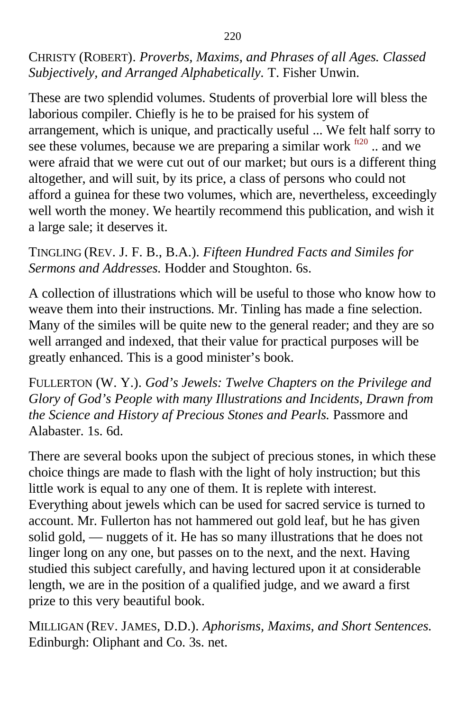CHRISTY (ROBERT). *Proverbs, Maxims, and Phrases of all Ages. Classed Subjectively, and Arranged Alphabetically.* T. Fisher Unwin.

These are two splendid volumes. Students of proverbial lore will bless the laborious compiler. Chiefly is he to be praised for his system of arrangement, which is unique, and practically useful ... We felt half sorry to see these volumes, because we are preparing a similar work  $f120$ .. and we were afraid that we were cut out of our market; but ours is a different thing altogether, and will suit, by its price, a class of persons who could not afford a guinea for these two volumes, which are, nevertheless, exceedingly well worth the money. We heartily recommend this publication, and wish it a large sale; it deserves it.

TINGLING (REV. J. F. B., B.A.). *Fifteen Hundred Facts and Similes for Sermons and Addresses.* Hodder and Stoughton. 6s.

A collection of illustrations which will be useful to those who know how to weave them into their instructions. Mr. Tinling has made a fine selection. Many of the similes will be quite new to the general reader; and they are so well arranged and indexed, that their value for practical purposes will be greatly enhanced. This is a good minister's book.

FULLERTON (W. Y.). *God's Jewels: Twelve Chapters on the Privilege and Glory of God's People with many Illustrations and Incidents, Drawn from the Science and History af Precious Stones and Pearls.* Passmore and Alabaster. 1s. 6d.

There are several books upon the subject of precious stones, in which these choice things are made to flash with the light of holy instruction; but this little work is equal to any one of them. It is replete with interest. Everything about jewels which can be used for sacred service is turned to account. Mr. Fullerton has not hammered out gold leaf, but he has given solid gold, — nuggets of it. He has so many illustrations that he does not linger long on any one, but passes on to the next, and the next. Having studied this subject carefully, and having lectured upon it at considerable length, we are in the position of a qualified judge, and we award a first prize to this very beautiful book.

MILLIGAN (REV. JAMES, D.D.). *Aphorisms, Maxims, and Short Sentences.* Edinburgh: Oliphant and Co. 3s. net.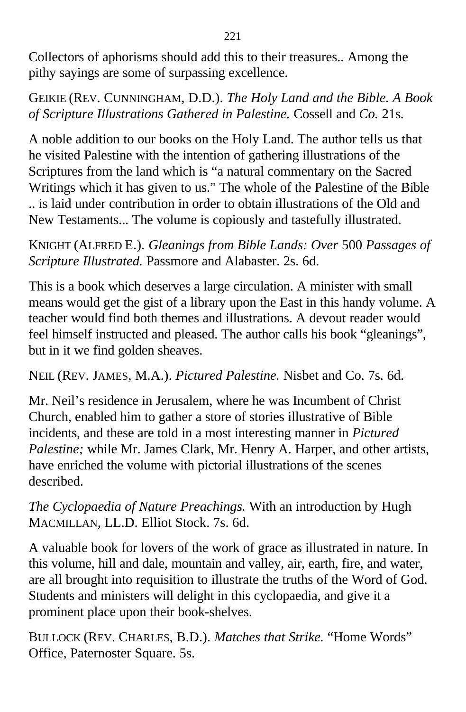Collectors of aphorisms should add this to their treasures.. Among the pithy sayings are some of surpassing excellence.

## GEIKIE (REV. CUNNINGHAM, D.D.). *The Holy Land and the Bible. A Book of Scripture Illustrations Gathered in Palestine.* Cossell and *Co.* 21s*.*

A noble addition to our books on the Holy Land. The author tells us that he visited Palestine with the intention of gathering illustrations of the Scriptures from the land which is "a natural commentary on the Sacred Writings which it has given to us." The whole of the Palestine of the Bible .. is laid under contribution in order to obtain illustrations of the Old and New Testaments... The volume is copiously and tastefully illustrated.

KNIGHT (ALFRED E.). *Gleanings from Bible Lands: Over* 500 *Passages of Scripture Illustrated.* Passmore and Alabaster. 2s. 6d.

This is a book which deserves a large circulation. A minister with small means would get the gist of a library upon the East in this handy volume. A teacher would find both themes and illustrations. A devout reader would feel himself instructed and pleased. The author calls his book "gleanings", but in it we find golden sheaves.

NEIL (REV. JAMES, M.A.). *Pictured Palestine.* Nisbet and Co. 7s. 6d.

Mr. Neil's residence in Jerusalem, where he was Incumbent of Christ Church, enabled him to gather a store of stories illustrative of Bible incidents, and these are told in a most interesting manner in *Pictured Palestine;* while Mr. James Clark, Mr. Henry A. Harper, and other artists, have enriched the volume with pictorial illustrations of the scenes described.

*The Cyclopaedia of Nature Preachings.* With an introduction by Hugh MACMILLAN, LL.D. Elliot Stock. 7s. 6d.

A valuable book for lovers of the work of grace as illustrated in nature. In this volume, hill and dale, mountain and valley, air, earth, fire, and water, are all brought into requisition to illustrate the truths of the Word of God. Students and ministers will delight in this cyclopaedia, and give it a prominent place upon their book-shelves.

BULLOCK (REV. CHARLES, B.D.). *Matches that Strike.* "Home Words" Office, Paternoster Square. 5s.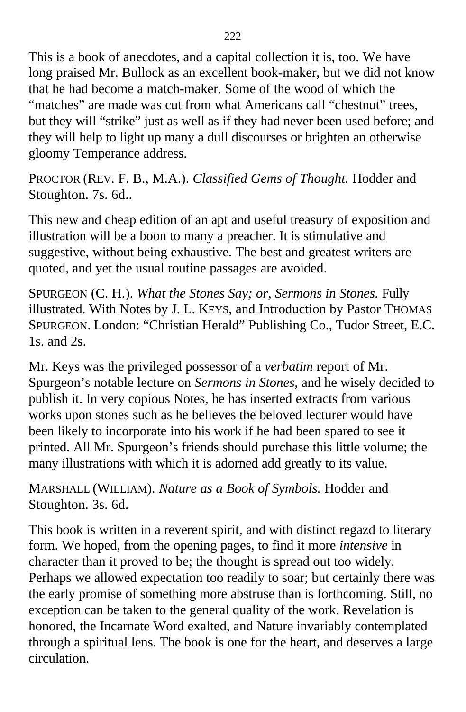This is a book of anecdotes, and a capital collection it is, too. We have long praised Mr. Bullock as an excellent book-maker, but we did not know that he had become a match-maker. Some of the wood of which the "matches" are made was cut from what Americans call "chestnut" trees, but they will "strike" just as well as if they had never been used before; and they will help to light up many a dull discourses or brighten an otherwise gloomy Temperance address.

PROCTOR (REV. F. B., M.A.). *Classified Gems of Thought.* Hodder and Stoughton. 7s. 6d..

This new and cheap edition of an apt and useful treasury of exposition and illustration will be a boon to many a preacher. It is stimulative and suggestive, without being exhaustive. The best and greatest writers are quoted, and yet the usual routine passages are avoided.

SPURGEON (C. H.). *What the Stones Say; or, Sermons in Stones.* Fully illustrated. With Notes by J. L. KEYS, and Introduction by Pastor THOMAS SPURGEON. London: "Christian Herald" Publishing Co., Tudor Street, E.C. 1s. and  $2s$ .

Mr. Keys was the privileged possessor of a *verbatim* report of Mr. Spurgeon's notable lecture on *Sermons in Stones,* and he wisely decided to publish it. In very copious Notes, he has inserted extracts from various works upon stones such as he believes the beloved lecturer would have been likely to incorporate into his work if he had been spared to see it printed. All Mr. Spurgeon's friends should purchase this little volume; the many illustrations with which it is adorned add greatly to its value.

MARSHALL (WILLIAM). *Nature as a Book of Symbols.* Hodder and Stoughton. 3s. 6d.

This book is written in a reverent spirit, and with distinct regazd to literary form. We hoped, from the opening pages, to find it more *intensive* in character than it proved to be; the thought is spread out too widely. Perhaps we allowed expectation too readily to soar; but certainly there was the early promise of something more abstruse than is forthcoming. Still, no exception can be taken to the general quality of the work. Revelation is honored, the Incarnate Word exalted, and Nature invariably contemplated through a spiritual lens. The book is one for the heart, and deserves a large circulation.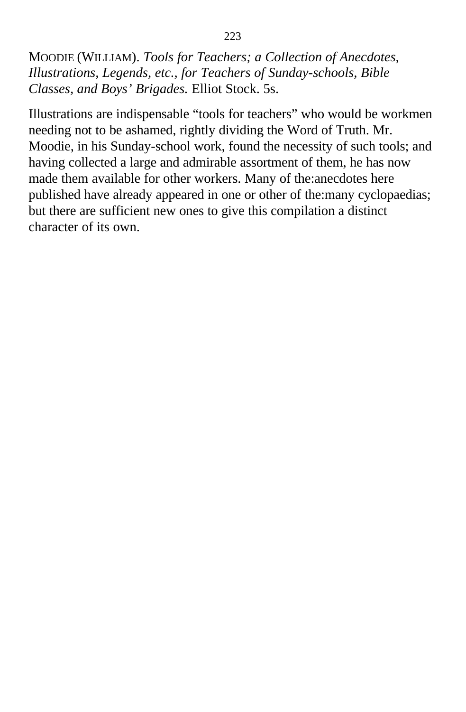MOODIE (WILLIAM). *Tools for Teachers; a Collection of Anecdotes, Illustrations, Legends, etc., for Teachers of Sunday-schools, Bible Classes, and Boys' Brigades.* Elliot Stock. 5s.

Illustrations are indispensable "tools for teachers" who would be workmen needing not to be ashamed, rightly dividing the Word of Truth. Mr. Moodie, in his Sunday-school work, found the necessity of such tools; and having collected a large and admirable assortment of them, he has now made them available for other workers. Many of the:anecdotes here published have already appeared in one or other of the:many cyclopaedias; but there are sufficient new ones to give this compilation a distinct character of its own.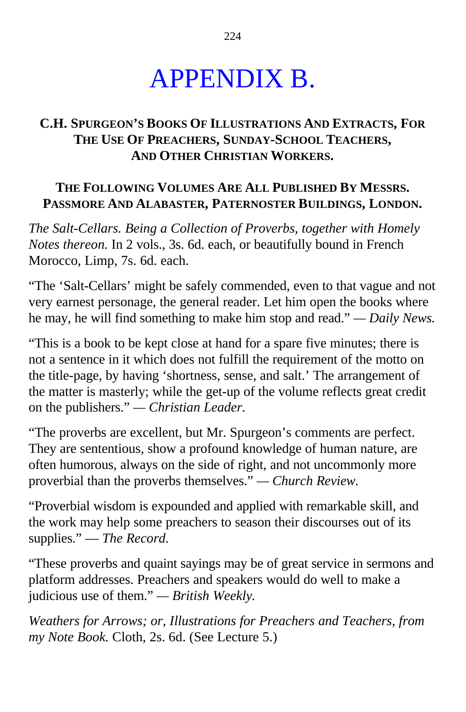## APPENDIX B.

## **C.H. SPURGEON'S BOOKS OF ILLUSTRATIONS AND EXTRACTS, FOR THE USE OF PREACHERS, SUNDAY-SCHOOL TEACHERS, AND OTHER CHRISTIAN WORKERS.**

## **THE FOLLOWING VOLUMES ARE ALL PUBLISHED BY MESSRS. PASSMORE AND ALABASTER, PATERNOSTER BUILDINGS, LONDON.**

*The Salt-Cellars. Being a Collection of Proverbs, together with Homely Notes thereon.* In 2 vols., 3s. 6d. each, or beautifully bound in French Morocco, Limp, 7s. 6d. each.

"The 'Salt-Cellars' might be safely commended, even to that vague and not very earnest personage, the general reader. Let him open the books where he may, he will find something to make him stop and read." *— Daily News.*

"This is a book to be kept close at hand for a spare five minutes; there is not a sentence in it which does not fulfill the requirement of the motto on the title-page, by having 'shortness, sense, and salt.' The arrangement of the matter is masterly; while the get-up of the volume reflects great credit on the publishers." *— Christian Leader.*

"The proverbs are excellent, but Mr. Spurgeon's comments are perfect. They are sententious, show a profound knowledge of human nature, are often humorous, always on the side of right, and not uncommonly more proverbial than the proverbs themselves." *— Church Review.*

"Proverbial wisdom is expounded and applied with remarkable skill, and the work may help some preachers to season their discourses out of its supplies." — *The Record.*

"These proverbs and quaint sayings may be of great service in sermons and platform addresses. Preachers and speakers would do well to make a judicious use of them." *— British Weekly.*

*Weathers for Arrows; or, Illustrations for Preachers and Teachers, from my Note Book.* Cloth, 2s. 6d. (See Lecture 5.)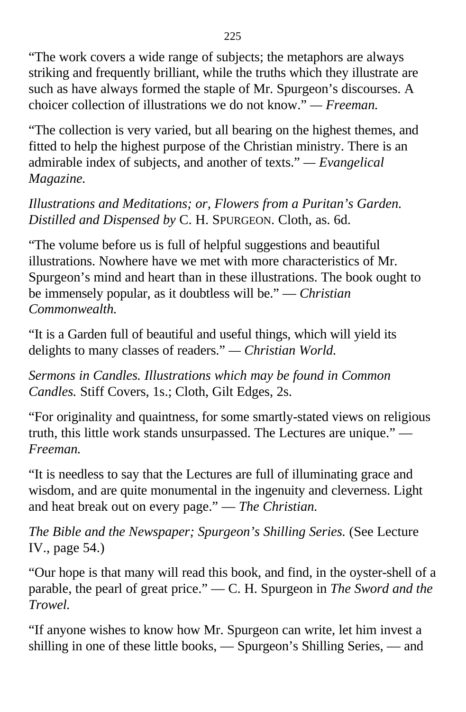"The work covers a wide range of subjects; the metaphors are always striking and frequently brilliant, while the truths which they illustrate are such as have always formed the staple of Mr. Spurgeon's discourses. A choicer collection of illustrations we do not know." *— Freeman.*

"The collection is very varied, but all bearing on the highest themes, and fitted to help the highest purpose of the Christian ministry. There is an admirable index of subjects, and another of texts." *— Evangelical Magazine.*

*Illustrations and Meditations; or, Flowers from a Puritan's Garden. Distilled and Dispensed by* C. H. SPURGEON. Cloth, as. 6d.

"The volume before us is full of helpful suggestions and beautiful illustrations. Nowhere have we met with more characteristics of Mr. Spurgeon's mind and heart than in these illustrations. The book ought to be immensely popular, as it doubtless will be." — *Christian Commonwealth.*

"It is a Garden full of beautiful and useful things, which will yield its delights to many classes of readers." *— Christian World.*

*Sermons in Candles. Illustrations which may be found in Common Candles.* Stiff Covers, 1s.; Cloth, Gilt Edges, 2s.

"For originality and quaintness, for some smartly-stated views on religious truth, this little work stands unsurpassed. The Lectures are unique." — *Freeman.*

"It is needless to say that the Lectures are full of illuminating grace and wisdom, and are quite monumental in the ingenuity and cleverness. Light and heat break out on every page." — *The Christian.*

*The Bible and the Newspaper; Spurgeon's Shilling Series.* (See Lecture IV., page 54.)

"Our hope is that many will read this book, and find, in the oyster-shell of a parable, the pearl of great price." — C. H. Spurgeon in *The Sword and the Trowel.*

"If anyone wishes to know how Mr. Spurgeon can write, let him invest a shilling in one of these little books, — Spurgeon's Shilling Series, — and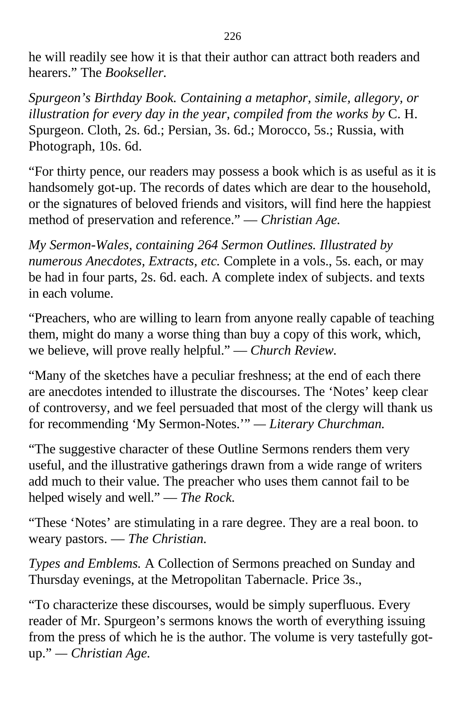he will readily see how it is that their author can attract both readers and hearers." The *Bookseller.*

*Spurgeon's Birthday Book. Containing a metaphor, simile, allegory, or illustration for every day in the year, compiled from the works by* C. H. Spurgeon. Cloth, 2s. 6d.; Persian, 3s. 6d.; Morocco, 5s.; Russia, with Photograph, 10s. 6d.

"For thirty pence, our readers may possess a book which is as useful as it is handsomely got-up. The records of dates which are dear to the household, or the signatures of beloved friends and visitors, will find here the happiest method of preservation and reference." — *Christian Age.*

*My Sermon-Wales, containing 264 Sermon Outlines. Illustrated by numerous Anecdotes, Extracts, etc.* Complete in a vols., 5s. each, or may be had in four parts, 2s. 6d. each. A complete index of subjects. and texts in each volume.

"Preachers, who are willing to learn from anyone really capable of teaching them, might do many a worse thing than buy a copy of this work, which, we believe, will prove really helpful." — *Church Review.*

"Many of the sketches have a peculiar freshness; at the end of each there are anecdotes intended to illustrate the discourses. The 'Notes' keep clear of controversy, and we feel persuaded that most of the clergy will thank us for recommending 'My Sermon-Notes.'" *— Literary Churchman.*

"The suggestive character of these Outline Sermons renders them very useful, and the illustrative gatherings drawn from a wide range of writers add much to their value. The preacher who uses them cannot fail to be helped wisely and well." — *The Rock.*

"These 'Notes' are stimulating in a rare degree. They are a real boon. to weary pastors. — *The Christian.*

*Types and Emblems.* A Collection of Sermons preached on Sunday and Thursday evenings, at the Metropolitan Tabernacle. Price 3s.,

"To characterize these discourses, would be simply superfluous. Every reader of Mr. Spurgeon's sermons knows the worth of everything issuing from the press of which he is the author. The volume is very tastefully gotup." *— Christian Age.*